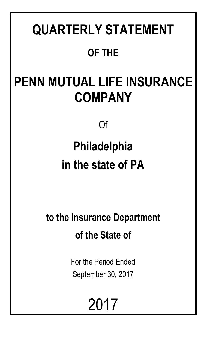# **QUARTERLY STATEMENT OF THE**

# **PENN MUTUAL LIFE INSURANCE COMPANY**

Of

# **Philadelphia in the state of PA**

**to the Insurance Department of the State of**

> For the Period Ended September 30, 2017

> > 2017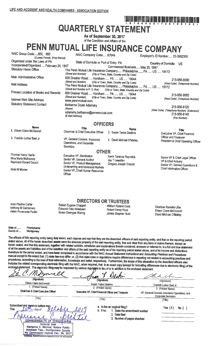# **QUARTERLY STATEMENT**

As of September 30, 2017 of the Condition and Affairs of the

# PENN MUTUAL LIFE INSURANCE COMPANY

NAIC Group Code.....850, 850 NAIC Company Code..... 67644 Employer's ID Number..... 23-0952300 (Current Period) (Prior Period) Organized under the Laws of PA State of Domicile or Port of Entry PA Country of Domicile US Incorporated/Organized..... February 24, 1847 Commenced Business..... May 25, 1847 ...<br>The Penn Mutual Life Insurance Company..... Philadelphia ..... PA ..... US ..... 19172 **Statutory Home Office** (City or Town, State, Country and Zip Code) (Street and Number) Main Administrative Office 600 Dresher Road..... Horsham ..... PA ..... US ..... 19044 215-956-8000 (City or Town, State, Country and Zip Code) (Street and Number) (Area Code) (Telephone Number) The Penn Mutual Life Insurance Company..... Philadelphia ..... PA ..... US ..... 19172 **Mail Address** (Street and Number or P.O. Box) (City or Town, State, Country and Zip Code) Primary Location of Books and Records 600 Dresher Road..... Horsham ..... PA ..... US ..... 19044 215-956-8000 (Street and Number) (City or Town, State, Country and Zip Code) (Area Code) (Telephone Number) Internet Web Site Address www.pennmutual.com **Statutory Statement Contact** Bethanne Doyle Adamsky 215-956-8120 (Name) (Area Code) (Telephone Number) (Extension) adamsky.bethanne@pennmutual.com 215-956-8145 (E-Mail Address) (Fax Number) **OFFICERS Name** Title **Name Title** 1 Eileen Claire McDonnell Chairman & Chief Executive Officer 2. Susan Twine Deakins Executive VP, Chief Financial 3. Franklin Luther Best Jr.

Thomas Henry Harris Nina Marie Mulrooney Raymond Gerard Caucci

Alida M Moose

Executive VP, Distribution Senior VP, General Auditor Senior VP, Product Management, Underwriting and Advanced Markets Senior VP, Chief Human Resources Officer

VP, General Counsel, Insurance

Operations, and Corporate

Secretary

**OTHER** Kevin Terance Reynolds Jay T Lewellen Gregory Joseph Driscoll

4. David Michael O'Malley

Officer and Treasurer President & Chief Operating Officer

Senior VP & Chief Legal Officer VP & Chief Actuary Senior VP, Service Operations & Chief Information Officer

Joan Pauline Carter Anthony M Santomero Helen Pomerantz Pudlin

Robert Eugene Chappell **Edmond Felix Notebaert** Susan Doenges Waring

**DIRECTORS OR TRUSTEES** William Roland Cook

Robert Henry Rock James Stephen Hunt Charisse Ranielle Lillie Eileen Claire McDonnell David Michael O'Malley

State of... Pennsylvania County of..... Montgomery

The officers of this reporting entity being duly swom, each depose and say that they are the described officers of said reporting entity, and that on the reporting period stated above, all of the herein described assets were the absolute property of the said reporting entity, free and clear from any liens or claims thereon, except as herein stated, and that this statement, together with related exhibits, schedules and explanations therein contained, annexed or referred to, is a full and true statement of all the assets and liabilities and of the condition and affairs of the said reporting entity as of the reporting period stated above, and of its income and deductions therefrom for the period ended, and have been completed in accordance with the NAIC Annual Statement Instructions and Accounting Practices and Procedures manual except to the extent that: (1) state law may differ; or, (2) that state rules or regulations require differences in reporting not related to accounting practices and procedures, according to the best of their information, knowledge and belief, respectively. Furthermore, the scope of this attestation by the described officers also includes the related corresponding electronic filing with the NAIC, when required, that is an exact copy (except for formatting differences due to electronic filing) of the enclosed statement. The electronic filing may be requested by various regulators in lieu of or in addition to the enclosed statement

| mogue<br>$\mathcal{L}$                                              | 10                         |                          |
|---------------------------------------------------------------------|----------------------------|--------------------------|
| (Signature)                                                         | (Signature)                | (Signature)              |
| Eileen Claire McDonnell<br><b><i>I Photography A Business A</i></b> | <b>Susan Twine Deakins</b> | Franklin Luther Best Jr. |

ieen Claire McDonnel 1. (Printed Name)

Chairman & Chief Executive Officer

 $(Title)$ 

**Susan Twine Deakins** 2. (Printed Name)

Executive VP, Chief Financial Officer and Treasurer

3. (Printed Name) VP, General Counsel, Insurance Operations, and **Corporate Secretary** 

(Title)

 $\overline{\text{Title}}$ 

Subscribed and swom to before me/ **This** 1 Iñ  $=$  day of  $\boldsymbol{\lambda}$  $\overline{\mathcal{A}}$ Δ **COMMONWEALTH OF PENNSYLVANIA** Notarial Seal Marianne C. Bechtel, Notary Public Horsham Twp., Montgomery County<br>My Commission Expires Dec. 26, 2017

**LMBER, PERNSYLVANIA ASSOCIATION OF NOTARIE** 

- a. Is this an original filing? b. If no:
	- 1. State the amendment number 2. Date filed
	- 3. Numher of pages attached

Yes  $[X]$  No  $[ ]$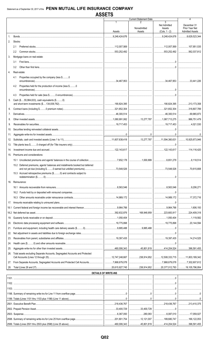| -1<br>2<br><b>Net Admitted</b><br>December 31<br>Nonadmitted<br>Prior Year Net<br>Assets<br>Assets<br>Assets<br>$(Cols. 1 - 2)$<br><b>Admitted Assets</b><br>3,629,523,344<br>3,248,424,676<br>9,248,424,676<br>$1_{-}$<br>Stocks:<br>2.<br>2.1<br>$\ldots$ 562,037,812<br>$2.2^{\circ}$<br>3.<br>Mortgage loans on real estate:<br>3.1<br>3.2<br>4.<br>Real estate:<br>4.1<br>Properties occupied by the company (less \$0<br>Properties held for the production of income (less \$0<br>4.2<br>4.3<br>Cash (\$55,984,633), cash equivalents (\$0)<br>5.<br>6.<br>7.<br>8.<br>9.<br>10.<br>11.<br>12.<br>13.<br>14.<br>Premiums and considerations:<br>15.<br>15.2 Deferred premiums, agents' balances and installments booked but deferred<br>15.3 Accrued retrospective premiums (\$0) and contracts subject to<br>. 0<br><br>16. Reinsurance:<br>17.<br>18.1<br>168,948,959 223,683,917<br>224,409,318<br>1,119,582<br>19.<br>20,144,594<br>20.<br>21.<br>22.<br>23.<br>24.<br>25.<br>Total assets excluding Separate Accounts, Segregated Accounts and Protected<br>26.<br>238,914,952   12,508,333,715   11,803,189,342<br>From Separate Accounts, Segregated Accounts and Protected Cell Accounts7,868,679,078<br>27.<br>238,914,952 20,377,012,793 19,105,796,954<br>28.<br><b>DETAILS OF WRITE-INS</b><br>12,121,007   189,680,747   166,122,053 |  | <b>Current Statement Date</b> |   | Δ |
|----------------------------------------------------------------------------------------------------------------------------------------------------------------------------------------------------------------------------------------------------------------------------------------------------------------------------------------------------------------------------------------------------------------------------------------------------------------------------------------------------------------------------------------------------------------------------------------------------------------------------------------------------------------------------------------------------------------------------------------------------------------------------------------------------------------------------------------------------------------------------------------------------------------------------------------------------------------------------------------------------------------------------------------------------------------------------------------------------------------------------------------------------------------------------------------------------------------------------------------------------------------------------------------------------------------------------------------------------------|--|-------------------------------|---|---|
|                                                                                                                                                                                                                                                                                                                                                                                                                                                                                                                                                                                                                                                                                                                                                                                                                                                                                                                                                                                                                                                                                                                                                                                                                                                                                                                                                          |  |                               | 3 |   |
|                                                                                                                                                                                                                                                                                                                                                                                                                                                                                                                                                                                                                                                                                                                                                                                                                                                                                                                                                                                                                                                                                                                                                                                                                                                                                                                                                          |  |                               |   |   |
|                                                                                                                                                                                                                                                                                                                                                                                                                                                                                                                                                                                                                                                                                                                                                                                                                                                                                                                                                                                                                                                                                                                                                                                                                                                                                                                                                          |  |                               |   |   |
|                                                                                                                                                                                                                                                                                                                                                                                                                                                                                                                                                                                                                                                                                                                                                                                                                                                                                                                                                                                                                                                                                                                                                                                                                                                                                                                                                          |  |                               |   |   |
|                                                                                                                                                                                                                                                                                                                                                                                                                                                                                                                                                                                                                                                                                                                                                                                                                                                                                                                                                                                                                                                                                                                                                                                                                                                                                                                                                          |  |                               |   |   |
|                                                                                                                                                                                                                                                                                                                                                                                                                                                                                                                                                                                                                                                                                                                                                                                                                                                                                                                                                                                                                                                                                                                                                                                                                                                                                                                                                          |  |                               |   |   |
|                                                                                                                                                                                                                                                                                                                                                                                                                                                                                                                                                                                                                                                                                                                                                                                                                                                                                                                                                                                                                                                                                                                                                                                                                                                                                                                                                          |  |                               |   |   |
|                                                                                                                                                                                                                                                                                                                                                                                                                                                                                                                                                                                                                                                                                                                                                                                                                                                                                                                                                                                                                                                                                                                                                                                                                                                                                                                                                          |  |                               |   |   |
|                                                                                                                                                                                                                                                                                                                                                                                                                                                                                                                                                                                                                                                                                                                                                                                                                                                                                                                                                                                                                                                                                                                                                                                                                                                                                                                                                          |  |                               |   |   |
|                                                                                                                                                                                                                                                                                                                                                                                                                                                                                                                                                                                                                                                                                                                                                                                                                                                                                                                                                                                                                                                                                                                                                                                                                                                                                                                                                          |  |                               |   |   |
|                                                                                                                                                                                                                                                                                                                                                                                                                                                                                                                                                                                                                                                                                                                                                                                                                                                                                                                                                                                                                                                                                                                                                                                                                                                                                                                                                          |  |                               |   |   |
|                                                                                                                                                                                                                                                                                                                                                                                                                                                                                                                                                                                                                                                                                                                                                                                                                                                                                                                                                                                                                                                                                                                                                                                                                                                                                                                                                          |  |                               |   |   |
|                                                                                                                                                                                                                                                                                                                                                                                                                                                                                                                                                                                                                                                                                                                                                                                                                                                                                                                                                                                                                                                                                                                                                                                                                                                                                                                                                          |  |                               |   |   |
|                                                                                                                                                                                                                                                                                                                                                                                                                                                                                                                                                                                                                                                                                                                                                                                                                                                                                                                                                                                                                                                                                                                                                                                                                                                                                                                                                          |  |                               |   |   |
|                                                                                                                                                                                                                                                                                                                                                                                                                                                                                                                                                                                                                                                                                                                                                                                                                                                                                                                                                                                                                                                                                                                                                                                                                                                                                                                                                          |  |                               |   |   |
|                                                                                                                                                                                                                                                                                                                                                                                                                                                                                                                                                                                                                                                                                                                                                                                                                                                                                                                                                                                                                                                                                                                                                                                                                                                                                                                                                          |  |                               |   |   |
|                                                                                                                                                                                                                                                                                                                                                                                                                                                                                                                                                                                                                                                                                                                                                                                                                                                                                                                                                                                                                                                                                                                                                                                                                                                                                                                                                          |  |                               |   |   |
|                                                                                                                                                                                                                                                                                                                                                                                                                                                                                                                                                                                                                                                                                                                                                                                                                                                                                                                                                                                                                                                                                                                                                                                                                                                                                                                                                          |  |                               |   |   |
|                                                                                                                                                                                                                                                                                                                                                                                                                                                                                                                                                                                                                                                                                                                                                                                                                                                                                                                                                                                                                                                                                                                                                                                                                                                                                                                                                          |  |                               |   |   |
|                                                                                                                                                                                                                                                                                                                                                                                                                                                                                                                                                                                                                                                                                                                                                                                                                                                                                                                                                                                                                                                                                                                                                                                                                                                                                                                                                          |  |                               |   |   |
|                                                                                                                                                                                                                                                                                                                                                                                                                                                                                                                                                                                                                                                                                                                                                                                                                                                                                                                                                                                                                                                                                                                                                                                                                                                                                                                                                          |  |                               |   |   |
|                                                                                                                                                                                                                                                                                                                                                                                                                                                                                                                                                                                                                                                                                                                                                                                                                                                                                                                                                                                                                                                                                                                                                                                                                                                                                                                                                          |  |                               |   |   |
|                                                                                                                                                                                                                                                                                                                                                                                                                                                                                                                                                                                                                                                                                                                                                                                                                                                                                                                                                                                                                                                                                                                                                                                                                                                                                                                                                          |  |                               |   |   |
|                                                                                                                                                                                                                                                                                                                                                                                                                                                                                                                                                                                                                                                                                                                                                                                                                                                                                                                                                                                                                                                                                                                                                                                                                                                                                                                                                          |  |                               |   |   |
|                                                                                                                                                                                                                                                                                                                                                                                                                                                                                                                                                                                                                                                                                                                                                                                                                                                                                                                                                                                                                                                                                                                                                                                                                                                                                                                                                          |  |                               |   |   |
|                                                                                                                                                                                                                                                                                                                                                                                                                                                                                                                                                                                                                                                                                                                                                                                                                                                                                                                                                                                                                                                                                                                                                                                                                                                                                                                                                          |  |                               |   |   |
|                                                                                                                                                                                                                                                                                                                                                                                                                                                                                                                                                                                                                                                                                                                                                                                                                                                                                                                                                                                                                                                                                                                                                                                                                                                                                                                                                          |  |                               |   |   |
|                                                                                                                                                                                                                                                                                                                                                                                                                                                                                                                                                                                                                                                                                                                                                                                                                                                                                                                                                                                                                                                                                                                                                                                                                                                                                                                                                          |  |                               |   |   |
|                                                                                                                                                                                                                                                                                                                                                                                                                                                                                                                                                                                                                                                                                                                                                                                                                                                                                                                                                                                                                                                                                                                                                                                                                                                                                                                                                          |  |                               |   |   |
|                                                                                                                                                                                                                                                                                                                                                                                                                                                                                                                                                                                                                                                                                                                                                                                                                                                                                                                                                                                                                                                                                                                                                                                                                                                                                                                                                          |  |                               |   |   |
|                                                                                                                                                                                                                                                                                                                                                                                                                                                                                                                                                                                                                                                                                                                                                                                                                                                                                                                                                                                                                                                                                                                                                                                                                                                                                                                                                          |  |                               |   |   |
|                                                                                                                                                                                                                                                                                                                                                                                                                                                                                                                                                                                                                                                                                                                                                                                                                                                                                                                                                                                                                                                                                                                                                                                                                                                                                                                                                          |  |                               |   |   |
|                                                                                                                                                                                                                                                                                                                                                                                                                                                                                                                                                                                                                                                                                                                                                                                                                                                                                                                                                                                                                                                                                                                                                                                                                                                                                                                                                          |  |                               |   |   |
|                                                                                                                                                                                                                                                                                                                                                                                                                                                                                                                                                                                                                                                                                                                                                                                                                                                                                                                                                                                                                                                                                                                                                                                                                                                                                                                                                          |  |                               |   |   |
|                                                                                                                                                                                                                                                                                                                                                                                                                                                                                                                                                                                                                                                                                                                                                                                                                                                                                                                                                                                                                                                                                                                                                                                                                                                                                                                                                          |  |                               |   |   |
|                                                                                                                                                                                                                                                                                                                                                                                                                                                                                                                                                                                                                                                                                                                                                                                                                                                                                                                                                                                                                                                                                                                                                                                                                                                                                                                                                          |  |                               |   |   |
|                                                                                                                                                                                                                                                                                                                                                                                                                                                                                                                                                                                                                                                                                                                                                                                                                                                                                                                                                                                                                                                                                                                                                                                                                                                                                                                                                          |  |                               |   |   |
|                                                                                                                                                                                                                                                                                                                                                                                                                                                                                                                                                                                                                                                                                                                                                                                                                                                                                                                                                                                                                                                                                                                                                                                                                                                                                                                                                          |  |                               |   |   |
|                                                                                                                                                                                                                                                                                                                                                                                                                                                                                                                                                                                                                                                                                                                                                                                                                                                                                                                                                                                                                                                                                                                                                                                                                                                                                                                                                          |  |                               |   |   |
|                                                                                                                                                                                                                                                                                                                                                                                                                                                                                                                                                                                                                                                                                                                                                                                                                                                                                                                                                                                                                                                                                                                                                                                                                                                                                                                                                          |  |                               |   |   |
|                                                                                                                                                                                                                                                                                                                                                                                                                                                                                                                                                                                                                                                                                                                                                                                                                                                                                                                                                                                                                                                                                                                                                                                                                                                                                                                                                          |  |                               |   |   |
|                                                                                                                                                                                                                                                                                                                                                                                                                                                                                                                                                                                                                                                                                                                                                                                                                                                                                                                                                                                                                                                                                                                                                                                                                                                                                                                                                          |  |                               |   |   |
|                                                                                                                                                                                                                                                                                                                                                                                                                                                                                                                                                                                                                                                                                                                                                                                                                                                                                                                                                                                                                                                                                                                                                                                                                                                                                                                                                          |  |                               |   |   |
|                                                                                                                                                                                                                                                                                                                                                                                                                                                                                                                                                                                                                                                                                                                                                                                                                                                                                                                                                                                                                                                                                                                                                                                                                                                                                                                                                          |  |                               |   |   |
|                                                                                                                                                                                                                                                                                                                                                                                                                                                                                                                                                                                                                                                                                                                                                                                                                                                                                                                                                                                                                                                                                                                                                                                                                                                                                                                                                          |  |                               |   |   |
|                                                                                                                                                                                                                                                                                                                                                                                                                                                                                                                                                                                                                                                                                                                                                                                                                                                                                                                                                                                                                                                                                                                                                                                                                                                                                                                                                          |  |                               |   |   |
|                                                                                                                                                                                                                                                                                                                                                                                                                                                                                                                                                                                                                                                                                                                                                                                                                                                                                                                                                                                                                                                                                                                                                                                                                                                                                                                                                          |  |                               |   |   |
|                                                                                                                                                                                                                                                                                                                                                                                                                                                                                                                                                                                                                                                                                                                                                                                                                                                                                                                                                                                                                                                                                                                                                                                                                                                                                                                                                          |  |                               |   |   |
|                                                                                                                                                                                                                                                                                                                                                                                                                                                                                                                                                                                                                                                                                                                                                                                                                                                                                                                                                                                                                                                                                                                                                                                                                                                                                                                                                          |  |                               |   |   |
|                                                                                                                                                                                                                                                                                                                                                                                                                                                                                                                                                                                                                                                                                                                                                                                                                                                                                                                                                                                                                                                                                                                                                                                                                                                                                                                                                          |  |                               |   |   |
|                                                                                                                                                                                                                                                                                                                                                                                                                                                                                                                                                                                                                                                                                                                                                                                                                                                                                                                                                                                                                                                                                                                                                                                                                                                                                                                                                          |  |                               |   |   |
|                                                                                                                                                                                                                                                                                                                                                                                                                                                                                                                                                                                                                                                                                                                                                                                                                                                                                                                                                                                                                                                                                                                                                                                                                                                                                                                                                          |  |                               |   |   |
|                                                                                                                                                                                                                                                                                                                                                                                                                                                                                                                                                                                                                                                                                                                                                                                                                                                                                                                                                                                                                                                                                                                                                                                                                                                                                                                                                          |  |                               |   |   |
|                                                                                                                                                                                                                                                                                                                                                                                                                                                                                                                                                                                                                                                                                                                                                                                                                                                                                                                                                                                                                                                                                                                                                                                                                                                                                                                                                          |  |                               |   |   |
|                                                                                                                                                                                                                                                                                                                                                                                                                                                                                                                                                                                                                                                                                                                                                                                                                                                                                                                                                                                                                                                                                                                                                                                                                                                                                                                                                          |  |                               |   |   |
|                                                                                                                                                                                                                                                                                                                                                                                                                                                                                                                                                                                                                                                                                                                                                                                                                                                                                                                                                                                                                                                                                                                                                                                                                                                                                                                                                          |  |                               |   |   |
|                                                                                                                                                                                                                                                                                                                                                                                                                                                                                                                                                                                                                                                                                                                                                                                                                                                                                                                                                                                                                                                                                                                                                                                                                                                                                                                                                          |  |                               |   |   |

460,006,343

.45,801,819

.414,204,524

.396,591,455

2599. Totals (Lines 2501 thru 2503 plus 2598) (Line 25 above).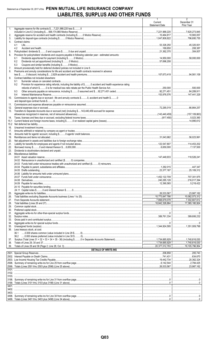# Statement as of September 30, 2017 of the PENN MUTUAL LIFE INSURANCE COMPANY LIABILITIES, SURPLUS AND OTHER FUNDS

|            |                                                                                                                                                                                                                                                                                                                                                                                                                                                                                                             | Current                 | 2<br>December 31                |
|------------|-------------------------------------------------------------------------------------------------------------------------------------------------------------------------------------------------------------------------------------------------------------------------------------------------------------------------------------------------------------------------------------------------------------------------------------------------------------------------------------------------------------|-------------------------|---------------------------------|
|            |                                                                                                                                                                                                                                                                                                                                                                                                                                                                                                             | <b>Statement Date</b>   | Prior Year                      |
| 1.         | Aggregate reserve for life contracts \$7,221,988,220 less \$0                                                                                                                                                                                                                                                                                                                                                                                                                                               |                         |                                 |
| 2.         |                                                                                                                                                                                                                                                                                                                                                                                                                                                                                                             | 10,464,817              |                                 |
| 3.         |                                                                                                                                                                                                                                                                                                                                                                                                                                                                                                             |                         |                                 |
| 4.         | Contract claims:                                                                                                                                                                                                                                                                                                                                                                                                                                                                                            |                         |                                 |
|            | 4.1<br>4.2                                                                                                                                                                                                                                                                                                                                                                                                                                                                                                  |                         |                                 |
| 5.         |                                                                                                                                                                                                                                                                                                                                                                                                                                                                                                             |                         | 304,007                         |
| 6.         | Provision for policyholders' dividends and coupons payable in following calendar year - estimated amounts:                                                                                                                                                                                                                                                                                                                                                                                                  |                         |                                 |
|            | 6.1                                                                                                                                                                                                                                                                                                                                                                                                                                                                                                         |                         | $ $ 58,000,000                  |
|            | 6.2<br>6.3                                                                                                                                                                                                                                                                                                                                                                                                                                                                                                  |                         |                                 |
| 7.         |                                                                                                                                                                                                                                                                                                                                                                                                                                                                                                             |                         |                                 |
| 8.         | Premiums and annuity considerations for life and accident and health contracts received in advance                                                                                                                                                                                                                                                                                                                                                                                                          |                         |                                 |
| 9.         | Contract liabilities not included elsewhere:                                                                                                                                                                                                                                                                                                                                                                                                                                                                |                         |                                 |
|            | 9.1                                                                                                                                                                                                                                                                                                                                                                                                                                                                                                         |                         |                                 |
|            | Provision for experience rating refunds, including the liability of \$ O accident and health experience rating<br>9.2                                                                                                                                                                                                                                                                                                                                                                                       |                         |                                 |
|            |                                                                                                                                                                                                                                                                                                                                                                                                                                                                                                             |                         |                                 |
|            | 9.3<br>9.4                                                                                                                                                                                                                                                                                                                                                                                                                                                                                                  |                         |                                 |
| 10.        | Commissions to agents due or accrued - life and annuity contracts \$0, accident and health \$0                                                                                                                                                                                                                                                                                                                                                                                                              |                         |                                 |
|            |                                                                                                                                                                                                                                                                                                                                                                                                                                                                                                             |                         |                                 |
| 11.        |                                                                                                                                                                                                                                                                                                                                                                                                                                                                                                             |                         |                                 |
| 12.<br>13. | Transfers to Separate Accounts due or accrued (net) (including \$143,440,459 accrued for expense                                                                                                                                                                                                                                                                                                                                                                                                            |                         |                                 |
|            |                                                                                                                                                                                                                                                                                                                                                                                                                                                                                                             |                         |                                 |
| 14.        |                                                                                                                                                                                                                                                                                                                                                                                                                                                                                                             |                         |                                 |
| 15.1       |                                                                                                                                                                                                                                                                                                                                                                                                                                                                                                             |                         |                                 |
| 16.        |                                                                                                                                                                                                                                                                                                                                                                                                                                                                                                             |                         |                                 |
| 17.        |                                                                                                                                                                                                                                                                                                                                                                                                                                                                                                             |                         |                                 |
| 18.        |                                                                                                                                                                                                                                                                                                                                                                                                                                                                                                             |                         |                                 |
| 19.        |                                                                                                                                                                                                                                                                                                                                                                                                                                                                                                             |                         |                                 |
| 20.<br>21. |                                                                                                                                                                                                                                                                                                                                                                                                                                                                                                             |                         | 114,453,202                     |
| 22.        |                                                                                                                                                                                                                                                                                                                                                                                                                                                                                                             |                         |                                 |
| 23.        |                                                                                                                                                                                                                                                                                                                                                                                                                                                                                                             |                         |                                 |
| 24.        | Miscellaneous liabilities:                                                                                                                                                                                                                                                                                                                                                                                                                                                                                  |                         |                                 |
|            |                                                                                                                                                                                                                                                                                                                                                                                                                                                                                                             |                         |                                 |
|            |                                                                                                                                                                                                                                                                                                                                                                                                                                                                                                             |                         |                                 |
|            |                                                                                                                                                                                                                                                                                                                                                                                                                                                                                                             |                         |                                 |
|            |                                                                                                                                                                                                                                                                                                                                                                                                                                                                                                             |                         |                                 |
|            |                                                                                                                                                                                                                                                                                                                                                                                                                                                                                                             |                         |                                 |
|            |                                                                                                                                                                                                                                                                                                                                                                                                                                                                                                             | 240,285,128 216,017,394 |                                 |
|            |                                                                                                                                                                                                                                                                                                                                                                                                                                                                                                             |                         |                                 |
|            |                                                                                                                                                                                                                                                                                                                                                                                                                                                                                                             |                         |                                 |
| 25.        |                                                                                                                                                                                                                                                                                                                                                                                                                                                                                                             |                         |                                 |
| 26.        |                                                                                                                                                                                                                                                                                                                                                                                                                                                                                                             |                         |                                 |
| 27.<br>28. |                                                                                                                                                                                                                                                                                                                                                                                                                                                                                                             | 7,868,679,078           | 7,302,607,612<br>17,365,180.924 |
| 29.        |                                                                                                                                                                                                                                                                                                                                                                                                                                                                                                             |                         |                                 |
| 30.        | $\textbf{Preferred capital stock}.\textcolor{red}{\textbf{not k}(\textbf{not k}(\textbf{not k}(\textbf{not k}(\textbf{not k}(\textbf{not k}(\textbf{not k}(\textbf{not k}(\textbf{not k}(\textbf{not k}(\textbf{not k}(\textbf{not k}(\textbf{not k}(\textbf{not k}(\textbf{not k}(\textbf{not k}(\textbf{not k}(\textbf{not k}(\textbf{not k}(\textbf{not k}(\textbf{not k}(\textbf{not k}(\textbf{not k}(\textbf{not k}(\textbf{not k}(\textbf{not k}(\textbf{not k}(\textbf{not k}(\textbf{not k}(\text$ |                         |                                 |
| 31.        |                                                                                                                                                                                                                                                                                                                                                                                                                                                                                                             |                         |                                 |
| 32.<br>33. |                                                                                                                                                                                                                                                                                                                                                                                                                                                                                                             |                         |                                 |
| 34.        |                                                                                                                                                                                                                                                                                                                                                                                                                                                                                                             |                         |                                 |
| 35.        |                                                                                                                                                                                                                                                                                                                                                                                                                                                                                                             |                         |                                 |
| 36.        | Less treasury stock, at cost:                                                                                                                                                                                                                                                                                                                                                                                                                                                                               |                         |                                 |
|            |                                                                                                                                                                                                                                                                                                                                                                                                                                                                                                             |                         |                                 |
| 37.        |                                                                                                                                                                                                                                                                                                                                                                                                                                                                                                             |                         |                                 |
| 38.        |                                                                                                                                                                                                                                                                                                                                                                                                                                                                                                             |                         |                                 |
| 39.        | <b>DETAILS OF WRITE-INS</b>                                                                                                                                                                                                                                                                                                                                                                                                                                                                                 |                         | 19,105,796,954                  |
|            |                                                                                                                                                                                                                                                                                                                                                                                                                                                                                                             |                         |                                 |
|            |                                                                                                                                                                                                                                                                                                                                                                                                                                                                                                             | 741,431                 |                                 |
|            |                                                                                                                                                                                                                                                                                                                                                                                                                                                                                                             |                         | 20,362,324                      |
|            |                                                                                                                                                                                                                                                                                                                                                                                                                                                                                                             |                         | 2,784,425<br>23,987,162         |
| 3101.      |                                                                                                                                                                                                                                                                                                                                                                                                                                                                                                             |                         |                                 |
|            |                                                                                                                                                                                                                                                                                                                                                                                                                                                                                                             |                         |                                 |
|            |                                                                                                                                                                                                                                                                                                                                                                                                                                                                                                             |                         |                                 |
|            |                                                                                                                                                                                                                                                                                                                                                                                                                                                                                                             |                         |                                 |
|            |                                                                                                                                                                                                                                                                                                                                                                                                                                                                                                             |                         |                                 |
|            |                                                                                                                                                                                                                                                                                                                                                                                                                                                                                                             |                         |                                 |
|            |                                                                                                                                                                                                                                                                                                                                                                                                                                                                                                             |                         |                                 |
|            |                                                                                                                                                                                                                                                                                                                                                                                                                                                                                                             |                         |                                 |
|            |                                                                                                                                                                                                                                                                                                                                                                                                                                                                                                             |                         |                                 |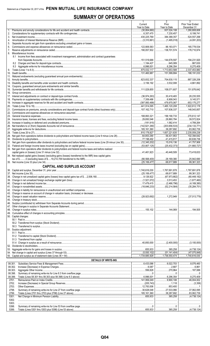# **SUMMARY OF OPERATIONS**

|    |                                                                                                                       | 1<br>Current                                                | $\overline{2}$<br>Prior                                                                                                                                                                                                                                                                                                                              | 3<br>Prior Year Ended                     |
|----|-----------------------------------------------------------------------------------------------------------------------|-------------------------------------------------------------|------------------------------------------------------------------------------------------------------------------------------------------------------------------------------------------------------------------------------------------------------------------------------------------------------------------------------------------------------|-------------------------------------------|
|    |                                                                                                                       | Year to Date                                                | Year to Date                                                                                                                                                                                                                                                                                                                                         | December 31                               |
| 1. |                                                                                                                       | $\frac{1}{(30,804,660)}$                                    |                                                                                                                                                                                                                                                                                                                                                      | 1,260,808,606                             |
|    |                                                                                                                       |                                                             | 7,230,457<br>384,389,357                                                                                                                                                                                                                                                                                                                             | 8,199,741<br>524,557,268                  |
| 4. |                                                                                                                       |                                                             |                                                                                                                                                                                                                                                                                                                                                      |                                           |
| 5. |                                                                                                                       |                                                             |                                                                                                                                                                                                                                                                                                                                                      |                                           |
| 6. |                                                                                                                       | $\ldots$ 122,806,583                                        | 96,183,071                                                                                                                                                                                                                                                                                                                                           | 165,778,534                               |
|    | 8. Miscellaneous Income:                                                                                              | 190,057,502                                                 | 138,701,574                                                                                                                                                                                                                                                                                                                                          | 178,710,974                               |
|    | 8.1 Income from fees associated with investment management, administration and contract quarantees                    |                                                             |                                                                                                                                                                                                                                                                                                                                                      |                                           |
|    |                                                                                                                       | 151,519,686                                                 | 144.678.597                                                                                                                                                                                                                                                                                                                                          | 194,231,920                               |
|    |                                                                                                                       | 1,184,427                                                   | 645,089                                                                                                                                                                                                                                                                                                                                              | 987,630                                   |
|    |                                                                                                                       | $\dots \dots \dots \dots 6.996.001$<br>$\ldots$ 875,032,117 | 6,296,354<br>1, 713, 653, 588                                                                                                                                                                                                                                                                                                                        | $\ldots$ 8.270.409<br>2.337.453.880       |
|    |                                                                                                                       | 131,460,987                                                 | 151,589,884                                                                                                                                                                                                                                                                                                                                          | 188,191,033                               |
|    |                                                                                                                       |                                                             |                                                                                                                                                                                                                                                                                                                                                      |                                           |
|    |                                                                                                                       | 623,832,337                                                 | 704,630,115                                                                                                                                                                                                                                                                                                                                          | 887,326,206                               |
|    |                                                                                                                       |                                                             | $\ldots$ 3,532,008                                                                                                                                                                                                                                                                                                                                   | 1.1, 1.661, 892<br>                       |
|    |                                                                                                                       |                                                             | 108,071,607                                                                                                                                                                                                                                                                                                                                          | $\ldots$ 151,876,642                      |
|    |                                                                                                                       |                                                             |                                                                                                                                                                                                                                                                                                                                                      |                                           |
|    |                                                                                                                       |                                                             |                                                                                                                                                                                                                                                                                                                                                      | 28,235,555                                |
|    |                                                                                                                       | (397,950,499)   479,970,067                                 | 6,908,043                                                                                                                                                                                                                                                                                                                                            | 9,145,571<br>653,175,277                  |
|    |                                                                                                                       | 441,914,095                                                 | 1,485,120,208                                                                                                                                                                                                                                                                                                                                        | 1,922,612,178                             |
|    |                                                                                                                       |                                                             | 107,836,337                                                                                                                                                                                                                                                                                                                                          | 148,543,857                               |
|    |                                                                                                                       |                                                             |                                                                                                                                                                                                                                                                                                                                                      |                                           |
|    |                                                                                                                       |                                                             |                                                                                                                                                                                                                                                                                                                                                      | $\vert$ 270.612.147<br>$\vert$ 39,572,824 |
|    |                                                                                                                       |                                                             | 1,582,414                                                                                                                                                                                                                                                                                                                                            | 4,789,264                                 |
|    |                                                                                                                       |                                                             | $\ldots$ (203,656,533)                                                                                                                                                                                                                                                                                                                               | $\vert$ (234,133,771)                     |
|    |                                                                                                                       | 185,161,360                                                 | 38,287,692                                                                                                                                                                                                                                                                                                                                           | 3,062,739                                 |
|    |                                                                                                                       |                                                             | 1, 657, 221, 635                                                                                                                                                                                                                                                                                                                                     | $\ldots$ 2,235,059,238                    |
|    |                                                                                                                       | 77,198,492                                                  | 56,431,953<br>41,415,817                                                                                                                                                                                                                                                                                                                             | $\ldots$ 102,394,642<br>60,636,736        |
|    | 31. Net gain from operations after dividends to policyholders and before federal income taxes (Line 29 minus Line 30) | $\ldots$ (12,345,202)                                       | 15,016,136                                                                                                                                                                                                                                                                                                                                           | 41,757,906<br>.                           |
|    |                                                                                                                       |                                                             |                                                                                                                                                                                                                                                                                                                                                      |                                           |
|    | 33. Net gain from operations after dividends to policyholders and federal income taxes and before realized            |                                                             |                                                                                                                                                                                                                                                                                                                                                      |                                           |
|    | 34. Net realized capital gains (losses) (excluding gains (losses) transferred to the IMR) less capital gains          |                                                             | 40,448,509                                                                                                                                                                                                                                                                                                                                           |                                           |
|    |                                                                                                                       |                                                             | 28,169,380                                                                                                                                                                                                                                                                                                                                           | 25,942,690<br>.                           |
|    |                                                                                                                       |                                                             | $$ 68,617,889                                                                                                                                                                                                                                                                                                                                        | .99,361,323                               |
|    | <b>CAPITAL AND SURPLUS ACCOUNT</b>                                                                                    |                                                             |                                                                                                                                                                                                                                                                                                                                                      |                                           |
|    |                                                                                                                       |                                                             |                                                                                                                                                                                                                                                                                                                                                      | 1, 787, 691, 878                          |
|    |                                                                                                                       |                                                             |                                                                                                                                                                                                                                                                                                                                                      |                                           |
|    |                                                                                                                       |                                                             |                                                                                                                                                                                                                                                                                                                                                      |                                           |
|    |                                                                                                                       |                                                             |                                                                                                                                                                                                                                                                                                                                                      |                                           |
|    |                                                                                                                       |                                                             |                                                                                                                                                                                                                                                                                                                                                      |                                           |
|    |                                                                                                                       |                                                             |                                                                                                                                                                                                                                                                                                                                                      |                                           |
|    |                                                                                                                       |                                                             |                                                                                                                                                                                                                                                                                                                                                      |                                           |
|    |                                                                                                                       |                                                             |                                                                                                                                                                                                                                                                                                                                                      |                                           |
|    |                                                                                                                       |                                                             |                                                                                                                                                                                                                                                                                                                                                      |                                           |
|    |                                                                                                                       |                                                             |                                                                                                                                                                                                                                                                                                                                                      |                                           |
|    |                                                                                                                       |                                                             |                                                                                                                                                                                                                                                                                                                                                      |                                           |
|    | 50. Capital changes:                                                                                                  |                                                             |                                                                                                                                                                                                                                                                                                                                                      |                                           |
|    |                                                                                                                       |                                                             |                                                                                                                                                                                                                                                                                                                                                      |                                           |
|    |                                                                                                                       |                                                             |                                                                                                                                                                                                                                                                                                                                                      |                                           |
|    | 51. Surplus adjustment:                                                                                               |                                                             |                                                                                                                                                                                                                                                                                                                                                      |                                           |
|    |                                                                                                                       |                                                             |                                                                                                                                                                                                                                                                                                                                                      |                                           |
|    |                                                                                                                       |                                                             |                                                                                                                                                                                                                                                                                                                                                      |                                           |
|    |                                                                                                                       |                                                             |                                                                                                                                                                                                                                                                                                                                                      |                                           |
|    |                                                                                                                       |                                                             |                                                                                                                                                                                                                                                                                                                                                      |                                           |
|    |                                                                                                                       |                                                             |                                                                                                                                                                                                                                                                                                                                                      |                                           |
|    |                                                                                                                       |                                                             |                                                                                                                                                                                                                                                                                                                                                      |                                           |
|    |                                                                                                                       |                                                             |                                                                                                                                                                                                                                                                                                                                                      |                                           |
|    | DETAILS OF WRITE-INS                                                                                                  |                                                             |                                                                                                                                                                                                                                                                                                                                                      |                                           |
|    | 08.301.                                                                                                               |                                                             |                                                                                                                                                                                                                                                                                                                                                      | $1$ 8,076,460                             |
|    | 08.302.<br>08.303.                                                                                                    |                                                             | $\vert$ 270.964                                                                                                                                                                                                                                                                                                                                      |                                           |
|    | 08.398                                                                                                                |                                                             | $\begin{array}{l} \rule{0.2cm}{0.15mm} \rule{0.2cm}{0.15mm} \rule{0.2cm}{0.15mm} \rule{0.2cm}{0.15mm} \rule{0.2cm}{0.15mm} \rule{0.2cm}{0.15mm} \rule{0.2cm}{0.15mm} \rule{0.2cm}{0.15mm} \rule{0.2cm}{0.15mm} \rule{0.2cm}{0.15mm} \rule{0.2cm}{0.15mm} \rule{0.2cm}{0.15mm} \rule{0.2cm}{0.15mm} \rule{0.2cm}{0.15mm} \rule{0.2cm}{0.15mm} \rule{$ |                                           |
|    | 08.399.                                                                                                               |                                                             | 6,296,354                                                                                                                                                                                                                                                                                                                                            | $1$ 8,270,409                             |
|    | 2701.                                                                                                                 |                                                             |                                                                                                                                                                                                                                                                                                                                                      |                                           |
|    | 2702.<br>2703.                                                                                                        |                                                             | 1,118                                                                                                                                                                                                                                                                                                                                                | 1                                         |
|    | 2798.                                                                                                                 |                                                             | 27,533,066                                                                                                                                                                                                                                                                                                                                           | $1$ 37,062,095                            |
|    | 2799.                                                                                                                 |                                                             | $\ldots$ 38,287,692   83,062,739                                                                                                                                                                                                                                                                                                                     |                                           |
|    | 5301.                                                                                                                 |                                                             |                                                                                                                                                                                                                                                                                                                                                      |                                           |
|    | 5302.<br>5303.                                                                                                        |                                                             |                                                                                                                                                                                                                                                                                                                                                      |                                           |
|    | 5398.                                                                                                                 |                                                             |                                                                                                                                                                                                                                                                                                                                                      |                                           |
|    | 5399.                                                                                                                 |                                                             |                                                                                                                                                                                                                                                                                                                                                      |                                           |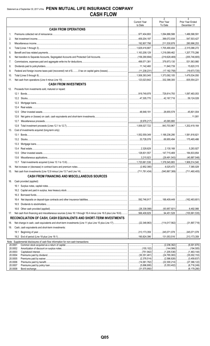|                    |                                                                                                                         | $\mathbf{1}$                   | $\overline{2}$                      | $\overline{3}$                  |
|--------------------|-------------------------------------------------------------------------------------------------------------------------|--------------------------------|-------------------------------------|---------------------------------|
|                    |                                                                                                                         | <b>Current Year</b><br>to Date | Prior Year<br>To Date               | Prior Year Ended<br>December 31 |
|                    | <b>CASH FROM OPERATIONS</b>                                                                                             |                                |                                     |                                 |
| 1.                 |                                                                                                                         |                                |                                     | 1,486,588,591                   |
| 2.                 |                                                                                                                         |                                | $\ldots$ 399.072.938                | 3,427                           |
| 3.                 |                                                                                                                         |                                | $\ldots$ 211,530,878 280,996,253    |                                 |
| 4.                 |                                                                                                                         |                                |                                     |                                 |
| 5.                 |                                                                                                                         |                                | 1.218.089.462                       | 1,207,770,286                   |
| 6.                 |                                                                                                                         |                                |                                     |                                 |
| 7.                 |                                                                                                                         |                                | $\ldots$ 379,973,130 531,563,980    |                                 |
| 8.                 |                                                                                                                         |                                |                                     |                                 |
| 9.                 |                                                                                                                         |                                |                                     |                                 |
| 10.                |                                                                                                                         |                                | $\ldots$ 1,373,092,105              | 1,479,534,050                   |
| 11.                |                                                                                                                         |                                | $\ldots$ 332,398,300 835,554,221    |                                 |
|                    | <b>CASH FROM INVESTMENTS</b>                                                                                            |                                |                                     |                                 |
|                    |                                                                                                                         |                                |                                     |                                 |
| 12.                | Proceeds from investments sold, matured or repaid:                                                                      |                                |                                     |                                 |
|                    | 12.1                                                                                                                    |                                |                                     |                                 |
|                    |                                                                                                                         |                                | $\ldots$ 42,167,716 59,124,026      |                                 |
|                    |                                                                                                                         |                                |                                     |                                 |
|                    | 12.4                                                                                                                    |                                |                                     |                                 |
|                    | 12.5                                                                                                                    |                                |                                     |                                 |
|                    | 12.6                                                                                                                    |                                |                                     |                                 |
|                    | 12.7                                                                                                                    |                                |                                     |                                 |
|                    | 12.8                                                                                                                    |                                | 843,703,967 1,202,419,164           |                                 |
| 13.                | Cost of investments acquired (long-term only):                                                                          |                                |                                     |                                 |
|                    | 13.1                                                                                                                    |                                |                                     |                                 |
|                    |                                                                                                                         |                                |                                     |                                 |
|                    | 13.3                                                                                                                    |                                |                                     |                                 |
|                    | 13.4                                                                                                                    |                                |                                     |                                 |
|                    | 13.5                                                                                                                    |                                |                                     |                                 |
|                    | 13.6                                                                                                                    |                                |                                     |                                 |
|                    |                                                                                                                         |                                |                                     |                                 |
| 14.                |                                                                                                                         |                                |                                     |                                 |
|                    |                                                                                                                         |                                |                                     |                                 |
|                    | <b>CASH FROM FINANCING AND MISCELLANEOUS SOURCES</b>                                                                    |                                |                                     |                                 |
| 16.                | Cash provided (applied):                                                                                                |                                |                                     |                                 |
|                    |                                                                                                                         |                                |                                     |                                 |
|                    |                                                                                                                         |                                |                                     |                                 |
|                    | 16.3                                                                                                                    |                                |                                     |                                 |
|                    | 16.4                                                                                                                    |                                |                                     |                                 |
|                    | 16.5                                                                                                                    |                                |                                     |                                 |
|                    | 16.6                                                                                                                    |                                |                                     |                                 |
| 17.                | Net cash from financing and miscellaneous sources (Lines 16.1 through 16.4 minus Line 16.5 plus Line 16.6)  566,408,829 |                                | 94,451,528                          |                                 |
|                    | RECONCILIATION OF CASH, CASH EQUIVALENTS AND SHORT-TERM INVESTMENTS                                                     |                                |                                     |                                 |
|                    |                                                                                                                         |                                |                                     |                                 |
| 18.                |                                                                                                                         |                                |                                     |                                 |
| 19.                | Cash, cash equivalents and short-term investments:                                                                      |                                |                                     |                                 |
|                    |                                                                                                                         |                                | 245,071,078 245,071,078             |                                 |
|                    |                                                                                                                         |                                |                                     |                                 |
| 20.0001            | Note: Supplemental disclosures of cash flow information for non-cash transactions:                                      |                                |                                     |                                 |
| 20.0002            |                                                                                                                         |                                | (2, 236, 362)<br>.<br>(144,069)<br> | (194,505)                       |
| 20.0003            |                                                                                                                         |                                |                                     |                                 |
| 20.0004            |                                                                                                                         |                                |                                     |                                 |
| 20.0005<br>20.0006 |                                                                                                                         |                                |                                     | (22,300,214)   (27,366,122)     |
| 20.0007            |                                                                                                                         |                                |                                     |                                 |
|                    | 20.0008                                                                                                                 |                                |                                     | (6.179.280)                     |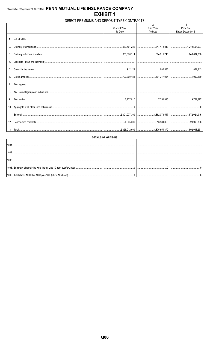# DIRECT PREMIUMS AND DEPOSIT-TYPE CONTRACTS

| Prior Year<br><b>Current Year</b><br>Prior Year<br>Ended December 31<br>To Date<br>To Date<br>$\mathbf{1}$ .<br>2.<br>3. |  |
|--------------------------------------------------------------------------------------------------------------------------|--|
|                                                                                                                          |  |
|                                                                                                                          |  |
|                                                                                                                          |  |
|                                                                                                                          |  |
|                                                                                                                          |  |
|                                                                                                                          |  |
|                                                                                                                          |  |
|                                                                                                                          |  |
|                                                                                                                          |  |
|                                                                                                                          |  |
|                                                                                                                          |  |
|                                                                                                                          |  |
| 5.                                                                                                                       |  |
|                                                                                                                          |  |
| 6.                                                                                                                       |  |
|                                                                                                                          |  |
|                                                                                                                          |  |
| 7.                                                                                                                       |  |
|                                                                                                                          |  |
| 8.                                                                                                                       |  |
|                                                                                                                          |  |
| 9.                                                                                                                       |  |
|                                                                                                                          |  |
| 10.                                                                                                                      |  |
|                                                                                                                          |  |
|                                                                                                                          |  |
|                                                                                                                          |  |
|                                                                                                                          |  |
| 12.                                                                                                                      |  |
|                                                                                                                          |  |
|                                                                                                                          |  |

| <b>DETAILS OF WRITE-INS</b> |  |  |  |  |  |  |  |  |  |
|-----------------------------|--|--|--|--|--|--|--|--|--|
|                             |  |  |  |  |  |  |  |  |  |
|                             |  |  |  |  |  |  |  |  |  |
|                             |  |  |  |  |  |  |  |  |  |
|                             |  |  |  |  |  |  |  |  |  |
|                             |  |  |  |  |  |  |  |  |  |
|                             |  |  |  |  |  |  |  |  |  |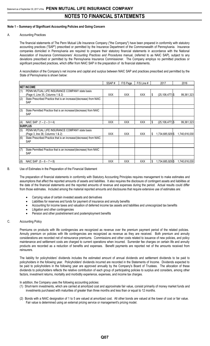#### **Note 1 – Summary of Significant Accounting Policies and Going Concern**

#### A. Accounting Practices

The financial statements of The Penn Mutual Life Insurance Company ("the Company") have been prepared in conformity with statutory accounting practices ("SAP") prescribed or permitted by the Insurance Department of the Commonwealth of Pennsylvania. Insurance companies domiciled in Pennsylvania are required to prepare their statutory financial statements in accordance with the National Association of Insurance Commissioners' *Accounting Practices and Procedures* manual, (referred to as NAIC SAP), subject to any deviations prescribed or permitted by the Pennsylvania Insurance Commissioner. The Company employs no permitted practices or significant prescribed practices, which differ from NAIC SAP in the preparation of its financial statements.

A reconciliation of the Company's net income and capital and surplus between NAIC SAP and practices prescribed and permitted by the State of Pennsylvania is shown below:

|     |                                                                                    | SSAP#      | F/S Page   | $F/S$ Line # |    | 2017                | 2016          |
|-----|------------------------------------------------------------------------------------|------------|------------|--------------|----|---------------------|---------------|
|     | <b>INET INCOME</b>                                                                 |            |            |              |    |                     |               |
| (1) | PENN MUTUAL LIFE INSURANCE COMPANY state basis<br>(Page 4, Line 35, Columns 1 & 2) | <b>XXX</b> | <b>XXX</b> | <b>XXX</b>   |    | $(25, 106, 477)$ \$ | 99,361,323    |
| (2) | State Prescribed Practice that is an increase/(decrease) from NAIC<br><b>SAP</b>   |            |            |              |    |                     |               |
| (3) | State Permitted Practice that is an increase/(decrease) from NAIC<br><b>SAP</b>    |            |            |              |    |                     |               |
| (4) | NAIC SAP $(1 - 2 - 3 = 4)$                                                         | XXX        | <b>XXX</b> | XXX          | \$ | $(25, 106, 477)$ \$ | 99,361,323    |
|     | <b>SURPLUS</b>                                                                     |            |            |              |    |                     |               |
| (5) | PENN MUTUAL LIFE INSURANCE COMPANY state basis<br>(Page 3, line 38, Columns 1 & 2) | <b>XXX</b> | <b>XXX</b> | <b>XXX</b>   | S  | 1,734,685,929 \$    | 1,740,616,030 |
| (6) | State Prescribed Practice that is an increase/(decrease) from NAIC<br>SAP          |            |            |              |    |                     |               |
| (7) | State Permitted Practice that is an increase/(decrease) from NAIC<br><b>SAP</b>    |            |            |              |    |                     |               |
| (8) | NAIC SAP $(5 - 6 - 7 = 8)$                                                         | <b>XXX</b> | <b>XXX</b> | <b>XXX</b>   |    | 1,734,685,929 \$    | 1,740,616,030 |

B. Use of Estimates in the Preparation of the Financial Statement

The preparation of financial statements in conformity with Statutory Accounting Principles requires management to make estimates and assumptions that affect the reported amounts of assets and liabilities. It also requires the disclosure of contingent assets and liabilities at the date of the financial statements and the reported amounts of revenue and expenses during the period. Actual results could differ from those estimates. Included among the material reported amounts and disclosures that require extensive use of estimates are:

- Carrying value of certain invested assets and derivatives
- Liabilities for reserves and funds for payment of insurance and annuity benefits
- Accounting for income taxes and valuation of deferred income tax assets and liabilities and unrecognized tax benefits
- Litigation and other contingencies
- Pension and other postretirement and postemployment benefits

#### C. Accounting Policy

Premiums on products with life contingencies are recognized as revenue over the premium payment period of the related policies. Annuity premium on policies with life contingencies are recognized as revenue as they are received. Both premium and annuity considerations are recorded net of reinsurance premiums. Commissions and other costs related to issuance of new policies, and policy maintenance and settlement costs are charged to current operations when incurred. Surrender fee charges on certain life and annuity products are recorded as a reduction of benefits and expenses. Benefit payments are reported net of the amounts received from reinsurers.

The liability for policyholders' dividends includes the estimated amount of annual dividends and settlement dividends to be paid to policyholders in the following year. Policyholders' dividends incurred are recorded in the Statements of Income. Dividends expected to be paid to policyholders in the following year are approved annually by the Company's Board of Trustees. The allocation of these dividends to policyholders reflects the relative contribution of each group of participating policies to surplus and considers, among other factors, investment returns, mortality and morbidity experience, expenses, and income tax charges.

In addition, the Company uses the following accounting policies:

- (1) Short-term investments, which are carried at amortized cost and approximate fair value, consist primarily of money market funds and investments purchased with maturities of greater than three months and less than or equal to 12 months.
- (2) Bonds with a NAIC designation of 1 to 5 are valued at amortized cost. All other bonds are valued at the lower of cost or fair value. Fair value is determined using an external pricing service or management's pricing model.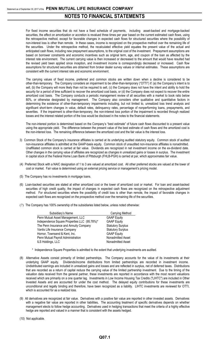For fixed income securities that do not have a fixed schedule of payments, including asset-backed and mortgage-backed securities, the effect on amortization or accretion is revalued three times per year based on the current estimated cash flows, using the retrospective method, except for favorable changes in expected cash flows for structured securities where the possibility of non-interest loss is other than remote. In these cases, income is recognized on the prospective method over the remaining life of the securities. Under the retrospective method, the recalculated effective yield equates the present value of the actual and anticipated cash flows, including new prepayment assumptions, to the original cost of the investment. Prepayment assumptions are based on borrower constraints and economic incentives such as original term, age, and coupon of the loan as affected by the interest rate environment. The current carrying value is then increased or decreased to the amount that would have resulted had the revised yield been applied since inception, and investment income is correspondingly decreased or increased. Cash flow assumptions for structured securities are obtained from broker dealer survey values or internal estimates. These assumptions are consistent with the current interest rate and economic environment.

The carrying values of fixed income, preferred and common stocks are written down when a decline is considered to be other-than-temporary. The Company considers an impairment to be other-than-temporary ("OTTI") if: (a) the Company's intent is to sell, (b) the Company will more likely than not be required to sell, (c) the Company does not have the intent and ability to hold the security for a period of time sufficient to recover the amortized cost basis, or (d) the Company does not expect to recover the entire amortized cost basis. The Company conducts a periodic management review of all securities with a market to book ratio below 80%, or otherwise designated by management. The Company also considers other qualitative and quantitative factors in determining the existence of other-than-temporary impairments including, but not limited to, unrealized loss trend analysis and significant short-term changes in value, default rates, delinquency rates, percentage of nonperforming loans, prepayments, and severities. If the impairment is other-than-temporary, the non-interest loss portion of the impairment is recorded through realized losses and the interest related portion of the loss would be disclosed in the notes to the financial statements.

The non-interest portion is determined based on the Company's "best estimate" of future cash flows discounted to a present value using the appropriate yield. The difference between the present value of the best estimate of cash flows and the amortized cost is the non-interest loss. The remaining difference between the amortized cost and the fair value is the interest loss.

- 3) Common Stock of the Company's insurance affiliates is carried at its underlying audited statutory equity. Common stock of audited non-insurance affiliates is admitted at the GAAP-basis equity. Common stock of unaudited non-insurance affiliates is nonadmitted. Unaffiliated common stock is carried at fair value. Dividends are recognized in net investment income on the ex-dividend date. Other changes in the carrying value of affiliates are recognized as changes in unrealized gains or losses in surplus. The investment in capital stock of the Federal Home Loan Bank of Pittsburgh (FHLB-PGH) is carried at par, which approximates fair value.
- (4) Preferred Stock with a NAIC designation of 1 to 3 are valued at amortized cost. All other preferred stocks are valued at the lower of cost or market. Fair value is determined using an external pricing service or management's pricing model.
- (5) The Company has no investments in mortgage loans.
- (6) Loan-backed securities are stated at either amortized cost or the lower of amortized cost or market. For loan and asset-backed securities of high credit quality, the impact of changes in expected cash flows are recognized on the retrospective adjustment method. For structured securities where the possibility of credit loss is other than remote, the impact of favorable changes in expected cash flows are recognized on the prospective method over the remaining life of the securities.
- (7) The Company has 100% ownership of the subsidiaries listed below, unless noted otherwise:

| Subsidiary's Name                            | Carrying Method          |
|----------------------------------------------|--------------------------|
| Penn Mutual Asset Management, LLC            | <b>GAAP Equity</b>       |
| Independence Square Properties LLC (95.78%)* | <b>GAAP Equity</b>       |
| The Penn Insurance and Annuity Company       | <b>Statutory Surplus</b> |
| Vantis Life Insurance Company                | <b>Statutory Surplus</b> |
| Hornor, Townsend & Kent, Inc.                | <b>GAAP Equity</b>       |
| Penn Mutual Payroll Administration           | Nonadmitted Asset        |
| ILS Holdings, LLC                            | Nonadmitted Asset        |

- \* Independence Square Properties is admitted to the extent that underlying investments are audited.
- (8) Alternative Assets consist primarily of limited partnerships. The Company accounts for the value of its investments at their underlying GAAP equity. Dividends/income distributions from limited partnerships are recorded in investment income. Undistributed earnings are included in unrealized gains and losses and are reflected in surplus, net of deferred taxes. Distributions that are recorded as a return of capital reduce the carrying value of the limited partnership investment. Due to the timing of the valuation data received from the general partner, these investments are reported in accordance with the most recent valuations received which are primarily on a one quarter lag. Investments in Low Income Housing Tax Credits ("LIHTC") are included in Other Invested Assets and are accounted for under the cost method. The delayed equity contributions for these investments are unconditional and legally binding and therefore, have been recognized as a liability. LIHTC investments are reviewed for OTTI, which is accounted for as a realized loss.
- (9) All derivatives are recognized at fair value. Derivatives with a positive fair value are reported in other invested assets. Derivatives with a negative fair value are reported in other liabilities**.** The accounting treatment of specific derivatives depends on whether management elects to follow hedge accounting. Derivatives used in hedging transactions that meet the criteria of a highly effective hedge are reported and valued in a manner that is consistent with the assets hedged.
- (10) Not applicable.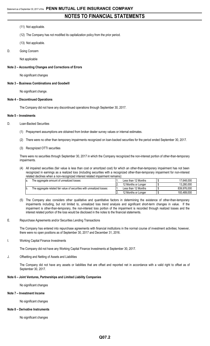### (11) Not applicable.

- (12) The Company has not modified its capitalization policy from the prior period.
- (13) Not applicable.
- D. Going Concern

Not applicable

#### **Note 2 – Accounting Changes and Corrections of Errors**

No significant changes

#### **Note 3 – Business Combinations and Goodwill**

No significant change.

#### **Note 4 – Discontinued Operations**

The Company did not have any discontinued operations through September 30, 2017.

#### **Note 5 – Investments**

- D. Loan-Backed Securities
	- (1) Prepayment assumptions are obtained from broker dealer survey values or internal estimates.
	- (2) There were no other than temporary impairments recognized on loan-backed securities for the period ended September 30, 2017.
	- (3) Recognized OTTI securities

There were no securities through September 30, 2017 in which the Company recognized the non-interest portion of other-than-temporary impairments.

(4) All impaired securities (fair value is less than cost or amortized cost) for which an other-than-temporary impairment has not been recognized in earnings as a realized loss (including securities with a recognized other-than-temporary impairment for non-interest related declines when a non-recognized interest related impairment remains):

| The aggregate amount of unrealized losses:                             | Less than 12 Months | 17.648.000  |
|------------------------------------------------------------------------|---------------------|-------------|
|                                                                        | 12 Months or Longer | 13.280.000  |
| The aggregate related fair value of securities with unrealized losses: | Less than 12 Months | 839.976.000 |
|                                                                        | 12 Months or Longer | 193.489.000 |

- (5) The Company also considers other qualitative and quantitative factors in determining the existence of other-than-temporary impairments including, but not limited to, unrealized loss trend analysis and significant short-term changes in value. If the impairment is other-than-temporary, the non-interest loss portion of the impairment is recorded through realized losses and the interest related portion of the loss would be disclosed in the notes to the financial statements.
- E. Repurchase Agreements and/or Securities Lending Transactions

The Company has entered into repurchase agreements with financial institutions in the normal course of investment activities; however, there were no open positions as of September 30, 2017 and December 31, 2016.

I. Working Capital Finance Investments

The Company did not have any Working Capital Finance Investments at September 30, 2017.

J. Offsetting and Netting of Assets and Liabilities

The Company did not have any assets or liabilities that are offset and reported net in accordance with a valid right to offset as of September 30, 2017.

### **Note 6 – Joint Ventures, Partnerships and Limited Liability Companies**

No significant changes

#### **Note 7 – Investment Income**

No significant changes

#### **Note 8 – Derivative Instruments**

No significant changes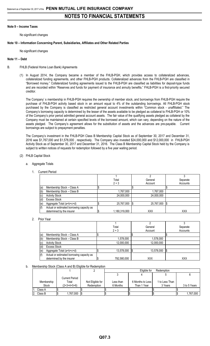#### **Note 9 – Income Taxes**

No significant changes

### **Note 10 – Information Concerning Parent, Subsidiaries, Affiliates and Other Related Parties**

No significant changes

### **Note 11 – Debt**

- B. FHLB (Federal Home Loan Bank) Agreements
	- (1) In August 2014, the Company became a member of the FHLB-PGH, which provides access to collateralized advances, collateralized funding agreements, and other FHLB-PGH products. Collateralized advances from the FHLB-PGH are classified in "Borrowed money." Collateralized funding agreements issued to the FHLB-PGH are classified as liabilities for deposit-type funds and are recorded within "Reserves and funds for payment of insurance and annuity benefits." FHLB-PGH is a first-priority secured creditor.

The Company' s membership in FHLB-PGH requires the ownership of member stock, and borrowings from FHLB-PGH require the purchase of FHLB-PGH activity based stock in an amount equal to 4% of the outstanding borrowings. All FHLB-PGH stock purchased by the Company is classified as restricted general account investments within "Common stock - unaffiliated." The Company's borrowing capacity is determined by the lesser of the assets available to be pledged as collateral to FHLB-PGH or 10% of the Company's prior period admitted general account assets. The fair value of the qualifying assets pledged as collateral by the Company must be maintained at certain specified levels of the borrowed amount, which can vary, depending on the nature of the assets pledged. The Company's agreement allows for the substitution of assets and the advances are pre-payable. Current borrowings are subject to prepayment penalties.

The Company's investment in the FHLB-PGH Class B Membership Capital Stock as of September 30, 2017 and December 31, 2016 was \$1,767,000 and \$1,578,000 , respectively. The Company also invested \$24,000,000 and \$12,000,000 in FHLB-PGH Activity Stock as of September 30, 2017 and December 31, 2016. The Class B Membership Capital Stock held by the Company is subject to written notices of requests for redemption followed by a five year waiting period.

#### (2) FHLB Capital Stock

- a. Aggregate Totals
	- 1. Current Period

|     |                                           | Total         |      | General    | Separate   |
|-----|-------------------------------------------|---------------|------|------------|------------|
|     |                                           | $2 + 3$       |      | Account    | Accounts   |
| (a) | Membership Stock - Class A                |               |      |            |            |
| (b) | Membership Stock - Class B                | 1,767,000     |      | 1,767,000  |            |
| (c) | <b>Activity Stock</b>                     | 24,000,000    |      | 24,000,000 |            |
| (d) | Excess Stock                              |               |      |            |            |
| (e) | Aggregate Total (a+b+c+d)                 | 25,767,000    | - 15 | 25,767,000 | IS.        |
| (f) | Actual or estimated borrowing capacity as |               |      |            |            |
|     | determined by the insurer                 | 1,180,319,000 |      | <b>XXX</b> | <b>XXX</b> |

#### 2. Prior Year

|     |                                           | Total       | General    | Separate   |
|-----|-------------------------------------------|-------------|------------|------------|
|     |                                           | $2 + 3$     | Account    | Accounts   |
| (a) | Membership Stock - Class A                |             |            |            |
| (b) | Membership Stock - Class B                | 1,578,000   | 1,578,000  |            |
| (c) | <b>Activity Stock</b>                     | 12,000,000  | 12,000,000 |            |
| (d) | <b>Excess Stock</b>                       |             |            |            |
| (e) | Aggregate Total (a+b+c+d)                 | 13,578,000  | 13,578,000 | Ι\$        |
| (f) | Actual or estimated borrowing capacity as |             |            |            |
|     | determined by the insurer                 | 792,580,000 | <b>XXX</b> | <b>XXX</b> |

#### b. Membership Stock (Class A and B) Eligible for Redemption

|              |                |                  |           | Eligible for<br>Redemption |                |  |              |  |
|--------------|----------------|------------------|-----------|----------------------------|----------------|--|--------------|--|
|              |                |                  |           |                            |                |  |              |  |
|              | Current Period |                  |           |                            |                |  |              |  |
| Membership   | Total          | Not Eligible for | Less than | 6 Months to Less I         | 1 to Less Than |  |              |  |
| <b>Stock</b> | $(2+3+4+5+6)$  | Redemption       | 6 Months  | Than 1 Year                | 3 Years        |  | 3 to 5 Years |  |
| Class A      |                |                  |           |                            |                |  |              |  |
| Class B      | .767,000       |                  |           |                            |                |  | 1.767.000    |  |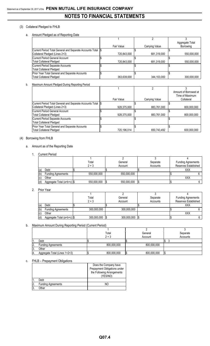# (3) Collateral Pledged to FHLB

a. Amount Pledged as of Reporting Date

|                                                             |             |                | Aggregate Total |
|-------------------------------------------------------------|-------------|----------------|-----------------|
|                                                             | Fair Value  | Carrying Value | Borrowing       |
| Current Period Total General and Separate Accounts Total \$ |             |                |                 |
| Collateral Pledged (Lines 2+3)                              | 720.843.000 | 681,319,000    | 550,000,000     |
| Current Period General Account                              |             |                |                 |
| <b>Total Collateral Pledged</b>                             | 720,843,000 | 681,319,000    | 550,000,000     |
| Current Period Separate Accounts                            |             |                |                 |
| <b>Total Collateral Pledged</b>                             |             |                |                 |
| Prior Year Total General and Separate Accounts              |             |                |                 |
| <b>Total Collateral Pledged</b>                             | 363.639.000 | 344,103,000    | 300.000.000     |

# b. Maximum Amount Pledged During Reporting Period

|                                                            |             |                | Amount of Borrowed at |
|------------------------------------------------------------|-------------|----------------|-----------------------|
|                                                            |             |                | Time of Maximum       |
|                                                            | Fair Value  | Carrying Value | Collateral            |
| Current Period Total General and Separate Accounts Total S |             |                |                       |
| Collateral Pledged (Lines 2+3)                             | 928.375.000 | 883,761,000    | 800,000,000           |
| Current Period General Account                             |             |                |                       |
| Total Collateral Pledged                                   | 928,375,000 | 883,761,000    | 800,000,000           |
| Current Period Separate Accounts                           |             |                |                       |
| Total Collateral Pledged                                   |             |                |                       |
| Prior Year Total General and Separate Accounts             |             |                |                       |
| <b>Total Collateral Pledged</b>                            | 720,196,014 | 650,743,492    | 600,000,000           |

# (4) Borrowing from FHLB

### a. Amount as of the Reporting Date

1. Current Period

|     |                              | Total       | General     | Separate | <b>Funding Agreements</b> |
|-----|------------------------------|-------------|-------------|----------|---------------------------|
|     |                              | $2 + 3$     | Account     | Accounts | Reserves Established      |
| (a) | Debt                         |             |             |          | XXX                       |
| (b) | <b>Funding Agreements</b>    | 550.000.000 | 550.000.000 |          |                           |
| (c) | Other                        |             |             |          | XXX                       |
| (d) | Aggregate Total (a+b+c)   \$ | 550,000,000 | 550,000,000 |          |                           |

2. Prior Year

|     |                              | Total       | General     | Separate | <b>Funding Agreements</b> |
|-----|------------------------------|-------------|-------------|----------|---------------------------|
|     |                              | $2 + 3$     | Account     | Accounts | Reserves Established      |
| (a) | Debt                         |             |             |          | XXX                       |
| (b) | <b>Funding Agreements</b>    | 300,000,000 | 300,000,000 |          |                           |
| (c) | Other                        |             |             |          | <b>XXX</b>                |
| (d) | Aggregate Total (a+b+c)   \$ | 300,000,000 | 300,000,000 |          |                           |

# b. Maximum Amount During Reporting Period (Current Period)

|    |                               | Total       | General     | Separate |
|----|-------------------------------|-------------|-------------|----------|
|    |                               | $2 + 3$     | Account     | Accounts |
|    | Debt                          |             |             |          |
| ۷. | <b>Funding Agreements</b>     | 800,000,000 | 800,000,000 |          |
| U. | Other                         |             |             |          |
|    | Aggregate Total (Lines 1+2+3) | 800,000,000 | 800,000,000 |          |

#### c. FHLB – Prepayment Obligations

|                           | Does the Company have<br>Prepayment Obligations under<br>the Following Arrangements<br>(YES/NO) |
|---------------------------|-------------------------------------------------------------------------------------------------|
| Debt                      |                                                                                                 |
| <b>Funding Agreements</b> | NC.                                                                                             |
| )ther                     |                                                                                                 |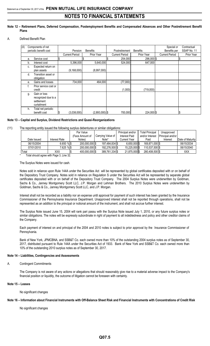#### **Note 12 – Retirement Plans, Deferred Compensation, Postemployment Benefits and Compensated Absences and Other Postretirement Benefit Plans**

### A. Defined Benefit Plan

| (4) |    | Components of net     |                       |                  |                       |                 |  | Special or            | Contractual |
|-----|----|-----------------------|-----------------------|------------------|-----------------------|-----------------|--|-----------------------|-------------|
|     |    | periodic benefit cost | Pension               | <b>Benefits</b>  | Postretirement        | <b>Benefits</b> |  | Benefits per          | SSAP No. 11 |
|     |    |                       | <b>Current Period</b> | Prior Year       | <b>Current Period</b> | Prior Year      |  | <b>Current Period</b> | Prior Year  |
|     | a. | Service cost          |                       |                  | 254,000               | 296,000 \$      |  |                       |             |
|     | b. | Interest cost         | 5,396,000             | 5,640,000        | 524,000               | 647,000         |  |                       |             |
|     | c. | Expected return on    |                       |                  |                       |                 |  |                       |             |
|     |    | plan assets           | (9, 168, 000)         | (8,997,000)      |                       |                 |  |                       |             |
|     | d. | Transition asset or   |                       |                  |                       |                 |  |                       |             |
|     |    | obligation            |                       |                  |                       |                 |  |                       |             |
|     | е. | Gains and losses      | 734,000               | 464,000          | (77,000)              |                 |  |                       |             |
|     |    | Prior service cost or |                       |                  |                       |                 |  |                       |             |
|     |    | credit                |                       |                  | (1,000)               | (719,000)       |  |                       |             |
|     | g. | Gain or loss          |                       |                  |                       |                 |  |                       |             |
|     |    | recognized due to a   |                       |                  |                       |                 |  |                       |             |
|     |    | settlement            |                       |                  |                       |                 |  |                       |             |
|     |    | curtailment           |                       |                  |                       |                 |  |                       |             |
|     | h. | Total net periodic    |                       |                  |                       |                 |  |                       |             |
|     |    | benefit cost          | (3,038,000)           | $(2,893,000)$ \$ | 700,000               | 224,000 \$      |  |                       | \$          |

#### **Note 13 – Capital and Surplus, Dividend Restrictions and Quasi-Reorganizations**

### (11) The reporting entity issued the following surplus debentures or similar obligations:

|             |               | Par Value       |                   | Principal and/or | <b>Total Principal</b> | Unapproved       |                  |
|-------------|---------------|-----------------|-------------------|------------------|------------------------|------------------|------------------|
|             |               | (Face Amount of | Carrying Value of | Interest Paid    | and/or Interest        | Principal and/or |                  |
| Date Issued | Interest Rate | Notes)          | Note*             | Current Year     | Paid                   | Interest         | Date of Maturity |
| 06/15/2004  | $6.650$ % \$  | 200.000.000 \$  | 197.484.834 \$    | $6.650.000$ \$   | 169.871.000 \$         |                  | 06/15/2034       |
| 07/01/2010  | 7.625 %I\$    | 200.000.000 \$  | 192.276.500 \$    | 15.225.000 \$    | 110.537.500 \$         |                  | 06/15/2040       |
| Total       | XXX           | 400,000,000 \$  | 389,761,334 \$    | 21.875.000 \$    | 280,408,500 \$         |                  | XXX              |

Total should agree with Page 3, Line 32.

#### The Surplus Notes were issued for cash.

Notes sold in reliance upon Rule 144A under the Securities Act will be represented by global certificates deposited with or on behalf of the Depository Trust Company. Notes sold in reliance on Regulation S under the Securities Act will be represented by separate global certificates deposited with or on behalf of the Depository Trust Company. The 2004 Surplus Notes were underwritten by Goldman, Sachs & Co., Janney Montgomery Scott LLC, J.P. Morgan and Lehman Brothers. The 2010 Surplus Notes were underwritten by Goldman, Sachs & Co., Janney Montgomery Scott LLC, and J.P. Morgan.

Interest shall not be recorded as a liability nor an expense until approval for payment of such interest has been granted by the Insurance Commissioner of the Pennsylvania Insurance Department. Unapproved interest shall not be reported through operations, shall not be represented as an addition to the principal or notional amount of the instrument, and shall not accrue further interest.

The Surplus Note issued June 15, 2004 will rank pari passu with the Surplus Note issued July 1, 2010, or any future surplus notes or similar obligations. The notes will be expressly subordinate in right of payment to all indebtedness and policy and other creditor claims of the Company.

Each payment of interest on and principal of the 2004 and 2010 notes is subject to prior approval by the Insurance Commissioner of Pennsylvania.

Bank of New York, JPMCBNA, and SSB&T Co. each owned more than 10% of the outstanding 2004 surplus notes as of September 30, 2017, distributed pursuant to Rule 144A under the Securities Act of 1933. Bank of New York and SSB&T Co. each owned more than 10% of the outstanding 2010 surplus notes as of September 30, 2017.

#### **Note 14 – Liabilities, Contingencies and Assessments**

#### A. Contingent Commitments

The Company is not aware of any actions or allegations that should reasonably give rise to a material adverse impact to the Company's financial position or liquidity, the outcome of litigation cannot be foreseen with certainty.

### **Note 15 – Leases**

No significant changes

#### **Note 16 – Information about Financial Instruments with Off-Balance Sheet Risk and Financial Instruments with Concentrations of Credit Risk**

No significant changes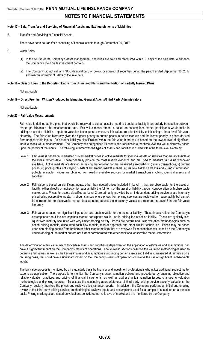#### **Note 17 – Sale, Transfer and Servicing of Financial Assets and Extinguishments of Liabilities**

B. Transfer and Servicing of Financial Assets

There have been no transfer or servicing of financial assets through September 30, 2017.

- C. Wash Sales
	- (1) In the course of the Company's asset management, securities are sold and reacquired within 30 days of the sale date to enhance the Company's yield on its investment portfolio.
	- (2) The Company did not sell any NAIC designation 3 or below, or unrated of securities during the period ended September 30, 2017 and reacquired within 30 days of the sale date.

#### **Note 18 – Gain or Loss to the Reporting Entity from Uninsured Plans and the Portion of Partially Insured Plans**

Not applicable

#### **Note 19 – Direct Premium Written/Produced by Managing General Agents/Third Party Administrators**

#### Not applicable

#### **Note 20 – Fair Value Measurements**

Fair value is defined as the price that would be received to sell an asset or paid to transfer a liability in an orderly transaction between market participants at the measurement date. Fair value measurement is based on assumptions market participants would make in pricing an asset or liability. Inputs to valuation techniques to measure fair value are prioritized by establishing a three-level fair value hierarchy. The fair value hierarchy gives the highest priority to quoted prices in active markets and the lowest priority to prices derived from unobservable inputs. An asset or liability's classification within the fair value hierarchy is based on the lowest level of significant input to its fair value measurement. The Company has categorized its assets and liabilities into the three-level fair value hierarchy based upon the priority of the inputs. The following summarizes the types of assets and liabilities included within the three-level hierarchy:

- Level 1 Fair value is based on unadjusted quoted market prices in active markets for identical assets or liabilities that are accessible at the measurement date. These generally provide the most reliable evidence and are used to measure fair value whenever available. Active markets are defined as having the following for the measured asset/liability: i) many transactions, ii) current prices, iii) price quotes not varying substantially among market makers, iv) narrow bid/ask spreads and v) most information publicly available. Prices are obtained from readily available sources for market transactions involving identical assets and liabilities.
- Level 2 Fair value is based on significant inputs, other than quoted prices included in Level 1, that are observable for the asset or liability, either directly or indirectly, for substantially the full term of the asset or liability through corroboration with observable market data. Prices for assets classified as Level 2 are primarily provided by an independent pricing service or are internally priced using observable inputs. In circumstances where prices from pricing services are reviewed for reasonability but cannot be corroborated to observable market data as noted above, these security values are recorded in Level 3 in the fair value hierarchy.
- Level 3 Fair value is based on significant inputs that are unobservable for the asset or liability. These inputs reflect the Company's assumptions about the assumptions market participants would use in pricing the asset or liability. These are typically less liquid fixed maturity securities with very limited trading activity. Prices are determined using valuation methodologies such as option pricing models, discounted cash flow models, market approach and other similar techniques. Prices may be based upon non-binding quotes from brokers or other market makers that are reviewed for reasonableness, based on the Company's understanding of the market but are not further corroborated with other additional observable market information.

The determination of fair value, which for certain assets and liabilities is dependent on the application of estimates and assumptions, can have a significant impact on the Company's results of operations. The following sections describe the valuation methodologies used to determine fair values as well as the key estimates and assumptions surrounding certain assets and liabilities, measured at fair value on a recurring basis, that could have a significant impact on the Company's results of operations or involve the use of significant unobservable inputs.

The fair value process is monitored by on a quarterly basis by financial and investment professionals who utilize additional subject matter experts as applicable. The purpose is to monitor the Company's asset valuation policies and procedures by ensuring objective and reliable valuation practices and pricing of financial instruments, as well as addressing fair valuation issues, changes to valuation methodologies and pricing sources. To assess the continuing appropriateness of third party pricing service security valuations, the Company regularly monitors the prices and reviews price variance reports. In addition, the Company performs an initial and ongoing review of the third party pricing services methodologies, reviews inputs and assumptions used for a sample of securities on a periodic basis. Pricing challenges are raised on valuations considered not reflective of market and are monitored by the Company.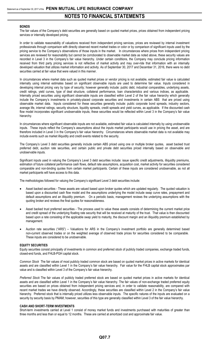#### **BONDS**

The fair values of the Company's debt securities are generally based on quoted market prices, prices obtained from independent pricing services or internally developed pricing.

In order to validate reasonability of valuations received from independent pricing services, prices are reviewed by internal investment professionals through comparison with directly observed recent market trades or color or by comparison of significant inputs used by the pricing service to the Company's observations of those inputs in the market. In circumstances where prices from independent pricing services are reviewed for reasonability but cannot be corroborated to observable market data as noted above, these security values are recorded in Level 3 in the Company's fair value hierarchy. Under certain conditions, the Company may conclude pricing information received from third party pricing services is not reflective of market activity and may over-ride that information with an internally developed valuation that utilizes market information and activity. As of September 30, 2017 and December 31, 2016, there were no debt securities carried at fair value that were valued in this manner.

In circumstances where market data such as quoted market prices or vendor pricing is not available, estimated fair value is calculated internally using internal estimates based on significant observable inputs are used to determine fair value. Inputs considered in developing internal pricing vary by type of security; however generally include: public debt, industrial comparables, underlying assets, credit ratings, yield curves, type of deal structure, collateral performance, loan characteristics and various indices, as applicable. Internally priced securities using significant observable inputs are classified within Level 2 of the fair value hierarchy which generally include the Company's investments in privately-placed corporate securities and investments in certain ABS that are priced using observable market data. Inputs considered for these securities generally include: public corporate bond spreads, industry sectors, average life, internal ratings, security structure, liquidity spreads, credit spreads and yield curves, as applicable. If the discounted cash flow model incorporates significant unobservable inputs, these securities would be reflected within Level 3 in the Company's fair value hierarchy.

In circumstances where significant observable inputs are not available, estimated fair value is calculated internally by using unobservable inputs. These inputs reflect the Company's assumptions about the inputs market participants would use in pricing the asset, and are therefore included in Level 3 in the Company's fair value hierarchy. Circumstances where observable market data is not available may include events such as market illiquidity and credit events related to the security.

The Company's Level 3 debt securities generally include certain ABS priced using one or multiple broker quotes, asset backed trust preferred debt, auction rate securities, and certain public and private debt securities priced internally based on observable and unobservable inputs.

Significant inputs used in valuing the Company's Level 3 debt securities include: issue specific credit adjustments, illiquidity premiums, estimation of future collateral performance cash flows, default rate assumptions, acquisition cost, market activity for securities considered comparable and non-binding quotes from certain market participants. Certain of these inputs are considered unobservable, as not all market participants will have access to this data.

The methodologies followed for valuing the Company's significant Level 3 debt securities include:

- Asset backed securities These assets are valued based upon broker quotes which are updated regularly. The quoted valuation is based upon a discounted cash flow model and the assumptions underlying the model include swap curve rates, prepayment and default assumptions and an illiquidity premium. On a periodic basis, management reviews the underlying assumptions with the quoting broker and reviews the final quotes for reasonableness.
- Asset backed trust preferred securities The process used to value these assets consists of determining the current market price and credit spread of the underlying floating rate security that will be received at maturity of the trust. That value is then discounted based upon a rate consisting of the applicable swap yield to maturity, the discount margin and an illiquidity premium established by management.
- Auction rate securities ("ARS") Valuations for ARS in the Company's investment portfolio are generally determined based non-current observed trades or on the weighted average of observed trade prices for securities considered to be comparable. These inputs are considered to be unobservable.

#### **EQUITY SECURITIES**

Equity securities consist principally of investments in common and preferred stock of publicly traded companies, exchange traded funds, closed-end funds, and FHLB-PGH capital stock.

*Common Stock* The fair values of most publicly traded common stock are based on quoted market prices in active markets for identical assets and are classified within Level 1 in the Company's fair value hierarchy. Fair value for the FHLB capital stock approximates par value and is classified within Level 3 of the Company's fair value hierarchy.

*Preferred Stock* The fair values of publicly traded preferred stock are based on quoted market prices in active markets for identical assets and are classified within Level 1 in the Company's fair value hierarchy. The fair values of non-exchange traded preferred equity securities are based on prices obtained from independent pricing services and, in order to validate reasonability, are compared with recent market trades we have directly observed. Accordingly, these securities are classified within Level 2 in the Company's fair value hierarchy. Preferred stock that is internally priced utilizes less observable inputs. The specific natures of the inputs are evaluated on a security by security basis by PMAM; however, securities of this type are generally classified within Level 3 of the fair value hierarchy.

#### **CASH AND SHORT-TERM INVESTMENTS**

Short-term investments carried at Level 1 consist of money market funds and investments purchased with maturities of greater than three months and less than or equal to 12 months. These are carried at amortized cost and approximate fair value.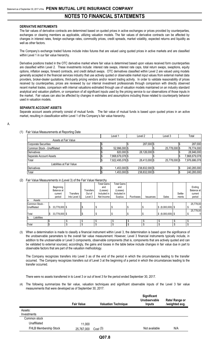### **DERIVATIVE INSTRUMENTS**

The fair values of derivative contracts are determined based on quoted prices in active exchanges or prices provided by counterparties, exchanges or clearing members as applicable, utilizing valuation models. The fair values of derivative contracts can be affected by changes in interest rates, foreign exchange rates, commodity prices, credit spreads, market volatility, expected returns and liquidity as well as other factors.

The Company's exchange traded futures include index futures that are valued using quoted prices in active markets and are classified within Level 1 in our fair value hierarchy.

Derivative positions traded in the OTC derivative market where fair value is determined based upon values received form counterparties are classified within Level 2. These investments include: interest rate swaps, interest rate caps, total return swaps, swaptions, equity options, inflation swaps, forward contracts, and credit default swaps. OTC derivatives classified within Level 2 are valued using models generally accepted in the financial services industry that use actively quoted or observable market input values from external market data providers, broker-dealer quotations, third-party pricing vendors and/or recent trading activity. In order to validate reasonability of prices received by counterparties, prices are reviewed by our internal investment professionals through comparison with directly observed recent market trades, comparison with internal valuations estimated through use of valuation models maintained on an industry standard analytical and valuation platform, or comparison of all significant inputs used by the pricing service to our observations of those inputs in the market. Fair values can also be affected by changes in estimates and assumptions including those related to counterparty behavior used in valuation models.

#### **SEPARATE ACCOUNT ASSETS**

Separate account assets primarily consist of mutual funds. The fair value of mutual funds is based upon quoted prices in an active market, resulting in classification within Level 1 of the Company's fair value hierarchy.

#### A.

### (1) Fair Value Measurements at Reporting Date

|                             | Level 1          | Level 2        | Level 3       | Total         |
|-----------------------------|------------------|----------------|---------------|---------------|
| Assets at Fair Value        |                  |                |               |               |
| Corporate Securities        |                  | 287,000 \$     |               | 287,000       |
| Common Stock - Unaffiliated | 52,996,000 \$    |                | 25,778,000 \$ | 78,774,000    |
| <b>Derivatives</b>          | 820.000 \$       | 28,126,000 \$  |               | 28,946,000    |
| Separate Account Assets     | 7,868,679,078 \$ |                |               | 7,868,679,078 |
| Total                       | 7,922,495,078 \$ | 28,413,000 \$  | 25,778,000 \$ | 7,976,686,078 |
| Liabilities at Fair Value   |                  |                |               |               |
| Derivatives                 | 1,453,000 \$     | 238,832,000 \$ |               | 240,285,000   |
| Total                       | 1,453,000 \$     | 238,832,000 \$ |               | 240,285,000   |

### (2) Fair Value Measurements in (Level 3) of the Fair Value Hierarchy

|                    |     |               |              |                  | <b>Total Gains</b> | <b>Total Gains</b> |                  |                  |                    |         |              |
|--------------------|-----|---------------|--------------|------------------|--------------------|--------------------|------------------|------------------|--------------------|---------|--------------|
|                    |     | Beginning     |              |                  | and                | and                |                  |                  |                    |         | Ending       |
|                    |     | Balance at    |              | <b>Transfers</b> | (Losses)           | (Losses)           |                  |                  |                    |         | Balance at   |
|                    |     | current       | Transfers    | Out of           | Included in        | Included in        |                  |                  |                    | Settle- | current      |
|                    |     | period        | Into Level 3 | Level 3          | Net Income I       | Surplus            | <b>Purchases</b> | <b>Issuances</b> | Sales              | ments   | period       |
| Assets<br>a.       |     |               |              |                  |                    |                    |                  |                  |                    |         |              |
| Common Stock -     |     |               |              |                  |                    |                    |                  |                  |                    |         | 25,778,00    |
| Unaffiliated       | IS. | 33,778,000 \$ |              |                  |                    |                    |                  |                  | $$ (8,000,000)$ \$ |         | $\mathbf{0}$ |
|                    |     |               |              |                  |                    |                    |                  |                  |                    |         | 25,778,00    |
| Total              | I\$ | 33,778,000 \$ |              |                  |                    |                    |                  |                  | $$ (8,000,000)$ \$ |         | $\mathbf 0$  |
| Liabilities<br>lb. |     |               |              |                  |                    |                    |                  |                  |                    |         |              |
|                    |     |               |              |                  |                    |                    |                  |                  |                    |         |              |
| Total              |     |               |              |                  |                    |                    |                  |                  |                    |         |              |

(3) When a determination is made to classify a financial instrument within Level 3, the determination is based upon the significance of the unobservable parameters to the overall fair value measurement. However, Level 3 financial instruments typically include, in addition to the unobservable or Level 3 components, observable components (that is, components that are actively quoted and can be validated to external sources); accordingly, the gains and losses in the table below include changes in fair value due in part to observable factors that are part of the valuation methodology.

The Company recognizes transfers into Level 3 as of the end of the period in which the circumstances leading to the transfer occurred. The Company recognizes transfers out of Level 3 at the beginning of a period in which the circumstances leading to the transfer occurred.

There were no assets transferred in to Level 3 or out of level 3 for the period ended September 30, 2017.

(4) The following summarizes the fair value, valuation techniques and significant observable inputs of the Level 3 fair value measurements that were developed as of September 30, 2017:

|                       | <b>Fair Value</b> | <b>Valuation Technique</b> | <b>Significant</b><br>Unobservable<br>Inputs | Rate/ Range or<br>/weighted avg. |
|-----------------------|-------------------|----------------------------|----------------------------------------------|----------------------------------|
| Assets:               |                   |                            |                                              |                                  |
| Investments           |                   |                            |                                              |                                  |
| Common stock          |                   |                            |                                              |                                  |
| Unaffiliated          | 11,000            |                            |                                              |                                  |
| FHLB Membership Stock | 25,767,000        | Cost(3)                    | Not available                                | N/A                              |
|                       |                   |                            |                                              |                                  |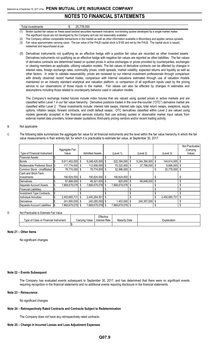| Total investments | 25,778,000 |                                                                                                                                             |  |
|-------------------|------------|---------------------------------------------------------------------------------------------------------------------------------------------|--|
|                   |            | (1) Broker quoted fair values on these asset backed securities represent indicative, non-binding quotes developed by a single market maker. |  |
|                   |            |                                                                                                                                             |  |

The significant inputs are not developed by the Company and are not reasonably available. (2) The Company utilizes comparable transactions in the market as well as other information available in Bloomberg and applies various spreads.

(3) Fair value approximates carrying value. The par value of the FHLB capital stock is \$100 and set by the FHLB. The capital stock is issued,

redeemed and repurchased at par.

(5) Derivatives instruments not qualifying as an effective hedge with a positive fair value are recorded as other invested assets. Derivatives instruments not qualifying as an effective hedge with negative fair values are reported as other liabilities. The fair values of derivative contracts are determined based on quoted prices in active exchanges or prices provided by counterparties, exchanges or clearing members as applicable, utilizing valuation models. The fair values of derivative contracts can be affected by changes in interest rates, foreign exchange rates, commodity prices, credit spreads, market volatility, expected returns and liquidity as well as other factors. In order to validate reasonability, prices are reviewed by our internal investment professionals through comparison with directly observed recent market trades, comparison with internal valuations estimated through use of valuation models maintained on an industry standard analytical and valuation platform, or comparison of all significant inputs used by the pricing service to our observations of those inputs in the market. Fair values can also be affected by changes in estimates and assumptions including those related to counterparty behavior used in valuation models.

The Company's exchange traded futures include index futures that are valued using quoted prices in active markets and are classified within Level 1 in our fair value hierarchy. Derivative positions traded in the over-the-counter ("OTC") derivative market are classified within Level 2. These investments include: interest rate swaps, interest rate caps, total return swaps, swaptions, equity options, inflation swaps, forward contracts, and credit default swaps. OTC derivatives classified within Level 2 are valued using models generally accepted in the financial services industry that use actively quoted or observable market input values from external market data providers, broker-dealer quotations, third-party pricing vendors and/or recent trading activity.

#### B. Not applicable

C. The following table summarizes the aggregate fair value for all financial instruments and the level within the fair value hierarchy in which the fair value measurements in their entirety fall, for which it is practicable to estimate fair value, at September 30, 2017:

|                                   |     |                |     |                        |    |                  |               |                |     | Not Practicable |
|-----------------------------------|-----|----------------|-----|------------------------|----|------------------|---------------|----------------|-----|-----------------|
|                                   |     | Aggregate Fair |     |                        |    |                  |               |                |     | (Carrying       |
| Type of Financial Instrument      |     | Value          |     | <b>Admitted Assets</b> |    | (Level 1)        | (Level 2)     | (Level 3)      |     | Value)          |
| Financial Assets:                 |     |                |     |                        |    |                  |               |                |     |                 |
| <b>Bonds</b>                      |     | 9,911,402,000  | S   | $9,248,425,000$ \$     |    | 522,394,000 \$   | 9,244,394,000 | 144,614,000 \$ |     |                 |
| Redeemable Preferred Stock  \$    |     | 117,774,000    | \$  | 112,008,000 \$         |    | 70,322,000 \$    | 37,786,000    | $9,666,000$ \$ |     |                 |
| Common Stock - Unaffiliated       |     | 78,774,000     |     | 78,774,000 \$          |    | 52,996,000 \$    |               | 25,778,000     | -\$ |                 |
| Cash and Short-Term               |     |                |     |                        |    |                  |               |                |     |                 |
| Investments                       |     | 190,824,000    | S   | 190.824.000 \$         |    | 190,824,000 \$   |               |                |     |                 |
| Derivatives                       |     | 67,668,000     |     | 46,301,000 \$          |    | 820,000 \$       | 66.848.000    |                |     |                 |
| Separate Account Assets           |     | 7,868,679,078  | \$. | 7,868,679,078 \$       |    | 7,868,679,078 \$ |               |                |     |                 |
| <b>Financial Liabilities:</b>     |     |                |     |                        |    |                  |               |                |     |                 |
| <b>Investment Type Contracts:</b> |     |                |     |                        |    |                  |               |                |     |                 |
| <b>Individual Annuities</b>       |     | 2,450,665,731  | \$. | 2,445,264,501          | Ŝ. |                  |               | 2,450,665,731  | \$  |                 |
| <b>Derivatives</b>                |     | 241,850,000    |     | 240,285,000 \$         |    | 1,453,000 \$     | 240,397,000   |                |     |                 |
| Separate Account Liabilities      | I\$ | 7.868.679.078  |     | 7.868.679.078 \$       |    | 7,868,679,078 \$ |               |                |     |                 |

#### D. Not Practicable to Estimate Fair Value

|                                       |                | Effective            |               |             |
|---------------------------------------|----------------|----------------------|---------------|-------------|
| Type of Class or Financial Instrument | Carrying Value | <b>Interest Rate</b> | Maturity Date | Explanation |
|                                       |                |                      |               |             |

#### **Note 21 – Other Items**

No significant changes

#### **Note 22 – Events Subsequent**

The Company has evaluated events subsequent to September 30, 2017, and has determined that there were no significant events requiring recognition in the financial statements and no additional events requiring disclosure in the financial statements.

#### **Note 23 – Reinsurance**

No significant changes

#### **Note 24 – Retrospectively Rated Contracts and Contracts Subject to Redetermination**

The Company does not have any retrospectively rated contracts.

#### **Note 25 – Change in Incurred Losses and Loss Adjustment Expenses**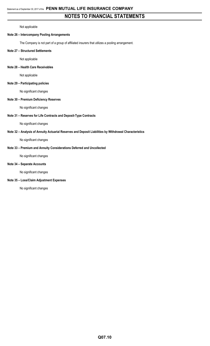Not applicable

# **Note 26 – Intercompany Pooling Arrangements**

The Company is not part of a group of affiliated insurers that utilizes a pooling arrangement.

# **Note 27 – Structured Settlements**

Not applicable

# **Note 28 – Health Care Receivables**

Not applicable

# **Note 29 – Participating policies**

No significant changes

# **Note 30 – Premium Deficiency Reserves**

No significant changes

# **Note 31 – Reserves for Life Contracts and Deposit-Type Contracts**

No significant changes

# **Note 32 – Analysis of Annuity Actuarial Reserves and Deposit Liabilities by Withdrawal Characteristics**

No significant changes

# **Note 33 – Premium and Annuity Considerations Deferred and Uncollected**

No significant changes

# **Note 34 – Separate Accounts**

No significant changes

# **Note 35 – Loss/Claim Adjustment Expenses**

No significant changes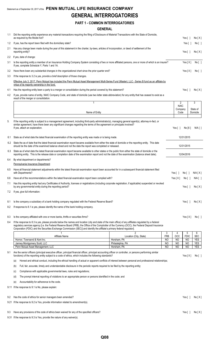# **GENERAL INTERROGATORIES**

# **PART 1 - COMMON INTERROGATORIES**

# **GENERAL**

|            | ulinlival                                                                                                                                                                                                                                                                                                                                                                                                                                    |                                       |                  |                               |                          |                          |
|------------|----------------------------------------------------------------------------------------------------------------------------------------------------------------------------------------------------------------------------------------------------------------------------------------------------------------------------------------------------------------------------------------------------------------------------------------------|---------------------------------------|------------------|-------------------------------|--------------------------|--------------------------|
| 1.1        | Did the reporting entity experience any material transactions requiring the filing of Disclosure of Material Transactions with the State of Domicile,<br>as required by the Model Act?                                                                                                                                                                                                                                                       |                                       |                  |                               | Yes [ 1                  | No[X]                    |
| 1.2        | If yes, has the report been filed with the domiciliary state?                                                                                                                                                                                                                                                                                                                                                                                |                                       |                  |                               | Yes[ ]                   | No [ ]                   |
| 2.1        | Has any change been made during the year of this statement in the charter, by-laws, articles of incorporation, or deed of settlement of the<br>reporting entity?                                                                                                                                                                                                                                                                             |                                       |                  |                               | Yes $[ ]$                | No[X]                    |
| 2.2        | If yes, date of change:                                                                                                                                                                                                                                                                                                                                                                                                                      |                                       |                  |                               |                          |                          |
| 3.1        | Is the reporting entity a member of an Insurance Holding Company System consisting of two or more affiliated persons, one or more of which is an insurer?<br>If yes, complete Schedule Y, Parts 1 and 1A.                                                                                                                                                                                                                                    |                                       |                  |                               | Yes[X]                   | No [ ]                   |
| 3.2        | Have there been any substantial changes in the organizational chart since the prior quarter end?                                                                                                                                                                                                                                                                                                                                             |                                       |                  |                               | Yes $[X]$                | No [ ]                   |
| 3.3        | If the response to 3.2 is yes, provide a brief description of those changes.                                                                                                                                                                                                                                                                                                                                                                 |                                       |                  |                               |                          |                          |
|            | Effective July 3, 2017, Penn Mutual has included the Penn Mutual Asset Management Multi-Series Fund (Master), LLC - Series B fund as an affiliate by<br>virtue of its majority ownership in the fund.                                                                                                                                                                                                                                        |                                       |                  |                               |                          |                          |
| 4.1        | Has the reporting entity been a party to a merger or consolidation during the period covered by this statement?                                                                                                                                                                                                                                                                                                                              |                                       |                  |                               | Yes $\lceil$ $\rceil$    | No[X]                    |
| 4.2        | If yes, provide name of entity, NAIC Company Code, and state of domicile (use two letter state abbreviation) for any entity that has ceased to exist as a<br>result of the merger or consolidation.                                                                                                                                                                                                                                          |                                       |                  |                               |                          |                          |
|            | 1                                                                                                                                                                                                                                                                                                                                                                                                                                            |                                       |                  | $\overline{2}$<br><b>NAIC</b> |                          | 3                        |
|            | Name of Entity                                                                                                                                                                                                                                                                                                                                                                                                                               |                                       |                  | Company<br>Code               |                          | State of<br>Domicile     |
| 5.         |                                                                                                                                                                                                                                                                                                                                                                                                                                              |                                       |                  |                               |                          |                          |
|            | If the reporting entity is subject to a management agreement, including third-party administrator(s), managing general agent(s), attorney-in-fact, or<br>similar agreement, have there been any significant changes regarding the terms of the agreement or principals involved?<br>If yes, attach an explanation.                                                                                                                           |                                       |                  | Yes[ ]                        | No[X]                    | N/A [ ]                  |
|            |                                                                                                                                                                                                                                                                                                                                                                                                                                              |                                       |                  |                               |                          |                          |
| 6.1<br>6.2 | State as of what date the latest financial examination of the reporting entity was made or is being made.<br>State the as of date that the latest financial examination report became available from either the state of domicile or the reporting entity. This date                                                                                                                                                                         |                                       |                  |                               | 12/31/2015               |                          |
| 6.3        | should be the date of the examined balance sheet and not the date the report was completed or released.<br>State as of what date the latest financial examination report became available to other states or the public from either the state of domicile or the                                                                                                                                                                             |                                       |                  |                               | 12/31/2015<br>12/04/2016 |                          |
| 6.4        | reporting entity. This is the release date or completion date of the examination report and not the date of the examination (balance sheet date).<br>By what department or departments?                                                                                                                                                                                                                                                      |                                       |                  |                               |                          |                          |
|            | Pennsylvania Insurance Department                                                                                                                                                                                                                                                                                                                                                                                                            |                                       |                  |                               |                          |                          |
| 6.5        | Have all financial statement adjustments within the latest financial examination report been accounted for in a subsequent financial statement filed<br>with Departments?                                                                                                                                                                                                                                                                    |                                       |                  | Yes $\lceil \ \rceil$         | No [ ]                   | N/A[X]                   |
| 6.6        | Have all of the recommendations within the latest financial examination report been complied with?                                                                                                                                                                                                                                                                                                                                           |                                       |                  | Yes[X]                        | No [ ]                   | $N/A$ $\vert$ $\vert$    |
| 7.1        | Has this reporting entity had any Certificates of Authority, licenses or registrations (including corporate registration, if applicable) suspended or revoked<br>by any governmental entity during the reporting period?                                                                                                                                                                                                                     |                                       |                  |                               | Yes $\lceil \ \rceil$    | No[X]                    |
| 7.2        | If yes, give full information:                                                                                                                                                                                                                                                                                                                                                                                                               |                                       |                  |                               |                          |                          |
| 8.1        | Is the company a subsidiary of a bank holding company regulated with the Federal Reserve Board?                                                                                                                                                                                                                                                                                                                                              |                                       |                  |                               | Yes $[ ]$                | No[X]                    |
| 8.2        | If response to 8.1 is yes, please identify the name of the bank holding company.                                                                                                                                                                                                                                                                                                                                                             |                                       |                  |                               |                          |                          |
| 8.3        | Is the company affiliated with one or more banks, thrifts or securities firms?                                                                                                                                                                                                                                                                                                                                                               |                                       |                  |                               | Yes[X]                   | No [ ]                   |
| 8.4        | If the response to 8.3 is yes, please provide below the names and location (city and state of the main office) of any affiliates regulated by a federal<br>regulatory services agency [i.e. the Federal Reserve Board (FRB), the Office of the Comptroller of the Currency (OCC), the Federal Deposit Insurance<br>Corporation (FDIC) and the Securities Exchange Commission (SEC)] and identify the affiliate's primary federal regulator]. |                                       |                  |                               |                          |                          |
|            |                                                                                                                                                                                                                                                                                                                                                                                                                                              | $\mathfrak{p}$                        | 3                | 4                             | 5                        | 6                        |
|            | Affiliate Name<br>Hornor, Townsend & Kent Inc.                                                                                                                                                                                                                                                                                                                                                                                               | Location (City, State)<br>Horsham, PA | <b>FRB</b><br>NO | <b>OCC</b><br><b>NO</b>       | <b>FDIC</b><br><b>NO</b> | <b>SEC</b><br><b>YES</b> |
|            | Janney Montgomery Scott, LLC                                                                                                                                                                                                                                                                                                                                                                                                                 | Philadelphia, PA                      | NO               | NO                            | <b>NO</b>                | <b>YES</b>               |
| 9.1        | Penn Mutual Asset Management, LLC<br>Are the senior officers (principal executive officer, principal financial officer, principal accounting officer or controller, or persons performing similar                                                                                                                                                                                                                                            | Horsham, PA                           | <b>NO</b>        | <b>NO</b>                     | <b>NO</b>                | <b>YES</b>               |
|            | functions) of the reporting entity subject to a code of ethics, which includes the following standards?                                                                                                                                                                                                                                                                                                                                      |                                       |                  |                               | Yes[X]                   | No [ ]                   |
|            | Honest and ethical conduct, including the ethical handling of actual or apparent conflicts of interest between personal and professional relationships;<br>(a)                                                                                                                                                                                                                                                                               |                                       |                  |                               |                          |                          |
|            | Full, fair, accurate, timely and understandable disclosure in the periodic reports required to be filed by the reporting entity;<br>(b)                                                                                                                                                                                                                                                                                                      |                                       |                  |                               |                          |                          |
|            | Compliance with applicable governmental laws, rules and regulations;<br>(C)                                                                                                                                                                                                                                                                                                                                                                  |                                       |                  |                               |                          |                          |
|            | The prompt internal reporting of violations to an appropriate person or persons identified in the code; and<br>(d)                                                                                                                                                                                                                                                                                                                           |                                       |                  |                               |                          |                          |
|            | Accountability for adherence to the code.<br>(e)<br>9.11 If the response to 9.1 is No, please explain:                                                                                                                                                                                                                                                                                                                                       |                                       |                  |                               |                          |                          |
|            |                                                                                                                                                                                                                                                                                                                                                                                                                                              |                                       |                  |                               |                          |                          |
| 9.2        | Has the code of ethics for senior managers been amended?                                                                                                                                                                                                                                                                                                                                                                                     |                                       |                  |                               | Yes $[ ]$                | No[X]                    |
|            | 9.21 If the response to 9.2 is Yes, provide information related to amendment(s).                                                                                                                                                                                                                                                                                                                                                             |                                       |                  |                               |                          |                          |
| 9.3        | Have any provisions of the code of ethics been waived for any of the specified officers?                                                                                                                                                                                                                                                                                                                                                     |                                       |                  |                               | Yes $\lceil \ \rceil$    | No[X]                    |
|            | 9.31 If the response to 9.3 is Yes, provide the nature of any waiver(s).                                                                                                                                                                                                                                                                                                                                                                     |                                       |                  |                               |                          |                          |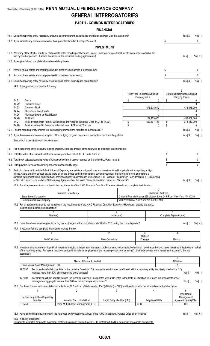# Statement as of September 30, 2017 of the **PENN MUTUAL LIFE INSURANCE COMPANY GENERAL INTERROGATORIES**

# **PART 1 - COMMON INTERROGATORIES**

# **FINANCIAL**

|                | 10.1 Does the reporting entity report any amounts due from parent, subsidiaries or affiliates on Page 2 of this statement?                                                                                                                                                                                                                                                                                                                                                                                                                                        |                                                                  |                                 |          |                                                                           |                          | Yes[X]                                                            | No [ ]                              |
|----------------|-------------------------------------------------------------------------------------------------------------------------------------------------------------------------------------------------------------------------------------------------------------------------------------------------------------------------------------------------------------------------------------------------------------------------------------------------------------------------------------------------------------------------------------------------------------------|------------------------------------------------------------------|---------------------------------|----------|---------------------------------------------------------------------------|--------------------------|-------------------------------------------------------------------|-------------------------------------|
|                | 10.2 If yes, indicate any amounts receivable from parent included in the Page 2 amount:                                                                                                                                                                                                                                                                                                                                                                                                                                                                           |                                                                  |                                 |          |                                                                           | \$                       |                                                                   | 0                                   |
|                |                                                                                                                                                                                                                                                                                                                                                                                                                                                                                                                                                                   |                                                                  | <b>INVESTMENT</b>               |          |                                                                           |                          |                                                                   |                                     |
|                | 11.1 Were any of the stocks, bonds, or other assets of the reporting entity loaned, placed under option agreement, or otherwise made available for<br>use by another person? (Exclude securities under securities lending agreements.)                                                                                                                                                                                                                                                                                                                            |                                                                  |                                 |          |                                                                           |                          | Yes $\lceil \ \rceil$                                             | No[X]                               |
|                | 11.2 If yes, give full and complete information relating thereto:                                                                                                                                                                                                                                                                                                                                                                                                                                                                                                 |                                                                  |                                 |          |                                                                           |                          |                                                                   |                                     |
| 12.            | Amount of real estate and mortgages held in other invested assets in Schedule BA:                                                                                                                                                                                                                                                                                                                                                                                                                                                                                 |                                                                  |                                 |          |                                                                           | \$                       |                                                                   | 0                                   |
| 13.            | Amount of real estate and mortgages held in short-term investments:                                                                                                                                                                                                                                                                                                                                                                                                                                                                                               |                                                                  |                                 |          |                                                                           | \$                       |                                                                   | $\mathbf 0$                         |
|                | 14.1 Does the reporting entity have any investments in parent, subsidiaries and affiliates?                                                                                                                                                                                                                                                                                                                                                                                                                                                                       |                                                                  |                                 |          |                                                                           |                          | Yes[X]                                                            | No [ ]                              |
|                | 14.2 If yes, please complete the following:                                                                                                                                                                                                                                                                                                                                                                                                                                                                                                                       |                                                                  |                                 |          |                                                                           |                          |                                                                   |                                     |
|                |                                                                                                                                                                                                                                                                                                                                                                                                                                                                                                                                                                   |                                                                  |                                 |          | Prior Year End Book/Adjusted                                              |                          | $\mathfrak{p}$<br>Current Quarter Book/Adjusted<br>Carrying Value |                                     |
| 14.21          | <b>Bonds</b>                                                                                                                                                                                                                                                                                                                                                                                                                                                                                                                                                      |                                                                  |                                 | \$       | Carrying Value                                                            | \$<br>0                  |                                                                   | 0                                   |
| 14.22<br>14.23 | <b>Preferred Stock</b><br>Common Stock                                                                                                                                                                                                                                                                                                                                                                                                                                                                                                                            |                                                                  |                                 |          | 478,378,672                                                               | 0                        | 474,478,000                                                       | 0                                   |
| 14.24          | Short-Term Investments                                                                                                                                                                                                                                                                                                                                                                                                                                                                                                                                            |                                                                  |                                 |          |                                                                           | 0                        |                                                                   | 0                                   |
| 14.25<br>14.26 | Mortgage Loans on Real Estate<br>All Other                                                                                                                                                                                                                                                                                                                                                                                                                                                                                                                        |                                                                  |                                 |          | 189,129,076                                                               | $\mathbf 0$              | 498,639,000                                                       | 0                                   |
| 14.27<br>14.28 | Total Investment in Parent, Subsidiaries and Affiliates (Subtotal Lines 14.21 to 14.26)<br>Total Investment in Parent included in Lines 14.21 to 14.26 above                                                                                                                                                                                                                                                                                                                                                                                                      |                                                                  |                                 | \$<br>\$ | 667,507,748                                                               | \$<br>\$<br>0            | 973,117,000                                                       | 0                                   |
|                | 15.1 Has the reporting entity entered into any hedging transactions reported on Schedule DB?                                                                                                                                                                                                                                                                                                                                                                                                                                                                      |                                                                  |                                 |          |                                                                           |                          | Yes[X]                                                            | No[                                 |
|                | 15.2 If yes, has a comprehensive description of the hedging program been made available to the domiciliary state?                                                                                                                                                                                                                                                                                                                                                                                                                                                 |                                                                  |                                 |          |                                                                           |                          | Yes[X]                                                            | No [ ]                              |
|                | If no, attach a description with this statement.                                                                                                                                                                                                                                                                                                                                                                                                                                                                                                                  |                                                                  |                                 |          |                                                                           |                          |                                                                   |                                     |
| 16.            | For the reporting entity's security lending program, state the amount of the following as of current statement date:                                                                                                                                                                                                                                                                                                                                                                                                                                              |                                                                  |                                 |          |                                                                           |                          |                                                                   |                                     |
|                | 16.1 Total fair value of reinvested collateral assets reported on Schedule DL, Parts 1 and 2:                                                                                                                                                                                                                                                                                                                                                                                                                                                                     |                                                                  |                                 |          |                                                                           | \$                       |                                                                   | 0                                   |
|                | 16.2 Total book adjusted/carrying value of reinvested collateral assets reported on Schedule DL, Parts 1 and 2:                                                                                                                                                                                                                                                                                                                                                                                                                                                   |                                                                  |                                 |          |                                                                           | \$                       |                                                                   | 0                                   |
|                |                                                                                                                                                                                                                                                                                                                                                                                                                                                                                                                                                                   |                                                                  |                                 |          |                                                                           |                          |                                                                   |                                     |
|                | 16.3 Total payable for securities lending reported on the liability page:                                                                                                                                                                                                                                                                                                                                                                                                                                                                                         |                                                                  |                                 |          |                                                                           | \$                       |                                                                   | 0                                   |
| 17.            | Excluding items in Schedule E-Part 3-Special Deposits, real estate, mortgage loans and investments held physically in the reporting entity's<br>offices, vaults or safety deposit boxes, were all stocks, bonds and other securities, owned throughout the current year held pursuant to a<br>custodial agreement with a qualified bank or trust company in accordance with Section 1, III - General Examination Considerations, F. Outsourcing<br>of Critical Functions, Custodial or Safekeeping Agreements of the NAIC Financial Condition Examiners Handbook? |                                                                  |                                 |          |                                                                           |                          | Yes[X]                                                            |                                     |
|                | 17.1 For all agreements that comply with the requirements of the NAIC Financial Condition Examiners Handbook, complete the following:                                                                                                                                                                                                                                                                                                                                                                                                                             |                                                                  |                                 |          |                                                                           | 2                        |                                                                   |                                     |
|                | State Street Corporation                                                                                                                                                                                                                                                                                                                                                                                                                                                                                                                                          | Name of Custodian(s)                                             |                                 |          | 2 World Financial Center 225 Liberty Street 24th Floor New York, NY 10281 | <b>Custodian Address</b> |                                                                   |                                     |
|                | Goldman Sachs & Company<br>17.2 For all agreements that do not comply with the requirements of the NAIC Financial Condition Examiners Handbook, provide the name,<br>location and a complete explanation:                                                                                                                                                                                                                                                                                                                                                         |                                                                  |                                 |          | 200 West Street New York, NY 10282-2198                                   |                          |                                                                   |                                     |
|                |                                                                                                                                                                                                                                                                                                                                                                                                                                                                                                                                                                   |                                                                  | $\overline{2}$                  |          |                                                                           |                          | 3                                                                 |                                     |
|                | Name(s)                                                                                                                                                                                                                                                                                                                                                                                                                                                                                                                                                           |                                                                  | Location(s)                     |          |                                                                           |                          | Complete Explanation(s)                                           |                                     |
|                | 17.3 Have there been any changes, including name changes, in the custodian(s) identified in 17.1 during the current quarter?                                                                                                                                                                                                                                                                                                                                                                                                                                      |                                                                  |                                 |          |                                                                           |                          | Yes $\lceil$ $\rceil$                                             |                                     |
|                | 17.4 If yes, give full and complete information relating thereto:                                                                                                                                                                                                                                                                                                                                                                                                                                                                                                 |                                                                  |                                 |          |                                                                           |                          |                                                                   |                                     |
|                | Old Custodian                                                                                                                                                                                                                                                                                                                                                                                                                                                                                                                                                     |                                                                  | $\overline{2}$<br>New Custodian |          | 3<br>Date of<br>Change                                                    |                          | 4<br>Reason                                                       |                                     |
|                | 17.5 Investment management - Identify all investment advisors, investment managers, broker/dealers, including individuals that have the authority to make investment decisions on behalf<br>of the reporting entity. For assets that are managed internally by employees of the reporting entity, note as such ["that have access to the investment accounts", "handle                                                                                                                                                                                            |                                                                  |                                 |          |                                                                           |                          |                                                                   |                                     |
|                | securities"].                                                                                                                                                                                                                                                                                                                                                                                                                                                                                                                                                     | Name of Firm or Individual                                       |                                 |          |                                                                           |                          | $\overline{2}$<br>Affiliation                                     |                                     |
|                | Penn Mutual Asset Management, LLC.<br>17.5097<br>For those firms/individuals listed in the table for Question 17.5, do any firms/individuals unaffiliated with the reporting entity (i.e., designated with a "U")                                                                                                                                                                                                                                                                                                                                                 |                                                                  |                                 |          |                                                                           |                          |                                                                   |                                     |
|                | manage more than 10% of the reporting entity's assets?<br>17.5098<br>For firms/individuals unaffiliated with the reporting entity (i.e., designated with a "U") listed in the table for Question 17.5, does the total assets under                                                                                                                                                                                                                                                                                                                                |                                                                  |                                 |          |                                                                           |                          | Yes [ ]                                                           |                                     |
|                | management aggregate to more than 50% of the reporting entity's assets?<br>17.6 For those firms or individuals listed in the table for 17.5 with an affiliation code of "A" (affiliated) or "U" (unaffiliated), provide the information for the table below.                                                                                                                                                                                                                                                                                                      |                                                                  |                                 |          |                                                                           |                          | Yes $\lceil$ 1                                                    |                                     |
|                |                                                                                                                                                                                                                                                                                                                                                                                                                                                                                                                                                                   | $\overline{2}$                                                   | 3                               |          | 4                                                                         |                          | 5<br>Investment                                                   |                                     |
|                | <b>Central Registration Depository</b><br>Number                                                                                                                                                                                                                                                                                                                                                                                                                                                                                                                  | Name of Firm or Individual<br>Penn Mutual Asset Management, LLC. | Legal Entity Identifier (LEI)   |          | <b>Registered With</b>                                                    |                          | Management<br>Agreement (IMA) Filed                               | No [ ]<br>No[X]<br>No [ ]<br>No [ ] |

18.1 Have all the filing requirements of the Purposes and Procedures Manual of the NAIC Investment Analysis Office been followed? Yes [ ] No [ X ]

18.2 If no, list exceptions: Documents submitted for private placement preferred stock and rejected by SVO. In contact with SVO to determine appropriate documents.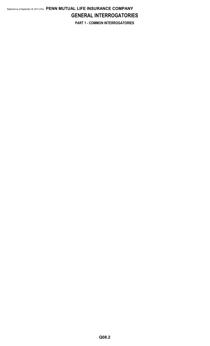# Statement as of September 30, 2017 of the **PENN MUTUAL LIFE INSURANCE COMPANY GENERAL INTERROGATORIES PART 1 - COMMON INTERROGATORIES**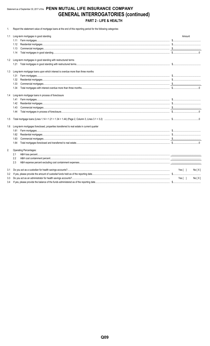# Statement as of September 30, 2017 of the PENN MUTUAL LIFE INSURANCE COMPANY **GENERAL INTERROGATORIES (continued)** PART 2 - LIFE & HEALTH

1. Report the statement value of mortgage loans at the end of this reporting period for the following categories:

| 1.1 | Long-term mortgages in good standing                                                                                                                                                                                                                                                                                                                                                                                                                                                                                 | Amount          |
|-----|----------------------------------------------------------------------------------------------------------------------------------------------------------------------------------------------------------------------------------------------------------------------------------------------------------------------------------------------------------------------------------------------------------------------------------------------------------------------------------------------------------------------|-----------------|
|     | 1.11                                                                                                                                                                                                                                                                                                                                                                                                                                                                                                                 |                 |
|     | 1.12                                                                                                                                                                                                                                                                                                                                                                                                                                                                                                                 |                 |
|     | 1.13<br>$\textbf{Commercial mortgages.}\textcolor{red}{\textbf{Conmercial mortgages.}\textcolor{red}{\textbf{}}\textcolor{red}{\textbf{}}\textcolor{red}{\textbf{}}\textcolor{red}{\textbf{}}\textcolor{red}{\textbf{}}\textcolor{red}{\textbf{}}\textcolor{red}{\textbf{}}\textcolor{red}{\textbf{}}\textcolor{red}{\textbf{}}\textcolor{red}{\textbf{}}\textcolor{red}{\textbf{}}\textcolor{red}{\textbf{}}\textcolor{red}{\textbf{}}\textcolor{red}{\textbf{}}\textcolor{red}{\textbf{}}\textcolor{red}{\textbf{$ |                 |
|     | 1.14                                                                                                                                                                                                                                                                                                                                                                                                                                                                                                                 |                 |
|     | 1.2 Long-term mortgages in good standing with restructured terms                                                                                                                                                                                                                                                                                                                                                                                                                                                     |                 |
|     |                                                                                                                                                                                                                                                                                                                                                                                                                                                                                                                      |                 |
| 1.3 | Long-term mortgage loans upon which interest is overdue more than three months                                                                                                                                                                                                                                                                                                                                                                                                                                       |                 |
|     | 1.31                                                                                                                                                                                                                                                                                                                                                                                                                                                                                                                 |                 |
|     | 1.32                                                                                                                                                                                                                                                                                                                                                                                                                                                                                                                 |                 |
|     | 1.33                                                                                                                                                                                                                                                                                                                                                                                                                                                                                                                 |                 |
|     | 1.34                                                                                                                                                                                                                                                                                                                                                                                                                                                                                                                 |                 |
| 1.4 | Long-term mortgage loans in process of foreclosure                                                                                                                                                                                                                                                                                                                                                                                                                                                                   |                 |
|     | 1.41                                                                                                                                                                                                                                                                                                                                                                                                                                                                                                                 |                 |
|     | 1.42                                                                                                                                                                                                                                                                                                                                                                                                                                                                                                                 |                 |
|     | 1.43                                                                                                                                                                                                                                                                                                                                                                                                                                                                                                                 |                 |
|     | 1.44                                                                                                                                                                                                                                                                                                                                                                                                                                                                                                                 |                 |
| 1.5 |                                                                                                                                                                                                                                                                                                                                                                                                                                                                                                                      |                 |
| 1.6 | Long-term mortgages foreclosed, properties transferred to real estate in current quarter                                                                                                                                                                                                                                                                                                                                                                                                                             |                 |
|     | 1.61                                                                                                                                                                                                                                                                                                                                                                                                                                                                                                                 |                 |
|     | 1.62                                                                                                                                                                                                                                                                                                                                                                                                                                                                                                                 |                 |
|     | 1.63                                                                                                                                                                                                                                                                                                                                                                                                                                                                                                                 |                 |
|     | 1.64                                                                                                                                                                                                                                                                                                                                                                                                                                                                                                                 |                 |
| 2.  | <b>Operating Percentages:</b>                                                                                                                                                                                                                                                                                                                                                                                                                                                                                        |                 |
|     | 2.1                                                                                                                                                                                                                                                                                                                                                                                                                                                                                                                  |                 |
|     | 2.2                                                                                                                                                                                                                                                                                                                                                                                                                                                                                                                  |                 |
|     | 2.3                                                                                                                                                                                                                                                                                                                                                                                                                                                                                                                  |                 |
| 3.1 |                                                                                                                                                                                                                                                                                                                                                                                                                                                                                                                      | Yes[ ]<br>No[X] |
| 3.2 |                                                                                                                                                                                                                                                                                                                                                                                                                                                                                                                      |                 |
| 3.3 |                                                                                                                                                                                                                                                                                                                                                                                                                                                                                                                      | Yes[ ]<br>No[X] |
| 3.4 |                                                                                                                                                                                                                                                                                                                                                                                                                                                                                                                      |                 |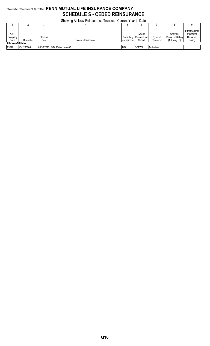# Statement as of September 30, 2017 of the **PENN MUTUAL LIFE INSURANCE COMPANY SCHEDULE S - CEDED REINSURANCE**

|                                                              | Showing All New Reinsurance Treaties - Current Year to Date |                   |                                 |              |                                               |                      |                                                       |                                                              |  |  |  |  |
|--------------------------------------------------------------|-------------------------------------------------------------|-------------------|---------------------------------|--------------|-----------------------------------------------|----------------------|-------------------------------------------------------|--------------------------------------------------------------|--|--|--|--|
|                                                              |                                                             |                   |                                 |              | 6                                             |                      |                                                       |                                                              |  |  |  |  |
| <b>NAIC</b><br>Company<br>Code<br><b>Life Non-Affiliates</b> | <b>ID Number</b>                                            | Effective<br>Date | Name of Reinsurer               | Jurisdiction | Type of<br>Domiciliary   Reinsurance<br>Ceded | Type of<br>Reinsurer | Certified<br><b>Reinsurer Rating</b><br>(1 throuah 6) | <b>Effective Date</b><br>of Certified<br>Reinsurer<br>Rating |  |  |  |  |
| 93572                                                        | 43-1235868.                                                 |                   | 109/30/2017 RGA Reinsurance Co. |              | COFW/I                                        | Authorized.          |                                                       |                                                              |  |  |  |  |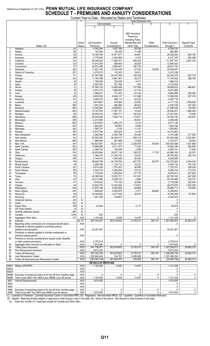#### Statement as of September 30, 2017 of the PENN MUTUAL LIFE INSURANCE COMPANY **SCHEDULE T - PREMIUMS AND ANNUITY CONSIDERATIONS** Allocatod I

|                  |                                                                      |                  |                                   |                                           | Current real to Date - Allocated by States and Termones |                     |                                            |                                                                                                                |
|------------------|----------------------------------------------------------------------|------------------|-----------------------------------|-------------------------------------------|---------------------------------------------------------|---------------------|--------------------------------------------|----------------------------------------------------------------------------------------------------------------|
|                  |                                                                      |                  |                                   | Life Contracts                            | Direct Business Only<br>4                               | 5                   | 6                                          |                                                                                                                |
|                  |                                                                      |                  | $\overline{2}$                    | $\overline{3}$                            |                                                         |                     |                                            |                                                                                                                |
|                  |                                                                      |                  |                                   |                                           |                                                         |                     |                                            |                                                                                                                |
|                  |                                                                      |                  |                                   |                                           | A&H Insurance                                           |                     |                                            |                                                                                                                |
|                  |                                                                      |                  |                                   |                                           | Premiums,<br><b>Including Policy</b>                    |                     |                                            |                                                                                                                |
|                  |                                                                      | Active           | Life Insurance                    | Annuity                                   | Membership and                                          | Other               | <b>Total Columns 2</b>                     | Deposit-Type                                                                                                   |
|                  | States, Etc.                                                         | <b>Status</b>    | Premiums                          | Considerations                            | Other Fees                                              | Considerations      | through 5                                  | Contracts                                                                                                      |
| 1.               | AI                                                                   |                  | 1,343,264                         |                                           | .28,706<br>.                                            |                     | $\frac{1}{1000}$ .6,199,750                |                                                                                                                |
| 2.               |                                                                      |                  | 152,484                           | 96.305                                    | 11,296                                                  |                     | .260,085                                   |                                                                                                                |
| 3.<br>4.         |                                                                      | L<br>. L         | 15,306,796<br>3,776,935           | 10.971.617<br>2,454,969                   | 49.851<br>5,472                                         |                     | 328,264<br>6,237,376<br>1, 1, 1, 1, 1, 1   | 683.700<br>284,489                                                                                             |
| 5.               |                                                                      | L                | 39,255,623                        | 11,856,761                                | 495.403                                                 |                     | 111,607,787                                | 3,921,343                                                                                                      |
| 6.               |                                                                      | L                | 13,010,363                        | 608,854                                   | 26,826                                                  |                     | $\ldots$ 13.646.043                        |                                                                                                                |
| 7.               |                                                                      | .                | 30,972,558                        | $\ldots$ 3,858,467                        | 190,730                                                 |                     | 35,021,755                                 |                                                                                                                |
| 8.               |                                                                      | L                | 11,621,476                        | $\ldots$ 13,343,439                       | 27,532                                                  | 36,000              | $\ldots$ 25,028,447                        |                                                                                                                |
| 9.<br>10.        |                                                                      | L<br>.           | $\ldots$ 3,275,073<br>357,267,959 | 119,352<br>$\ldots$ 24,075,358            | 18,911<br>708,759                                       |                     | 3,413,336<br>.82,052,076<br>.              | 623,778                                                                                                        |
| 11.              |                                                                      | . L              | 11,154,788                        | 5,961,481                                 | 28,273                                                  |                     | 17,144,542                                 | 388.765                                                                                                        |
| 12.              |                                                                      | L                | 1,758,065                         | 203,538                                   | 4,411                                                   |                     | 1,966,014                                  |                                                                                                                |
| 13.              |                                                                      | L                | $\ldots$ 2,687,843                | .527,789<br>.                             | 823                                                     |                     |                                            |                                                                                                                |
| 14.<br>15.       |                                                                      | . L<br>L         | $\ldots$ 27,568,150<br>4,931,573  | $\ldots$ 10,992,846<br>$\ldots$ 1,665,092 | 107,836<br>41,319                                       |                     | 38.668.832<br>6,637,984                    | 989.961                                                                                                        |
| 16.              |                                                                      | L                | 3, 7, 898, 221                    | 731,442                                   | 53,145                                                  |                     | 3,682,808                                  | 200,000                                                                                                        |
| 17.              |                                                                      | 1, 1, 1, 1, 1, 1 | $\ldots$ 6.809.093                | $\ldots$ 6,648,147                        | 141,066                                                 |                     | 13,598,306                                 | 227.018                                                                                                        |
| 18.              |                                                                      | . L              | 4,040,274                         | 369,113                                   | 43,332                                                  |                     | 4.452.719                                  |                                                                                                                |
| 19.              |                                                                      | L                | 3,674,667                         | 475.640                                   | 20,823                                                  |                     | 1.171,130                                  | $\ldots$ 1.500.000                                                                                             |
| 20.<br>21.       |                                                                      | L<br>L           | $\ldots$ 1,651,618<br>12,406,982  | 486,268<br>8.469.691                      | 98,822<br>219,876                                       |                     | $\ldots$ 2.236.708<br>321,096,549          | .327,293<br>100,000                                                                                            |
| 22.              |                                                                      | . L              | $\ldots$ 15,107,976               | $\ldots$ 11,367,157                       | 19,324                                                  |                     | .26,494,457<br>$\ldots$                    | 1.869.383                                                                                                      |
| 23.              |                                                                      | .                | 3.25,455,618                      | 1,655,771                                 | 190,243                                                 |                     | .27,301,632<br>$\ldots$                    | 73,500                                                                                                         |
| 24.              |                                                                      | . L              | 35,038,595                        |                                           | 110,871                                                 |                     | 32,792,184                                 | $\ldots$ 325.637                                                                                               |
| 25.              |                                                                      | L                | $\dots$ 2,212,565                 |                                           | 56,841                                                  |                     | $\ldots$ 2,269,406                         |                                                                                                                |
| 26.              |                                                                      | L                | 4,875,642<br>1,682,681            | 1,390,275<br>139,587                      | 5,219<br>.8.480<br>$\frac{1}{2}$                        |                     | $\ldots$ 6,271,136<br>1,830,748            | and a complete the complete state of the state of the state of the state of the state of the state of the stat |
| 27.<br>28.       |                                                                      | L                | 1,545,747                         | 3.105                                     | 11.101                                                  |                     | 1,559,953                                  |                                                                                                                |
| 29.              |                                                                      | . L              | 13,815,794                        | 395,524                                   | $\ldots$ 8,145                                          |                     | 14,219,463                                 |                                                                                                                |
| 30.              |                                                                      | .                | $\ldots$ 2,082,464                | 2,044,798                                 | 20,036                                                  |                     | 4,147,298                                  | 511,295                                                                                                        |
| 31.              |                                                                      | L                | 32,505,525                        | 34,346,747                                | .550,214<br>.                                           |                     | 37,402,486                                 | .2,523,881                                                                                                     |
| 32.              |                                                                      | . L<br>L         | 1,868,945<br>$\ldots$ 162,927,691 | 841,068<br>$\ldots$ 40,221,423            | 13,464<br>2,209,979                                     | 94,505              | $\ldots$ 2,723,477<br>$\ldots$ 205,453,598 | 55,000<br>1,937,856                                                                                            |
| 33.<br>34.       |                                                                      | . 1.             | 13,699,689                        | 1.1.1473                                  | 71,033                                                  |                     | 18,282,195                                 | 655,805                                                                                                        |
| 35.              |                                                                      | L                | 4,368,143                         | 150,000                                   | .2,598                                                  |                     | 4,520,741                                  | 77,828                                                                                                         |
| 36.              |                                                                      | . L              | 30,064                            | $\ldots$ 16,027,136                       | 108,237                                                 | 11.723              | 42.986.160                                 | 92,201                                                                                                         |
| 37.              |                                                                      | L                | 394,475                           | 21,330,740                                | 23,047                                                  |                     | .28,748,262<br>1, 1, 1, 1, 1               | .293.145                                                                                                       |
| 38.              |                                                                      | . L<br>L         | 3.144,410                         | 1,645,046<br>44,109,783                   | 40,500<br>407,781                                       | 69,270              | .6,829,956<br>.<br>103,233,624             | .2,304,430                                                                                                     |
| 39.<br>40.       |                                                                      | L                | 33.58,646,790<br>4,299,195        | 1,123,712                                 | 16,227                                                  |                     | 3,439,134                                  | 703,744                                                                                                        |
| 41.              |                                                                      | L                | $\ldots$ 6,614,345                | $\ldots$ 1,074,267                        | 36,569                                                  |                     |                                            | 336,039                                                                                                        |
| 42.              |                                                                      | L                | 4,342,734                         | $\ldots$ 2,000,000                        | 23,010                                                  |                     | $\ldots$ 6,365,744                         | .313,333                                                                                                       |
| 43.              |                                                                      |                  | 7,776,204                         | 1,635,834                                 | .67,775                                                 |                     | .9,479,813                                 | .407,834                                                                                                       |
| 44.<br>45.       |                                                                      | L<br>. L         | 45,396,540<br>.<br>.30.212.469    | $\ldots$ 15,253,721<br>.9,938,102         | 141.901<br>4,894                                        |                     | .60.792.162<br>$\cdots$<br>.40,155,465     | .847,299<br>.333,747                                                                                           |
| 46.              |                                                                      | L                | .<br>1,978,542                    | 774,152                                   | .<br>25,564                                             |                     | لتنبيذ<br>2,778,258<br>1, 1, 1, 1, 1       | 225,000                                                                                                        |
| 47.              |                                                                      | L                | 15,832,754                        | $\ldots$ 12,324,294                       | 113,827                                                 |                     | .28,270,875<br>$\ldots$                    | .1,622,265<br>.                                                                                                |
| 48.              |                                                                      | L                | 21,676,168                        | 8,243,666                                 | 69,883                                                  |                     | 29.989.717                                 | 100,000                                                                                                        |
| 49.              |                                                                      | 1, 1, 1, 1, 1, 1 | 1,646,820                         | $\ldots$ 4,520,979                        | 2,371                                                   | 88,683              | $\ldots$ 6,258,853                         |                                                                                                                |
| 50.<br>51.       |                                                                      | L                | $\ldots$ 16,336,843<br>1,301,258  | 2,417,458<br>739,657                      | 35,079                                                  |                     | $\ldots$ 18,789,380<br>$\ldots$ 2,040,915  | 137,804                                                                                                        |
| 52.              |                                                                      | N                |                                   |                                           |                                                         |                     |                                            |                                                                                                                |
| 53.              |                                                                      | N                |                                   |                                           |                                                         |                     |                                            |                                                                                                                |
| 54.              |                                                                      | N                | 1.11                              |                                           |                                                         |                     |                                            |                                                                                                                |
| 55.              |                                                                      | N                |                                   |                                           |                                                         |                     |                                            |                                                                                                                |
| 56.<br>57.       |                                                                      | N<br>N           | 630                               |                                           |                                                         |                     | 630                                        | .                                                                                                              |
| 58.              |                                                                      | $$ XXX           | 1,100,482                         |                                           |                                                         |                     | 1,121,439                                  |                                                                                                                |
| 59.              |                                                                      | (a).51           | $\frac{1}{2}$ 907,334,447         |                                           | $\ldots$ 353,618,642 $\ldots$ 6,735,013                 | $\frac{300,181}{2}$ | 1,267,988,283                              | 24,993,373                                                                                                     |
| 90.              | Reporting entity contributions for employee benefit plans            | $$ XXX           |                                   |                                           |                                                         |                     |                                            |                                                                                                                |
| 91.              | Dividends or refunds applied to purchase paid-up                     |                  |                                   |                                           |                                                         |                     |                                            |                                                                                                                |
| 92.              | Dividends or refunds applied to shorten endowment or                 | $\ldots$ XXX     | .30,351,461                       |                                           |                                                         |                     | $\dots$ 30,351,461                         |                                                                                                                |
|                  |                                                                      | $$ XXX           |                                   |                                           |                                                         |                     |                                            |                                                                                                                |
| 93.              | Premium or annuity considerations waived under disability            |                  |                                   |                                           |                                                         |                     |                                            |                                                                                                                |
|                  |                                                                      | $$ XXX           | 2,378,514                         |                                           |                                                         |                     | .2,378,514                                 |                                                                                                                |
| 94.              |                                                                      |                  | $\ldots$ 1,674,555                |                                           |                                                         |                     | 1,674,555                                  |                                                                                                                |
| 95.<br>96.       |                                                                      | XXX              | .941,738,977<br>.<br>5,613,325    | $\ldots$ 353,618,642                      | $\frac{1}{1000}$ .5,735,013<br>                         | 300.181             | 1,302,392,813<br>.5,613,325                | 24,993,373                                                                                                     |
| 97.              |                                                                      | $$ XXX           | .947,352,302<br>.                 | 353,618,642                               | .6,735,013<br>.                                         | 300.181             | $\dots$ 1,308,006,138                      | 24,993,373<br>.                                                                                                |
| 98.              |                                                                      |                  | 1,330,945,442                     | 154,767                                   | $\ldots$ 6,395,085                                      |                     | 1,337,495,294                              |                                                                                                                |
| 99.              |                                                                      | $$ $XXX$         | (383, 593, 140)<br>.              | $\ldots$ 353,463,875                      | $\frac{339,928}{2}$                                     | $\frac{300,181}{2}$ | (29, 489, 156)<br>.                        | 24,993,373                                                                                                     |
|                  |                                                                      |                  | <b>DETAILS OF WRITE-INS</b>       |                                           |                                                         |                     |                                            |                                                                                                                |
|                  |                                                                      | XXX.             | 1.100.482                         | $\overline{6,500}$                        | 14,457                                                  |                     | $\frac{1}{2}$ 1.121.439                    |                                                                                                                |
| 58002.<br>58003. |                                                                      | $$ $XXX$<br>XXX. |                                   |                                           |                                                         |                     |                                            |                                                                                                                |
|                  | 58998. Summary of remaining write-ins for line 58 from overflow page | $$ XXX           |                                   |                                           |                                                         | 0                   |                                            |                                                                                                                |
|                  | 58999. Total (Lines 58001 thru 58003 plus 58998) (Line 58 above)     | XXX.             |                                   |                                           |                                                         | 0                   | 1,121,439                                  |                                                                                                                |
| 9401.            |                                                                      | XXX.             | 1.674.555                         |                                           |                                                         |                     | 1.674.555                                  |                                                                                                                |
| 9402.            |                                                                      | $\ldots$ XXX     |                                   |                                           |                                                         |                     |                                            |                                                                                                                |
| 9403.<br>9498.   | Summary of remaining write-ins for line 94 from overflow page        | $$ XXX<br>XXX.   |                                   | 0                                         |                                                         |                     |                                            |                                                                                                                |
|                  | 9499. Total (Lines 9401 thru 9403 plus 9498) (Line 94 above)         | XXX.             | 1,674,555                         |                                           |                                                         |                     | 1,674,555                                  |                                                                                                                |

Change of Charlers Servi und Service Duster Service University of Above Duster March 2011 (Line Service Duster of Duster Alternation Duster Alternation Duster Carrier of Duster Carrier of Duster Carrier of Duster Carrier o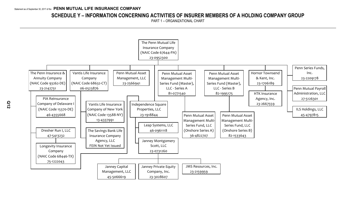# **SCHEDULE Y – INFORMATION CONCERNING ACTIVITIES OF INSURER MEMBERS OF A HOLDING COMPANY GROUP**

PART 1 – ORGANIZATIONAL CHART

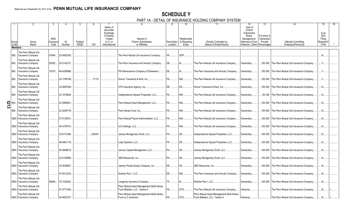# **SCHEDULE Y**

PART 1A - DETAIL OF INSURANCE HOLDING COMPANY SYSTEM

| Group                   | Group                                            | <b>NAIC</b><br>Company | ID                | Federal     |            | Name of<br>Securities<br>Exchange<br>if Publicly<br>Traded<br>$(U.S.$ or | Names of<br>Parent. Subsidiaries                                           | Domiciliary | 10<br>Relationship<br>to Reporting | 11<br>Directly Controlled by                                               | 12<br>Type of<br>Control<br>(Ownership<br>Board.<br>Management.<br>Attorney-in-Fact, | 13<br>If Control is<br>Ownership<br>Provide | Ultimate Controlling                             | 15<br>Is an<br><b>SCA</b><br>Filing<br>Required? | 16 |
|-------------------------|--------------------------------------------------|------------------------|-------------------|-------------|------------|--------------------------------------------------------------------------|----------------------------------------------------------------------------|-------------|------------------------------------|----------------------------------------------------------------------------|--------------------------------------------------------------------------------------|---------------------------------------------|--------------------------------------------------|--------------------------------------------------|----|
| Code                    | Name                                             | Code                   | Number            | <b>RSSD</b> | <b>CIK</b> | International)                                                           | or Affiliates                                                              | Location    | Entity                             | (Name of Entity/Person)                                                    | Influence, Other) Percentage                                                         |                                             | Entity(ies)/Person(s)                            | (Y/N)                                            |    |
|                         | <b>Members</b>                                   |                        |                   |             |            |                                                                          |                                                                            |             |                                    |                                                                            |                                                                                      |                                             |                                                  |                                                  |    |
| 850.                    | The Penn Mutual Life<br>Insurance Company        | 67644                  | 23-0952300        |             |            |                                                                          | The Penn Mutual Life Insurance Company.                                    | PA.         | UDP.                               |                                                                            |                                                                                      |                                             |                                                  | N                                                |    |
| 850.                    | The Penn Mutual Life<br><b>Insurance Company</b> |                        | 93262 23-2142731. |             |            |                                                                          | The Penn Insurance and Annuity Company.                                    | DE.         |                                    | The Penn Mutual Life Insurance Company.                                    | Ownership.                                                                           |                                             | .100.000 The Penn Mutual Life Insurance Company. | .Y.                                              |    |
| 850.                    | The Penn Mutual Life<br><b>Insurance Company</b> | 15370                  | 46-4355668.       |             |            |                                                                          | PIA Reinsurance Company of Delaware I.                                     | DE.         |                                    | The Penn Insurance and Annuity Company.                                    | Ownership.                                                                           | .100.000                                    | The Penn Mutual Life Insurance Company.          | $Y_{\cdots}$                                     |    |
| 850.                    | The Penn Mutual Life<br><b>Insurance Company</b> |                        | 23-1706189.       |             | .77131     |                                                                          | Hornor Townsend & Kent. Inc.                                               | PA.         | NIA.                               | The Penn Mutual Life Insurance Company.                                    | Ownership.                                                                           | 100.000                                     | The Penn Mutual Life Insurance Company.          |                                                  |    |
| 850.                    | The Penn Mutual Life<br>Insurance Company        |                        | 23-2667559.       |             |            |                                                                          | HTK Insurance Agency, Inc.                                                 | DE.         | DS.                                | Hornor Townsend & Kent. Inc.                                               | Ownership.                                                                           |                                             | .100.000 The Penn Mutual Life Insurance Company. | .N                                               |    |
| 850.                    | The Penn Mutual Life<br>Insurance Company        |                        | 23-1918844.       |             |            |                                                                          | Independence Square Properties, LLC.                                       | <b>PA</b>   | NIA                                | The Penn Mutual Life Insurance Company.                                    | Ownership.                                                                           |                                             | .95.780 The Penn Mutual Life Insurance Company.  | .N                                               |    |
| $\frac{2}{\omega}$ 850. | The Penn Mutual Life<br>Insurance Company        |                        | 23-2566941        |             |            |                                                                          | Penn Mutual Asset Management, LLC.                                         | PA.         | NIA                                | The Penn Mutual Life Insurance Company.                                    | Ownership.                                                                           | .100.000                                    | The Penn Mutual Life Insurance Company.          | $N_{\cdot}$                                      |    |
| 850.                    | The Penn Mutual Life<br>Insurance Company        |                        | 23-2209178.       |             |            |                                                                          | Penn Series Fund, Inc.                                                     | <b>PA</b>   | NIA.                               | The Penn Mutual Life Insurance Company.                                    | Ownership.                                                                           |                                             | .100.000 The Penn Mutual Life Insurance Company. | .N.                                              |    |
| 0850                    | The Penn Mutual Life<br><b>Insurance Company</b> |                        | 27-5126301        |             |            |                                                                          | Penn Mutual Payroll Administration, LLC.                                   | PA.         | NIA                                | The Penn Mutual Life Insurance Company.                                    | Ownership.                                                                           |                                             | .100.000 The Penn Mutual Life Insurance Company. | N                                                |    |
| 0850                    | The Penn Mutual Life<br><b>Insurance Company</b> |                        | 45-4797815.       |             |            |                                                                          | ILS Holdings, LLC.                                                         | <b>PA</b>   | NIA                                | The Penn Mutual Life Insurance Company.                                    | Ownership.                                                                           | .100.000                                    | The Penn Mutual Life Insurance Company.          | .N                                               |    |
| 0850                    | The Penn Mutual Life<br><b>Insurance Company</b> |                        | 23-0731260.       |             | .200401    |                                                                          | Janney Montgomery Scott, LLC.                                              | PA.         | DS.                                | Independence Square Properties, LLC.                                       | Ownership.                                                                           |                                             | .100.000 The Penn Mutual Life Insurance Company. | $N_{\cdot}$                                      |    |
| 0850                    | The Penn Mutual Life<br>Insurance Company        |                        | 46-0961118.       |             |            |                                                                          | Leap Systems, LLC.                                                         | PA.         | DS.                                | Independence Square Properties, LLC.                                       | Ownership.                                                                           |                                             | .100.000 The Penn Mutual Life Insurance Company. | .N                                               |    |
| 0850                    | The Penn Mutual Life<br><b>Insurance Company</b> |                        | 45-5066619.       |             |            |                                                                          | Janney Capital Management, LLC.                                            | PA.         | DS.                                | Janney Montgomery Scott, LLC.                                              | Ownership.                                                                           | .100.000                                    | The Penn Mutual Life Insurance Company.          | $N_{\cdot}$                                      |    |
| 0850                    | The Penn Mutual Life<br>Insurance Company        |                        | 23-2159959.       |             |            |                                                                          | <b>JMS Resources, Inc.</b>                                                 | PA.         | DS.                                | Janney Montgomery Scott, LLC.                                              | Ownership.                                                                           |                                             | .100.000 The Penn Mutual Life Insurance Company. | $N_{\cdots}$                                     |    |
| 0850                    | The Penn Mutual Life<br><b>Insurance Company</b> |                        | 23-3028607        |             |            |                                                                          | Janney Private Equity Company, Inc.                                        | DE.         | DS.                                | <b>JMS Resources, Inc.</b>                                                 | Ownership.                                                                           |                                             | .100.000 The Penn Mutual Life Insurance Company. | N                                                |    |
| 0850                    | The Penn Mutual Life<br><b>Insurance Company</b> |                        | 47-5413232.       |             |            |                                                                          | Dresher Run I. LLC.                                                        | DE.         | NIA                                | The Penn Insurance and Annuity Company.                                    | Ownership.                                                                           | .100.000                                    | The Penn Mutual Life Insurance Company.          | .N                                               |    |
| 0850                    | The Penn Mutual Life<br><b>Insurance Company</b> |                        | 68446 75-1222043. |             |            |                                                                          | Longevity Insurance Company                                                | <b>TX</b>   |                                    | Dresher Run I, LLC.                                                        | Ownership.                                                                           | .100.000                                    | The Penn Mutual Life Insurance Company.          | .N                                               |    |
| 0850                    | The Penn Mutual Life<br>Insurance Company        |                        | 81-0771540.       |             |            |                                                                          | Penn Mutual Asset Management Multi-Series<br>Fund (Master), LLC - Series A | PA.         | OTH.                               | The Penn Mutual Life Insurance Company                                     | Influence.                                                                           |                                             | The Penn Mutual Life Insurance Company.          | .N                                               |    |
|                         | The Penn Mutual Life<br>0850 Insurance Company   |                        | 36-4822707.       |             |            |                                                                          | Penn Mutual Asset Management Multi-Series<br>Fund LLC (onshore)            | PA.         | OTH.                               | Penn Mutual Asset Management Multi-Series<br>Fund (Master), LLC - Series A | Influence                                                                            |                                             | The Penn Mutual Life Insurance Company.          |                                                  |    |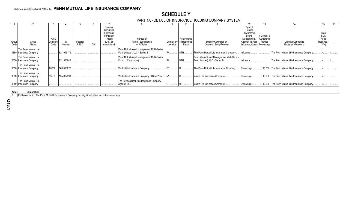# **SCHEDULE Y**

# PART 1A - DETAIL OF INSURANCE HOLDING COMPANY SYSTEM

|       |                                                |             |                   |             |                       |                                                                            |             |              |                                                                            | 12                           | 13.                        |                                                 |                     | 16. |
|-------|------------------------------------------------|-------------|-------------------|-------------|-----------------------|----------------------------------------------------------------------------|-------------|--------------|----------------------------------------------------------------------------|------------------------------|----------------------------|-------------------------------------------------|---------------------|-----|
|       |                                                |             |                   |             | Name of<br>Securities |                                                                            |             |              |                                                                            | Type of<br>Control           |                            |                                                 |                     |     |
|       |                                                |             |                   |             | Exchange              |                                                                            |             |              |                                                                            | (Ownership                   |                            |                                                 | Is an               |     |
|       |                                                | <b>NAIC</b> |                   |             | if Publicly<br>Traded | Names of                                                                   |             | Relationship |                                                                            | Board,<br>Management.        | If Control is<br>Ownership |                                                 | <b>SCA</b>          |     |
| Group | Group                                          | Company     |                   | Federal     | (U.S. or              | Parent, Subsidiaries                                                       | Domiciliary | to Reporting | Directly Controlled by                                                     | Attorney-in-Fact,            | Provide                    | <b>Ultimate Controlling</b>                     | Filing<br>Required? |     |
| Code  | Name                                           | Code        | Number            | <b>RSSD</b> | International)        | or Affiliates                                                              | Location    | Entity       | (Name of Entity/Person)                                                    | Influence, Other) Percentage |                            | Entity(ies)/Person(s)                           | (Y/N)               |     |
|       |                                                |             |                   |             |                       |                                                                            |             |              |                                                                            |                              |                            |                                                 |                     |     |
|       | The Penn Mutual Life<br>0850 Insurance Company |             | 82-1995175.       |             |                       | Penn Mutual Asset Management Multi-Series<br>Fund (Master), LLC - Series B | PA.         | OTH          | The Penn Mutual Life Insurance Company                                     | Influence.                   |                            | The Penn Mutual Life Insurance Company.         |                     |     |
|       | The Penn Mutual Life<br>0850 Insurance Company |             | 82-1533643.       |             |                       | Penn Mutual Asset Management Multi-Series<br>Fund, LLC (onshore)           |             | OTH.         | Penn Mutual Asset Management Multi-Series<br>Fund (Master), LLC - Series B | Influence.                   |                            | The Penn Mutual Life Insurance Company.         |                     |     |
|       | The Penn Mutual Life<br>0850 Insurance Company |             | 68632 06-0523876. |             |                       | Vantis Life Insurance Company.                                             |             |              | The Penn Mutual Life Insurance Company                                     | Ownership                    |                            | 100.000 The Penn Mutual Life Insurance Company. |                     |     |
|       | The Penn Mutual Life<br>0850 Insurance Company | 13588       | 13-4337991        |             |                       | Vantis Life Insurance Company of New York                                  |             |              | Vantis Life Insurance Company.                                             | Ownership.                   |                            | 100.000 The Penn Mutual Life Insurance Company. |                     |     |
|       | The Penn Mutual Life<br>0850 Insurance Company |             |                   |             |                       | The Savings Bank Life Insurance Company<br>Agency, LLC                     |             |              | Vantis Life Insurance Company.                                             | Ownership                    |                            | 100.000 The Penn Mutual Life Insurance Company. |                     |     |

**Asterisk Explanation**

1 Entity over which The Penn Mutual Life Insurance Company has significant influence, but no ownership.

**Q13.1**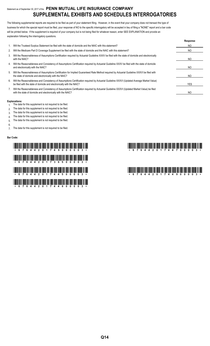# Statement as of September 30, 2017 of the **PENN MUTUAL LIFE INSURANCE COMPANY SUPPLEMENTAL EXHIBITS AND SCHEDULES INTERROGATORIES**

The following supplemental reports are required to be filed as part of your statement filing. However, in the event that your company does not transact the type of business for which the special report must be filed, your response of NO to the specific interrogatory will be accepted in lieu of filing a "NONE" report and a bar code will be printed below. If the supplement is required of your company but is not being filed for whatever reason, enter SEE EXPLANATION and provide an explanation following the interrogatory questions.

|    |                                                                                                                                                                                                                    | Response       |
|----|--------------------------------------------------------------------------------------------------------------------------------------------------------------------------------------------------------------------|----------------|
|    | Will the Trusteed Surplus Statement be filed with the state of domicile and the NAIC with this statement?                                                                                                          | N <sub>O</sub> |
| 2. | Will the Medicare Part D Coverage Supplement be filed with the state of domicile and the NAIC with this statement?                                                                                                 | NO             |
| 3. | Will the Reasonableness of Assumptions Certification required by Actuarial Guideline XXXV be filed with the state of domicile and electronically<br>with the NAIC?                                                 | NO.            |
| 4. | Will the Reasonableness and Consistency of Assumptions Certification required by Actuarial Guideline XXXV be filed with the state of domicile<br>and electronically with the NAIC?                                 | NO             |
| 5. | Will the Reasonableness of Assumptions Certification for Implied Guaranteed Rate Method required by Actuarial Guideline XXXVI be filed with<br>the state of domicile and electronically with the NAIC?             | NO.            |
| 6. | Will the Reasonableness and Consistency of Assumptions Certification required by Actuarial Guideline XXXVI (Updated Average Market Value)<br>be filed with the state of domicile and electronically with the NAIC? | YES.           |
|    | Will the Reasonableness and Consistency of Assumptions Certification required by Actuarial Guideline XXXVI (Updated Market Value) be filed<br>with the state of domicile and electronically with the NAIC?         | N <sub>O</sub> |

#### **Explanations:**

- 1. The data for this supplement is not required to be filed.
- 2. The data for this supplement is not required to be filed.
- 3. The data for this supplement is not required to be filed.
- 4. The data for this supplement is not required to be filed.
- 5. The data for this supplement is not required to be filed.
- 6.

7. The data for this supplement is not required to be filed.

#### **Bar Code:**

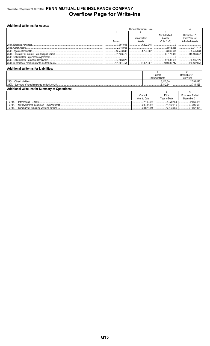# Statement as of September 30, 2017 of the PENN MUTUAL LIFE INSURANCE COMPANY **Overflow Page for Write-Ins**

# **Additional Write-ins for Assets:**

|        |             | Net Admitted  | December 31.           |
|--------|-------------|---------------|------------------------|
|        | Nonadmitted | Assets        | Prior Year Net         |
| Assets | Assets      | (Cols. 1 - 2) | <b>Admitted Assets</b> |
|        |             |               |                        |
|        |             | 2.915.966     | 3.017.447              |
|        |             |               |                        |
|        |             |               |                        |
|        |             |               |                        |
|        |             |               | $\ldots$ 36.145.125    |
|        |             |               |                        |

### **Additional Write-ins for Liabilities:**

|                                                        | Current        | December 3 เ |  |  |  |  |  |
|--------------------------------------------------------|----------------|--------------|--|--|--|--|--|
|                                                        | Statement Date | Prior Year   |  |  |  |  |  |
| 2504<br>liabilities<br>$2$ ther                        | .6.142.544     | 2.784.425    |  |  |  |  |  |
| 2597<br>Summary of remaining write-ins for Line 25     | 142.544<br>.   | 2.784.425    |  |  |  |  |  |
| <b>Additional Write-ins for Summary of Operations:</b> |                |              |  |  |  |  |  |

|       |                                             | Current      | Prior        | <b>Prior Year Ended</b> |
|-------|---------------------------------------------|--------------|--------------|-------------------------|
|       |                                             | Year to Date | Year to Date | December 31             |
| 2704  | Interest on LLC Note.                       | 2.192.664    | 1.970.150    | 2.666.426               |
| 2705  | Net Investment Income on Funds Withheld.    | 28.435.384   | .25.562.916  | 34.395.669              |
| 2797. | Summary of remaining write-ins for Line 27. | 30,628,048   | 27,533,066   | $\ldots$ 37,062,095     |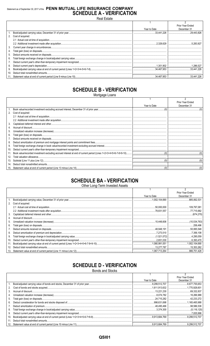# Statement as of September 30, 2017 of the PENN MUTUAL LIFE INSURANCE COMPANY **SCHEDULE A - VERIFICATION**

**Real Estate** 

|    |                      |              | Prior Year Ended |
|----|----------------------|--------------|------------------|
|    |                      | Year to Date | December 31      |
|    |                      |              |                  |
|    | 2. Cost of acquired: |              |                  |
|    |                      |              |                  |
|    |                      |              |                  |
|    |                      |              |                  |
|    |                      |              |                  |
| 5. |                      |              |                  |
| 6. |                      |              |                  |
|    |                      |              |                  |
| 8. |                      |              |                  |
| 9. |                      |              |                  |
|    |                      |              |                  |
|    |                      |              |                  |

# **SCHEDULE B - VERIFICATION**

Mortgage Loans

|     |                      |              | Prior Year Ended |
|-----|----------------------|--------------|------------------|
|     |                      | Year to Date | December 31      |
|     |                      |              |                  |
|     | 2. Cost of acquired: |              |                  |
|     |                      |              |                  |
|     |                      |              |                  |
| 3.  |                      |              |                  |
|     |                      |              |                  |
| 5.  |                      |              |                  |
| 6.  |                      |              |                  |
|     |                      |              |                  |
| 8.  |                      |              |                  |
| 9.  |                      |              |                  |
| 10. |                      |              |                  |
|     |                      |              |                  |
|     |                      |              |                  |
|     |                      |              |                  |
|     |                      |              |                  |
|     |                      |              |                  |

# **SCHEDULE BA - VERIFICATION**

Other Long-Term Invested Assets

|     |                   |              | Prior Year Ended |
|-----|-------------------|--------------|------------------|
|     |                   | Year to Date | December 31      |
|     |                   |              | 885.062.531      |
| 2.  | Cost of acquired: |              |                  |
|     |                   |              |                  |
|     |                   |              |                  |
| 3.  |                   |              |                  |
| 4.  |                   |              |                  |
| 5.  |                   |              |                  |
| 6.  |                   |              |                  |
| 7.  |                   |              |                  |
| 8.  |                   |              |                  |
| 9.  |                   |              |                  |
| 10. |                   |              |                  |
| 11. |                   |              |                  |
| 12. |                   |              | 15.353.262       |
|     |                   |              |                  |

# **SCHEDULE D - VERIFICATION**

**Bonds and Stocks** 

|    |              | Prior Year Ended |
|----|--------------|------------------|
|    | Year to Date | December 31      |
|    |              | 8,677,755.653    |
|    |              |                  |
|    |              |                  |
| 4. |              |                  |
|    |              |                  |
|    |              |                  |
|    |              |                  |
|    |              |                  |
| 9. |              |                  |
|    |              |                  |
|    |              |                  |
|    |              |                  |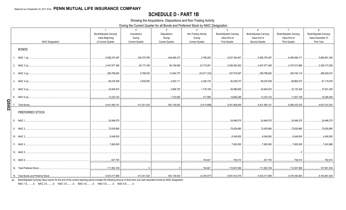# **SCHEDULE D - PART 1B**

Showing the Acquisitions, Dispositions and Non-Trading Activity

During the Current Quarter for all Bonds and Preferred Stock by NAIC Designation

|              |                           | $\overline{1}$         | 2                      | $\mathbf{3}$           | $\overline{4}$         | $5^{\circ}$                   | 6                             | $\overline{7}$                | 8                             |
|--------------|---------------------------|------------------------|------------------------|------------------------|------------------------|-------------------------------|-------------------------------|-------------------------------|-------------------------------|
|              |                           | Book/Adjusted Carrying | Acquisitions           | <b>Dispositions</b>    | Non-Trading Activity   | <b>Book/Adjusted Carrying</b> | <b>Book/Adjusted Carrying</b> | <b>Book/Adjusted Carrying</b> | <b>Book/Adjusted Carrying</b> |
|              |                           | Value Beginning        | During                 | During                 | During                 | Value End of                  | Value End of                  | Value End of                  | Value December 31             |
|              | <b>NAIC Designation</b>   | of Current Quarter     | <b>Current Quarter</b> | <b>Current Quarter</b> | <b>Current Quarter</b> | <b>First Quarter</b>          | Second Quarter                | <b>Third Quarter</b>          | Prior Year                    |
|              | <b>BONDS</b>              |                        |                        |                        |                        |                               |                               |                               |                               |
|              |                           | 6,556,376,387          | 345,379,795            | 448,486,273            | 2,796,262              | .6,527,304,647                | 6,556,376,387                 | 6,456,066,171                 | 5,899,901,349                 |
|              |                           | 2,447,877,456          | 56,173,199             | 90,156,080             | 23,719,291<br>.        | 2,409,392,492                 | 2,447,877,456                 | 2,437,613,866<br>.            | 2,309,173,256                 |
|              |                           | 299,796,692            | 9,788,530              | 14,264,770             | (35,571,333)           | 307,579,597                   | 299,796,692                   | 259,749,119                   | 289,628,910                   |
|              |                           | 69,235,548             | 2.000.000              | 4,520,111              | 2,248,135              | 82,249,273                    | 69,235,548                    | 68,963,572                    | 81,119,078                    |
|              |                           | 34.945.915             |                        | 3,988,725              | $\ldots$ .1.176.158    | , 40,596,605                  | 34.945.915                    | 32,133,348                    | 37,931,255                    |
|              |                           | $\ldots$ 13,333,153    |                        |                        | 217,589                | 14,684,295                    |                               |                               |                               |
| <b>QSI02</b> |                           | 9,421,565,151          | 413,341,524<br>.       |                        |                        | 9,381,806,909                 | 9,421,565,151                 | 9,266,353,235                 | 8,637,010,303                 |
|              | PREFERRED STOCK           |                        |                        |                        |                        |                               |                               |                               |                               |
|              |                           | 24,946,575             |                        |                        |                        | 24.946.575                    | 24.946.575                    | 24.946.575                    | 24,946,575                    |
|              |                           | 72,629,880             |                        |                        |                        | 70.629.880                    | 72.629.880                    | 72,629,880                    | 70,629,880                    |
|              |                           | 6,048,500              |                        |                        |                        | 6,048,500                     | 6,048,500                     | 6,048,500                     | 4,048,500                     |
|              |                           | 7,600,000              |                        |                        |                        | 0.7,600,000                   | 7.600.000                     | 0.7,600,000                   | 7,543,966                     |
|              |                           |                        |                        |                        |                        |                               |                               |                               |                               |
|              |                           | 627,793                |                        |                        | 154,821                |                               | $.627,793$ .                  | 782.614                       | 782,614                       |
|              | 14. Total Preferred Stock | 111,852,748            |                        | $\overline{0}$         |                        |                               |                               |                               | 107,951,535                   |
|              |                           |                        |                        |                        |                        |                               |                               |                               |                               |

(a) Book/Adjusted Carrying Value column for the end of the current reporting period includes the following amount of short-term and cash equivalent bonds by NAIC designation:

NAIC 1 \$...........0; NAIC 2 \$..........0; NAIC 3 \$...........0; NAIC 4 \$..........0; NAIC 5 \$..........0; NAIC 6 \$..........0.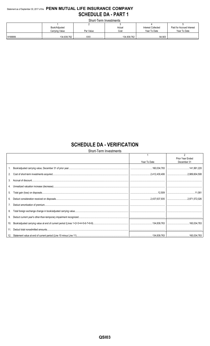# Statement as of September 30, 2017 of the PENN MUTUAL LIFE INSURANCE COMPANY **SCHEDULE DA - PART 1**

Short-Term Investments

| <u> UITUR I UITII III VUUTIUTINU</u> |           |                 |                    |                           |  |  |  |
|--------------------------------------|-----------|-----------------|--------------------|---------------------------|--|--|--|
|                                      |           |                 |                    |                           |  |  |  |
| Book/Adjusted                        |           | Actual          | Interest Collected | Paid for Accrued Interest |  |  |  |
| Carrying Value                       | Par Value | Cost            | Year To Date       | Year To Date              |  |  |  |
|                                      |           |                 |                    |                           |  |  |  |
| 134,839,762<br>                      | VVI       | 134,839,762<br> |                    |                           |  |  |  |

# **SCHEDULE DA - VERIFICATION**

Short-Term Investments

|         |              | $\mathfrak{p}$                  |
|---------|--------------|---------------------------------|
|         | Year To Date | Prior Year Ended<br>December 31 |
|         |              |                                 |
|         |              |                                 |
|         |              |                                 |
| $3_{-}$ |              |                                 |
|         |              |                                 |
| 5.      |              |                                 |
| 6.      |              |                                 |
| 7.      |              |                                 |
| 8.      |              |                                 |
| 9.      |              |                                 |
| 10.     |              |                                 |
| 11.     |              |                                 |
|         |              |                                 |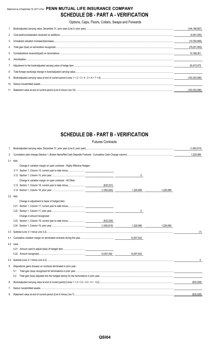# Statement as of September 30, 2017 of the **PENN MUTUAL LIFE INSURANCE COMPANY SCHEDULE DB - PART A - VERIFICATION**

Options, Caps, Floors, Collars, Swaps and Forwards

|    | (144,198,907)   |
|----|-----------------|
|    | (4,491,055)     |
|    | (10, 764, 946)  |
|    | (79, 201, 955)  |
|    | 10.168.301      |
| 6  |                 |
|    | 55,473,075      |
| 8. |                 |
|    | (193, 352, 090) |
|    |                 |
|    | (193.352.090)   |

# **SCHEDULE DB - PART B - VERIFICATION**

|     |           |                                                                         | <b>Futures Contracts</b> |            |           |             |
|-----|-----------|-------------------------------------------------------------------------|--------------------------|------------|-----------|-------------|
| 1.  |           |                                                                         |                          |            |           | (1,852,615) |
| 2.  |           |                                                                         |                          |            |           | 1,220,089   |
|     | 3.1 Add:  |                                                                         |                          |            |           |             |
|     |           | Change in variation margin on open contracts - Highly Effective Hedges: |                          |            |           |             |
|     |           |                                                                         |                          |            |           |             |
|     |           |                                                                         |                          | 0          |           |             |
|     |           | Change in variation margin on open contracts - All Other:               |                          |            |           |             |
|     |           | 3.13 Section 1, Column 18, current year to date minus                   | (632, 531)               |            |           |             |
|     |           |                                                                         | (1,852,620)              | 1,220,089  | 1,220,089 |             |
|     | 3.2 Add:  |                                                                         |                          |            |           |             |
|     |           | Change in adjustment to basis of hedged item:                           |                          |            |           |             |
|     | 3.21      |                                                                         |                          |            |           |             |
|     |           |                                                                         |                          | 0          |           |             |
|     |           | Change in amount recognized:                                            |                          |            |           |             |
|     |           | 3.23 Section 1, Column 19, current year to date minus                   | (632,529)                |            |           |             |
|     |           |                                                                         |                          | 1.220.090  | 1.220.090 |             |
|     |           |                                                                         |                          |            |           | (1)         |
| 4.1 |           |                                                                         |                          |            |           |             |
|     | 4.2 Less: |                                                                         |                          |            |           |             |
|     |           |                                                                         |                          |            |           |             |
|     |           |                                                                         |                          | 12.937.542 |           |             |
|     |           |                                                                         |                          |            |           | 0           |
| 5.  |           | Dispositions gains (losses) on contracts terminated in prior year:      |                          |            |           |             |
|     | 5.1       |                                                                         |                          |            |           |             |
|     | 5.2       |                                                                         |                          |            |           |             |
| 6.  |           |                                                                         |                          |            |           | (632, 528)  |
| 7.  |           |                                                                         |                          |            |           |             |
| 8.  |           |                                                                         |                          |            |           | (632.528)   |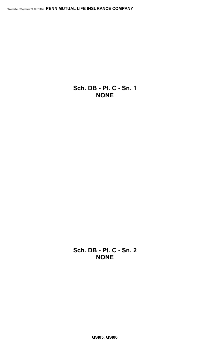**Sch. DB - Pt. C - Sn. 1 NONE**

**Sch. DB - Pt. C - Sn. 2 NONE**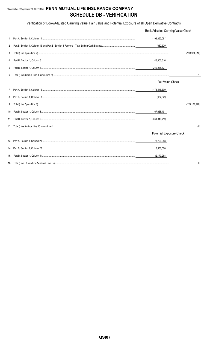# Statement as of September 30, 2017 of the PENN MUTUAL LIFE INSURANCE COMPANY **SCHEDULE DB - VERIFICATION**

Verification of Book/Adjusted Carrying Value, Fair Value and Potential Exposure of all Open Derivative Contracts

|    | Book/Adjusted Carrying Value Check |                 |
|----|------------------------------------|-----------------|
|    | (193, 352, 081)                    |                 |
|    | (632, 529)                         |                 |
| 3. |                                    | (193, 984, 610) |
| 4. | 46,300,516                         |                 |
| 5. | (240, 285, 127)                    |                 |
| 6. |                                    |                 |
|    | Fair Value Check                   |                 |
|    | (173, 548, 699)                    |                 |
|    | (632, 529)                         |                 |
| 9. |                                    | (174, 181, 228) |
|    | 67,668,491                         |                 |
|    | (241,849,719)                      |                 |
|    |                                    | (0)             |
|    | <b>Potential Exposure Check</b>    |                 |
|    | 78,790,288                         |                 |
|    | 3,380,000                          |                 |
|    | 82,170,288                         |                 |
|    |                                    |                 |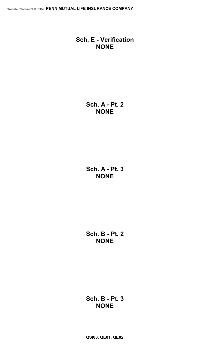# **Sch. E - Verification NONE**

**Sch. A - Pt. 2 NONE**

**Sch. A - Pt. 3 NONE**

**Sch. B - Pt. 2 NONE**

# **Sch. B - Pt. 3 NONE**

**QSI08, QE01, QE02**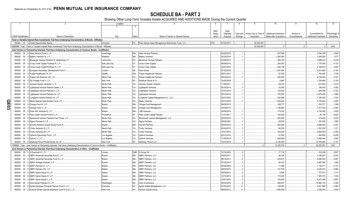# **SCHEDULE BA - PART 2**

Showing Other Long-Term Invested Assets ACQUIRED AND ADDITIONS MADE During the Current Quarter

|            |                             | $\mathfrak{D}$                                                                                                               | Location       |                        |                                                         | -6          |             | 8        | 9                      | 10                           | 11           | 12                           | 13            |
|------------|-----------------------------|------------------------------------------------------------------------------------------------------------------------------|----------------|------------------------|---------------------------------------------------------|-------------|-------------|----------|------------------------|------------------------------|--------------|------------------------------|---------------|
|            |                             |                                                                                                                              | $\mathcal{R}$  | $\overline{4}$         |                                                         |             |             |          |                        |                              |              |                              |               |
|            |                             |                                                                                                                              |                |                        |                                                         | <b>NAIC</b> | Date        |          |                        |                              |              |                              |               |
|            |                             |                                                                                                                              |                |                        |                                                         | Desig-      | Originally  | Type and | Actual Cost at Time of | <b>Additional Investment</b> | Amount of    | Commitment for               | Percentage of |
|            | <b>CUSIP</b> Identification | Name or Description                                                                                                          | City           | <b>State</b>           | Name of Vendor or General Partner                       | nation      | Acquired    | Strategy | Acquisition            | Made after Acquisition       | Encumbrances | <b>Additional Investment</b> | Ownership     |
|            |                             | Fixed or Variable Interest Rate Investments That Have Underlying Characteristics of Bonds - Affiliated                       |                |                        |                                                         |             |             |          |                        |                              |              |                              |               |
|            |                             | 000000 00 0 Credit Opportunities Series                                                                                      | Horsham        |                        | PA Penn Mutual Asset Management Multi-Series Fund, LLC. | 3FE.        | 07/03/2017. |          | .50.000.000            |                              |              |                              |               |
|            |                             | 0899999. Total - Fixed or Variable Interest Rate Investments That Have Underlying Characteristics of Bonds - Affiliated      |                |                        |                                                         |             |             |          | .50.000.000            |                              |              | 0                            | .XXX          |
|            |                             | Joint Venture or Partnership Interests That Have Underlying Characteristics of Common Stocks - Unaffiliated                  |                |                        |                                                         |             |             |          |                        |                              |              |                              |               |
|            |                             | 000000 00 0 Atlas Venture Fund X, L.P.                                                                                       | Cambridge      | <b>MA</b>              | <b>Atlas Venture Partners</b>                           |             | 03/20/2015. |          |                        | .457.956                     |              | .3.544.394                   | .2.800        |
|            | 000000                      | 00 0 Battery Ventures XI, L.P.                                                                                               | Waltham.       | <b>MA</b>              | <b>Battery Ventures</b>                                 |             | 02/22/2016. |          |                        | 1,365,000                    |              | .3,454,500                   | .1.077        |
|            | 000000                      | Bessemer Venture Partners IX Institutional L.P.<br>$00\,$                                                                    | Larchmont.     | <b>NY</b>              | <b>Bessemer Venture Partners</b>                        |             | 02/28/2015. |          |                        | 488,129                      |              | .3,806,433                   | .0.438        |
|            | 000000                      | Cross Creek Capital Partners III, L.P.<br>$00\,$                                                                             | Salt Lake City | UT                     | Cross Creek Capital.                                    |             | 08/29/2013. |          |                        | .250,000                     |              | .1,775,000                   | .6.132        |
|            | 000000                      | Cross Creek Capital Partners IV, L.P.<br>$00\,$                                                                              | Salt Lake City | UT                     | Cross Creek Capital                                     |             | 03/31/2016  |          |                        | .646.130                     |              | .4,169,870                   | .5.600        |
|            |                             |                                                                                                                              |                |                        |                                                         |             |             |          |                        |                              |              |                              |               |
|            | 000000                      | 0 European Secondary Development Fund V.<br>$00\,$                                                                           | London.        | <b>UK</b><br><b>WA</b> | Arcis Group.                                            |             | 07/22/2016. |          |                        | .1,007,664                   |              | .9,214,920                   | .4.164        |
|            | 000000                      | 0 Frazier Healthcare VII. LP.<br>$00\,$                                                                                      | Seattle.       |                        | <b>Frazier Healthcare Partners</b>                      |             | 08/01/2013. |          |                        | .87,500                      |              | 782,500                      | .1.706        |
|            | 000000                      | $00\,$<br>Frazier Life Sciences VIII, L.P.                                                                                   | Menlo Park     | CA                     | <b>Frazier Healthcare Partners</b>                      |             | 09/30/2015. |          |                        | 492,000                      |              | .6,726,000                   | .5.333        |
|            | 000000                      | GS Vintage Fund V, L.P.<br>$00\,$                                                                                            | New York.      | NY                     | Goldman Sachs & Co.                                     |             | 10/29/2008. |          |                        | .8,665                       |              | .1,354,485                   | .0.183        |
|            | 000000                      | Jackson Square Ventures I, L.P.<br>$00\,$                                                                                    | Menlo Park     | CA                     | <b>Jackson Square Ventures</b>                          |             | 11/28/2011. |          |                        | .48,322                      |              | .647,462                     | .2.416        |
|            | 000000                      | Lightspeed Venture Partners Select, L.P.<br>$00\,$                                                                           | Menlo Park     | CA                     | Lightspeed Ventures                                     |             | 03/24/2014. |          |                        | .30,000                      |              | .180,000                     | .0.462        |
|            | 000000                      | Lightspeed Venture Partners X, L.P<br>$00\,$                                                                                 | Menlo Park     | CA                     | Lightspeed Ventures                                     |             | 07/07/2014. |          |                        | 135,000                      |              | .900,000                     | .0.720        |
|            | 000000                      | Lightspeed Venture Partners XI, L.P<br>$00\,$                                                                                | Menlo Park     | CA.                    | Lightspeed Ventures                                     |             | 03/10/2016  |          |                        | .750,000                     |              | .4,875,000                   | .0.999        |
|            | 000000                      | Longitude Venture Partners III, L.P.<br>$00\,$                                                                               | Menlo Park     | CA                     | Longitude Capital Management Co., LLC.                  |             | 03/31/2016. |          |                        | .400,869                     |              | .7,345,452                   | .1.524        |
| O          | 000000                      | 0 Menlo Special Opportunities Fund, L.P.<br>$00\,$                                                                           | Menlo Park     | CA                     | Menlo Ventures                                          |             | 03/31/2016  |          |                        | 1,203,840                    |              | .3,759,632                   | .4.000        |
|            | 000000                      | $00\,$<br>0 Omega Fund IV, L.P.                                                                                              | Boston.        | MA.                    | Omega Fund Management.                                  |             | 06/20/2013. |          |                        | 106,777                      |              | .252,271                     | .1.089        |
| <b>EO3</b> | 000000                      | $00\,$<br>0 Omega Fund V, L.P.                                                                                               | Boston.        | MA                     | Omega Fund Management.                                  |             | 04/30/2015. |          |                        | 1,146,600                    |              | .7,917,443                   | .4.000        |
|            | 000000                      | 0 Point 406 Ventures III. L.P.<br>00                                                                                         | Boston.        | MA                     | .406 Ventures.                                          |             | 04/30/2015. |          |                        | .174,000                     |              | .4,752,000                   | 3.429         |
|            | 000000                      | 0 Point Judith Venture Fund III. L.P.<br>$00\,$                                                                              | Providence     | RI                     | Point Judith Capital Partners.                          |             | 11/21/2011. |          |                        | 192,000                      |              | 80,145                       | .6.620        |
|            | 000000                      | Rembrandt Venture Partners Fund Three, L.P.<br>$00\,$                                                                        | Menlo Park     | CA                     | Rembrandt Venture Management, LLC                       |             | 04/02/2012. |          |                        | 300,000                      |              | 315.000                      | .9.025        |
|            | 000000                      | Sigma Partners 8, L.P.<br>$00\,$                                                                                             | Menlo Park     | CA                     | Sigma Partners.                                         |             | 08/30/2007. |          |                        | .99,000                      |              | .397,000                     | .1.980        |
|            | 000000                      | $00\,$<br>0 Summit Partners Growth Equity Fund IX                                                                            | Boston.        | <b>MA</b>              | Summit Partners                                         |             | 09/30/2015. |          |                        | 652.000                      |              | .6.868.000                   | .0.267        |
|            | 000000                      | 0 Trinity Ventures XI, L.P.<br>$00\,$                                                                                        | Menlo Park     | CA                     | <b>Trinity Ventures.</b>                                |             | 04/04/2013. |          |                        | .90,000                      |              | .1,091,250                   | .1.371        |
|            | 000000                      | Trinity Ventures XII, L.P.<br>$00\,$                                                                                         | Menlo Park     | CA.                    | <b>Trinity Ventures.</b>                                |             | 10/31/2015. |          |                        | 160,000                      |              | .5,800,000                   | .2.000        |
|            | 000000                      | 0 Upfront Opportunity Fund I, L.P.<br>$00\,$                                                                                 | Los Angeles.   | CA                     | <b>Upfront Ventures</b>                                 |             | 03/31/2015. |          |                        | .91,553                      |              | .845,850                     | .6.000        |
|            | 000000                      | $00\,$<br>0 Upfront V, L.P.                                                                                                  | Los Angeles    | CA                     | <b>Upfront Ventures</b>                                 |             | 11/30/2014. |          |                        | .648.069                     |              | .2,908,444                   | .2.500        |
|            | 000000                      | 00 0 Warburg Pincus Private Equity XII, LP.                                                                                  | New York.      | <b>NY</b>              | Warburg, Pincus LLC.                                    |             | 12/21/2015. |          |                        | .2,194,500                   |              | 10,763,500                   | 0.147         |
|            |                             | 1599999. Total - Joint Venture or Partnership Interests That Have Underlying Characteristics of Common Stocks - Unaffiliated |                |                        |                                                         |             |             |          |                        | .13,225,574                  |              | .94,526,551                  | XXX           |
|            |                             | Joint Venture or Partnership Interests That Have Underlying Characteristics of Other - Unaffiliated                          |                |                        |                                                         |             |             |          |                        |                              |              |                              |               |
|            | 000000                      | 0 3i Eurofund IV, L.P.<br>00                                                                                                 | London         |                        | GBR. 3i Group Plc.                                      |             | 12/10/2003. |          |                        | .17,730                      |              | .233.326                     | .0.807        |
|            | 000000                      | $00\,$<br>ABRY Advanced Securities Fund II. L.P.                                                                             | Boston.        | MA.                    | <b>ABRY Partners, LLC</b>                               |             | 05/04/2011. |          |                        | .36,328                      |              | .3,185,527                   | .0.553        |
|            | 000000                      | ABRY Advanced Securities Fund III, L.P.<br>$00\,$                                                                            | Boston.        | MA.                    | <b>ABRY Partners, LLC</b>                               |             | 09/14/2011. |          |                        | .243.975                     |              | .5,580,204                   | 0.667         |
|            | 000000                      | ABRY Heritage Partners, L.P.<br>$00\,$                                                                                       | Boston.        | MA.                    | <b>ABRY Partners, LLC</b>                               |             | 07/22/2016. |          |                        | .95,323                      |              | .4,657,092                   | .1.048        |
|            | 000000                      | $00\,$<br>ABRY Partners VI. L.P.                                                                                             | Boston.        | MA.                    | <b>ABRY Partners, LLC</b>                               |             | 03/26/2008. |          |                        | .17.468                      |              | .1,149,771                   | .0.721        |
|            | 000000                      | $00\,$<br>ABRY Partners VIII, L.P.                                                                                           | Boston.        | MA.                    | <b>ABRY Partners, LLC</b>                               |             | 09/30/2014. |          |                        | 137,578                      |              | .2,426,914                   | .0.684        |
|            | 000000                      | $00\,$<br>ABRY Senior Equity III, L.P                                                                                        | Boston.        | MA.                    | <b>ABRY Partners, LLC</b>                               |             | 08/09/2010. |          |                        | .5.548                       |              | 757,273                      | .1.314        |
|            | 000000                      | $00\,$                                                                                                                       | Boston.        | MA.                    | <b>ABRY Partners, LLC</b>                               |             | 12/12/2012  |          |                        | .118,245                     |              | .1,087,474                   | .1.022        |
|            |                             | ABRY Senior Equity IV, L.P                                                                                                   | Boston.        | MA.                    | <b>ABRY Partners, LLC</b>                               |             |             |          |                        |                              |              |                              | .0.857        |
|            | 000000                      | $00\,$<br>ABRY Senior Equity V, L.P.                                                                                         |                |                        |                                                         |             | 12/01/2016. |          |                        | 109,034                      |              | .8,321,466                   |               |
|            | 000000                      | $00\,$<br>Acon Equity Partners IV, L.P.                                                                                      | Washington     | DC                     | Acon Investments                                        |             | 04/22/2016. |          |                        | 298,237                      |              | 16,983,123                   | .3.460        |
|            | 000000                      | 0 Apollo European Principal Finance Fund II, L.P.<br>$00\,$                                                                  | Purchase       | NY                     | Apollo Global Management, LLC                           |             | 07/23/2012. |          |                        | 108,003                      |              | .2,617,988                   | .0.565        |
|            | 000000                      | 00 0 Avenue Europe Special Situations Fund III (U.S.), L.P.                                                                  | New York.      |                        | NY Avenue Capital Group                                 |             | 06/05/2015  |          |                        | .1,600,000                   |              | .2,528,443                   | .0.800        |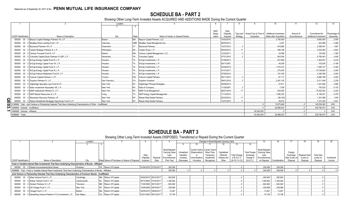# **SCHEDULE BA - PART 2**

Showing Other Long-Term Invested Assets ACQUIRED AND ADDITIONS MADE During the Current Quarter

|                                      |                                                                                                                       | Location       |           |                                     |             |             |          |                                   | 10                           |              |                       | 13            |
|--------------------------------------|-----------------------------------------------------------------------------------------------------------------------|----------------|-----------|-------------------------------------|-------------|-------------|----------|-----------------------------------|------------------------------|--------------|-----------------------|---------------|
|                                      |                                                                                                                       |                |           |                                     |             |             |          |                                   |                              |              |                       |               |
|                                      |                                                                                                                       |                |           |                                     | <b>NAIC</b> | Date        |          |                                   |                              |              |                       |               |
|                                      |                                                                                                                       |                |           |                                     | Desig-      | Originally  |          | Type and   Actual Cost at Time of | <b>Additional Investment</b> | Amount of    | Commitment for        | Percentage of |
| <b>CUSIP</b> Identification          | Name or Description                                                                                                   | City           | State     | Name of Vendor or General Partner   | nation      | Acquired    | Strategy | Acquisition                       | Made after Acquisition       | Encumbrances | Additional Investment | Ownership     |
|                                      | 000000 00 0 Beacon Capital Strategic Partners VII, L.P.                                                               | Boston.        |           | MA Beacon Capital Partners, LLC.    |             | 10/20/2015. |          |                                   | .2.150.000                   |              | .9,800,000            | .2.000        |
| 000000                               | 00 0 BlueBay Direct Lending Fund I, LP.                                                                               | Guernsey       |           | GBR. BlueBay Asset Management plc.  |             | 06/25/2013. |          |                                   | 4.291                        |              | 524.289               | .0.288        |
| 000000                               | 00 0 Brynwood Partners VII L.P.                                                                                       | Greenwich.     |           | CT Brynwood Partners                |             | 12/27/2013. |          |                                   | .916.666                     |              | .2,556,401            | .1.667        |
| 000000                               | 00 0 Carlyle Strategic Partners III, L.P.                                                                             | Wilminaton     |           | DE Carlyle Group, L.P               |             | 09/30/2012. |          |                                   | .390.169                     |              | .3.033.063            | .0.843        |
| 000000                               | 00 0 Century Focused Fund III, L.P.                                                                                   | Boston         |           | MA Century Capital Management, LLC. |             | 12/22/2011. |          |                                   | 34.586                       |              | 120.493               | .1.383        |
|                                      | 000000 00 0 Columbia Capital Equity Partners VI (QP), L.P.                                                            | Alexandria.    |           | VA Columbia Capital                 |             | 07/31/2015. |          |                                   | .802.004                     |              | 6,760,443             | .2.400        |
| 000000                               | 00 0 EnCap Energy Capital Fund IX, L.P.                                                                               | Houston.       | TX.       | EnCap Investments, L.P.             |             | 01/08/2013. |          |                                   | .527.990                     |              | .1,904,972            | .0.233        |
| 000000                               | 00 0 EnCap Energy Capital Fund VII, L.P.                                                                              | Houston.       | TX.       | EnCap Investments, L.P.             |             | 09/17/2007. |          |                                   | .40.000                      |              | 153.005               | .0.196        |
| 000000                               | 00 0 EnCap Energy Capital Fund X, L.P.                                                                                | Houston.       |           | TX EnCap Investments, L.P           |             | 02/28/2015. |          |                                   | 1.375.012                    |              | 7,839,127             | .0.340        |
| 000000                               | 00 0 EnCap Energy Capital Fund XI, L.P.                                                                               | Houston.       | TX.       | EnCap Investments, L.P.             |             | 01/31/2017. |          |                                   | .270.400                     |              | 15,729,600            | .0.246        |
| 000000                               | 00 0 EnCap Flatrock Midstream Fund III, L.P                                                                           | Houston.       | <b>TX</b> | EnCap Investments, L.P.             |             | 07/09/2014. |          |                                   | 181.300                      |              | 3.346.356             | .0.200        |
|                                      | 000000 00 0 Fulcrum Capital Partners V, LP.                                                                           | Toronto.       |           | ON Fulcrum Capital Partners.        |             | 06/11/2015. |          |                                   | .87.117                      |              | 6,656,786             | .4.000        |
| 000000                               | 00 0 Gryphon Partners IV, L.P.                                                                                        | San Francisco. | CA.       | Gryphon Investors                   |             | 09/01/2016. |          |                                   | .2,261,125                   |              | .5,511,048            | .2.238        |
| 000000                               | 00 0 Highbridge Specialty Loan Fund III LP                                                                            | New York       |           | Highbridge Principal Strategies.    |             | 05/06/2013. |          |                                   | .47.811                      |              | .1,041,646            | .3.594        |
| 000000                               | 00 0 Kelso Investment Associates VIII, L.P.                                                                           | New York.      |           | Kelso & Company                     |             | 11/29/2007. |          |                                   | 7,539                        |              | 755,520               | .0.103        |
| 000000                               | 00 0 MHR Institutional Partners IV, L.P.                                                                              | New York.      |           | MHR Fund Management.                |             | 06/27/2016. |          |                                   | .250.000                     |              | 15.352.402            | .2.222        |
| 000000                               | 00 0 NGP Natural Resources XI. L.P.                                                                                   | Irving         | TX.       | NGP Energy Capital Management.      |             | 11/14/2014. |          |                                   | 1.556.333                    |              | .6, 126, 301          | 0.378         |
|                                      | 000000 00 0 Resolution Recovery Partners, LP                                                                          | New York       | <b>NY</b> | Ranieri Real Estate Partners.       |             | 02/03/2012  |          |                                   | (56, 162)                    |              | .1,301,969            | .1.000        |
| <u>ဂ</u> ္ဂ<br>000000                | 00 0 Selene Residential Mortgage Opportunity Fund II L.P                                                              | New York.      | NY .      | Ranieri Real Estate Partners        |             | 12/27/2010  |          |                                   | .39,819                      |              | .7.212.340            | 2.521         |
| o                                    | 2199999. Total - Joint Venture or Partnership Interests That Have Underlying Characteristics of Other - Unaffiliated. |                |           |                                     |             |             |          |                                   | .13.673.469                  |              | .145,254,362          | XXX           |
| ယ၊                                   | 4499999. Subtotal - Unaffiliated.                                                                                     |                |           |                                     |             |             |          |                                   | .26.899.043                  |              | 239,780,913           | XXX           |
| ∸<br>4599999. Subtotal - Affiliated. |                                                                                                                       |                |           |                                     |             |             |          | .50,000,000                       |                              |              |                       | XXX           |
| 4699999. Totals.                     |                                                                                                                       |                |           |                                     |             |             |          | 50.000.000                        | .26.899.043                  |              | 239,780,913           | $XXX$         |

# **SCHEDULE BA - PART 3**

Showing Other Long-Term Invested Assets DISPOSED, Transferred or Repaid During the Current Quarter

|                             |                                                                                                                          | Location       |                                               |                        |                  |                             |                       |                                 |                          | Changes in Book/Adjusted Carrying Value |                                |                       |                             |                |                           | 18                    |                       |                      |
|-----------------------------|--------------------------------------------------------------------------------------------------------------------------|----------------|-----------------------------------------------|------------------------|------------------|-----------------------------|-----------------------|---------------------------------|--------------------------|-----------------------------------------|--------------------------------|-----------------------|-----------------------------|----------------|---------------------------|-----------------------|-----------------------|----------------------|
|                             |                                                                                                                          |                |                                               |                        |                  |                             |                       |                                 |                          |                                         |                                | 14                    |                             |                |                           |                       |                       |                      |
|                             |                                                                                                                          |                |                                               |                        |                  |                             |                       |                                 |                          |                                         |                                |                       |                             |                |                           |                       |                       |                      |
|                             |                                                                                                                          |                |                                               |                        |                  | Book/Adjusted               |                       | Current Year's   Current Year's |                          |                                         |                                |                       | Book/Adjusted               |                |                           |                       |                       |                      |
|                             |                                                                                                                          |                |                                               |                        |                  | <b>Carrying Value</b>       | Unrealized            | (Depreciation)                  | Other-Than-              | Capitalized                             |                                | <b>Total Foreign</b>  | <b>Carrying Value</b>       |                | Foreian                   |                       |                       |                      |
|                             |                                                                                                                          |                |                                               | Date                   |                  | Less                        | Valuation             | or                              | Temporary                | Deferred                                | <b>Total Change</b>            | Exchange              | Less                        |                | Exchange                  | <b>Realized Gain</b>  | <b>Total Gain</b>     |                      |
| <b>CUSIP</b> Identification | Name or Description                                                                                                      |                | State Name of Purchaser or Nature of Disposal | Originally<br>Acquired | Disposal<br>Date | Encumbrances,<br>Prior Year | Increase<br>(Decrease | (Amortization)<br>Accretion     | Impairment<br>Recognized | nterest and<br>Other                    | in B./A.C.V.<br>$(9+10-11+12)$ | Change in<br>B./A.C.V | Encumbrances<br>on Disposal | Consideration  | Gain (Loss) on<br>Disposa | (Loss) on<br>Disposal | (Loss) on<br>Disposal | Investment<br>Income |
|                             |                                                                                                                          |                |                                               |                        |                  |                             |                       |                                 |                          |                                         |                                |                       |                             |                |                           |                       |                       |                      |
|                             | Fixed or Variable Interest Rate Investments That Have Underlying Characteristics of Bonds - Affiliated                   |                |                                               |                        |                  |                             |                       |                                 |                          |                                         |                                |                       |                             |                |                           |                       |                       |                      |
|                             | 000000 00 0 Global Unconstrained Bond Series                                                                             | Horsham        | PA., Return Of Capital.                       | 01/04/2016 07/03/2017  |                  | .208,369                    |                       |                                 |                          |                                         |                                |                       | .208,369                    | .208,369       |                           |                       |                       |                      |
|                             | 0899999. Total - Fixed or Variable Interest Rate Investments That Have Underlying Characteristics of Bonds - Affiliated. |                |                                               |                        |                  | .208.369                    |                       |                                 |                          |                                         |                                |                       | .208,369                    | .208.369       |                           |                       |                       |                      |
|                             | Joint Venture or Partnership Interests That Have Underlying Characteristics of Common Stocks - Unaffiliated              |                |                                               |                        |                  |                             |                       |                                 |                          |                                         |                                |                       |                             |                |                           |                       |                       |                      |
|                             | 000000 00 0 Atlas Venture Fund X, L.P                                                                                    | Cambridge      | MA. Return Of Capital.                        | 03/20/2015 09/12/2017  |                  | 262,645                     |                       |                                 |                          |                                         |                                |                       | .262,645                    | .262,645       |                           |                       |                       |                      |
|                             | 000000 00 0 Edison Venture Fund V, LP                                                                                    | Lawrenceville. | NJ Return Of Capital                          | 05/13/2002 07/24/2017  |                  | 1,326,262                   |                       |                                 |                          |                                         |                                |                       | 1,326,262                   | .1,326,262     |                           |                       |                       |                      |
|                             | 000000 00 0 Grotech Partners VI, L.P.                                                                                    | Timonium.      | MD. Return Of Capital.                        | 11/20/2000 09/13/2017  |                  | 640.492                     |                       |                                 |                          |                                         |                                |                       | .640,492                    | .640,492       |                           |                       |                       |                      |
|                             | 000000 00 0 GS Vintage Fund V, L.P                                                                                       | New York       | NY Return Of Capital.                         | 10/29/2008 09/18/2017  |                  | .228.068                    |                       |                                 |                          |                                         |                                |                       | .228,068                    | .228.068       |                           |                       |                       |                      |
| 000000                      | 00 0 Omega Fund V, L.P                                                                                                   | Boston.        | MA. Return Of Capital                         | 04/30/2015 09/26/2017  |                  | .13.261                     |                       |                                 |                          |                                         |                                |                       | .13,261                     | $\dots$ 13,261 |                           |                       |                       |                      |
| 000000                      | 00 0 Sanderling Venture Partners VI Co-Investment, L.P                                                                   | San Mateo.     | CA Return Of Capital.                         | 03/31/2005 09/12/2017  |                  | .70.159                     |                       |                                 |                          |                                         |                                |                       | .70,159                     | 70.159         |                           |                       |                       |                      |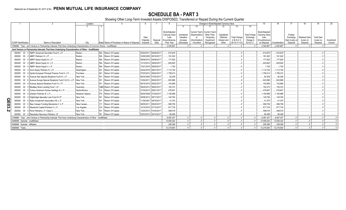SCHEDULE BA - PART 3<br>Showing Other Long-Term Invested Assets DISPOSED, Transferred or Repaid During the Current Quarter

|           |                                |        |                                                                                                                               | Location        |                                               |                        |                       |                             |                        |                                 | Changes in Book/Adjusted Carrying Value |                       |                                 |                        | 15                          |               |                            |                       |                       | 20         |
|-----------|--------------------------------|--------|-------------------------------------------------------------------------------------------------------------------------------|-----------------|-----------------------------------------------|------------------------|-----------------------|-----------------------------|------------------------|---------------------------------|-----------------------------------------|-----------------------|---------------------------------|------------------------|-----------------------------|---------------|----------------------------|-----------------------|-----------------------|------------|
|           |                                |        |                                                                                                                               |                 |                                               |                        |                       |                             |                        | 10                              |                                         | 12 <sup>1</sup>       | 13                              | 14                     |                             |               |                            |                       |                       |            |
|           |                                |        |                                                                                                                               |                 |                                               |                        |                       | Book/Adjusted               |                        | Current Year's   Current Year's |                                         |                       |                                 |                        | Book/Adjusted               |               |                            |                       |                       |            |
|           |                                |        |                                                                                                                               |                 |                                               |                        |                       | Carrying Value              | Unrealized             | (Depreciation)                  | Other-Than-                             | Capitalized           |                                 | <b>Total Foreign</b>   | <b>Carrying Value</b>       |               | Foreign                    |                       |                       |            |
|           |                                |        |                                                                                                                               |                 |                                               | Date                   |                       | Less                        | Valuation              | or                              | Temporary                               | Deferred              | <b>Total Change</b>             | Exchange               | l ess                       |               | Exchange                   | Realized Gain         | <b>Total Gain</b>     |            |
|           | CUSIP Identification           |        | Name or Description                                                                                                           | City            | State Name of Purchaser or Nature of Disposal | Originally<br>Acauired | Disposal<br>Date      | Encumbrances.<br>Prior Year | Increase<br>(Decrease) | (Amortization)<br>/ Accretion   | Impairment<br>Recognized                | Interest and<br>Other | in $B.A.C.V.$<br>$(9+10-11+12)$ | Change in<br>B./A.C.V. | Encumbrances<br>on Disposal | Consideration | Gain (Loss) on<br>Disposal | (Loss) on<br>Disposal | (Loss) on<br>Disposal | Investment |
|           |                                |        | 1599999. Total - Joint Venture or Partnership Interests That Have Underlying Characteristics of Common Stocks - Unaffiliated. |                 |                                               |                        |                       | .2.540.887                  |                        |                                 |                                         |                       |                                 |                        | 2.540.887                   | 2.540.887     |                            |                       |                       | Income     |
|           |                                |        | Joint Venture or Partnership Interests That Have Underlying Characteristics of Other - Unaffiliated                           |                 |                                               |                        |                       |                             |                        |                                 |                                         |                       |                                 |                        |                             |               |                            |                       |                       |            |
|           |                                |        | 000000 00 0 ABRY Advanced Securities Fund II, L.P.                                                                            | Boston.         | MA. Return Of Capital.                        |                        | 05/04/2011 09/28/2017 | .610,679                    |                        |                                 |                                         |                       |                                 |                        | 610,679                     | 610,679       |                            |                       |                       |            |
|           | 000000                         |        | 00 0 ABRY Partners VI, L.P.                                                                                                   | Boston.         | MA. Return Of Capital.                        |                        | 03/26/2008 08/16/2017 | .161,402                    |                        |                                 |                                         |                       |                                 |                        | .161,402                    | 161.402       |                            |                       |                       |            |
|           | 000000                         | $00\,$ | 0 ABRY Senior Equity III, L.P.                                                                                                | Boston.         | MA.<br>Return Of Capital.                     |                        | 08/09/2010 09/08/2017 | .177.625                    |                        |                                 |                                         |                       |                                 |                        | 177,625                     | 177,625       |                            |                       |                       |            |
|           | 000000                         | $00\,$ | 0 ABRY Senior Equity IV, L.P.                                                                                                 | Boston.         | MA.<br>Return Of Capital.                     |                        | 12/12/2012 09/05/2017 | 629,925                     |                        |                                 |                                         |                       |                                 |                        | 629.925                     | .629.925      |                            |                       |                       |            |
|           | 000000                         | $00\,$ | 0 ABRY Senior Equity V, L.P.                                                                                                  | Boston.         | MA. Return Of Capital.                        |                        | 12/01/2016 08/29/2017 | .1,793                      |                        |                                 |                                         |                       |                                 |                        | .1.793                      | .1.793        |                            |                       |                       |            |
|           | 000000                         | $00\,$ | 0 Acon Equity Partners IV, L.P.                                                                                               | Washington.     | DC Return Of Capital.                         |                        | 04/22/2016 08/01/2017 | .1,112,744                  |                        |                                 |                                         |                       |                                 |                        | .1,112,744                  | .1,112,744    |                            |                       |                       |            |
|           | 000000                         | 00     | 0 Apollo European Principal Finance Fund II, L.P.                                                                             | Purchase.       | NY. Return Of Capital.                        |                        | 07/23/2012 08/24/2017 | 1,759,214                   |                        |                                 |                                         |                       |                                 |                        | .1,759,214                  | .1.759.214    |                            |                       |                       |            |
|           | 000000                         | $00\,$ | 0 Avenue Asia Special Situations Fund IV, L.P.                                                                                | New York.       | NY Return Of Capital.                         |                        | 06/30/2006 07/20/2017 | .92.209                     |                        |                                 |                                         |                       |                                 |                        | .92,209                     | .92.209       |                            |                       |                       |            |
|           | 000000                         | $00\,$ | 0 Avenue Europe Special Situations Fund II (U.S.), L.P                                                                        | New York.       | NY Return Of Capital.                         | 10/04/2011             | 09/22/2017            | .843,896                    |                        |                                 |                                         |                       |                                 |                        | .843,896                    | .843,896      |                            |                       |                       |            |
|           | 000000                         | $00\,$ | 0 Avenue Special Situations Fund VI, L.P.                                                                                     | New York.       | NY., Return Of Capital.                       | 06/15/2010             | 09/22/2017            | .152,869                    |                        |                                 |                                         |                       |                                 |                        | .152,869                    | .152.869      |                            |                       |                       |            |
|           | 000000                         | $00\,$ | 0 BlueBay Direct Lending Fund I, LP.                                                                                          | Guernsev.       | GBR Return Of Capital.                        |                        | 06/25/2013 08/02/2017 | .100,372                    |                        |                                 |                                         |                       |                                 |                        | .100,372                    | .100,372      |                            |                       |                       |            |
|           | 000000                         |        | 00 0 Colony American Homes Holdings III, L.P.                                                                                 | Santa Monica.   | CA Return Of Capital.                         |                        | 01/30/2013 09/01/2017 | .476.847                    |                        |                                 |                                         |                       |                                 |                        | 476,847                     | 476.847       |                            |                       |                       |            |
|           | 000000                         | $00\,$ | 0 Graham Partners III. L.P.                                                                                                   | Newtown Sgaure. | PA Return Of Capital.                         | 09/30/2008             | 07/20/2017            | 1,155,998                   |                        |                                 |                                         |                       |                                 |                        | 1,155,998                   | .1.155.998    |                            |                       |                       |            |
|           | 000000                         |        | 00 0 Highbridge Specialty Loan Fund III LP.                                                                                   | New York.       | NY Return Of Capital.                         |                        | 05/06/2013 08/17/2017 | .145.784                    |                        |                                 |                                         |                       |                                 |                        | .145,784                    | 145.784       |                            |                       |                       |            |
| <b>OE</b> | 000000                         |        | 00 0 Kelso Investment Associates VIII, L.P.                                                                                   | New York        | NY Return Of Capital.                         |                        | 11/29/2007 09/18/2017 | .41,075                     |                        |                                 |                                         |                       |                                 |                        | .41,075                     | .41.075       |                            |                       |                       |            |
|           | 000000                         |        | 00 0 New Canaan Funding Mezzanine V, L.P.                                                                                     | New Canaan.     | CT., Return Of Capital.                       | 08/05/2011             | 09/20/2017            | 598,756                     |                        |                                 |                                         |                       |                                 |                        | 598,756                     | 598.756       |                            |                       |                       |            |
| င္လ       | 000000                         |        | 00 0 Newstone Capital Partners II, L.P.                                                                                       | Los Angeles.    | CA Return Of Capital.                         |                        | 12/10/2010 07/14/2017 | 817,734                     |                        |                                 |                                         |                       |                                 |                        | 817,734                     | 817.734       |                            |                       |                       |            |
| N         |                                |        | 000000 00 0 Perry Partners L.P. Class C.                                                                                      | New York.       | NY Return Of Capital.                         |                        | 12/24/2014 07/20/2017 | 499,016                     |                        |                                 |                                         |                       |                                 |                        | 499,016                     | 499.016       |                            |                       |                       |            |
|           | 000000                         |        | 00 0 Resolution Recovery Partners, LP                                                                                         | New York.       | NY. Return Of Capital.                        |                        | 02/03/2012 09/14/2017 | .89,499                     |                        |                                 |                                         |                       |                                 |                        | 89.499                      | 89.499        |                            |                       |                       |            |
|           |                                |        | 2199999. Total - Joint Venture or Partnership Interests That Have Underlying Characteristics of Other - Unaffiliated.         |                 |                                               |                        |                       | 9.467.437                   |                        |                                 |                                         |                       |                                 |                        | .9.467.437                  | .9.467.437    |                            |                       |                       |            |
|           |                                |        | 4499999. Subtotal - Unaffiliated.                                                                                             |                 |                                               |                        |                       | .12.008.324                 |                        |                                 |                                         |                       |                                 |                        | 12.008.324                  | .12.008.324   |                            |                       |                       |            |
|           | 4599999. Subtotal - Affiliated |        |                                                                                                                               |                 |                                               |                        |                       | 208.369                     |                        |                                 |                                         |                       |                                 |                        | 208.369                     | 208.369       |                            |                       |                       |            |
|           | 4699999. Totals.               |        |                                                                                                                               |                 |                                               |                        |                       | 12,216,693                  |                        |                                 |                                         |                       |                                 |                        | .12,216,693                 | 12,216,693    |                            |                       |                       |            |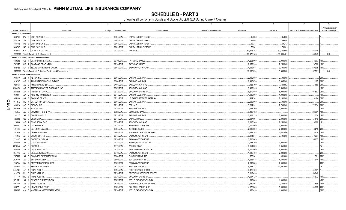**SCHEDULE D - PART 3**<br>Showing all Long-Term Bonds and Stocks ACQUIRED During Current Quarter

|              |                             |                | $\overline{2}$<br>$\overline{\mathbf{3}}$                       | $\overline{4}$ | 5                              | 6                         | $\overline{7}$     | 8           | -9                                      | 10                   |
|--------------|-----------------------------|----------------|-----------------------------------------------------------------|----------------|--------------------------------|---------------------------|--------------------|-------------|-----------------------------------------|----------------------|
|              |                             |                |                                                                 |                |                                |                           |                    |             |                                         | NAIC Designation or  |
|              | <b>CUSIP</b> Identification |                | Description<br>Foreign                                          | Date Acquired  | Name of Vendor                 | Number of Shares of Stock | <b>Actual Cost</b> | Par Value   | Paid for Accrued Interest and Dividends | Market Indicator (a) |
|              | Bonds - U.S. Government     |                |                                                                 |                |                                |                           |                    |             |                                         |                      |
|              |                             |                | 38378B 2W 8 GNR 2012-150 Z.                                     | 09/01/2017.    | CAPITALIZED INTEREST.          |                           | .95,363            | .95,363     |                                         |                      |
|              | 38378B                      | 3F             | 4 GNR 2012-147 Z.                                               | 09/01/2017.    | <b>CAPITALIZED INTEREST</b>    |                           | .29,994            | .29,994     |                                         |                      |
|              | 38378B                      |                | M6 3 GNR 2012-120 Z.                                            | 09/01/2017.    | CAPITALIZED INTEREST           |                           | .59,243            | .59,243     |                                         |                      |
|              | 38378B                      |                | N5 4 GNR 2012-125 Z.                                            | 09/01/2017.    | <b>CAPITALIZED INTEREST</b>    |                           | .73,301            | .73,301     |                                         |                      |
|              |                             |                | 912810 RW 0 US TII .875 02/15/47.                               | 09/27/2017.    | VARIOUS.                       |                           | 50,218,252         | .50,706,500 | 53,049                                  |                      |
|              |                             |                | 0599999. Total - Bonds - U.S. Government.                       |                |                                |                           | .50,476,153        | .50,964,40  | .53,049                                 | XXX.                 |
|              |                             |                | Bonds - U.S. States, Territories and Possessions                |                |                                |                           |                    |             |                                         |                      |
|              | 130685                      |                | C8 1 CA PUB WKS-B2-TXB                                          | 09/19/2017.    | RAYMOND JAMES.                 |                           | 4,263,000          | .3,000,000  | 13,007 1FE.                             |                      |
|              | 732155                      |                | CQ 7 POMPANO BEACH-TXBL                                         | 09/18/2017.    | RAYMOND JAMES.                 |                           | 2,359,350          | .2,250,000  | .23,586                                 | 1FE                  |
|              | 882722                      |                | KF 7   TEXAS STATE TRANS COMM                                   | 08/04/2017.    | SALOMON/CITIGROUP.             |                           | .4.059.974         | 3.105.000   | .60,908                                 | 1FE                  |
|              |                             |                | 1799999. Total - Bonds - U.S. States, Territories & Possessions |                |                                |                           | 10,682,324         | 8,355,000   | .97,501                                 | XXX                  |
|              |                             |                | <b>Bonds - Industrial and Miscellaneous</b>                     |                |                                |                           |                    |             |                                         |                      |
|              |                             |                | 00817Y AZ 1 AETNA INC.                                          | 08/07/2017.    | <b>BANK OF AMERICA</b>         |                           | .2,492,050         | .2,500,000  |                                         | 2FE                  |
|              | 01626P                      | AG             | 1 ALIMENTATION COUCHE-TARD                                      | 08/04/2017.    | <b>BANK OF AMERICA</b>         |                           | .6,995,076         | 6,835,000   | .11,107                                 | 2FE                  |
|              | 02376T                      |                | AC 2 AM AIRLINE 13-2 B.                                         | 07/05/2017.    | <b>BARCLAYS CAPITAL</b>        |                           | .155,399           | .148,992    | .4,056                                  |                      |
|              | 03040W                      |                | AR 6 AMERICAN WATER WORKS CO, INC                               | 08/07/2017.    | JP MORGAN CHASE.               |                           | 3,489,255          | .3,500,000  |                                         |                      |
|              | 034863                      | AR             | AALLN 4 3/4 04/10/27.                                           | 09/12/2017.    | GOLDMAN SACHS & CO.            |                           | .5,270,850         | .5,000,000  | 101,597                                 |                      |
|              | 03939P                      | AA             | 2 ARCHMS 8 1/2 09/15/25.                                        | 08/14/2017.    | <b>BANK OF AMERICA.</b>        |                           | .1,000,000         | .1,000,000  |                                         |                      |
|              | 05518V                      |                | AA 3 BAC CAP TR XIV                                             | 07/12/2017.    | US BANCORP/PIPER JAFFRAY       |                           | .1,904,381         | 2,161,000   | .8,164                                  | 3FE                  |
| Q            | 05526D                      | BE<br>$\Delta$ | BATSLN 4.54 08/15/47                                            | 08/08/2017.    | <b>BANK OF AMERICA.</b>        |                           | .2,500,000         | .2,500,000  |                                         |                      |
| m            | 09062X                      | AD             | <b>BIOGEN INC</b>                                               | 09/12/2017.    | SEELAUS.                       |                           | 3,204,931          | 2,786,000   | 72,034                                  |                      |
| $\mathbf{a}$ | 09256B                      |                | AK 3 BX 4 10/02/47.                                             | 09/25/2017.    | <b>BANK OF AMERICA</b>         |                           | 2,442,300          | .2,500,000  |                                         |                      |
|              | 12595E                      |                | AE 5 COMM 2017-COR2 XA                                          | 09/22/2017.    | DEUTSCHE BANK.                 |                           | 3,490,132          |             | .33,951                                 | 1FF                  |
|              | 12622D                      | AJ             | 3 COMM 2010-C1 C.                                               | 09/13/2017.    | <b>BANK OF AMERICA</b>         |                           | .5,403,125         | .5,000,000  | 12,034                                  |                      |
|              | 126408                      | GY             | 3 CSX CORP.                                                     | 09/18/2017.    | <b>BNP PARIBAS.</b>            |                           | .2,907,594         | 2,891,000   | .1,646                                  |                      |
|              | 12649A                      |                | AQ 2   CSMC 2014-USA E.                                         | 08/28/2017.    | JP MORGAN CHASE.               |                           | 2,035,986          | .2,250,000  | .8,200                                  |                      |
|              | 12656*                      | AP             | 7 CSL FINANCE.                                                  | 09/12/2017.    | SALOMON/CITIGROUP.             |                           | 1,000,000          | 1,000,000   |                                         |                      |
|              | 14918M                      | AU             | 7 CATLK 2015-2A DR                                              | 08/04/2017.    | JEFFERIES & CO                 |                           | .2,380,000         | 2,380,000   | .8,216 2FE                              |                      |
|              | 16164A                      | AC<br>-9       | CHASE 2016-2 M2.                                                | 08/08/2017.    | AURIGA GLOBAL INVERTORS        |                           | .3,483,248         | 3,387,446   | .3,529                                  |                      |
|              | 17326D                      | AH<br>- 5      | CGCMT 2017-P8 C.                                                | 09/18/2017.    | SALOMON/CITIGROUP              |                           | .3,114,317         | .3,101,000  | 10,304                                  |                      |
|              | 17326D                      | AJ             | CGCMT 2017-P8 XA.                                               | 09/20/2017.    | SALOMON/CITIGROUP.             |                           | 3,500,849          |             | .35,657                                 |                      |
|              | 20605P                      | AJ<br>$\cap$   | CXO 4 7/8 10/01/47                                              | 09/15/2017.    | STIFEL, NICOLAUS & CO.         |                           | 3,081,390          | .3,000,000  |                                         | 2FE                  |
|              | 22160@                      | AA<br>- 6      | COSTCO.                                                         | 09/12/2017.    | WILLIAM BLAIR                  |                           | .3,651,000         | 3,651,000   |                                         |                      |
|              | 233046                      | AE 1           | DNKN 2017-1A A2I.                                               | 09/14/2017.    | <b>GUGGENHEIM SECURITIES</b>   |                           | .4,000,000         | .4,000,000  |                                         | 2FF                  |
|              | 25470D                      | AR             | DISCA 3.95 03/20/28.                                            | 09/12/2017.    | SALOMON/CITIGROUP.             |                           | 1,986,760          | .2,000,000  |                                         | 2FE                  |
|              | 257469                      | AJ             | DOMINION RESOURCES INC                                          | 08/04/2017.    | SUSQUEHANNA INTL               |                           | .556,301           | .481,000    | .561                                    | 2FF                  |
|              | 29364W                      | AV<br>റ        | ENTERGY LA LLC                                                  | 08/09/2017.    | SUSQUEHANNA INTL               |                           | 4,696,875          | .4,500,000  | .17,944                                 |                      |
|              | 29379V                      | BN 2           | <b>ENTERPRISE PRODUCTS.</b>                                     | 08/07/2017.    | SALOMON/CITIGROUP.             |                           | .2,000,000         | .2,000,000  |                                         |                      |
|              | 30292X                      | AQ<br>$\Delta$ | FREMF 2015-K151 B                                               | 08/23/2017.    | <b>BANK OF AMERICA.</b>        |                           | .5,251,212         | .11,557,000 |                                         |                      |
|              | 3137BS                      | 5P             | FHMS KS06 X                                                     | 08/24/2017.    | PERFORMANCE TRUST.             |                           | .3,426,760         |             | .44,961                                 |                      |
|              | 3137FA                      | $RH$ 3         | <b>FHMS K727 X3.</b>                                            | 09/20/2017.    | CREDIT SUISSE/FIRST BOSTON     |                           | .5,012,436         |             | .58,840                                 |                      |
|              | 3137FA                      | WU 8           | <b>FHMS K067 X1.</b>                                            | 09/25/2017.    | GOLDMAN SACHS & CO.            |                           | .4,007,720         |             | .35,672                                 |                      |
|              | 37185L                      | AJ             | <b>GENESIS ENERGY LP/FIN</b>                                    | 08/07/2017.    | <b>WELLS FARGO/WACHOVIA</b>    |                           | .1,000,000         | 1,000,000   |                                         |                      |
|              | 46640M                      | AS             | JPMMT 2013-3 B2.                                                | 07/19/2017.    | AURIGA GLOBAL INVERTORS        |                           | 2,180,864          | 2,153,940   | .4,695                                  |                      |
|              | 50077L                      | AB             | 2 KRAFT HEINZ FOOD.                                             | 08/09/2017.    | <b>GOLDMAN SACHS &amp; CO.</b> |                           | 4,873,350          | .5,000,000  | 44,358                                  |                      |
|              | 559080                      | AM             | 8   MAGELLAN MIDSTREAM PARTN                                    | 09/26/2017.    | WELLS FARGO/WACHOVIA           |                           | .993,410           | 1,000,000   |                                         | 2FE                  |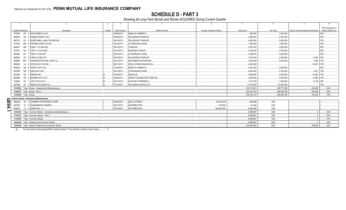# **SCHEDULE D - PART 3**

Showing all Long-Term Bonds and Stocks ACQUIRED During Current Quarter

|                         |                                                                | $\overline{\mathbf{3}}$ |               |                                |                           |                    |             | q                                       | 10                   |
|-------------------------|----------------------------------------------------------------|-------------------------|---------------|--------------------------------|---------------------------|--------------------|-------------|-----------------------------------------|----------------------|
|                         |                                                                |                         |               |                                |                           |                    |             |                                         | NAIC Designation or  |
| CUSIP Identification    | Description                                                    | Foreign                 | Date Acquired | Name of Vendor                 | Number of Shares of Stock | <b>Actual Cost</b> | Par Value   | Paid for Accrued Interest and Dividends | Market Indicator (a) |
| 579780                  | AP 2 MCCORMICK & CO.                                           |                         | 08/09/2017    | <b>BANK OF AMERICA.</b>        |                           | .995.930           | 1.000.000   |                                         | 2FE.                 |
| 655044                  | AN 5 NOBLE ENERGY INC.                                         |                         | 08/08/2017    | SALOMON/CITIGROUP.             |                           | .2.989.290         | .3.000.000  |                                         | 2FE.                 |
| 667274                  | AC 8 NORTHWELL HEALTHCARE INC.                                 |                         | 09/19/2017    | SALOMON/CITIGROUP              |                           | .4.000.000         | 4.000.000   |                                         | 1FE.                 |
| 71647N                  | AW 9 PETBRA 5.999 01/27/28.                                    |                         | 09/18/2017    | JP MORGAN CHASE.               |                           | 1.500.000          | 1,500,000   |                                         | 3FE.                 |
| 845467                  | AM 1 SWN 7 1/2 04/01/26.                                       |                         | 09/13/2017    | VARIOUS                        |                           | 3.503.750          | 3.500.000   |                                         | 3FE.                 |
| 87470L                  | AD 3 TEP 5 1/2 01/15/28.                                       |                         | 09/12/2017    | <b>MORGAN STANLEY.</b>         |                           | .2.725.000         | .2.725.000  |                                         | 3FE.                 |
| 883556                  | BY 7 TMO 4.1 08/15/47.                                         |                         | 08/10/2017    | JP MORGAN CHASE.               |                           | .3.458.875         | .3,500,000  |                                         | 2FE.                 |
| 928563                  | AC 9 VMW 3.9 08/21/27                                          |                         | 09/15/2017    | SALOMON/CITIGROUP.             |                           | 2.016.240          | 2.000.000   | $.6.067$ 2FE.                           |                      |
| 93884P                  | DW 7 WASHINGTON GAS LIGHT CO.                                  |                         | 09/13/2017    | MITSUBISHI SECURITIES.         |                           | 4.926.400          | .5,000,000  | .1.582 1FE.                             |                      |
| 95000X                  | AJ 6 WFCM 2017-C39 XB.                                         |                         | 08/11/2017    | <b>WELLS FARGO/WACHOVIA</b>    |                           | 4.263.590          |             | .35,053 1FE.                            |                      |
| 970630                  | AB 8 WESTF 2017-A B.                                           |                         | 07/28/2017    | <b>BANK OF AMERICA</b>         |                           | .2.457.402         | .2,500,000  |                                         | 2FE.                 |
| 97652R                  | BB 2 WIN 2014-3 B3.                                            |                         | 08/10/2017    | JP MORGAN CHASE.               |                           | .3,905,363         | 3.762.930   | .5.821                                  | 1FF                  |
| 65334H                  | AG 7 NEXEN INC                                                 |                         | 08/04/2017    | SEELAUS                        |                           | .3.848.940         | 3.000.000   | .44.800 1FE.                            |                      |
| 05509R                  | AE 5 BANDM 2014-1A B.                                          |                         | 08/28/2017    | CREDIT SUISSE/FIRST BOSTON     |                           | .3,007,800         | .3,000,000  | 15,389                                  | 1FF                  |
| 12550A                  | AG 1 CIFC 2014-5A D1.                                          |                         | 09/11/2017    | CANTOR FITZGERALD.             |                           | 1.013.750          | .1.000.000  | $.8,142$ 2FE.                           |                      |
| G07980                  | AF 5 BARCLAYS BANK PLC.                                        |                         | 07/24/2017    | <b>GOLDMAN SACHS &amp; CO.</b> |                           | 17.076.000         | 20.000.000  |                                         | 1FE.                 |
|                         | 3899999. Total - Bonds - Industrial and Miscellaneous.         |                         |               |                                |                           | 165,175,901        | 148.771.308 | .634.380                                | $\ldots$ XXX.        |
|                         | 8399997. Total - Bonds - Part 3.                               |                         |               |                                |                           | 226.334.378        | 208.090.709 | .784.930                                | $\mathsf{L}$ XXX.    |
| 8399999. Total - Bonds. |                                                                |                         |               |                                |                           | 226,334,378        | 208,090,709 | .784,930                                | $\mathsf{L}$ XXX.    |
|                         | <b>Common Stocks - Industrial and Miscellaneous</b>            |                         |               |                                |                           |                    |             |                                         |                      |
|                         | 16934Q 20 8 CHIMERA INVESTMENT CORP.                           |                         | 08/04/2017    | <b>WELLS FARGO.</b>            | 53.000.000                | .995.086           | XXX         |                                         |                      |
|                         | 25278X 10 9 DIAMONBACK ENERGY.                                 |                         | 09/21/2017    | <b>DISTRIBUTION.</b>           | .1.176.000                | 114.495            | <b>XXX</b>  |                                         |                      |
|                         | 83304A 10 6 SNAP INC - A.                                      |                         | 09/19/2017    | <b>DISTRIBUTION.</b>           | 390.080.000               | 5.490.086          | XXX         |                                         |                      |
|                         | 9099999. Total - Common Stocks - Industrial and Miscellaneous. |                         |               |                                |                           | 6.599.667          | <b>XXX</b>  |                                         | $\ldots$ XXX.        |
|                         | 9799997. Total - Common Stocks - Part 3.                       |                         |               |                                |                           | .6.599.667         | <b>XXX</b>  |                                         | <b>XXX.</b>          |
|                         | 9799999. Total - Common Stocks.                                |                         |               |                                |                           | .6.599.667         | <b>XXX</b>  |                                         | <b>XXX</b>           |
|                         | 9899999. Total - Preferred and Common Stocks.                  |                         |               |                                |                           | 6.599.667          | XXX         |                                         | XXX.                 |
|                         | 9999999. Total - Bonds, Preferred and Common Stocks.           |                         |               |                                |                           | 232.934.045        | <b>XXX</b>  | .784.930                                | XXX.                 |
|                         |                                                                |                         |               |                                |                           |                    |             |                                         |                      |

For all common stock bearing NAIC market indicator "U" provide the number of such issues:.....................  $(a)$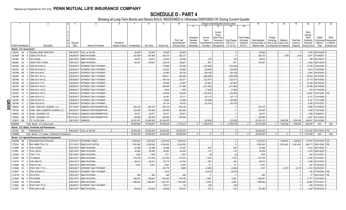|                       |                             |                |                                                         |                         | -5                            | $\epsilon$                    |             |             | -9                 | 10                |            |                        |                      | Change in Book/Adjusted Carrying Value |                      | 16                | 17                      | 18          | 19                | 20                          | 21          | 22            |
|-----------------------|-----------------------------|----------------|---------------------------------------------------------|-------------------------|-------------------------------|-------------------------------|-------------|-------------|--------------------|-------------------|------------|------------------------|----------------------|----------------------------------------|----------------------|-------------------|-------------------------|-------------|-------------------|-----------------------------|-------------|---------------|
|                       |                             |                |                                                         |                         |                               |                               |             |             |                    |                   | 11         | 12                     | 13                   |                                        | 15                   |                   |                         |             |                   |                             |             |               |
|                       |                             |                |                                                         |                         |                               |                               |             |             |                    |                   |            |                        |                      |                                        |                      |                   |                         |             |                   |                             |             |               |
|                       |                             |                |                                                         |                         |                               |                               |             |             |                    |                   |            |                        | Current              |                                        |                      |                   |                         |             |                   | Bond                        |             |               |
|                       |                             |                |                                                         |                         |                               |                               |             |             |                    |                   | Unrealized | Current                | Year's<br>Other-Than |                                        | <b>Total Foreigr</b> |                   | Foreign                 |             |                   | Interest<br>Stock           | Stated      | <b>NAIC</b>   |
|                       |                             |                |                                                         |                         |                               |                               |             |             |                    | <b>Prior Year</b> | Valuation  | Year's                 | Temporary            | <b>Total Change</b>                    | Exchange             | Book/Adjusted     | Exchange                | Realized    | <b>Total Gain</b> | <b>Dividends</b>            | Contractual | Designation   |
|                       |                             |                |                                                         | Disposal                |                               | Number of                     |             |             |                    | Book/Adjusted     | Increase   | Amortization)          | Impairment           | in B./A.C.V                            | Change in            | Carrying Value at | Gain (Loss)             | Gain (Loss) | (Loss) on         | Received                    | Maturity    | or Market     |
|                       | <b>CUSIP</b> Identification |                | Description                                             | Date                    | Name of Purchaser             | Shares of Stock Consideration |             | Par Value   | <b>Actual Cost</b> | Carrying Value    | (Decrease) | / Accretion            | Recognized           | $(11+12-13)$                           | <b>B./A.C.V.</b>     | Disposal Date     | on Disposal on Disposal |             | Disposal          | During Year                 | Date        | Indicator (a) |
|                       | Bonds - U.S. Government     |                |                                                         |                         |                               |                               |             |             |                    |                   |            |                        |                      |                                        |                      |                   |                         |             |                   |                             |             |               |
|                       | 228027                      | AA             | VESSEL MGMT SERVICES.                                   | 08/16/2017.             | CALL at 100,000               |                               | .80,000     | .80,000     | .80,000            | .80,000           |            |                        |                      |                                        |                      | .80,000           |                         |             |                   | .2,746                      | 08/15/2036. |               |
|                       | 30250W                      | AB             | SSGN 2010-S2 2A.                                        | 09/29/201               | MBS PAYDOWN.                  |                               | .361,998    | .361,998    | .362,313           | .362,313          |            |                        |                      |                                        |                      | .362,313          |                         | .(316)      | (316)             | .6,977                      | 07/29/2047  |               |
|                       | 36194S                      | <b>PD</b>      | <b>GN AU4920.</b>                                       | 09/01/201               | MBS PAYDOWN.                  |                               | .39,612     | .39,612     | .40,343            | .39,639           |            | (27)                   |                      | (27)                                   |                      | .39,612           |                         |             |                   | .798                        | 09/16/2041  |               |
|                       | 36296U                      | <b>ZX</b>      | <b>GNSF POOL 701958</b>                                 | 09/01/201               | <b>MBS PAYDOWN</b>            |                               | .140,491    | 140,491     | 132,018            | .139,621          |            | .870                   |                      | 870                                    |                      | 140,491           |                         |             |                   | .3,509                      | 06/01/2039  |               |
|                       | 38375U                      | QQ             | GNR 2014-H20 CI                                         | 09/29/201               | INTEREST ONLY PAYMENT         |                               |             |             | 119,689            | .103,246          |            | (103, 246)             |                      | (103, 246)                             |                      |                   |                         |             |                   | .10,729                     | 10/20/2064  |               |
|                       | 38375U                      | SC             | <b>GNR 2014-H22 CI</b>                                  | 09/29/201               | INTEREST ONLY PAYMENT.        |                               |             |             | .62,322            | .52,948           |            | (52,948)               |                      | (52, 948)                              |                      |                   |                         |             |                   | .5,814                      | 11/20/2064  |               |
|                       | 38378B                      | <b>ZR</b>      | GNR 2012-88 DI.                                         | 09/29/201               | INTEREST ONLY PAYMENT.        |                               |             |             | .67,663            | .58,129           |            | (58, 129)              |                      | (58, 129)                              |                      |                   |                         |             |                   | .4.843                      | 08/16/2046  |               |
|                       | 38378K                      | 6A             | GNR 2013-161 IO                                         | 09/29/201               | INTEREST ONLY PAYMENT.        |                               |             |             | .458,91            | .256,289          |            | (256, 289)             |                      | (256, 289)                             |                      |                   |                         |             |                   | .97,603                     | 05/16/2054  |               |
|                       | 38378N                      | <b>NJ</b>      | GNR 2013-194 IO                                         | 09/29/201               | INTEREST ONLY PAYMENT.        |                               |             |             | 168,139            | 122,571           |            | (122, 571)             |                      | (122, 571)                             |                      |                   |                         |             |                   | .27,119                     | 09/16/2054  |               |
|                       | 38378N                      | XK             | GNR 2014-17 IO.                                         | 09/29/2017              | INTEREST ONLY PAYMENT.        |                               |             |             | .99,958            | .47,897           |            | (47, 897)              |                      | (47, 897)                              |                      |                   |                         |             |                   | .18.166                     | 06/16/2048  |               |
|                       | 38378X                      | MU             | GNR 2014-126 IO.                                        | 09/29/201               | INTEREST ONLY PAYMENT.        |                               |             |             | .265,804           | 211,084           |            | (211,084)              |                      | (211,084)                              |                      |                   |                         |             |                   | .52.786                     | 02/16/2055  |               |
|                       | 38378X                      | PE             | GNR 2014-135 IO                                         | 09/29/201               | INTEREST ONLY PAYMENT.        |                               |             |             | .9,630             | .7,492            |            |                        |                      |                                        |                      |                   |                         |             |                   | .918                        | 01/16/2056  |               |
|                       | 38378X                      | TX             | GNR 2014-148 IO                                         | 09/29/201               | INTEREST ONLY PAYMENT.        |                               |             |             | 154,936            | .122,053          |            | (7, 492)<br>(122, 053) |                      | (7, 492)<br>(122, 053)                 |                      |                   |                         |             |                   | .20,025                     | 10/01/2049. |               |
|                       | 38379K                      | JC.            |                                                         |                         | <b>INTEREST ONLY PAYMENT.</b> |                               |             |             |                    |                   |            |                        |                      |                                        |                      |                   |                         |             |                   |                             |             |               |
|                       |                             | <b>PR</b>      | GNR 2015-51 IO                                          | 09/29/201<br>09/29/2017 |                               |                               |             |             | .42,541            | .33,111           |            | (33, 111)              |                      | (33, 111)                              |                      |                   |                         |             |                   | .6,121                      | 12/16/2056  |               |
| <u>O</u>              | 38379K                      |                | GNR 2015-67 IO                                          |                         | <b>INTEREST ONLY PAYMENT.</b> |                               |             |             | .29,800            | .20,086           |            | (20,086)               |                      | (20,086)                               |                      |                   |                         |             |                   | .2,107                      | 11/01/2056  |               |
|                       | 38379K                      | TL             | GNR 2015-85 IO                                          | 09/29/201               | INTEREST ONLY PAYMENT.        |                               |             |             | .64,134            | .42,703           |            | (42,703)               |                      | (42, 703)                              |                      |                   |                         |             |                   | .6,768                      | 07/01/2057  |               |
| $\bullet$<br><b>ທ</b> | 49549C                      |                | EXIM - KING INTL LEASING LLC                            | 07/15/201               | SINKING FUND REDEMPTION.      |                               | .284,145    | .284,145    | .284,145           | .284,145          |            |                        |                      |                                        |                      | .284,145          |                         |             |                   | .5,869                      | 10/15/2022  |               |
|                       | 797224                      | AC.            | EXIM - SAN CLEMENTE LEASING LLC.                        | 08/22/201               | SINKING FUND REDEMPTION.      |                               | .323,265    | .323.265    | .323,265           | .323,265          |            |                        |                      |                                        |                      | .323.265          |                         |             |                   | .7,346                      | 11/22/2022. |               |
|                       | 805649                      | AA             | <b>EXIM - SAYARRA LTD</b>                               | 07/29/201               | SINKING FUND REDEMPTION.      |                               | .92,571     | .92,571     | .92,571            | .92,571           |            |                        |                      |                                        |                      | .92,571           |                         |             |                   | 1,958                       | 10/29/2021  |               |
|                       | 805649                      | AB             | <b>EXIM - SAYARRA LTD</b><br>- 6                        | 07/31/2017              | SINKING FUND REDEMPTION.      |                               | .326,069    | .326,069    | .326,069           | .326,069          |            |                        |                      |                                        |                      | .326,069          |                         |             |                   | .6,297                      | 04/14/2022. |               |
|                       | 912810                      | <b>RR</b>      | TII 1.00 02/15/46.                                      | 08/31/2017. VARIOUS     |                               |                               | 53,221,831  | .51,690,500 | .52,184,975        |                   |            | (22.852)               |                      | (22.852)                               |                      | .52,162,123       |                         | 1,059,708   | 1.059.708         | .536.931                    | 02/15/2046. |               |
|                       | 0599999                     |                | Total - Bonds - U.S. Government                         |                         |                               |                               | 54.869.982  | 53.338.651  | .55,369,226        | .2,725,232        | $\Omega$   | (1,099,618)            |                      | (1,099,618)                            |                      | 53,810,589        | $\Omega$                | 1,059,392   | 1,059,392         | .825,430                    | <b>XXX</b>  | <b>XXX</b>    |
|                       |                             |                | Bonds - U.S. States, Territories and Possessions        |                         |                               |                               |             |             |                    |                   |            |                        |                      |                                        |                      |                   |                         |             |                   |                             |             |               |
|                       |                             |                | 041042 WZ 1 ARKANSAS ST                                 |                         | 09/22/2017. CALL at 100.000   |                               | .25,000,000 | .25,000,000 | 25,000,000         | .25,000,000       |            |                        |                      | 0                                      |                      | .25,000,000       |                         |             |                   | $.0$ .1,274,306 07/01/2034. |             | 1FE.          |
|                       | 1799999                     |                | Total - Bonds - U.S. States, Territories & Possessions. |                         |                               |                               | .25,000,000 | .25,000,000 | 25,000,000         | .25,000,000       | $\Omega$   | $0$ .                  |                      | $\Omega$                               |                      | .25,000,000       | $\Omega$                |             |                   | $.0$ .1,274,306             | <b>XXX</b>  | <b>XXX</b>    |
|                       |                             |                | Bonds - U.S. Special Revenue and Special Assessment     |                         |                               |                               |             |             |                    |                   |            |                        |                      |                                        |                      |                   |                         |             |                   |                             |             |               |
|                       | 03255M                      | QB             | ANAHEIM FING-WTR-B-BA                                   | 07/05/2017.             | RAYMOND JAMES.                |                               | 5,006,800   | .4,000,000  | .4,000,000         | .4,000,000        |            |                        |                      | $\Omega$ .                             |                      | .4,000,000        |                         | 1,006,800   | .1,006,800        | .176,235                    | 10/01/2040. | 1FE.          |
|                       | 072024                      | <b>ND</b>      | BAY AREA TOLL-F-2.                                      | 07/11/2017              | <b>BARCLAYS CAPITAL</b>       |                               | 7,061,600   | 5,000,000   | 5,000,000          | .5,000,000        |            |                        |                      |                                        |                      | .5,000,000        |                         | .2,061,600  | 2,061,600         | .246,171                    | 04/01/2049. | 1FF           |
|                       | 3128PK                      | WJ             | <b>FGCI J07849</b>                                      | 09/01/2017              | <b>MBS PAYDOWN</b>            |                               | .67,846     | .67,846     | .65,895            | .67,497           |            | .349                   |                      | .349                                   |                      | 67,846            |                         |             |                   | .2,031                      | 05/01/2023  |               |
|                       | 3128PL                      | AW             | FGCI J08121                                             | 09/01/201               | MBS PAYDOWN.                  |                               | .64,556     | .64,556     | .64,097            | .64,438           |            | .118                   |                      | 118                                    |                      | .64,556           |                         |             |                   | .2,079                      | 06/01/2023  |               |
|                       | 312903                      | KY             | FHR 117 G.                                              | 09/15/201               | MBS PAYDOWN.                  |                               | .1,605      | .1,605      | .1,511             | .1,607            |            | (2)                    |                      | (2)                                    |                      | .1,605            |                         |             |                   | .343                        | 01/15/2021  |               |
|                       | 312945                      | DN             | FG A96409                                               | 09/01/201               | MBS PAYDOWN.                  |                               | .374,782    | .374.782    | .351,504           | .373,073          |            | 1,708                  |                      | .1,708                                 |                      | .374,782          |                         |             |                   | .8.785                      | 01/01/2041  |               |
|                       | 3133T4                      | FT.            | <b>FHR 1680 PK</b>                                      | 09/01/201               | MBS PAYDOWN.                  |                               | .98,013     | .98.013     | .93,710            | .97,784           |            | .229                   |                      | 229                                    |                      | .98,013           |                         |             |                   | .4.198                      | 02/15/2024  |               |
|                       | 31358N                      | W4             | NR 92-1291                                              | 09/01/201               | <b>MBS PAYDOWN</b>            |                               | .9,761      | .9.761      | .8,931             | .9,679            |            | .81                    |                      | 81                                     |                      | .9,761            |                         |             |                   | .391                        | 07/25/2022  |               |
|                       | 31359S                      | 6Y             | FNGT 2001-T7 IO                                         | 09/29/201               | <b>INTEREST ONLY PAYMENT</b>  |                               |             |             | 435,179            | .8,885            |            | (4,693)                |                      | (4,693)                                |                      | .4,191            |                         | (4, 191)    | (4, 191)          | .4.318                      | 02/25/2041  |               |
|                       | 3136AT                      | X <sub>2</sub> | NA 2016-M10 X                                           | 09/29/201               | <b>INTEREST ONLY PAYMENT.</b> |                               |             |             | .5,615             |                   |            | (5,615)                |                      | (5,615)                                |                      |                   |                         |             |                   | 196                         | 07/25/2028. |               |
|                       | 31371N                      | V <sub>2</sub> | FN 257233                                               | 09/01/201               | MBS PAYDOWN.                  |                               | .684        | 684         | 665                | 680               |            |                        |                      |                                        |                      | .684              |                         |             |                   |                             | 06/01/2023  |               |
|                       | 3138A2                      | BE             | N AH0936                                                | 09/01/201               | MBS PAYDOWN.                  |                               | .482,691    | .482,691    | 452,243            | .479,749          |            | .2,942                 |                      | .2,942                                 |                      | 482,691           |                         |             |                   | .11,377                     | 12/01/2040  |               |
|                       | 3138A5                      | 4N             | FN AH4428.                                              | 09/01/201               | MBS PAYDOWN.                  |                               | 1,096,953   | 1,096,953   | 1,041,577          | 1,091,698         |            | 5,255                  |                      | .5,255                                 |                      | 1,096,953         |                         |             |                   | .25,865                     | 01/01/2041  |               |
|                       | 313920                      | UМ             | FNGT 2001-T8 IO                                         | 09/29/201               | <b>INTEREST ONLY PAYMENT.</b> |                               |             |             | .49,217            | 94                |            | (94)                   |                      | (94)                                   |                      |                   |                         |             |                   | 495                         | 07/25/2041  |               |
|                       | 31393Y                      | AV             | FNR 2004-31 ME                                          | 09/01/2017.             | <b>MBS PAYDOWN</b>            |                               | 154,269     | 154,269     | 138,505            | 153,547           |            | .722                   |                      | .722                                   |                      | 154,269           |                         |             |                   | .4,404                      | 05/25/2034. |               |
|                       |                             |                |                                                         |                         |                               |                               |             |             |                    |                   |            |                        |                      |                                        |                      |                   |                         |             |                   |                             |             |               |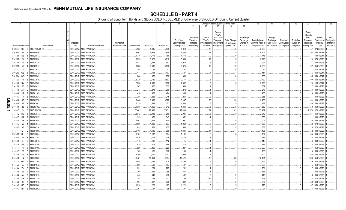|                |                             | -1             |                | $\overline{2}$         | $\mathcal{R}$ | $\overline{4}$           | 5                            | 6               | $\overline{7}$ | 8              | 9                  | 10                          |                                     |                                    |                                                            | Change in Book/Adjusted Carrying Value |                                               | 16                                 | 17                                 | 18                      | 19                             | 20                                                 | 21                                | 22                                      |
|----------------|-----------------------------|----------------|----------------|------------------------|---------------|--------------------------|------------------------------|-----------------|----------------|----------------|--------------------|-----------------------------|-------------------------------------|------------------------------------|------------------------------------------------------------|----------------------------------------|-----------------------------------------------|------------------------------------|------------------------------------|-------------------------|--------------------------------|----------------------------------------------------|-----------------------------------|-----------------------------------------|
|                |                             |                |                |                        |               |                          |                              |                 |                |                |                    |                             | 11                                  | 12                                 | 13                                                         | 14                                     | 15                                            |                                    |                                    |                         |                                |                                                    |                                   |                                         |
|                |                             |                |                |                        |               | Disposal                 |                              | Number of       |                |                |                    | Prior Year<br>Book/Adjusted | Unrealized<br>Valuation<br>Increase | Current<br>Year's<br>Amortization) | Current<br>Year's<br>Other-Than<br>Temporary<br>Impairment | <b>Total Change</b><br>in B./A.C.V.    | <b>Total Foreign</b><br>Exchange<br>Change in | Book/Adjusted<br>Carrying Value at | Foreign<br>Exchange<br>Gain (Loss) | Realized<br>Gain (Loss) | <b>Total Gain</b><br>(Loss) on | Bond<br>Interest<br>Stock<br>Dividends<br>Received | Stated<br>Contractual<br>Maturity | <b>NAIC</b><br>Designation<br>or Market |
|                | <b>CUSIP</b> Identification |                |                | Description            |               | Date                     | Name of Purchaser            | Shares of Stock | Consideration  | Par Value      | <b>Actual Cost</b> | Carrying Value              | (Decrease)                          | / Accretion                        | Recognized                                                 | $(11+12-13)$                           | <b>B./A.C.V.</b>                              | Disposal Date                      | on Disposal on Disposal            |                         | Disposal                       | During Year                                        | Date                              | Indicator (a)                           |
|                | 31394E UD                   |                | - 8            | FNR 2005-59 KA.        |               | 07/01/2017.              | <b>MBS PAYDOWN.</b>          |                 | .5,985         | .5,985         | .5,938             | .5,910                      |                                     | .75                                |                                                            | .75                                    |                                               | .5,985                             |                                    |                         |                                | 157                                                | 07/25/2035                        |                                         |
|                | 31410W H9                   |                | -2             | N 899456               |               | 09/01/2017               | MBS PAYDOWN.                 |                 | .4,901         | .4,901         | .4,849             | .4,883                      |                                     | .18                                |                                                            |                                        |                                               | .4,901                             |                                    |                         |                                | 193                                                | 06/01/2047                        |                                         |
|                | 31412B DS                   |                | - 8            | N 920013               |               | 09/01/2017               | MBS PAYDOWN.                 |                 | .1,776         | 1,776          | 1,766              | .1,776                      |                                     |                                    |                                                            |                                        |                                               | .1,776                             |                                    |                         | $\ldots 0$                     |                                                    | 10/01/2047                        |                                         |
|                | 31412M 2X                   |                |                | N 929690               |               | 09/01/201                | MBS PAYDOWN.                 |                 | .3,923         | .3,923         | .3,816             | .3,904                      |                                     | .19                                |                                                            | 1 <sup>c</sup>                         |                                               | .3,923                             |                                    |                         |                                | 120                                                | 07/01/2023                        |                                         |
|                | 31412M                      | K9             | -8             | FN 929220              |               | 09/01/201                | <b>MBS PAYDOWN.</b>          |                 | .1,021         | .1,021         | .992               | .1,015                      |                                     | 12                                 |                                                            | 12                                     |                                               | .1,021                             |                                    |                         | $\ldots 0$                     | .31<br>.97                                         | 03/01/2023                        |                                         |
|                | 31412M                      | VJ             |                | FN 929517              |               | 09/01/201<br>09/01/2017  | MBS PAYDOWN.                 |                 | .3,636         | .3,636         | .3,536             | .3,625                      |                                     |                                    |                                                            |                                        |                                               | .3,636                             |                                    |                         |                                |                                                    | 05/01/2023                        |                                         |
|                | 31412T CJ                   |                | - 0            | FN 933973<br>FN 937242 |               | 09/01/2017               | MBS PAYDOWN.<br>MBS PAYDOWN. |                 | 44             | 44             | 43                 | .44<br>.407                 |                                     |                                    |                                                            |                                        |                                               | 44                                 |                                    |                         | $\ldots 0$                     |                                                    | 07/01/2023                        |                                         |
|                | 31412W WB                   |                | -8             |                        |               |                          |                              |                 | .411           | .411           | 407                |                             |                                     |                                    |                                                            |                                        |                                               | 411<br>.866                        |                                    |                         |                                |                                                    | .16 05/01/2047                    |                                         |
|                | 31412W WC<br>31412X         | K4             | - 6<br>.5      | FN 937243<br>FN 937815 |               | 09/01/2017<br>09/01/2017 | MBS PAYDOWN.<br>MBS PAYDOWN. |                 | .866<br>.2,720 | .866<br>.2,720 | 858                | .866<br>.2,717              |                                     |                                    |                                                            |                                        |                                               |                                    |                                    |                         |                                | .35<br>.109                                        | 05/01/2047<br>06/01/2047          |                                         |
|                | 31413K RV                   |                | - 5            | FN 947900              |               | 09/01/2017               | MBS PAYDOWN.                 |                 | .2,998         | .2,998         | .2,697<br>.2,966   | .2,992                      |                                     |                                    |                                                            |                                        |                                               | .2,720<br>.2,998                   |                                    |                         |                                | 120                                                | 10/01/2047                        |                                         |
|                | 31413M                      | G6             | -8             | FN 949421              |               | 09/01/2017               | MBS PAYDOWN.                 |                 | 567            | .567           | .552               | .565                        |                                     |                                    |                                                            |                                        |                                               | 567                                |                                    |                         | .0                             | 17                                                 | 03/01/2023                        |                                         |
|                | 31414B AN                   |                | - 0            | N 960913               |               | 09/01/2017               | MBS PAYDOWN.                 |                 | .273           | .273           | 266                | .272                        |                                     |                                    |                                                            |                                        |                                               | 273                                |                                    |                         | . 0                            |                                                    | 03/01/2023                        |                                         |
|                | 31414B                      | H2             | - 9            | FN 961149.             |               | 09/01/2017               | MBS PAYDOWN.                 |                 | .436           | .436           | .424               | .435                        |                                     |                                    |                                                            |                                        |                                               | .436                               |                                    |                         | $\ldots 0$                     | .13                                                | 05/01/2023                        |                                         |
|                | 31414C                      | 4H             |                | N 962624               |               | 09/01/2017               | MBS PAYDOWN.                 |                 | .255           | .255           | .248               | .253                        |                                     |                                    |                                                            |                                        |                                               | .255                               |                                    |                         | .0                             |                                                    | 04/01/2023                        |                                         |
|                | 31414D                      | 6P             |                | N 963578               |               | 09/01/2017               | MBS PAYDOWN.                 |                 | .3,468         | .3,468         | .3,372             | .3,447                      |                                     | .20                                |                                                            | .20                                    |                                               | .3,468                             |                                    |                         | 0                              | 104                                                | 06/01/2023.                       |                                         |
| ш              | 31414D                      | X8             |                | N 963403               |               | 09/01/2017               | MBS PAYDOWN.                 |                 | .1,339         | 1,339          | .1,303             | .1,334                      |                                     | . 5                                |                                                            |                                        |                                               | .1,339                             |                                    |                         | .0                             | .40                                                | 05/01/2023                        |                                         |
| $\bullet$<br>ທ | 31414D                      | Z <sub>3</sub> |                | FN 963462.             |               | 09/01/2017               | MBS PAYDOWN.                 |                 | .1,350         | .1,350         | .1,313             | .1,344                      |                                     | 5                                  |                                                            |                                        |                                               | .1,350                             |                                    |                         | 0                              | .40                                                | 06/01/2023                        |                                         |
| ᅩ              | 31414E                      | 2V             | -5             | NCI 964388             |               | 09/01/2017               | MBS PAYDOWN.                 |                 | .77,482        | .77,482        | 77,031             | .77,400                     |                                     | .82                                |                                                            | .82                                    |                                               | .77,482                            |                                    |                         | $\ldots 0$                     | .2,573                                             | 07/01/2023                        |                                         |
|                | 31414E                      | BQ             | - 6            | FN 963647              |               | 09/01/2017               | MBS PAYDOWN.                 |                 | .2,042         | .2,042         | .1,986             | .2,034                      |                                     | . 8                                |                                                            |                                        |                                               | .2,042                             |                                    |                         | $\ldots 0$                     | 61                                                 | 06/01/2023                        |                                         |
|                | 31414E DA                   |                |                | N 963697               |               | 09/01/2017               | MBS PAYDOWN.                 |                 | .353           | 353            | 343                | 352                         |                                     |                                    |                                                            |                                        |                                               | 353                                |                                    |                         | 0                              | .11                                                | 06/01/2023                        |                                         |
|                | 31414E                      | JB             |                | FN 963858              |               | 09/01/2017               | MBS PAYDOWN.                 |                 | .1,002         | .1,002         | 975                | 997                         |                                     | . 5                                |                                                            |                                        |                                               | .1,002                             |                                    |                         | $\dots 0$                      | . 30                                               | 06/01/2023                        |                                         |
|                | 31414E Q6                   |                |                | N 964077               |               | 09/01/2017               | MBS PAYDOWN.                 |                 | .1,066         | .1,066         | .1,037             | .1,060                      |                                     |                                    |                                                            |                                        |                                               | .1,066                             |                                    |                         | $\ldots 0$                     | . 33                                               | 07/01/2023                        |                                         |
|                | 31414E                      | $V_5$          | $\cap$         | FN 964236              |               | 09/01/2017               | MBS PAYDOWN.                 |                 | .653           | .653           | 635                | 648                         |                                     |                                    |                                                            |                                        |                                               | 653                                |                                    |                         | $\dots 0$                      | .20                                                | 07/01/2023                        |                                         |
|                | 31414F                      | GF             |                | N 964698               |               | 09/01/2011               | MBS PAYDOWN.                 |                 | .1,405         | .1,405         | .1,366             | .1,391                      |                                     | 14                                 |                                                            |                                        |                                               | .1,405                             |                                    |                         | - 0                            | .42                                                | 08/01/2023                        |                                         |
|                | 31414M                      | DH             |                | FN 970004              |               | 09/01/201                | MBS PAYDOWN.                 |                 | .1,187         | 1,187          | .1,154             | .1,181                      |                                     |                                    |                                                            |                                        |                                               | .1,187                             |                                    |                         | $\ldots 0$                     | .35                                                | 06/01/2023                        |                                         |
|                | 31414Q X2                   |                |                | N 973297               |               | 09/01/201                | MBS PAYDOWN.                 |                 | .1,416         | .1,416         | .1,378             | .1,410                      |                                     |                                    |                                                            |                                        |                                               | .1,416                             |                                    |                         |                                | .43                                                | 03/01/2023                        |                                         |
|                | 31414R CF                   |                |                | N 973570               |               | 09/01/2017               | MBS PAYDOWN.                 |                 | .116           | .116           | .112               | .115                        |                                     |                                    |                                                            |                                        |                                               | 116                                |                                    |                         | $\ldots 0$                     |                                                    | 03/01/2023                        |                                         |
|                | 31414S NB                   |                |                | N 974786               |               | 09/01/201                | <b>MBS PAYDOWN.</b>          |                 | .479           | .479           | .466               | .476                        |                                     |                                    |                                                            |                                        |                                               | .479                               |                                    |                         |                                |                                                    | 04/01/2023                        |                                         |
|                | 31414T                      | 7H             |                | FN 976196              |               | 09/01/201                | MBS PAYDOWN.                 |                 | .229           | .229           | .223               | .227                        |                                     |                                    |                                                            |                                        |                                               | .229                               |                                    |                         |                                |                                                    | 05/01/2023                        |                                         |
|                | 31414T T6                   |                |                | FN 975873              |               | 09/01/201                | MBS PAYDOWN.                 |                 | 165            | .165           | .160               | .164                        |                                     |                                    |                                                            |                                        |                                               | .165                               |                                    |                         |                                |                                                    | 05/01/2023                        |                                         |
|                | 31414U                      | K9             | -8             | FN 976520              |               | 09/01/201                | MBS PAYDOWN.                 |                 | .2,100         | .2,100         | .2,043             | .2,093                      |                                     |                                    |                                                            |                                        |                                               | .2,100                             |                                    |                         | 0                              | .63                                                | 05/01/2023                        |                                         |
|                | 31414U LQ                   |                | q              | FN 976535              |               | 09/01/2017               | MBS PAYDOWN.                 |                 | 10,451         | 10,451         | .10,164            | .10,421                     |                                     | .30                                |                                                            | .30                                    |                                               | .10,451                            |                                    |                         |                                | 288                                                | 05/01/2023                        |                                         |
|                | 31414V DM                   |                | - 5            | FN 977208              |               | 09/01/201                | <b>MBS PAYDOWN.</b>          |                 | .1,455         | .1,455         | .1,415             | .1,450                      |                                     |                                    |                                                            |                                        |                                               | .1,455                             |                                    |                         | $\ldots 0$                     | .39                                                | 04/01/2023                        |                                         |
|                | 31415A 5E                   |                |                | FN 981545              |               | 09/01/2017               | MBS PAYDOWN.                 |                 | .500           | .500           | 487                | 497                         |                                     |                                    |                                                            |                                        |                                               | 500                                |                                    |                         |                                | .15                                                | 05/01/2023                        |                                         |
|                | 31415A TV                   |                | - 3            | FN 981264              |               | 09/01/2017               | MBS PAYDOWN.                 |                 | .231           | 231            | .225               | 231                         |                                     |                                    |                                                            |                                        |                                               | 231                                |                                    |                         |                                |                                                    | 03/01/2023                        |                                         |
|                | 31415B                      | 4Z             | - q            | FN 982440              |               | 09/01/2017               | MBS PAYDOWN.                 |                 | .365           | .365           | .355               | .364                        |                                     |                                    |                                                            |                                        |                                               | 365                                |                                    |                         | $\ldots 0$                     | -11                                                | 06/01/2023                        |                                         |
|                | 31415B                      | AN             | - q            | FN 981613.             |               | 09/01/201                | MBS PAYDOWN.                 |                 | .449           | .449           | .436               | .447                        |                                     |                                    |                                                            |                                        |                                               | .449                               |                                    |                         | $\ldots 0$                     | .13                                                | 06/01/2023                        |                                         |
|                | 31415B                      | <b>DY</b>      | $\overline{2}$ | FN 981719.             |               | 09/01/2017               | MBS PAYDOWN.                 |                 | .793           | .793           | .771               | 769                         |                                     | .24                                |                                                            | .24                                    |                                               | 793                                |                                    |                         | $\ldots 0$                     | . 24                                               | 07/01/2023.                       |                                         |
|                | 31415B                      | K5             |                | N 981916               |               | 09/01/2017               | MBS PAYDOWN.                 |                 | .997           | .997           | .970               | .992                        |                                     |                                    |                                                            |                                        |                                               | .997                               |                                    |                         |                                | .30                                                | 06/01/2023                        |                                         |
|                | 31415C                      | ND             | - 5            | FN 982888              |               | 09/01/2017               | MBS PAYDOWN.                 |                 | 1,226          | 1,226          | 1,193              | 1,221                       |                                     | .5                                 |                                                            |                                        |                                               | 1,226                              |                                    |                         |                                | .37                                                | 05/01/2023                        |                                         |
|                | 31415C NH                   |                | - 6            | FN 982892              |               | 09/01/2017               | <b>MBS PAYDOWN.</b>          |                 | .97            | .97            | 95                 | .97                         |                                     |                                    |                                                            |                                        |                                               | .97                                |                                    |                         |                                |                                                    | 05/01/2023.                       |                                         |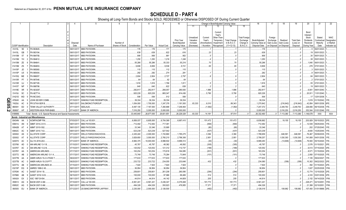|        |                             |           |                |                                                              |                          | -5                                             | -6              |                     | 8                   |                     | 10                          |                                     | Change in Book/Adjusted Carrying Value                                                           |                                     |                                               | 16                                 | 17                                 | 18                      | 19                             | 20                                                 | 21                                | 22                                      |
|--------|-----------------------------|-----------|----------------|--------------------------------------------------------------|--------------------------|------------------------------------------------|-----------------|---------------------|---------------------|---------------------|-----------------------------|-------------------------------------|--------------------------------------------------------------------------------------------------|-------------------------------------|-----------------------------------------------|------------------------------------|------------------------------------|-------------------------|--------------------------------|----------------------------------------------------|-----------------------------------|-----------------------------------------|
|        |                             |           |                |                                                              |                          |                                                |                 |                     |                     |                     |                             | 11                                  | 12<br>13                                                                                         | 14                                  | 15                                            |                                    |                                    |                         |                                |                                                    |                                   |                                         |
|        |                             |           |                |                                                              | Disposal                 |                                                | Number of       |                     |                     |                     | Prior Year<br>Book/Adiusted | Unrealized<br>Valuation<br>Increase | Current<br>Year's<br>Other-Than<br>Current<br>Year's<br>Temporary<br>Amortization)<br>Impairment | <b>Total Change</b><br>in B./A.C.V. | <b>Total Foreigr</b><br>Exchange<br>Change in | Book/Adjusted<br>Carrying Value at | Foreign<br>Exchange<br>Gain (Loss) | Realized<br>Gain (Loss) | <b>Total Gain</b><br>(Loss) on | Bond<br>Interest<br>Stock<br>Dividends<br>Received | Stated<br>Contractual<br>Maturity | <b>NAIC</b><br>Designation<br>or Market |
|        | <b>CUSIP</b> Identification |           |                | Description                                                  | Date                     | Name of Purchaser                              | Shares of Stock | Consideration       | Par Value           | <b>Actual Cost</b>  | Carrying Value              | (Decrease)                          | / Accretion<br>Recognized                                                                        | $(11+12-13)$                        | B./A.C.V.                                     | Disposal Date                      | on Disposal                        | on Disposa              | Disposal                       | During Year                                        | Date                              | Indicator (a)                           |
|        | 31415L                      | 5E        | $\overline{3}$ | FN 983845.                                                   | 09/01/2017.              | <b>MBS PAYDOWN</b>                             |                 | .176                | .176                | .171                | .175                        |                                     |                                                                                                  |                                     |                                               | 176                                |                                    |                         |                                |                                                    | 06/01/2023                        |                                         |
|        | 31415L                      | GB        |                | FN 983194                                                    | 09/01/2017               | MBS PAYDOWN.                                   |                 | .639                | .639                | 622                 | 616                         |                                     | 23                                                                                               | .23                                 |                                               | 639                                |                                    |                         |                                | .19                                                | 05/01/2023                        |                                         |
|        | 31415M                      | 5T        | -8             | FN 984758                                                    | 09/01/2017               | <b>MBS PAYDOWN</b>                             |                 | .906                | .906                | .881                | .902                        |                                     |                                                                                                  |                                     |                                               | .906                               |                                    |                         |                                | .30                                                | 06/01/2023                        |                                         |
|        | 31415M                      | YH        | -2             | FN 984612.                                                   | 09/01/2017               | MBS PAYDOWN.                                   |                 | 1,250               | 1,250               | .1,216              | .1,246                      |                                     |                                                                                                  |                                     |                                               | .1,250                             |                                    |                         |                                | 38                                                 | 05/01/2023                        |                                         |
|        | 31415M                      | ZE        |                | FN 984641                                                    | 09/01/201                | <b>MBS PAYDOWN</b>                             |                 | 55,286              | 55,286              | 55,333              | 55,216                      |                                     | 70                                                                                               | .70                                 |                                               | .55,286                            |                                    |                         |                                | 1.840                                              | 06/01/2023                        |                                         |
|        | 31415M                      | ZS        |                | FN 984653                                                    | 09/01/201                | <b>MBS PAYDOWN.</b>                            |                 | .9,806              | .9,806              | .9,536              | 9,741                       |                                     | .65                                                                                              | .65                                 |                                               | .9,806                             |                                    |                         |                                | .278                                               | 07/01/2023                        |                                         |
|        | 31415P                      | JD        |                | FN 985060                                                    | 09/01/201                | <b>MBS PAYDOWN</b>                             |                 | .115                | .115                | .112                | .115                        |                                     |                                                                                                  |                                     |                                               | .115                               |                                    |                         |                                |                                                    | 05/01/2023                        |                                         |
|        | 31415P                      | U5        |                | FN 985404                                                    | 09/01/2017               | <b>MBS PAYDOWN</b>                             |                 | .282                | .282                | .274                | 281                         |                                     |                                                                                                  |                                     |                                               | .282                               |                                    |                         |                                |                                                    | 06/01/2023                        |                                         |
|        | 31415Q                      | ME        | -3             | FN 986057                                                    | 09/01/2017               | <b>MBS PAYDOWN</b>                             |                 | .2,804              | .2,804              | .2,727              | .2,797                      |                                     |                                                                                                  |                                     |                                               | .2,804                             |                                    |                         |                                | 84                                                 | 08/01/2023                        |                                         |
|        | 31415R                      | <b>P7</b> | -3             | FN 987046                                                    | 09/01/2017               | <b>MBS PAYDOWN</b>                             |                 | .64                 | .64                 | .62                 | 64                          |                                     |                                                                                                  |                                     |                                               | .64                                |                                    |                         |                                |                                                    | 07/01/2023                        |                                         |
|        | 31415R                      | UJ        |                | FN 987185                                                    | 09/01/2017               | <b>MBS PAYDOWN</b>                             |                 | .1,816              | 1,816               | .1,766              | .1,811                      |                                     |                                                                                                  |                                     |                                               | .1,816                             |                                    |                         |                                | .55                                                | 07/01/2023                        |                                         |
|        | 31415T                      | <b>NP</b> |                | FN 988798                                                    | 09/01/2017.              | <b>MBS PAYDOWN</b>                             |                 | .640                | .640                | .622                | .638                        |                                     |                                                                                                  |                                     |                                               | 640                                |                                    |                         |                                | 19                                                 | 08/01/2023                        |                                         |
|        | 31419E                      | XR        |                | <b>FN AE4287</b>                                             | 09/01/2017               | <b>MBS PAYDOWN</b>                             |                 | 282,817             | 282,817             | .266,057            | 280,930                     |                                     | .1,886                                                                                           | .1,886                              |                                               | .282,817                           |                                    |                         |                                | .6,901                                             | 09/01/2040                        |                                         |
|        | 31419J                      | <b>SC</b> | -3             | <b>FN AE7714</b>                                             | 09/01/2017               | <b>MBS PAYDOWN</b>                             |                 | 920,226             | 920,226             | .865,347            | 914,436                     |                                     | .5,790                                                                                           | .5,790                              |                                               | .920,226                           |                                    |                         |                                | .20,911                                            | 11/01/2040                        |                                         |
|        | 31421D                      | <b>WD</b> |                | <b>FN MC3343</b>                                             | 09/01/2017               | <b>MBS PAYDOWN.</b>                            |                 | .506                | .506                | 512                 | .506                        |                                     |                                                                                                  |                                     |                                               | .506                               |                                    |                         |                                |                                                    | 12/01/2038.                       |                                         |
| Q<br>Ш | 478045                      |           |                | JOHN SEVIER COMB.                                            | 07/15/2017               | SINKING FUND REDEMPTION.                       |                 | .39,334             | 39,334              | .39,334             | .39,334                     |                                     |                                                                                                  |                                     |                                               | .39,334                            |                                    |                         |                                |                                                    | .1,819 01/15/2042.                |                                         |
| ဌ      | 74529J                      | AC        | -9             | PR S/TAX-SER B                                               | 08/01/2017               | SALOMON/CITIGROUP.                             |                 | .1,054,000          | .1,700,000          | .1,247,376          | .1,181,500                  | 83,333                              | .6,010                                                                                           | .89,343                             |                                               | .1,270,842                         |                                    | (216, 842)              | (216, 842)                     | .42,854                                            | 08/01/2036.                       |                                         |
|        | 880591                      | ED        | $\Omega$       | <b>TENN VALLEY AUTHORITY</b>                                 | 07/11/2017               | SEELAUS.                                       |                 | 9,497,135           | 7,167,000           | .7,260,888          | .7,248,464                  |                                     | (1,092)                                                                                          | (1,092)                             |                                               | .7,247,372                         |                                    | .2,249,763              | .2,249,763                     |                                                    | .226,656 06/15/2038.              |                                         |
| N      | 958697                      | <b>HP</b> |                | 2   WESTERN MUN PWR-BABS                                     | 07/14/2017.              | <b>BANK OF AMERICA</b>                         |                 | .7,016,250          | .5,000,000          | .5,000,000          | .5,000,000                  |                                     |                                                                                                  |                                     |                                               | .5,000,000                         |                                    | .2,016,250              | 2,016,250                      | .353,544                                           | 01/01/2046.                       |                                         |
|        | 199999                      |           |                | Total - Bonds - U.S. Special Revenue and Special Assessments |                          |                                                |                 | .33,445,840         | .26,677,055         | 26,601,851          | .26,229,329                 | 83.333                              | .14.181                                                                                          | .97,514                             | $\cap$                                        | 26,332,460                         |                                    | $.0$ .7,113,380         | 7,113,380                      | 1,146,578                                          | XXX                               | <b>XXX</b>                              |
|        |                             |           |                | <b>Bonds - Industrial and Miscellaneous</b>                  |                          |                                                |                 |                     |                     |                     |                             |                                     |                                                                                                  |                                     |                                               |                                    |                                    |                         |                                |                                                    |                                   |                                         |
|        | 00434N                      | AA        | $\mathbf{3}$   | <b>ACMP/ACMP FIN</b>                                         | 07/03/2017.              | CALL at 103.831.                               |                 | .6,858,037          | .6,605,000          | .6,704,369          | .6,687,410                  |                                     | 151,472                                                                                          | 151,472                             |                                               | .6,838,882                         |                                    | .19,155                 | .19,155                        |                                                    | 203,929 05/15/2023. 2FE.          |                                         |
|        | 00841U                      | AN        | -6             | ABMT 2014-2 A13.                                             | 09/01/2017               | <b>MBS PAYDOWN</b>                             |                 | .712,482            | 712,482             | 717,381             |                             |                                     | (694)                                                                                            | (694)                               |                                               | 712,482                            |                                    |                         |                                | .12,539                                            | 09/25/2044.                       |                                         |
|        | 00842B                      | AT        |                | ABMT 2015-5 B2.                                              | 09/01/2017               | <b>MBS PAYDOWN</b>                             |                 | .33,346             | .33,346             | .33,895             |                             |                                     | (80)                                                                                             | (80)                                |                                               | .33,346                            |                                    |                         | . 0                            | .202                                               | 07/25/2045.                       |                                         |
|        | 00842C                      | AC        | - q            | ABMT 2015-7 A3                                               | 09/01/2017               | <b>MBS PAYDOWN</b>                             |                 | 523,239             | 523,239             | .527,542            |                             |                                     | (437)                                                                                            | (437)                               |                                               | .523,239                           |                                    |                         |                                | .8,600                                             | 10/25/2045                        |                                         |
|        | 020002                      | AS        | n              | <b>ALLSTATE CORP</b>                                         | 07/12/201                | WELLS FARGO/WACHOVIA                           |                 | .2,435,240          | .2,000,000          | .1,743,860          | .1,785,275                  |                                     | .3,384                                                                                           | .3,384                              |                                               | .1,788,659                         |                                    | 646,581                 | .646,581                       | .76,467                                            | 05/09/2035                        |                                         |
|        | 020002                      | AT        |                | ALLSTATE CORP.                                               | 07/12/201                | WELLS FARGO/WACHOVIA                           |                 | .3,829,650          | .3,000,000          | .2,760,210          | .2,796,306                  |                                     | .2,951                                                                                           | .2,951                              |                                               | .2,799,257                         |                                    | 1,030,393               | .1,030,393                     | .141,808                                           | 04/01/2036.                       |                                         |
|        | 02007X                      | AC        |                | ALLYA 2016-2A3                                               | 07/12/201                | <b>BANK OF AMERICA.</b>                        |                 | 9,984,375           | 10,000,000          | .9,998,502          | .9,999,312                  |                                     | (30)                                                                                             | (30)                                |                                               | .9,999,283                         |                                    | (14,908)                | (14,908)                       | .79,500                                            | 05/15/2020.                       |                                         |
|        | 023766                      | AD        |                | AM AIRLINE 13-1 B                                            | 07/15/201                | SINKING FUND REDEMPTION.                       |                 | .45,787             | .45,787             | .48,362             | .46,092                     |                                     | (305)                                                                                            | (305)                               |                                               | .45,787                            |                                    |                         |                                | .2,576<br>.6.513                                   | 01/15/2021                        |                                         |
|        | 02376T                      | AC        |                | AM AIRLINE 13-2 B                                            | 07/15/201                | SINKING FUND REDEMPTION.                       |                 | .120,052            | 120,052             | 121,312             | .112,737                    |                                     | (189)                                                                                            | (189)                               |                                               | .120,052                           |                                    |                         |                                |                                                    | 07/15/2020                        |                                         |
|        | 02376Y                      | AA        |                | AMERICAN AIRLINES                                            | 07/17/201                | SINKING FUND REDEMPTION.                       |                 | 163,254             | 163,254             | 170,818             | 164,085                     |                                     | (831)                                                                                            | (831)                               |                                               | .163,254                           |                                    |                         |                                | .8,571                                             | 01/15/2024.                       |                                         |
|        | 023772                      | AB        |                | AMERICAN AIRLINE 13-1 /                                      | 07/17/201                | SINKING FUND REDEMPTION.                       |                 | 73,748              | .73,748             | 75,284              | .73,849                     |                                     | (101)                                                                                            | (101)                               |                                               | 73,748                             |                                    |                         |                                | .2,950                                             | 07/15/2025.                       |                                         |
|        | 02377B                      | AA        |                | AMER AIRLN 15-2 A PASS<br>AMER AIRLN 15-2 B PTT              | 09/22/201                | SINKING FUND REDEMPTION.                       |                 | .177,633            | 177,633             | 177,633             | 177,633                     |                                     | .432                                                                                             |                                     |                                               | .177,633                           |                                    |                         |                                | .7.105<br>10,302                                   | 09/22/2027                        |                                         |
|        | 02377B                      | AC        |                |                                                              | 09/25/201                | SINKING FUND REDEMPTION.                       |                 | .233,722            | 233,722             | .234,055            | 233,648                     |                                     |                                                                                                  | .432                                |                                               | .234,080                           |                                    | (358)                   | (358)                          |                                                    | 09/22/2023                        |                                         |
|        | 02377U<br>03215P            | AB<br>EQ  |                | AMERICAN AIRLINES 20<br>AMRES 1998-2 A5.                     | 07/15/201<br>09/01/2017  | SINKING FUND REDEMPTION.<br><b>MBS PAYDOWN</b> |                 | .7,924<br>.36,954   | .7,924<br>.36,954   | .7,924<br>.36,954   | .7,924<br>.36,954           |                                     |                                                                                                  |                                     |                                               | .7,924<br>.36,954                  |                                    |                         |                                | .392<br>.1,827                                     | 01/15/2023.<br>02/25/2028         |                                         |
|        |                             |           |                |                                                              |                          |                                                |                 |                     |                     |                     |                             |                                     |                                                                                                  |                                     |                                               |                                    |                                    |                         |                                |                                                    |                                   |                                         |
|        | 03763K<br>03766K            | AC<br>AB  | q              | AASET 2014-1 B.<br>AASET 2016-1A B                           | 09/15/2017<br>09/15/2017 | <b>MBS PAYDOWN</b><br><b>MBS PAYDOWN</b>       |                 | .259,801<br>100,000 | .259,801<br>100,000 | .261,208<br>.97,966 | 260,095<br>.99,486          |                                     | (294)<br>.514                                                                                    | (294)<br>.514                       |                                               | .259,801<br>.100,000               |                                    |                         |                                | 12,774<br>.4,333                                   | 12/15/2029.<br>03/01/2036.        |                                         |
|        | 045424                      | EX        |                | ASC 1997-D4 B4                                               | 09/11/2017               | <b>MBS PAYDOWN</b>                             |                 | .44,814             | .44,814             | .44,142             | .44,609                     |                                     | .205                                                                                             | 205                                 |                                               | 44,814                             |                                    |                         |                                | .2,152                                             | 04/14/2029.                       |                                         |
|        | 059513                      | AG        |                | BACM 2007-4 AM.                                              | 07/10/2017               | CALL at 100.000.                               |                 | .6,561,241          | .6,561,241          | .5,436,347          | .6,379,468                  |                                     | .181,773                                                                                         | 181,773                             |                                               | .6,561,241                         |                                    |                         |                                | .228,471                                           | 02/10/2051                        |                                         |
|        | 05952C                      | AG        | -5             | BACM 2007-5 AM.                                              | 09/01/2017               | MBS PAYDOWN.                                   |                 | .494,326            | 494,326             | .350,923            | 476,955                     |                                     | .17,371                                                                                          | .17,371                             |                                               | .494,326                           |                                    |                         |                                | .21,399                                            | 02/10/2051                        |                                         |
|        | 060505                      | EU        | 4              | <b>BANK OF AMERICA</b>                                       | 07/12/2017.              | US BANCORP/PIPER JAFFRAY.                      |                 | .2,235,000          | .2,000,000          | .2,126,500          |                             |                                     | (482)                                                                                            | (482)                               |                                               | .2,126,018                         |                                    | .108.982                | 108,982                        | 107,450                                            | 01/01/9999.                       |                                         |
|        |                             |           |                |                                                              |                          |                                                |                 |                     |                     |                     |                             |                                     |                                                                                                  |                                     |                                               |                                    |                                    |                         |                                |                                                    |                                   |                                         |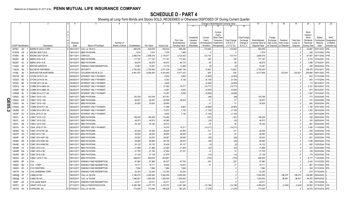|           | -1                          |                     | 2                        | $\mathbf{3}$<br>$\overline{4}$ | 5                             | 6               | 7             | -8         | 9                  | 10                                 |                                     |                                    | Change in Book/Adjusted Carrying Value                      |                                     |                                               | 16                                 | 17                                 | 18                      | 19                             | 20                                                        | 21                                | 22                                      |
|-----------|-----------------------------|---------------------|--------------------------|--------------------------------|-------------------------------|-----------------|---------------|------------|--------------------|------------------------------------|-------------------------------------|------------------------------------|-------------------------------------------------------------|-------------------------------------|-----------------------------------------------|------------------------------------|------------------------------------|-------------------------|--------------------------------|-----------------------------------------------------------|-----------------------------------|-----------------------------------------|
|           |                             |                     |                          |                                |                               |                 |               |            |                    |                                    | 11                                  | 12                                 | 13                                                          | 14                                  | 15                                            |                                    |                                    |                         |                                |                                                           |                                   |                                         |
|           |                             |                     |                          | Disposal                       |                               | Number of       |               |            |                    | <b>Prior Year</b><br>Book/Adjusted | Unrealized<br>Valuation<br>Increase | Current<br>Year's<br>Amortization) | Current<br>Year's<br>Other-Than-<br>Temporary<br>Impairment | <b>Total Change</b><br>in B./A.C.V. | <b>Total Foreign</b><br>Exchange<br>Change in | Book/Adjusted<br>Carrying Value at | Foreign<br>Exchange<br>Gain (Loss) | Realized<br>Gain (Loss) | <b>Total Gain</b><br>(Loss) on | Bond<br>Interest<br>Stock<br><b>Dividends</b><br>Received | Stated<br>Contractual<br>Maturity | <b>NAIC</b><br>Designation<br>or Market |
|           | <b>CUSIP</b> Identification |                     | Description              | Date                           | Name of Purchaser             | Shares of Stock | Consideration | Par Value  | <b>Actual Cost</b> | Carrying Value                     | (Decrease)                          | / Accretion                        | Recognized                                                  | $(11+12-13)$                        | <b>B./A.C.V.</b>                              | Disposal Date                      | on Disposal                        | on Disposal             | Disposal                       | During Year                                               | Date                              | Indicator (a)                           |
|           | 067901                      | AQ                  | <b>BARRICK GOLD CORP</b> | 09/21/2017.                    | CALL at 109.913.              |                 | .690,255      | .628,000   | 555,303            | .566,306                           |                                     | .123,949                           |                                                             | 123,949                             |                                               | .690,255                           |                                    |                         |                                | .22,887                                                   | 05/01/2023                        | 2FE.                                    |
|           | 07387B                      | <b>CR</b>           | <b>BSCMS 2005-T20 D.</b> | 09/01/2017                     | MBS PAYDOWN.                  |                 | .7,674        | .7,674     | .7,079             | .7.669                             |                                     |                                    |                                                             |                                     |                                               | .7,674                             |                                    |                         |                                | .299                                                      | 10/12/2042                        | 1FM.                                    |
|           | 073945                      | AE                  | BSCMS 2007-T28 A4.       | 08/11/2017                     | VARIOUS.                      |                 | .2,856,516    | .2,856,516 | .2,176,977         | .2,733,363                         |                                     | .123,153                           |                                                             | .123,153                            |                                               | .2,856,516                         |                                    |                         |                                | .97.957                                                   | 09/11/2042                        | 1FM.                                    |
|           | 09228Y                      | AB                  | <b>BBIRD 2016-1A B</b>   | 09/15/201                      | <b>MBS PAYDOWN.</b>           |                 | .117,187      | .117,187   | .117,187           | 117,002                            |                                     | 185                                |                                                             | .185                                |                                               | .117,187                           |                                    |                         |                                | .3,703                                                    | 12/16/2041                        |                                         |
|           | 09228Y                      | AC                  | <b>BBIRD 2016-1A B</b>   | 09/15/201                      | MBS PAYDOWN.                  |                 | .46,875       | .46,875    | .46,873            | .46,776                            |                                     | .99                                |                                                             | .99                                 |                                               | .46,875                            |                                    |                         |                                | 1,998                                                     | 12/16/2041                        |                                         |
|           | 11042A                      | AA                  | <b>BRITISH AIRWAYS.</b>  | 09/20/201                      | SINKING FUND REDEMPTION       |                 | 13,081        | .13,081    | 13,179             | .13,089                            |                                     | (. (8))                            |                                                             | (8                                  |                                               | .13,081                            |                                    |                         |                                | .454                                                      | 06/20/2024                        |                                         |
|           | 118230                      | AE                  | <b>BUCKEYE PARTNERS</b>  | 07/01/201                      | MATURITY.                     |                 | .2,700,000    | .2,700,000 | .2,511,536         | .2,687,148                         |                                     | 12,852                             |                                                             | .12,852                             |                                               | .2,700,000                         |                                    |                         |                                | 138,375                                                   | 07/01/2017                        |                                         |
|           | 12189L                      | AK                  | BURLINGTON NORTHERN      | 07/07/201                      | <b>GOLDMAN SACHS &amp; CO</b> |                 | 6,941,870     | .6,500,000 | .6,410,040         | .6,417,015                         |                                     | .935                               |                                                             | .935                                |                                               | .6,417,949                         |                                    | .523,921                | .523,921                       | .245,668                                                  | 09/01/2042.                       |                                         |
|           | 12531W                      | BC                  | CFCRE 2016-C3 XA         | 09/29/2011                     | <b>INTEREST ONLY PAYMENT</b>  |                 |               |            | .6,530             | .5,905                             |                                     | (5,905)                            |                                                             | (5,905)                             |                                               |                                    |                                    |                         |                                | .623                                                      | 01/10/2048.                       |                                         |
|           | 12532A                      | <b>BD</b>           | CFCRE 2016-C6 XA.        | 09/29/201                      | INTEREST ONLY PAYMENT.        |                 |               |            | .6,242             | .6,126                             |                                     | (6, 126)                           |                                                             | (6, 126)                            |                                               |                                    |                                    |                         |                                | .602                                                      | 11/10/2049.                       |                                         |
|           | 12532C                      | BE                  | CFCRE 2017-C8 XA         | 09/29/201                      | INTEREST ONLY PAYMENT.        |                 |               |            | .4,605             |                                    |                                     | (4,605)                            |                                                             | (4,605)                             |                                               |                                    |                                    |                         |                                |                                                           | 113 06/15/2027                    |                                         |
|           | 12591Q                      | AS                  | COMM 2014-UBS4 XA        | 09/29/2011                     | INTEREST ONLY PAYMENT.        |                 |               |            | .27,283            | .19,777                            |                                     | (19, 777)                          |                                                             | (19, 777)                           |                                               |                                    |                                    |                         |                                | .2,761                                                    | 08/10/2047                        |                                         |
|           | 12592K                      | BD<br>-5            | COMM 2014-UBS5 XA        | 09/29/2011                     | <b>INTEREST ONLY PAYMENT.</b> |                 |               |            | .8,367             | .5,930                             |                                     | (5,930)                            |                                                             | (5,930)                             |                                               |                                    |                                    |                         |                                | .873                                                      | 09/10/2047                        |                                         |
|           | 12592M                      | <b>BL</b>           | COMM 2014-LC17 X/        | 09/29/2011                     | <b>INTEREST ONLY PAYMENT</b>  |                 |               |            | .14,257            | .9,836                             |                                     | (9,836)                            |                                                             | (9,836)                             |                                               |                                    |                                    |                         |                                | 1,567                                                     | 10/10/2047                        |                                         |
|           | 12592U                      | AQ                  | CSMLT 2015-1 A9.         | 09/01/2017                     | MBS PAYDOWN.                  |                 | .163,769      | 163,769    | 167,761            |                                    |                                     | (88)                               |                                                             | (88)                                |                                               | 163,769                            |                                    |                         |                                | .773                                                      | 05/25/2045.                       |                                         |
| O         | 12592U                      |                     | CSMLT 2015-1 B2.         | 09/01/2017                     | MBS PAYDOWN.                  |                 | .28,937       | .28,937    | .28,559            | .28,916                            |                                     | .21                                |                                                             | 21                                  |                                               | .28,937                            |                                    |                         |                                | .751                                                      | 05/25/2045.                       |                                         |
| m         | 12592U                      | AX                  | <b>CSMLT 2015-1 B3.</b>  | 09/01/201                      | MBS PAYDOWN.                  |                 | .30,635       | .30,635    | 29,955             |                                    |                                     | 31                                 |                                                             | .31                                 |                                               | .30,635                            |                                    |                         |                                | .692                                                      | 05/25/2045.                       |                                         |
| <b>SO</b> | 12593G                      | AG                  | COMM 2015-PC1 XA         | 09/29/201                      | <b>INTEREST ONLY PAYMENT</b>  |                 |               |            | .11,086            | .8,964                             |                                     | (8,964)                            |                                                             | (8,964)                             |                                               |                                    |                                    |                         |                                |                                                           | .1,192 07/01/2050.                |                                         |
| ىن        | 12626B                      | AF                  | COMM 2013-CR10 XA        | 09/29/2017                     | INTEREST ONLY PAYMENT.        |                 |               |            | 10,872             | .7,150                             |                                     | (7, 150)                           |                                                             | (7, 150)                            |                                               |                                    |                                    |                         |                                | 1,352                                                     | 08/10/2046.                       |                                         |
|           | 12635F                      | AV                  | CSAIL 2015-C3 XA         | 09/29/201                      | INTEREST ONLY PAYMENT.        |                 |               |            | .8,602             | .7,140                             |                                     | (7, 140)                           |                                                             | (7, 140)                            |                                               |                                    |                                    |                         |                                | .918                                                      | 08/15/2048.                       |                                         |
|           | 12637L                      | AL<br>-3            | CSMLT 2015-2 A7          | 09/01/2017                     | MBS PAYDOWN.                  |                 | 166,409       | 166,409    | 170,465            |                                    |                                     | .(181)                             |                                                             | (181)                               |                                               | 166,409                            |                                    |                         |                                | .788                                                      | 08/25/2045.                       |                                         |
|           | 12637L                      | AQ<br>$\mathcal{P}$ | CSMLT 2015-2 B2.         | 09/01/2017                     | MBS PAYDOWN.                  |                 | .48,973       | 48,973     | .50,565            |                                    |                                     | (16)                               |                                                             | (16)                                |                                               | .48,973                            |                                    |                         |                                | .320                                                      | 08/25/2045.                       |                                         |
|           | 12637L                      | AR                  | CSMLT 2015-2 B3.         | 09/01/2017                     | MBS PAYDOWN.                  |                 | .30,182       | .30,182    | 29,513             |                                    |                                     | 38                                 |                                                             | 38                                  |                                               | .30,182                            |                                    |                         |                                | .591                                                      | 08/25/2045.                       |                                         |
|           | 12637U                      | AY<br>-5            | <b>CSAIL 2016-C7 XA</b>  | 09/29/2011                     | <b>INTEREST ONLY PAYMENT</b>  |                 |               |            | .14,510            | .14,211                            |                                     | (14,211)                           |                                                             | (14, 211)                           |                                               |                                    |                                    |                         |                                | 1,560                                                     | 11/15/2049.                       |                                         |
|           | 12646U                      | AD                  | CSMC 2013-IVR1 B2        | 09/01/201                      | <b>MBS PAYDOWN.</b>           |                 | .40,529       | .40,529    | .39,020            | .40,408                            |                                     | .121                               |                                                             | .121                                |                                               | .40,529                            |                                    |                         |                                | .938                                                      | 03/25/2043.                       | <b>IFM</b>                              |
|           | 12647P                      | AS                  | CSMC 2013-7 B2.          | 09/01/201                      | MBS PAYDOWN.                  |                 | .39,052       | .39,052    | .38,650            | .39,029                            |                                     | .23                                |                                                             | .23                                 |                                               | .39,052                            |                                    |                         |                                | .933                                                      | 08/25/2043.                       |                                         |
|           | 12648F                      | AR                  | CSMC 2014-SAF1 B2.       | 09/01/2017                     | MBS PAYDOWN.                  |                 | .29,003       | .29,003    | 29,967             | .29,095                            |                                     | (93)                               |                                                             | (93)                                |                                               | .29,003                            |                                    |                         |                                | .801                                                      | 03/25/2044                        | FM                                      |
|           | 12648X                      | DD                  | <b>CSMC 2014-WIN1 B2</b> | 09/01/201                      | MBS PAYDOWN.                  |                 | .58,890       | .58,890    | .59,106            | .58,919                            |                                     | (29)                               |                                                             | (29)                                |                                               | .58,890                            |                                    |                         |                                | 1,546                                                     | 09/25/2044                        | FM                                      |
|           | 12649D                      | AQ                  | CSMC 2014-WIN2 B2        | 09/01/2011                     | <b>MBS PAYDOWN.</b>           |                 | .30,132       | .30,132    | .30,438            | .30,137                            |                                     | (5)                                |                                                             | (. (5))                             |                                               | .30,132                            |                                    |                         |                                | .805                                                      | 10/25/2044                        |                                         |
|           | 12649R                      | AV                  | CSMC 2015-2 B1           | 09/01/201                      | MBS PAYDOWN.                  |                 | .21,866       | .21,866    | .22,360            | .21,909                            |                                     | (43)                               |                                                             | (43)                                |                                               | 21,866                             |                                    |                         | - 0                            | .574                                                      | 02/25/2045                        |                                         |
|           | 12649R                      | AW                  | CSMC 2015-2 B2.          | 09/01/201                      | MBS PAYDOWN.                  |                 | .27,755       | .27,755    | .27,494            | .27,741                            |                                     | .14                                |                                                             | .14                                 |                                               | .27,755                            |                                    |                         |                                | .729                                                      | 02/25/2045                        |                                         |
|           | 12649X                      | BD                  | CSMC 2015-3 B3.          | 09/01/201                      | MBS PAYDOWN.                  |                 | .27,129       | .27,129    | .27,875            |                                    |                                     | (14)                               |                                                             | (14)                                |                                               | .27,129                            |                                    |                         |                                | .179                                                      | 03/25/2045.                       |                                         |
|           | 12650U                      | AH                  | CSMLT 2015-3 1A6         | 09/01/201                      | MBS PAYDOWN.                  |                 | .498,933      | 498,933    | 502,987            |                                    |                                     | (703)                              |                                                             | (703)                               |                                               | .498,933                           |                                    |                         |                                | .8.777                                                    | 11/25/2045.                       |                                         |
|           | 126650                      | <b>BP</b>           | CVS.                     | 09/10/201                      | SINKING FUND REDEMPTION       |                 | .87,980       | .87,980    | 85,427             | .87,760                            |                                     | .220                               |                                                             | .220                                |                                               | .87,980                            |                                    |                         |                                | .3,542                                                    | 12/10/2028.                       |                                         |
|           | 126650                      | - BQ                | CVS CORP.                | 09/11/201                      | SINKING FUND REDEMPTION.      |                 | .18,711       | 18,711     | .18,604            | .18,674                            |                                     | 37                                 |                                                             | 37                                  |                                               | .18,71'                            |                                    |                         |                                | .867                                                      | 01/10/2030.                       |                                         |
|           | 126650                      | BY                  | <b>CVS PASSTHRU.</b>     | 09/10/201                      | SINKING FUND REDEMPTION.      |                 | .7,684        | .7,684     | .7,684             | .7,684                             |                                     |                                    |                                                             |                                     |                                               | .7,684                             |                                    |                         |                                | .304                                                      | 01/10/2034                        |                                         |
|           | 12677#                      | AA                  | <b>CVS CAREMARK CORP</b> | 09/15/201                      | SINKING FUND REDEMPTION       |                 | .22,344       | .22,344    | 22,344             | .22,344                            |                                     |                                    |                                                             |                                     |                                               | 22,344                             |                                    |                         |                                | .819                                                      | 01/15/2040                        |                                         |
|           | 12680@                      | AF                  | CABELAS INC              | 09/25/201                      | CALL at 106.209.              |                 | .3,186,275    | .3,000,000 | .3,000,000         | .3,000,000                         |                                     |                                    |                                                             |                                     |                                               | .3,000,000                         |                                    | 186,275                 | 186,275                        | 126,856                                                   | 08/04/2022                        |                                         |
|           | 12680@                      | AH                  | CABELAS INC.             | 09/25/201                      | CALL at 109.690.              |                 | 1,096,901     | 1,000,000  | 1,000,000          | .1,000,000                         |                                     |                                    |                                                             |                                     |                                               | 1,000,000                          |                                    | .96,901                 | 96,901                         | .46,303                                                   | 08/04/2025                        |                                         |
|           | 12695*                      | AA<br>- 3           | <b>CVS LEASE BACK</b>    | 09/10/201                      | SINKING FUND REDEMPTION       |                 | .23,511       | .23,511    | 23,511             | .23,511                            |                                     |                                    |                                                             |                                     |                                               | .23,511                            |                                    |                         |                                | .536                                                      | 10/10/2038                        |                                         |
|           | 13057V                      | AC                  | CRART 2015-4 A3.         | 07/12/2011                     | WELLS FARGO/WACHOVIA.         |                 | 4,285,796     | 4,277,775  | .4,315,707         | 4,301,356                          |                                     | (12, 156)                          |                                                             | (12, 156)                           |                                               | 4,289,200                          |                                    | (3, 404)                | (3, 404)                       | .50,663                                                   | 01/15/2020.                       |                                         |
|           | 14070H                      | AA<br>- 6           | <b>CAPSUGEL SA</b>       | D 07/05/2017                   | CALL at 100.000.              |                 | 773,000       | .773,000   | 786,528            | .780,276                           |                                     | (7,276)                            |                                                             | (7,276)                             |                                               | .773,000                           |                                    |                         |                                |                                                           | .34,570 05/15/2019. 5FE           |                                         |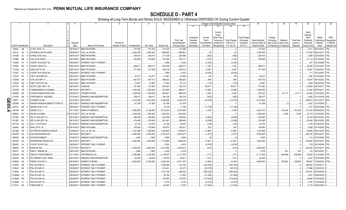|    |                             |     | 2                             | 4                | 5                            | 6                            | 7             | 8          | -9                 | 10                              |                        |                             |                          | Change in Book/Adjusted Carrying Value |                               | 16                                 | 17                         | 18                        | 19                    | 20                      | 21                  | 22                         |
|----|-----------------------------|-----|-------------------------------|------------------|------------------------------|------------------------------|---------------|------------|--------------------|---------------------------------|------------------------|-----------------------------|--------------------------|----------------------------------------|-------------------------------|------------------------------------|----------------------------|---------------------------|-----------------------|-------------------------|---------------------|----------------------------|
|    |                             |     |                               |                  |                              |                              |               |            |                    |                                 | 11                     |                             | 13                       | 14                                     | 15                            |                                    |                            |                           |                       |                         |                     |                            |
|    |                             |     |                               |                  |                              |                              |               |            |                    |                                 |                        |                             | Current<br>Year's        |                                        |                               |                                    |                            |                           |                       | Bond<br>Interest        |                     |                            |
|    |                             |     |                               |                  |                              |                              |               |            |                    |                                 | Unrealized             | Current                     | Other-Than               |                                        | <b>Total Foreigr</b>          |                                    | Foreign                    |                           |                       | Stock                   | Stated              | <b>NAIC</b>                |
|    |                             |     |                               |                  |                              |                              |               |            |                    | Prior Year                      | Valuation              | Year's                      | Temporary                | <b>Total Change</b>                    | Exchange                      | Book/Adjusted                      | Exchange                   | Realized                  | <b>Total Gain</b>     | Dividends               | Contractual         | Designation                |
|    | <b>CUSIP</b> Identification |     | Description                   | Disposal<br>Date | Name of Purchaser            | Number of<br>Shares of Stock | Consideration | Par Value  | <b>Actual Cost</b> | Book/Adjusted<br>Carrying Value | Increase<br>(Decrease) | Amortization<br>/ Accretion | Impairment<br>Recognized | in B./A.C.V.<br>$(11+12-13)$           | Change in<br><b>B./A.C.V.</b> | Carrying Value at<br>Disposal Date | Gain (Loss)<br>on Disposal | Gain (Loss<br>on Disposal | (Loss) on<br>Disposal | Received<br>During Year | Maturity<br>Date    | or Market<br>Indicator (a) |
|    | AB<br>14855J                |     | CLAST 2016-1 A.               | 09/15/2017.      | <b>MBS PAYDOWN</b>           |                              | 101,500       | .101,500   | .101,470           | .101,499                        |                        |                             |                          |                                        |                               | 101,500                            |                            |                           |                       | .3,011                  | 08/15/2041          |                            |
|    | 3K<br>14912L                | -5  | <b>CATERPILLAR FIN SERV.</b>  | 08/30/2017       | CALL at 100.000.             |                              | .2,000,000    | .2,000,000 | 1,999,560          | .1,999,961                      |                        | .39                         |                          | .39                                    |                               | .2,000,000                         |                            |                           |                       | 117,000                 | 09/01/2017          |                            |
|    | 16164A<br>AC                | - q | CHASE 2016-2 M2.              | 09/01/2017       | <b>MBS PAYDOWN</b>           |                              | .264,615      | .264,615   | .271,539           | .226,959                        |                        | (482)                       |                          | (482)                                  |                               | .264.615                           |                            |                           |                       | .5,689                  | 02/25/2044          |                            |
|    | 17290K<br>AB                |     | CHAI 2015-PM2 B               | 09/15/2017       | <b>MBS PAYDOWN</b>           |                              | .794,826      | 794,826    | .791,084           | 792,717                         |                        | .2,109                      |                          | .2,109                                 |                               | .794,826                           |                            |                           |                       | .21,115                 | 03/15/2022          |                            |
|    | 17290X<br>AY                |     | <b>CGCMT 2016-GC37 XA</b>     | 09/29/201        | <b>INTEREST ONLY PAYMENT</b> |                              |               |            | .4,696             | 4,330                           |                        | (4, 330)                    |                          | (4,330)                                |                               |                                    |                            |                           |                       | .447                    | 04/10/2049          |                            |
|    | 173067<br>EQ                |     | CGCMT 2004-C2 E.              | 09/01/201        | <b>MBS PAYDOWN</b>           |                              | 599,211       | 599,211    | .503,338           | 598,017                         |                        | .1,194                      |                          | .1,194                                 |                               | .599,211                           |                            |                           |                       | .20,336                 | 10/15/2041          | 1FM.                       |
|    | 17312D<br>AC                |     | CMSI 2007-8 1A3.              | 09/01/201        | <b>MBS PAYDOWN.</b>          |                              | .371.399      | 371.399    | .346,138           | 365,012                         |                        | .6,387                      |                          | .6,387                                 |                               | .371.399                           |                            |                           |                       | .16,257                 | 10/25/2037          | IFM.                       |
|    | 17322Y<br>AJ                | q   | <b>CGCMT 2014-GC25 XA</b>     | 09/29/201        | <b>INTEREST ONLY PAYMENT</b> |                              |               |            | .7,859             | .6,023                          |                        | (6,023)                     |                          | (6,023)                                |                               |                                    |                            |                           |                       | .711                    | 10/10/2047          |                            |
|    | 17323T<br>AF                |     | CMLTI 2015-RP2 B1             | 09/01/2017       | <b>MBS PAYDOWN</b>           |                              | .42,577       | 42,577     | 41,391             | .42,508                         |                        | 68                          |                          | 68                                     |                               | .42,577                            |                            |                           |                       | .1,206                  | 01/25/2053.         | <b>IFM</b>                 |
|    | 17324R<br>AA                |     | CHAI 2016-MF1 A               | 09/15/2017       | <b>MBS PAYDOWN</b>           |                              | 467,573       | 467,573    | 466,422            | 466,623                         |                        | .949                        |                          | .949                                   |                               | .467,573                           |                            |                           |                       | .14,007                 | 08/15/2022          |                            |
|    | 17324V<br>AQ                |     | CMLTI 2015-PS1 B2.            | 09/01/2017       | <b>MBS PAYDOWN</b>           |                              | .75,997       | .75,997    | 77,365             | 76,110                          |                        | (113)                       |                          | (113)                                  |                               | 75,997                             |                            |                           |                       | .2.664                  | 09/25/2042.         |                            |
|    | 20173V<br>AE                |     | GCCFC 2007-GG11 A4.           | 08/10/2017       | <b>VARIOUS.</b>              |                              | .751,993      | .751,993   | .584,407           | .705,376                        |                        | .46,617                     |                          | .46,617                                |                               | 751,993                            |                            |                           |                       | .24,863                 | 08/10/2017.         |                            |
|    | 202795<br><b>HS</b>         |     | <b>COMMONWEALTH EDISON</b>    | 09/15/2017       | MATURITY.                    |                              | .1,000,000    | 1,000,000  | .873,990           | 986,411                         |                        | .13,589                     |                          | 13,589                                 |                               | .1,000,000                         |                            |                           |                       | .61,500                 | 09/15/2017          |                            |
|    | 20605P<br>AD                |     | CONCHO RESOURCES INC          | 09/25/201        | TENDER OFFER.                |                              | .1,029,340    | .1,000,000 | .960,001           | 968,818                         |                        | .3,406                      |                          | .3,406                                 |                               | .972,223                           |                            | 57,117                    | .57,117               | .54,236                 | 10/01/2022.         |                            |
|    | 21079V<br>AB                |     | <b>CONTINENTAL AIRLINES</b>   | 07/12/201        | SINKING FUND REDEMPTION      |                              | 159,417       | 159,417    | 164,158            | 160,319                         |                        | (902)                       |                          | (902)                                  |                               | .159,417                           |                            |                           |                       | .9.565                  | 01/12/2019.         |                            |
| Q  | 216871<br>AC                |     | COOPER US INC.                | 07/01/2017       | MATURITY.                    |                              | 4,210,000     | .4,210,000 | .4,395,496         | .4,222,278                      |                        | (12,278)                    |                          | (12, 278)                              |                               | 4,210,000                          |                            |                           |                       | .256,810                | 07/01/2017          |                            |
| Ш  | 22536#                      |     | KINDER MORGAN ENERGY PTNR LP. | 09/10/201        | SINKING FUND REDEMPTION.     |                              | .61,309       | .61,309    | 61,309             | 61,309                          |                        |                             |                          |                                        |                               | 61,309                             |                            |                           | (1                    | .1,622                  | 12/10/2035          |                            |
| ဌ  | 23312L<br>AW                |     | DBJPM 2016-C1 XA.             | 09/29/201        | INTEREST ONLY PAYMENT        |                              |               |            | 12,735             | 11,738                          |                        | (11,738)                    |                          | (11,738)                               |                               |                                    |                            |                           |                       | .1,227                  | 05/10/2049.         |                            |
| Ă. | 244199<br><b>BF</b>         |     | DEERE & CO.                   | 07/11/2017       | <b>BANK OF AMERICA</b>       |                              | .5,392,565    | .5,196,000 | .5,012,202         | .5,015,945                      |                        | .2,185                      |                          | .2,185                                 |                               | .5,018,130                         |                            | 374,435                   | .374,435              | .121,024                | 06/09/2042.         |                            |
|    | 24664U<br>AC                |     | <b>DELEK &amp; AVNER</b>      | 07/31/2017       | CALL at 100.328.             |                              | .1,003,280    | .1,000,000 | .1,000,000         | .1,000,000                      |                        |                             |                          |                                        |                               | 1,000,000                          |                            | 3,280                     | .3,280                | .22,175                 | 12/30/2020.         |                            |
|    | 247367<br><b>BH</b>         |     | DELTA AIR 2007 1A             | 08/10/2017       | SINKING FUND REDEMPTION.     |                              | .265,485      | .265,485   | .303,786           | .269,554                        |                        | (4,069)                     |                          | (4,069)                                |                               | .265,485                           |                            |                           |                       |                         | 18,109 08/10/2022.  |                            |
|    | 247367<br><b>BJ</b>         | -3  | DELTA AIR 2007 1B             | 08/10/2017       | SINKING FUND REDEMPTION      |                              | .479,485      | 479,485    | .541,691           | 488,884                         |                        | (9,399)                     |                          | (9,399)                                |                               | .479,485                           |                            |                           |                       | .38,460                 | 08/10/2022. 2FE     |                            |
|    | 24737A<br>AA                | -5  | DAL 4 1/4 07/30/23.           | 07/30/2017       | SINKING FUND REDEMPTION      |                              | .30,105       | .30,105    | 31,159             | .30,225                         |                        | (120)                       |                          | (120)                                  |                               | .30,105                            |                            |                           |                       | 1.279                   | 07/30/2023.         |                            |
|    | 25264V<br>AB                | 5   | DHAL 2015-1 B.                | 09/14/2017       | <b>MBS PAYDOWN</b>           |                              | 150,894       | 150,894    | 150,870            | 150,611                         |                        | .283                        |                          | .283                                   |                               | 150,894                            |                            |                           |                       | .5.955                  | 07/14/2028.         |                            |
|    | 26138E<br>AH                |     | DR PEPPER SNAPPLE GROUP       | 07/06/2017       | CALL at 104.142.             |                              | .1,047,669    | 1,006,000  | .1,005,849         | 1,005,974                       |                        | .41,694                     |                          | .41,694                                |                               | .1,047,669                         |                            |                           |                       | .46,692                 | 05/01/2018.         |                            |
|    | 26875P<br>AA                | a   | <b>EOG RESOURCES INC</b>      | 09/15/2017       | MATURITY.                    |                              | .5,000,000    | .5,000,000 | .5,016,370         | .5,001,677                      |                        | (1,677)                     |                          | (1,677)                                |                               | .5,000,000                         |                            |                           |                       | 293,750                 | 09/15/2017          |                            |
|    | 290408<br>AB                |     | <b>ELWOOD ENERGY</b>          | 07/05/201        | SINKING FUND REDEMPTION.     |                              | 3,840         | .3,840     | 3,858              | .3,842                          |                        | (2                          |                          | $\cdot$ (2)                            |                               | 3,840                              |                            |                           |                       | 313                     | 07/05/2026.         |                            |
|    | 29379V<br>AA                |     | <b>ENTERPRISE PRODUCTS</b>    | 09/15/2017       | MATURITY.                    |                              | .2,000,000    | .2,000,000 | .1,713,660         | .1,968,349                      |                        | 31,651                      |                          | .31,651                                |                               | .2,000,000                         |                            |                           |                       | .126.000                | 09/15/2017          |                            |
|    | 29429C<br>AJ                |     | CGCMT 2016-P3 XA              | 09/29/201        | <b>INTEREST ONLY PAYMENT</b> |                              |               |            | .5,282             | .4,916                          |                        | (4,916)                     |                          | (4,916)                                |                               |                                    |                            |                           |                       | 519                     | 04/15/2049.         |                            |
|    | 294429<br>AF                |     | EQUIFAX INC.                  | 07/01/2017       | MATURITY.                    |                              | .4,000,000    | .4,000,000 | .4,011,600         | .4,000,813                      |                        | (813)                       |                          | .(813)                                 |                               | .4,000,000                         |                            |                           |                       | .252,000                | 07/01/2017          |                            |
|    | 302471<br>CA                |     | FMACT 1998-BA A2              | 09/01/2017       | <b>MBS PAYDOWN</b>           |                              | 2,960         | .2,960     | .2,429             | 2,379                           |                        |                             |                          | . 0                                    |                               | 2,379                              |                            | .581                      | .581                  | .133                    | 09/15/2027          |                            |
|    | 30251B<br>AC                |     | <b>FIDELITY INVESTMENTS</b>   | 07/11/2017       | JEFFERIES & CO.              |                              | 2,765,994     | .2,100,000 | .2,118,837         | .2,117,576                      |                        | (171)                       |                          | (171)                                  |                               | .2,117,405                         |                            | .648,589                  | .648,589              |                         | .79,625 12/14/2040. |                            |
|    | 30257G<br>AA                | -9  | FPL ENERGY NATL WIND          | 09/10/2017       | SINKING FUND REDEMPTION.     |                              | .54,220       | .54,220    | .43,579            | .53,001                         |                        | .1,218                      |                          | .1,218                                 |                               | .54,220                            |                            |                           |                       | .3,041                  | 03/10/2024.         |                            |
|    | AS<br>30262S                |     | FREMF 2015-K42 C              | 08/16/2017       | ROBERT W BAIRD.              |                              | .6,824,840    | .6,700,000 | .6,430,446         | .6,471,475                      |                        | .14,368                     |                          | .14,368                                |                               | 6,485,843                          |                            | .338,997                  | .338,997              | .188,627                | 12/25/2024          |                            |
|    | 3136A7<br>2B                |     | FNA 2012-M9 X1                | 09/29/201        | <b>INTEREST ONLY PAYMENT</b> |                              |               |            | .1,620,495         | .374,183                        |                        | (374,183)                   |                          | (374, 183)                             |                               |                                    |                            |                           |                       | .556,500                | 12/25/2017          |                            |
|    | 3136A7<br>ML                | -3  | FNA 2012-M8 X1                | 09/29/201        | <b>INTEREST ONLY PAYMENT</b> |                              |               |            | 214,441            | 93,275                          |                        | (93, 275)                   |                          | (93, 275)                              |                               |                                    |                            |                           |                       | 57,986                  | 12/25/2019          |                            |
|    | 3136AC<br>4H                |     | FNA 2013-M4 X1                | 09/29/201        | <b>INTEREST ONLY PAYMENT</b> |                              |               |            | .1,813,709         | 509,222                         |                        | (509, 222)                  |                          | (509, 222)                             |                               |                                    |                            |                           |                       | 510,951                 | 02/25/2018          |                            |
|    | 3136AM<br>LC                |     | FNA 2015-M1 X2                | 09/29/201        | INTEREST ONLY PAYMENT        |                              |               |            | .38,194            | 31,306                          |                        | (31,306)                    |                          | (31, 306)                              |                               |                                    |                            |                           |                       | .3,501                  | 09/25/2024          |                            |
|    | 3136AM<br>M7                |     | FNA 2015-M4 X2                | 09/29/201        | INTEREST ONLY PAYMENT        |                              |               |            | 160,925            | 119,543                         |                        | (119,543)                   |                          | (119, 543)                             |                               |                                    |                            |                           |                       | .24.945                 | 07/25/2022          |                            |
|    | 3136AN<br>LJ                |     | FNA 2015-M7 X2                | 09/29/201        | <b>INTEREST ONLY PAYMENT</b> |                              |               |            | 9,730              | .8,144                          |                        | (8, 144)                    |                          | (8, 144)                               |                               |                                    |                            |                           |                       | .1,433                  | 12/25/2024          |                            |
|    | 3137A1 NA                   | 7   | FHMS K008 X1                  | 09/29/2017.      | <b>INTEREST ONLY PAYMENT</b> |                              |               |            | 29,397             | 17,345                          |                        | (17, 345)                   |                          | (17, 345)                              |                               |                                    |                            |                           |                       | .4.716                  | 06/25/2020          |                            |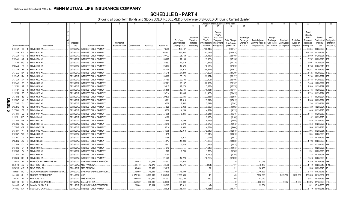|                |                             |                      | 2                              | 4           | 5                            | 6               | 7             | -8         | 9                  | 10                          |                                     |                                    |                                                            | Change in Book/Adjusted Carrying Value |                                               | 16                                 | 17                                 | 18                     | 19                             | 20                                                 | 21                                | 22                                      |
|----------------|-----------------------------|----------------------|--------------------------------|-------------|------------------------------|-----------------|---------------|------------|--------------------|-----------------------------|-------------------------------------|------------------------------------|------------------------------------------------------------|----------------------------------------|-----------------------------------------------|------------------------------------|------------------------------------|------------------------|--------------------------------|----------------------------------------------------|-----------------------------------|-----------------------------------------|
|                |                             |                      |                                |             |                              |                 |               |            |                    |                             | 11                                  |                                    | 13                                                         |                                        | 15                                            |                                    |                                    |                        |                                |                                                    |                                   |                                         |
|                |                             |                      |                                | Disposal    |                              | Number of       |               |            |                    | Prior Year<br>Book/Adjusted | Unrealized<br>Valuation<br>Increase | Current<br>Year's<br>Amortization) | Current<br>Year's<br>Other-Than<br>Temporary<br>Impairment | <b>Total Change</b><br>in $B.A.C.V.$   | <b>Total Foreign</b><br>Exchange<br>Change in | Book/Adjusted<br>Carrying Value at | Foreign<br>Exchange<br>Gain (Loss) | Realized<br>Gain (Loss | <b>Total Gain</b><br>(Loss) on | Bond<br>Interest<br>Stock<br>Dividends<br>Received | Stated<br>Contractual<br>Maturity | <b>NAIC</b><br>Designation<br>or Market |
|                | <b>CUSIP</b> Identification |                      | Description                    | Date        | Name of Purchaser            | Shares of Stock | Consideration | Par Value  | <b>Actual Cost</b> | <b>Carrying Value</b>       | (Decrease)                          | / Accretion                        | Recognized                                                 | $(11+12-13)$                           | <b>B./A.C.V.</b>                              | Disposal Date                      | on Disposal                        | on Disposal            | Disposal                       | During Year                                        | Date                              | Indicator (a)                           |
|                | 3137A2                      | <b>B3</b>            | FHMS K009 X1                   | 09/29/2017  | <b>INTEREST ONLY PAYMENT</b> |                 |               |            | 173,759            | 100,147                     |                                     | (100,147                           |                                                            | (100, 147)                             |                                               |                                    |                                    |                        |                                | .23,844                                            | 08/25/2020                        |                                         |
|                | 3137AB FW                   |                      | <b>FHMS K702 X1</b>            | 09/29/201   | <b>INTEREST ONLY PAYMENT</b> |                 |               |            | .562,901           | 192,024                     |                                     | (192,024)                          |                                                            | (192,024).                             |                                               |                                    |                                    |                        |                                | 152,753                                            | 02/25/2018                        |                                         |
|                | 3137AH                      | 6D                   | FHMS K015 X1                   | 09/29/201   | INTEREST ONLY PAYMENT.       |                 |               |            | 40,422             | .28,169                     |                                     | (28, 169)                          |                                                            | (28, 169)                              |                                               |                                    |                                    |                        |                                | .5,089                                             | 07/25/2021                        |                                         |
|                | 3137AH                      | 6R                   | <b>FHMS K704 X1</b>            | 09/29/201   | INTEREST ONLY PAYMENT        |                 |               |            | 36,625             | .17,138                     |                                     | (17, 138)                          |                                                            | (17, 138)                              |                                               |                                    |                                    |                        |                                | .8,752                                             | 08/25/2018                        |                                         |
|                | 3137AJ                      | МG                   | FHMS K016 X1                   | 09/29/201   | <b>INTEREST ONLY PAYMENT</b> |                 |               |            | .23,993            | .17,379                     |                                     | (17, 379)                          |                                                            | (17, 379)                              |                                               |                                    |                                    |                        |                                | .2,991                                             | 10/25/2021                        |                                         |
|                | 3137AQ                      | <b>T3</b><br>-2      | <b>FHMS K708 X1</b>            | 09/29/201   | INTEREST ONLY PAYMENT        |                 |               |            | .25,287            | .12,570                     |                                     | (12,570)                           |                                                            | (12, 570)                              |                                               |                                    |                                    |                        |                                | .4,759                                             | 01/25/2019.                       |                                         |
|                | 3137AR                      | PZ                   | <b>FHMS K710 X1</b>            | 09/29/201   | <b>INTEREST ONLY PAYMENT</b> |                 |               |            | 101,704            | .54,972                     |                                     | (54, 972)                          |                                                            | (54, 972)                              |                                               |                                    |                                    |                        |                                | .17,827                                            | 05/25/2019.                       |                                         |
|                | 3137AS                      | <b>NK</b>            | <b>FHMS K019 X1</b>            | 09/29/2017  | <b>INTEREST ONLY PAYMENT</b> |                 |               |            | 45,315             | 31,299                      |                                     | (31,299)                           |                                                            | (31, 299)                              |                                               |                                    |                                    |                        |                                | .5,126                                             | 03/25/2022.                       |                                         |
|                | 3137AT                      | <b>RX</b>            | <b>FHMS K020 X1</b>            | 09/29/201   | <b>INTEREST ONLY PAYMENT</b> |                 |               |            | 39,069             | .33,171                     |                                     | (33, 171)                          |                                                            | (33, 171)                              |                                               |                                    |                                    |                        |                                | .5,294                                             | 05/25/2022                        |                                         |
|                | 3137AV                      | XP                   | <b>FHMS K022 X1</b>            | 09/29/2017  | <b>INTEREST ONLY PAYMENT</b> |                 |               |            | .31,180            | .22,105                     |                                     | (22, 105)                          |                                                            | (22, 105)                              |                                               |                                    |                                    |                        |                                | .3,435                                             | 07/25/2022.                       |                                         |
|                | 3137AY                      | CF<br>-6             | <b>FHMS K025 X1</b>            | 09/29/2017  | <b>INTEREST ONLY PAYMENT</b> |                 |               |            | 32,371             | .23,107                     |                                     | (23, 107)                          |                                                            | (23, 107)                              |                                               |                                    |                                    |                        |                                | .3,448                                             | 10/25/2022.                       |                                         |
|                | 3137B1                      | BT<br>-8             | FHMS K026 X1                   | 09/29/2017  | <b>INTEREST ONLY PAYMENT</b> |                 |               |            | .23,817            | .17,278                     |                                     | (17, 278)                          |                                                            | (17, 278)                              |                                               |                                    |                                    |                        |                                | .2,543                                             | 11/25/2022.                       |                                         |
|                | 3137B7                      | N <sub>2</sub>       | FHMS K036 X1                   | 09/29/201   | <b>INTEREST ONLY PAYMENT</b> |                 |               |            | .25,568            | .19,181                     |                                     | (19,181)                           |                                                            | (19, 181)                              |                                               |                                    |                                    |                        |                                | .2,436                                             | 10/25/2023.                       |                                         |
|                | 3137B8                      | G5                   | FHMS K037 X1                   | 09/29/2017  | <b>INTEREST ONLY PAYMENT</b> |                 |               |            | .28,514            | 21,435                      |                                     | (21, 435)                          |                                                            | (21, 435)                              |                                               |                                    |                                    |                        |                                | .2,714                                             | 01/25/2024.                       |                                         |
|                | 3137BB                      | BE                   | FHMS K038 X1                   | 09/29/2017  | INTEREST ONLY PAYMENT        |                 |               |            | .29,530            | .22,586                     |                                     | (22, 586)                          |                                                            | (22, 586)                              |                                               |                                    |                                    |                        |                                | .2,731                                             | 03/25/2024                        |                                         |
| Q              | 3137BE                      | VJ                   | <b>FHMS K040 X1</b>            | 09/29/2017  | INTEREST ONLY PAYMENT        |                 |               |            | 19,261             | .17,619                     |                                     | (17,619)                           |                                                            | (17,619)                               |                                               |                                    |                                    |                        |                                | .1,948                                             | 09/25/2024                        |                                         |
| Ш<br>$\bullet$ | 3137BF                      | XU<br>$\Omega$       | <b>FHMS K042 X1</b>            | 09/29/201   | INTEREST ONLY PAYMENT        |                 |               |            | .9,258             | .7,542                      |                                     | (7, 542)                           |                                                            | (7, 542)                               |                                               |                                    |                                    |                        |                                | 798                                                | 12/25/2024                        |                                         |
| ິທ             | 3137BG                      | K <sub>3</sub><br>-2 | <b>FHMS K043 X1</b>            | 09/29/201   | INTEREST ONLY PAYMENT        |                 |               |            | .4,829             | .3,962                      |                                     | (3,962)                            |                                                            | (3,962)                                |                                               |                                    |                                    |                        |                                | .420                                               | 12/25/2024                        |                                         |
| <u>ርክ</u>      | 3137BH                      | CZ<br>-8             | FHMS K044 X1                   | 09/29/201   | INTEREST ONLY PAYMENT        |                 |               |            | .5,056             | .4,239                      |                                     | (4, 239)                           |                                                            | (4,239)                                |                                               |                                    |                                    |                        |                                | .449                                               | 01/25/2025                        |                                         |
|                | 3137BK                      | GL<br>-8             | <b>FHMS K151 X1</b>            | 09/29/201   | INTEREST ONLY PAYMENT        |                 |               |            | .7,005             | 6,245                       |                                     | (6, 245)                           |                                                            | (6,245)                                |                                               |                                    |                                    |                        |                                | .1.114                                             | 04/25/2030                        |                                         |
|                | 3137BL                      | ME<br>-5             | FHMS KS03 X                    | 09/29/201   | INTEREST ONLY PAYMENT        |                 |               |            | .3,180             |                             |                                     | (3, 180)                           |                                                            | (3, 180)                               |                                               |                                    |                                    |                        |                                | 152                                                | 08/25/2025                        |                                         |
|                | 3137BN                      | 6H<br>$\mathcal{D}$  | <b>FHMS K053 X1</b>            | 09/29/201   | INTEREST ONLY PAYMENT        |                 |               |            | .4,884             | .4,499                      |                                     | (4, 499)                           |                                                            | (4, 499)                               |                                               |                                    |                                    |                        |                                | .446                                               | 12/25/2025.                       |                                         |
|                | 3137BN                      | GU<br>$\mathcal{D}$  | FHMS K054 X1                   | 09/29/201   | INTEREST ONLY PAYMENT        |                 |               |            | .3,949             | .3,672                      |                                     | (3,672)                            |                                                            | (3,672)                                |                                               |                                    |                                    |                        |                                | .356                                               | 01/25/2026                        |                                         |
|                | 3137BP                      | CR<br>-8             | FHMS KW01 X1                   | 09/29/201   | INTEREST ONLY PAYMENT        |                 |               |            | .5,014             | .4,664                      |                                     | (4,664)                            |                                                            | (4,664)                                |                                               |                                    |                                    |                        |                                | .500                                               | 01/25/2026                        |                                         |
|                | 3137BP                      | <b>VP</b>            | <b>FHMS K152 X1</b>            | 09/29/201   | INTEREST ONLY PAYMENT        |                 |               |            | 13,398             | .12,919                     |                                     | (12,919)                           |                                                            | (12, 919)                              |                                               |                                    |                                    |                        |                                | .995                                               | 1/25/2031                         |                                         |
|                | 3137BP                      | W <sub>3</sub><br>-9 | <b>FHMS K055 X1</b>            | 09/29/201   | INTEREST ONLY PAYMENT        |                 |               |            | .11,615            |                             |                                     | (11,615)                           |                                                            | (11,615)                               |                                               |                                    |                                    |                        |                                | .964                                               | 03/25/2026.                       |                                         |
|                | 3137BQ                      | YV                   | FHMS K056 X1.                  | 09/29/201   | INTEREST ONLY PAYMENT        |                 |               |            | .3,199             | .3,071                      |                                     | (3,071)                            |                                                            | (3,071)                                |                                               |                                    |                                    |                        |                                | .288                                               | 05/25/2026.                       |                                         |
|                | 3137BQ                      | ZQ                   | FHMS X2FX X1                   | 09/29/201   | INTEREST ONLY PAYMENT        |                 |               |            | 14,917             | 14,086                      |                                     | (14,086)                           |                                                            | (14,086)                               |                                               |                                    |                                    |                        |                                | .1,726                                             | 09/25/2025                        |                                         |
|                | 3137BR                      | QL                   | <b>FHMS K057 X1</b>            | 09/29/201   | INTEREST ONLY PAYMENT        |                 |               |            | .3,943             | .3,815                      |                                     | (3,815)                            |                                                            | (3,815)                                |                                               |                                    |                                    |                        |                                | .354                                               | 07/25/2026.                       |                                         |
|                | 3137BS                      | 5P                   | FHMS KS06 X                    | 09/29/201   | INTEREST ONLY PAYMENT        |                 |               |            | .1,943             |                             |                                     | (1,943)                            |                                                            | (1,943)                                |                                               |                                    |                                    |                        |                                |                                                    | 08/25/2026                        |                                         |
|                | 3137BS                      | PY                   | <b>FHMS K723 X1</b>            | 09/29/20    | INTEREST ONLY PAYMENT        |                 |               |            | 1,829              | .1,785                      |                                     | (1,785)                            |                                                            | (1,785)                                |                                               |                                    |                                    |                        |                                | .231                                               | 08/25/2023                        |                                         |
|                | 3137BX                      | R2                   | <b>FHMS K064 X1</b>            | 09/29/201   | INTEREST ONLY PAYMENT        |                 |               |            | 5,250              |                             |                                     | (5,250)                            |                                                            | (5,250)                                |                                               |                                    |                                    |                        |                                | 183                                                | 03/25/2027                        |                                         |
|                | 31398Q                      | HC                   | <b>FHMS K007 X1</b>            | 09/29/20    | INTEREST ONLY PAYMENT        |                 |               |            | 21,729             | 12,228                      |                                     | (12, 228)                          |                                                            | (12, 228)                              |                                               |                                    |                                    |                        |                                | .3,513                                             | 04/25/2020                        |                                         |
|                | 31503A                      | AA                   | FERMACA ENTERPRISES S R        | 09/30/201   | SINKING FUND REDEMPTION.     |                 | 42,043        | 42,043     | .42,043            | .42,043                     |                                     |                                    |                                                            |                                        |                                               | .42,043                            |                                    |                        |                                | 1,340                                              | 03/30/2038.                       |                                         |
|                | 33767C                      | AV<br>- q            | FKMT 2015-1 B2.                | 09/01/2017  | MBS PAYDOWN.                 |                 | 42,470        | 42,470     | .43,780            | .42,571                     |                                     | (101)                              |                                                            | (101)                                  |                                               | .42,470                            |                                    |                        |                                | .1,112                                             | 03/25/2045.                       |                                         |
|                | 33767C                      | AW                   | FKMT 2015-1 B3.                | 09/01/2017  | MBS PAYDOWN.                 |                 | .30,466       | 30,466     | .29,619            |                             |                                     | .21                                |                                                            | .21                                    |                                               | .30,466                            |                                    |                        |                                | .598                                               | 03/25/2045                        |                                         |
|                | 33903*                      | DC                   | TEXACO OVERSEAS TANKSHIPS LTD. | 07/02/2017  | SINKING FUND REDEMPTION.     |                 | 46,699        | 46,699     | .46,699            | .46,699                     |                                     |                                    |                                                            |                                        |                                               | .46,699                            |                                    |                        |                                | .3.348                                             | 01/02/2018                        |                                         |
|                | 341099                      | CH<br>- 0            | FLORIDA POWER CORP             | 07/14/2017  | USB.                         |                 | .4,076,130    | .3,000,000 | .2,996,040         | .2,996,583                  |                                     | . 45                               |                                                            | 45                                     |                                               | .2,996,628                         |                                    | 1,079,502              | .1,079,502                     |                                                    | .159,808 09/15/2037.              |                                         |
|                | 35040T                      | AA                   | FFIN 2016-1A A.                | 09/15/2017  | <b>MBS PAYDOWN</b>           |                 | .251,040      | .251,040   | .251,007           | .250,780                    |                                     | .260                               |                                                            | .260                                   |                                               | 251,040                            |                                    |                        |                                | .6,571                                             | 06/15/2035.                       |                                         |
|                | 35671D                      | CB<br>q              | PLAINS EXPLORATION             | 09/18/2017  | CALL at 101.531.             |                 | 659,952       | .650,000   | .650,000           | 650,000                     |                                     |                                    |                                                            |                                        |                                               | .650,000                           |                                    | 9,952                  | .9,952                         |                                                    | .40,325 02/15/2023.               |                                         |
|                | 36186X                      | AD<br>- q            | GMACN 2012 BLIS A.             | 09/11/2017  | SINKING FUND REDEMPTION.     |                 | .23,804       | .23,804    | .24,305            | .23,811                     |                                     |                                    |                                                            | (7)                                    |                                               | .23,804                            |                                    |                        |                                | .821                                               | 07/10/2050.                       |                                         |
|                | 36192K AW                   |                      | GSMS 2012-GCJ7 XA.             | 09/29/2017. | <b>INTEREST ONLY PAYMENT</b> |                 |               |            | 22,928             | 18,351                      |                                     | (18, 351)                          |                                                            | (18, 351)                              |                                               |                                    |                                    |                        |                                |                                                    | .5,779 05/10/2045.                |                                         |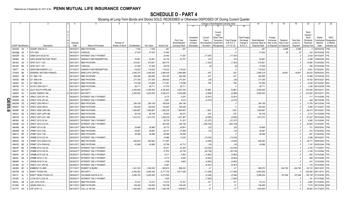|     |                             |                      | 2                                | 4           | 5                            | 6               | 7             | -8         | -9                 | 10                          |                                     | Change in Book/Adjusted Carrying Value                                                           |                                      |                                               | 16                                 | 17                                 | 18                     | 19                             | 20                                                 | 21                                | 22                                      |
|-----|-----------------------------|----------------------|----------------------------------|-------------|------------------------------|-----------------|---------------|------------|--------------------|-----------------------------|-------------------------------------|--------------------------------------------------------------------------------------------------|--------------------------------------|-----------------------------------------------|------------------------------------|------------------------------------|------------------------|--------------------------------|----------------------------------------------------|-----------------------------------|-----------------------------------------|
|     |                             |                      |                                  |             |                              |                 |               |            |                    |                             | 11                                  | 13                                                                                               |                                      | 15                                            |                                    |                                    |                        |                                |                                                    |                                   |                                         |
|     |                             |                      |                                  | Disposal    |                              | Number of       |               |            |                    | Prior Year<br>Book/Adjusted | Unrealized<br>Valuation<br>Increase | Current<br>Year's<br>Other-Than<br>Current<br>Year's<br>Temporary<br>Amortization)<br>Impairment | <b>Total Change</b><br>in $B.A.C.V.$ | <b>Total Foreigr</b><br>Exchange<br>Change in | Book/Adjusted<br>Carrying Value at | Foreign<br>Exchange<br>Gain (Loss) | Realized<br>Gain (Loss | <b>Total Gain</b><br>(Loss) on | Bond<br>Interest<br>Stock<br>Dividends<br>Received | Stated<br>Contractual<br>Maturity | <b>NAIC</b><br>Designation<br>or Market |
|     | <b>CUSIP</b> Identification |                      | Description                      | Date        | Name of Purchaser            | Shares of Stock | Consideration | Par Value  | <b>Actual Cost</b> | Carrying Value              | (Decrease)                          | / Accretion<br>Recognized                                                                        | $(11+12-13)$                         | <b>B./A.C.V.</b>                              | Disposal Date                      | on Disposal                        | on Disposa             | Disposal                       | During Year                                        | Date                              | Indicator (a)                           |
|     | 36244W                      | AA                   | GSAMP 2006-S5 A1                 | 09/25/2017  | MBS PAYDOWN.                 |                 | .7,250        | .7,250     | .261               | .261                        |                                     |                                                                                                  |                                      |                                               | .261                               |                                    | .6,989                 | .6,989                         |                                                    | 09/25/2036                        | IFM.                                    |
|     | 36249@                      | AA                   | GTH GSA.                         | 09/15/201   | /arious.                     |                 | .37,679       | .37,679    | .37,644            |                             |                                     |                                                                                                  |                                      |                                               | .37,644                            |                                    | .35                    | .35                            | .334                                               | 05/15/2038                        | FE.                                     |
|     | 36252W                      | AZ                   | GSMS 2014-GC20 XA.               | 09/29/2017  | <b>INTEREST ONLY PAYMENT</b> |                 |               |            | 24,440             | .17,397                     |                                     | (17, 397)                                                                                        | (17, 397)                            |                                               |                                    |                                    |                        |                                | .5,029                                             | 04/10/2047                        |                                         |
|     | 36298G                      | AA                   | <b>GSPA MONETIZATION TRUST</b>   | 09/09/201   | SINKING FUND REDEMPTION.     |                 | .53,661       | 53,661     | .54,734            | .53,707                     |                                     | (47)                                                                                             | (47)                                 |                                               | .53.661                            |                                    |                        |                                | .2,298                                             | 10/09/2029.                       |                                         |
|     | 36416U                      | AG                   | GFMT 2017-1 A21                  | 09/01/201   | MBS PAYDOWN.                 |                 | .910,921      | .910,921   | .920,770           |                             |                                     | (1, 303)                                                                                         | (1,303)                              |                                               | .910,921                           |                                    |                        |                                | .14,895                                            | 07/25/2056                        |                                         |
|     | 36416U                      | BG                   | GFMT 2017-1 B1.                  | 09/01/2017  | VARIOUS.                     |                 | .27,838       | .27,838    | 28,516             |                             |                                     | (8)                                                                                              | (8)                                  |                                               | .27,838                            |                                    |                        |                                | .206                                               | 07/25/2056.                       |                                         |
|     | 36877*                      | AA                   | <b>GENCONN ENERGY LLC.</b>       | 07/15/2017  | SINKING FUND REDEMPTION.     |                 | .118,422      | .118,422   | .118,422           | .118,422                    |                                     |                                                                                                  |                                      |                                               | .118,422                           |                                    |                        |                                | .5,601                                             | 07/25/2041                        |                                         |
|     | 37045X                      | BK                   | <b>GENERAL MOTORS FINANCE</b>    | 08/02/2017  | <b>BARCLAYS CAPITAL</b>      |                 | .3,045,270    | .3,000,000 | .2,994,430         | .2,994,886                  |                                     | .433                                                                                             | .433                                 |                                               | .2,995,319                         |                                    | 49,951                 | .49,951                        | .82,633                                            | 05/09/2023.                       |                                         |
|     | 393505                      | <b>JM</b>            | GT 1995-7 B1                     | 09/15/2017  | <b>MBS PAYDOWN</b>           |                 | .264,895      | .264,895   | .254,165           | .264,458                    |                                     | .437                                                                                             | .437                                 |                                               | .264,895                           |                                    |                        |                                | 12,899                                             | 10/15/2026.                       |                                         |
|     | 393505                      | <b>MR</b><br>n       | GT 1996-4 M1                     | 09/15/2017  | <b>MBS PAYDOWN</b>           |                 | .277,355      | .277,355   | .269,552           | .277,381                    |                                     | (25)                                                                                             | (25)                                 |                                               | .277,355                           |                                    |                        |                                | .14,432                                            | 06/15/2027                        |                                         |
|     | 393505                      | NC.<br>-2            | GT 1996-5 M1                     | 09/15/2017  | <b>MBS PAYDOWN</b>           |                 | .175,386      | 175,386    | 171,481            | .174,598                    |                                     | .789                                                                                             | .789                                 |                                               | .175,386                           |                                    |                        |                                | .9,438                                             | 07/15/2027                        |                                         |
|     | 396789                      | <b>FY</b><br>$\cap$  | GCCFC 2004-GG1 F.                | 09/01/2017  | <b>MBS PAYDOWN</b>           |                 | .28,711       | .28,711    | .27,275            | 28,711                      |                                     |                                                                                                  |                                      |                                               | 28,711                             |                                    |                        |                                | .1,236                                             | 06/10/2036.                       |                                         |
|     | 402524                      | AC                   | <b>GULF SOUTH PIPELINE</b>       | 08/15/2017  | <b>MATURITY</b>              |                 | .5,000,000    | .5,000,000 | .4,252,550         | .4,927,040                  |                                     | .72,960                                                                                          | .72,960                              |                                               | .5,000,000                         |                                    |                        |                                | 315,000                                            | 08/15/2017.                       |                                         |
|     | 448055                      | AC                   | HUSKY ENERGY INC                 | 09/15/2017  | <b>MATURITY</b>              |                 | .5,000,000    | .5,000,000 | .5,029,270         | .5,002,698                  |                                     | (2,698)                                                                                          | (2,698)                              |                                               | .5,000,000                         |                                    |                        |                                | 310,000                                            | 09/15/2017.                       |                                         |
|     | 46590K                      | AN                   | JPMCC 2015-JP1 XA                | 09/29/2017  | <b>INTEREST ONLY PAYMENT</b> |                 |               |            | .6,173             | .5,291                      |                                     | (5,291)                                                                                          | (5,291)                              |                                               |                                    |                                    |                        |                                | .711                                               | 01/15/2049.                       |                                         |
| Q   | 46590R                      | AG                   | <b>JPMCC 2016-JP3 XA</b>         | 09/29/2017  | <b>INTEREST ONLY PAYMENT</b> |                 |               |            | .4,651             | .4,472                      |                                     | (4, 472)                                                                                         | (4, 472)                             |                                               |                                    |                                    |                        |                                | .448                                               | 08/15/2049.                       |                                         |
| Ш   | 46625M                      | ZE                   | <b>JPMCC 2003-PM1A F</b>         | 09/01/2017  | <b>MBS PAYDOWN</b>           |                 | .284.199      | .284,199   | 198,939            | .284,199                    |                                     |                                                                                                  |                                      |                                               | .284,199                           |                                    |                        |                                | .11.478                                            | 08/12/2040.                       |                                         |
| 95. | 46625Y                      | DG.<br>-5            | JPMCC 2004-CBX B.                | 09/01/2017  | <b>MBS PAYDOWN</b>           |                 | 160,026       | 160,026    | 142,823            | 160,026                     |                                     |                                                                                                  |                                      |                                               | 160,026                            |                                    |                        |                                | .5,269                                             | 01/12/2037                        |                                         |
| ග   | 46629P                      | AE<br>-8             | JPMCC 2006-LDP9 AM.              | 09/01/2017  | <b>MBS PAYDOWN</b>           |                 | .1,606,887    | 1,606,887  | 1,265,235          | .1,604,967                  |                                     | .1,920                                                                                           | .1,920                               |                                               | .1,606,887                         |                                    |                        |                                | .58,473                                            | 05/15/2047                        |                                         |
|     | 46630J                      | AE<br>-9             | JPMCC 2007-LDPX AM               | 09/01/2017  | <b>MBS PAYDOWN</b>           |                 | .56,748       | .56,748    | .45,833            | .56,273                     |                                     | .476                                                                                             | .476                                 |                                               | .56,748                            |                                    |                        |                                | .2,213                                             | 01/15/2049.                       |                                         |
|     | 46631B                      | AJ                   | JPMCC 2007-LD11 AM.              | 09/01/2017  | <b>MBS PAYDOWN</b>           |                 | .1,813,372    | .1,813,372 | 1,829,239          | 1,821,967                   |                                     | (8,595)                                                                                          | (8,595)                              |                                               | 1,813,372                          |                                    |                        |                                | .57,227                                            | 06/15/2049.                       | FM                                      |
|     | 46638U                      | AE<br>6              | JPMCC 2012-C8 XA.                | 09/29/201   | <b>INTEREST ONLY PAYMENT</b> |                 |               |            | .28,730            | .21,227                     |                                     | (21, 227)                                                                                        | (21, 227)                            |                                               |                                    |                                    |                        |                                | .4,992                                             | 10/15/2045.                       |                                         |
|     | 46639E                      | AG                   | JPMCC 2012-LC9 XA                | 09/29/2017  | <b>INTEREST ONLY PAYMENT</b> |                 |               |            | .293,300           | .245,728                    |                                     | (245,728)                                                                                        | (245, 728)                           |                                               |                                    |                                    |                        |                                | .53,904                                            | 12/15/2047                        |                                         |
|     | 46640B                      | AK                   | JPMMT 2013-2 B2.                 | 09/01/2017  | <b>MBS PAYDOWN</b>           |                 | .29,968       | .29,968    | .30,172            | .29,991                     |                                     | (23)                                                                                             | (23)                                 |                                               | .29,968                            |                                    |                        |                                | .731                                               | 05/25/2043                        | FM                                      |
|     | 46640M                      | AS                   | JPMMT 2013-3 B2.                 | 09/01/2017  | <b>MBS PAYDOWN</b>           |                 | 49,887        | 49,887     | 49,731             | .37,696                     |                                     | (14)                                                                                             | (14)                                 |                                               | .49,887                            |                                    |                        |                                | .910                                               | 07/25/2043                        | FM                                      |
|     | 46641C                      | <b>BP</b>            | JPMMT 2014-1 B2.                 | 09/01/201   | <b>MBS PAYDOWN</b>           |                 | 38,386        | 38,386     | .38,386            | .38,386                     |                                     |                                                                                                  |                                      |                                               | .38,386                            |                                    |                        |                                | .961                                               | 01/25/2044                        |                                         |
|     | 46643A                      | BG                   | JPMBB 2014-C23 XA.               | 09/29/201   | <b>INTEREST ONLY PAYMENT</b> |                 |               |            | 18,989             | .13,035                     |                                     | (13,035)                                                                                         | (13,035)                             |                                               |                                    |                                    |                        |                                | .2,098                                             | 09/15/2047                        |                                         |
|     | 46643D                      | AS                   | JPMMT 2014-OAK4 A16.             | 09/01/201   | <b>MBS PAYDOWN</b>           |                 | 694,583       | 694,583    | .711,997           |                             |                                     | (4, 593)                                                                                         | (4, 593)                             |                                               | .694,583                           |                                    |                        |                                | .16,771                                            | 09/25/2044                        |                                         |
|     | 46643D                      | <b>BE</b>            | JPMMT 2014-OAK4 B2.              | 09/01/2017  | MBS PAYDOWN.                 |                 | 43.696        | 43,696     | .43,786            | .43,712                     |                                     | (16)                                                                                             | (16)                                 |                                               | .43,696                            |                                    |                        |                                | .1.181                                             | 09/25/2044                        |                                         |
|     | 46643P                      | <b>BG</b>            | JPMBB 2014-C25 XA.               | 09/29/201   | <b>INTEREST ONLY PAYMENT</b> |                 |               |            | .30,811            | .23,205                     |                                     | (23, 205)                                                                                        | (23, 205)                            |                                               |                                    |                                    |                        |                                | .2.744                                             | 11/15/2047                        |                                         |
|     | 46643T                      | <b>BC</b>            | JPMBB 2014-C26 XA                | 09/29/201   | <b>INTEREST ONLY PAYMENT</b> |                 |               |            | .27,870            | .20,739                     |                                     | (20, 739)                                                                                        | (20, 739)                            |                                               |                                    |                                    |                        |                                | .3.169                                             | 01/15/2048                        |                                         |
|     | 46644F                      | AF                   | JPMBB 2015-C28 XA                | 09/29/201   | <b>INTEREST ONLY PAYMENT</b> |                 |               |            | .6,211             | .4,862                      |                                     | (4,862)                                                                                          | (4,862)                              |                                               |                                    |                                    |                        |                                | .650                                               | 10/15/2048.                       |                                         |
|     | 46645L                      | <b>BA</b>            | <b>JPMBB 2016-C1 XA</b>          | 09/29/201   | <b>INTEREST ONLY PAYMENT</b> |                 |               |            | .9,170             | .8,293                      |                                     | (8, 293)                                                                                         | (8, 293)                             |                                               |                                    |                                    |                        |                                | .959                                               | 03/15/2049                        |                                         |
|     | 46646R                      | AI                   | <b>JPMDB 2016-C4 XA</b>          | 09/29/201   | <b>INTEREST ONLY PAYMENT</b> |                 |               |            | .4,768             | .4,683                      |                                     | (4,683)                                                                                          | (4,683)                              |                                               |                                    |                                    |                        |                                | .441                                               | 12/15/2049                        |                                         |
|     | 48128K                      | AV                   | JPMCC 2017-JP6 XA                | 09/29/201   | <b>INTEREST ONLY PAYMENT</b> |                 |               |            | .6,361             |                             |                                     | (6,361)                                                                                          | (6, 361)                             |                                               |                                    |                                    |                        |                                | .176                                               | 07/15/2050                        |                                         |
|     | 494368                      | BC                   | KIMBERLY-CLARK                   | 07/11/2017  | ROBERT W BAIRD.              |                 | 1,401,030     | .1,000,000 | .995,610           | .996,223                    |                                     | .47                                                                                              | 47                                   |                                               | .996,270                           |                                    | .404,760               | 404,760                        | .63,122                                            | 08/01/2037                        |                                         |
|     | 50075N                      | AS                   | KRAFT FOODS INC.                 | 08/11/2017  | MATURITY.                    |                 | .6,500,000    | .6,500,000 | .6,717,730         | .6,517,495                  |                                     | (17, 495)                                                                                        | (17, 495)                            |                                               | .6,500,000                         |                                    |                        |                                | 422,500                                            | 08/11/2017                        |                                         |
|     | 50077L                      | AL                   | KRAFT HEINZ FOODS CO.            | 08/09/2017  | GOLDMAN SACHS & CO.          |                 | .5,456,100    | .5,000,000 | .5,273,500         |                             |                                     | (5,246)                                                                                          | (5,246)                              |                                               | .5,268,254                         |                                    | .187,846               | 187,846                        | .145,139                                           | 07/15/2035.                       |                                         |
|     | 50190D                      | AI<br>AB             | <b>LCCM 2017-LC26 XA</b>         | 09/29/201   | <b>INTEREST ONLY PAYMENT</b> |                 |               |            | .7,825             |                             |                                     | (7, 825)                                                                                         | (7,825)                              |                                               |                                    |                                    |                        |                                | .191                                               | 07/12/2050.                       |                                         |
|     | 50543L                      |                      | LAFL 2016-1A B1                  | 09/15/2017  | <b>MBS PAYDOWN</b>           |                 | 70,312        | .70,312    | .70,310            | .70,161                     |                                     | .151                                                                                             | 151                                  |                                               | .70,312                            |                                    |                        |                                | .2,663                                             | 01/15/2042.                       |                                         |
|     | 52108H                      | F <sub>8</sub><br>-2 | LBUBS 2004-C4 J<br>LRF 2016-1 D. | 09/11/2017  | <b>MBS PAYDOWN</b>           |                 | 106,465       | 106,465    | 106,798            | 106,445                     |                                     | .21<br>47                                                                                        | .21<br>47                            |                                               | 106,465                            |                                    |                        |                                | .7,519<br>46.944                                   | 06/15/2036.                       |                                         |
|     | 52177F AG                   | 9                    |                                  | 08/15/2017. | CALL at 100.000.             |                 | 1,440,000     | 1,440,000  | .1,439,708         | 1,439,953                   |                                     |                                                                                                  |                                      |                                               | 1,440,000                          |                                    |                        |                                |                                                    | 01/17/2023.                       |                                         |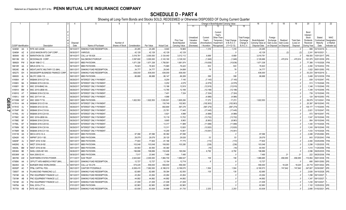|                         |                             |                 | 2                                            | $\mathcal{R}$<br>$\overline{4}$ |                     | -5                                                           | 6               | 7             | 8          | 9                  | 10                          |                                     |                                   |                                                            | Change in Book/Adjusted Carrying Value |                                               | 16                                 | 17                                 | 18                      | 19                             | 20                                                 | 21                               | 22                                      |
|-------------------------|-----------------------------|-----------------|----------------------------------------------|---------------------------------|---------------------|--------------------------------------------------------------|-----------------|---------------|------------|--------------------|-----------------------------|-------------------------------------|-----------------------------------|------------------------------------------------------------|----------------------------------------|-----------------------------------------------|------------------------------------|------------------------------------|-------------------------|--------------------------------|----------------------------------------------------|----------------------------------|-----------------------------------------|
|                         |                             |                 |                                              |                                 |                     |                                                              |                 |               |            |                    |                             | 11                                  | 12                                | 13                                                         | 14                                     | 15                                            |                                    |                                    |                         |                                |                                                    |                                  |                                         |
|                         |                             |                 |                                              | Disposal                        |                     |                                                              | Number of       |               |            |                    | Prior Year<br>Book/Adjusted | Unrealized<br>Valuation<br>Increase | Current<br>Year's<br>Amortization | Current<br>Year's<br>Other-Than<br>Temporary<br>Impairment | <b>Total Change</b><br>in B./A.C.V.    | <b>Total Foreign</b><br>Exchange<br>Change in | Book/Adjusted<br>Carrying Value at | Foreign<br>Exchange<br>Gain (Loss) | Realized<br>Gain (Loss) | <b>Total Gain</b><br>(Loss) on | Bond<br>Interest<br>Stock<br>Dividends<br>Received | Stated<br>Contractua<br>Maturity | <b>NAIC</b><br>Designation<br>or Market |
|                         | <b>CUSIP</b> Identification |                 | Description                                  | Date                            |                     | Name of Purchaser                                            | Shares of Stock | Consideration | Par Value  | <b>Actual Cost</b> | Carrying Value              | (Decrease)                          | / Accretion                       | Recognized                                                 | $(11+12-13)$                           | <b>B./A.C.V.</b>                              | Disposal Date                      | on Disposal on Disposal            |                         | Disposal                       | During Year                                        | Date                             | Indicator (a)                           |
|                         | 52465#                      | AA              | RITE AID LEASE.<br>- 3                       | 09/10/2017.                     |                     | SINKING FUND REDEMPTION                                      |                 | .20,285       | .20,285    | .9,940             | .18,969                     |                                     | 1,316                             |                                                            | .1,316                                 |                                               | .20,285                            |                                    |                         |                                | .988                                               | 03/10/2019                       |                                         |
|                         | 52465#                      | AZ              | EGG MASON MTG CAP CORP.                      | 09/30/2017                      | <b>VARIOUS</b>      |                                                              |                 | .42,128       | .42,128    | .42,129            | .42,129                     |                                     |                                   |                                                            |                                        |                                               | .42,129                            |                                    | .(2                     | (2)                            | .2,241                                             | 06/10/2021                       |                                         |
|                         | 565849                      | AD              | <b>MARATHON OIL CORP.</b>                    | 08/14/2017                      | CALL at 100.626.    |                                                              |                 | .3,018,781    | .3,000,000 | .3,124,440         | .3,012,112                  |                                     | .6,669                            |                                                            | 6,669                                  |                                               | .3,018,781                         |                                    |                         |                                | .156,500                                           | 10/01/2017                       |                                         |
|                         | 58013M                      | EH              | <b>MCDONALDS CORP.</b>                       | 07/07/201                       |                     | SALOMON/CITIGROUP                                            |                 | .3,597,600    | .3,000,000 | .3,143,160         | .3,128,332                  |                                     | (1,646)                           |                                                            | (1,646)                                |                                               | .3,126,686                         |                                    | .470,914                | .470,914                       | .161,975                                           | 02/01/2039.                      |                                         |
|                         | 589929                      | <b>PW</b>       | <b>JLMI 1998-C1 C.</b>                       | 09/01/201                       | MBS PAYDOWN.        |                                                              |                 | 1,671,338     | 1,671,338  | 1,758,561          | 1,681,974                   |                                     | (10,636)                          |                                                            | (10,636)                               |                                               | 1,671,338                          |                                    |                         |                                | .77,388                                            | 11/15/2026.                      |                                         |
|                         | 59010R                      | AA              | MRLN 2016-1 A.                               | 09/15/201                       | MBS PAYDOWN.        |                                                              |                 | .76,923       | .76,923    | .73,965            | .76,420                     |                                     | .503                              |                                                            | 503                                    |                                               | 76,923                             |                                    |                         |                                | .2,260                                             | 12/15/2032.                      |                                         |
|                         | 59524E                      | AB              | MIDATLANTIC MILITARY CO (MH).                | 08/01/2017                      |                     | SINKING FUND REDEMPTION                                      |                 | .34,777       | .34,777    | .29,045            | .34,699                     |                                     | 78                                |                                                            | 78                                     |                                               | .34,777                            |                                    |                         |                                | .1,822                                             | 08/01/2050.                      |                                         |
|                         | 605275                      | EH.             | <b>MISSISSIPPI BUSINESS FINANCE CORP.</b>    | 09/15/2017                      |                     | SINKING FUND REDEMPTION                                      |                 | .636,000      | .636,000   | .636,000           | .636,000                    |                                     |                                   |                                                            |                                        |                                               | .636,000                           |                                    |                         |                                | .53,233                                            | 09/15/2019                       |                                         |
|                         | 606935                      | AL              | MLCFC 2006-1 B.                              | 09/01/2017                      | MBS PAYDOWN.        |                                                              |                 | .86,688       | .86,688    | .86,147            | .86,289                     |                                     | .399                              |                                                            | 399                                    |                                               | .86,688                            |                                    |                         |                                | .3,468                                             | 02/12/2039.                      |                                         |
|                         | 61690A                      | AF              | MSBAM 2015-C27 XA                            | 09/29/2017                      |                     | INTEREST ONLY PAYMENT.                                       |                 |               |            | .8,254             | .7,145                      |                                     | (7, 145)                          |                                                            | (7, 145)                               |                                               |                                    |                                    |                         |                                | 839                                                | 12/15/2047                       |                                         |
|                         | 61690V                      | BA<br><b>BV</b> | <b>MSBAM 2015-C26 XA</b>                     | 09/29/2011                      |                     | <b>INTEREST ONLY PAYMENT</b>                                 |                 |               |            | .5,252             | .4,579                      |                                     | (4,579)                           |                                                            | (4, 579)                               |                                               |                                    |                                    |                         |                                | .513                                               | 11/15/2048                       |                                         |
|                         | 61690Y                      |                 | MSC 2016-BNK2 XA                             | 09/29/2011<br>09/29/2011        |                     | <b>INTEREST ONLY PAYMENT</b><br><b>INTEREST ONLY PAYMENT</b> |                 |               |            | .13,186            | 12,919                      |                                     | (12,919)                          |                                                            | (12, 919)                              |                                               |                                    |                                    |                         |                                | .1,348                                             | 11/15/2049                       |                                         |
|                         | 61691A                      | BM<br>AT        | <b>MSC 2015-UBS8 XA</b><br>MSBAM 2016-C32 XA | 09/29/2011                      |                     | <b>INTEREST ONLY PAYMENT</b>                                 |                 |               |            | .13,785            | 12,188                      |                                     | (12, 188)                         |                                                            | (12, 188)                              |                                               |                                    |                                    |                         |                                | 1,349                                              | 12/15/2048                       |                                         |
|                         | 61691G                      | AW              | MSC 2017-H1 XA                               | 09/29/2017                      |                     | INTEREST ONLY PAYMENT.                                       |                 |               |            | .7,401<br>.4,986   | .7,324                      |                                     | (7, 324)                          |                                                            | (7, 324)                               |                                               |                                    |                                    |                         |                                | .739                                               | 12/15/2049.                      |                                         |
| Q                       | 61691J<br>61745M            |                 | MSC 2005-T17 B.                              | 09/01/2017                      | <b>MBS PAYDOWN</b>  |                                                              |                 | 1,822,553     | 1,822,553  | 1,535,501          | 1,805,280                   |                                     | . (4,986)<br>.17,272              |                                                            | (4,986)<br>.17,272                     |                                               | 1,822,553                          |                                    |                         | .0<br>. 0                      | .124<br>.59,579                                    | 06/15/2050<br>12/13/2041         |                                         |
| Ш                       | 61761A                      | AA              | <b>MSBAM 2012-C5 XA</b>                      | 09/29/2011                      |                     | INTEREST ONLY PAYMENT.                                       |                 |               |            | 130,749            | 102,903                     |                                     | (102,903)                         |                                                            | (102, 903)                             |                                               |                                    |                                    |                         |                                | .20,397                                            | 08/15/2045.                      |                                         |
| $\overline{\mathbf{S}}$ | 61761D                      | AJ              | <b>MSBAM 2012-C6 XA</b>                      | 09/29/201                       |                     | <b>INTEREST ONLY PAYMENT</b>                                 |                 |               |            | 692,694            | .587,279                    |                                     | (587, 279)                        |                                                            | (587, 279)                             |                                               |                                    |                                    |                         | 0                              | .135,177                                           | 11/15/2045.                      |                                         |
| ↘                       | 61764P                      | BV              | <b>MSBAM 2014-C19 XA</b>                     | 09/29/2017                      |                     | INTEREST ONLY PAYMENT.                                       |                 |               |            | .23,761            | .17,445                     |                                     | (17,445)                          |                                                            | (17, 445)                              |                                               |                                    |                                    |                         |                                | .2,821                                             | 12/15/2047                       |                                         |
|                         | 61765L                      | AV              | <b>MSBAM 2015-C24 XA</b>                     | 09/29/201                       |                     | INTEREST ONLY PAYMENT.                                       |                 |               |            | .5,921             | .4,988                      |                                     | (4,988)                           |                                                            | (4,988)                                |                                               |                                    |                                    |                         | 0                              | 572                                                | 08/15/2047                       |                                         |
|                         | 61766C                      | AH              | MSC 2016-UBS9 XA                             | 09/29/2017                      |                     | INTEREST ONLY PAYMENT                                        |                 |               |            | .15,119            | .13,702                     |                                     | (13,702)                          |                                                            | (13,702)                               |                                               |                                    |                                    |                         | .0                             | .1,547                                             | 03/15/2049                       |                                         |
|                         | 61766E                      | <b>BF</b>       | <b>MSBAM 2016-C29 XA</b>                     | 09/29/2011                      |                     | <b>INTEREST ONLY PAYMENT</b>                                 |                 |               |            | .9,665             | .8,963                      |                                     | (8,963)                           |                                                            | (8,963)                                |                                               |                                    |                                    |                         | 0                              | 954                                                | 05/15/2049                       |                                         |
|                         | 61766L                      | <b>BT</b>       | <b>JSBAM 2016-C28 XA</b>                     | 09/29/2017                      |                     | INTEREST ONLY PAYMENT.                                       |                 |               |            | .13,317            | .11,989                     |                                     | (11,989)                          |                                                            | (11,989)                               |                                               |                                    |                                    |                         | 0                              | .1,340                                             | 01/15/2026                       |                                         |
|                         | 61766N                      | BC              | <b>MSBAM 2016-C30 XA</b>                     | 09/29/2017                      |                     | <b>INTEREST ONLY PAYMENT</b>                                 |                 |               |            | .13,311            | 12,820                      |                                     | (12,820)                          |                                                            | (12,820)                               |                                               |                                    |                                    |                         | $\ldots 0$                     | 1,243                                              | 09/15/2049                       |                                         |
|                         | 61766R                      | BA              | <b>JSBAM 2016-C31 XA</b>                     | 09/29/2011                      |                     | INTEREST ONLY PAYMENT.                                       |                 |               |            | .10,255            | .10,061                     |                                     | (10,061)                          |                                                            | (10,061)                               |                                               |                                    |                                    |                         | $\ldots 0$                     | .1,033                                             | 10/15/2026                       |                                         |
|                         | 61911B                      | AA              | MECA 2010-1A A.                              | 09/01/201                       | <b>MBS PAYDOWN.</b> |                                                              |                 | .97,096       | .97,096    | .95,382            | .97,096                     |                                     |                                   |                                                            |                                        |                                               | .97,096                            |                                    |                         | $\dots 0$                      | .2,488                                             | 07/25/2060.                      |                                         |
|                         | 62942K                      | AG              | <b>NRPMT 2013-1 B3.</b>                      | 09/01/201                       | MBS PAYDOWN.        |                                                              |                 | .29,079       | .29,079    | .28,120            | .29,026                     |                                     | 53                                |                                                            | 53                                     |                                               | .29,079                            |                                    |                         |                                | .643                                               | 07/25/2043                       | 1FM.                                    |
|                         | 64829F                      | AJ              | <b>NRZT 2016-1A B2</b>                       | 09/01/201                       | MBS PAYDOWN.        |                                                              |                 | .77,604       | 77,604     | .81,186            | 77,775                      |                                     | (172)                             |                                                            | (172)                                  |                                               | .77,604                            |                                    |                         | $\ldots 0$                     | .2,484                                             | 03/25/2056.                      | 1FM.                                    |
|                         | 64829G                      | AL              | <b>NRZT 2016-2A B2</b>                       | 09/01/201                       | MBS PAYDOWN.        |                                                              |                 | .103,048      | 103,048    | 106,093            | .103,285                    |                                     | (238)                             |                                                            | (238)                                  |                                               | 103,048                            |                                    |                         |                                | .3,298                                             | 11/25/2035.                      |                                         |
|                         | 64829L                      | <b>BM</b>       | <b>NRZT 2016-4A B4</b>                       | 09/01/201                       | MBS PAYDOWN.        |                                                              |                 | .64,593       | .64,593    | .65,360            |                             |                                     | (16)                              |                                                            | (16)                                   |                                               | .64,593                            |                                    |                         | $\ldots 0$                     | .1.414                                             | 11/25/2056.                      |                                         |
|                         | 65536H                      | <b>BE</b>       | <b>VHELI 2005-HE1 M3.</b>                    | 09/26/201                       | <b>MBS PAYDOWN.</b> |                                                              |                 | .196,886      | 196,886    | 132,406            | .190,094                    |                                     | .6,792                            |                                                            | .6,792                                 |                                               | 196,886                            |                                    |                         |                                | .2,096                                             | 09/25/2035.                      |                                         |
|                         | 65536W                      | AA              | VAA 2006-S3 A1                               | 09/30/201                       | MBS PAYDOWN.        |                                                              |                 | .7,517        | .23,945    | .7,495             | 7,495                       |                                     |                                   |                                                            |                                        |                                               | .7,495                             |                                    | .21                     | 21                             | .222                                               | 08/25/2036.                      |                                         |
|                         | 665789                      | AW              | <b>NORTHERN STATES POWER</b>                 | 07/11/201                       | <b>SUN TRUST</b>    |                                                              |                 | 2,643,640     | .2,000,000 | 1,984,700          | 1,986,527                   |                                     | 158                               |                                                            | 158                                    |                                               | 1,986,685                          |                                    | .656,955                | 656,955                        | .110,854                                           | 09/01/2038.                      |                                         |
|                         | 67085K                      | AA              | OFFUTT AFB AMERICA FIRST (MH)                | 09/01/201                       |                     | SINKING FUND REDEMPTION                                      |                 | .12,727       | .12,727    | .12,154            | .12,719                     |                                     |                                   |                                                            |                                        |                                               | .12,727                            |                                    |                         |                                | .695                                               | 09/01/2050.                      |                                         |
|                         | 68245X                      | AA              | BURGER KING WORLDWIDE                        | 09/07/2017                      | CALL at 103.278.    |                                                              |                 | .574,225      | .556,000   | 556,000            | .556,000                    |                                     |                                   |                                                            |                                        |                                               | .556,000                           |                                    | .18,225                 | 18,225                         | 24,718                                             | 04/01/2022.                      |                                         |
|                         | 69352P                      | AC              | PP&L CAPITAL FDG.                            | 08/21/2017                      |                     | CANTOR FITZGERALD.                                           |                 | 6,938,415     | .7,062,000 | 6,188,010          | 6,189,070                   |                                     | .1,504                            |                                                            | .1,504                                 |                                               | .6,190,573                         |                                    | 747,842                 | .747,842                       | .347,607                                           | 03/30/2067                       |                                         |
|                         | 72650T                      | AA              | PLAINS END FINANCING LLC                     | 07/01/2017                      |                     | SINKING FUND REDEMPTION                                      |                 | .62,685       | .62,685    | .59,394            | .62,550                     |                                     | .135                              |                                                            | .135                                   |                                               | .62,685                            |                                    |                         |                                | .2,826                                             | 04/15/2028.                      |                                         |
|                         | 73019#                      | AA              | PNC EQUIPMENT FINANCE LLC<br>$\Omega$        | 09/13/2017                      |                     | SINKING FUND REDEMPTION.                                     |                 | .43,264       | .43,264    | .43,264            | .43,264                     |                                     |                                   |                                                            |                                        |                                               | .43,264                            |                                    |                         | 0                              | .1,298                                             | 09/13/2027                       |                                         |
|                         | 73019#                      | AB              | PNC EQUIPMENT FINANCE LLC                    | 09/13/2011                      |                     | SINKING FUND REDEMPTION.                                     |                 | .44,892       | .44,892    | .44,892            | .44,892                     |                                     |                                   |                                                            | . 0                                    |                                               | .44,892                            |                                    |                         |                                | .1,347                                             | 09/13/2027                       |                                         |
|                         | 73019#                      | AC              | PNC EQUIPMENT FINANCE LLC                    | 09/13/2017                      |                     | SINKING FUND REDEMPTION.                                     |                 | .41,008       | .41,008    | .41,008            | .41,008                     |                                     |                                   |                                                            |                                        |                                               | .41,008                            |                                    |                         |                                | 1,230                                              | 09/13/2027                       |                                         |
|                         | 74979A                      | AA              | RIAL 2015-LT7 A                              | 07/01/2017                      | MBS PAYDOWN.        |                                                              |                 | .62,983       | .62,983    | .62,983            | .62,983                     |                                     |                                   |                                                            |                                        |                                               | .62,983                            |                                    |                         |                                | .1,102                                             | 12/25/2032.                      |                                         |
|                         | 767759                      | AB              | <b>RITE AID LEASE</b><br>-9                  | 09/05/2017                      |                     | SINKING FUND REDEMPTION.                                     |                 | .63,938       | .63,938    | .34,686            | .61,735                     |                                     | .2,203                            |                                                            | .2,203                                 |                                               | .63,938                            |                                    |                         |                                | .2,895                                             | 01/02/2021                       |                                         |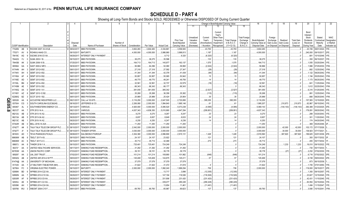|           |                             |                   | 2                                                         | $\mathbf{3}$<br>$\overline{4}$ | -5                                  | 6               | 7                       | -8                       | 9                        | 10                          |                                     |                                    | Change in Book/Adjusted Carrying Value                      |                                     |                                               | 16                                 | 17                                 | 18                      | 19                             | 20                                                 | 21                                | 22                                      |
|-----------|-----------------------------|-------------------|-----------------------------------------------------------|--------------------------------|-------------------------------------|-----------------|-------------------------|--------------------------|--------------------------|-----------------------------|-------------------------------------|------------------------------------|-------------------------------------------------------------|-------------------------------------|-----------------------------------------------|------------------------------------|------------------------------------|-------------------------|--------------------------------|----------------------------------------------------|-----------------------------------|-----------------------------------------|
|           |                             |                   |                                                           |                                |                                     |                 |                         |                          |                          |                             | 11                                  |                                    | 13                                                          | 14                                  | 15                                            |                                    |                                    |                         |                                |                                                    |                                   |                                         |
|           |                             |                   |                                                           | Disposal                       |                                     | Number of       |                         |                          |                          | Prior Year<br>Book/Adjusted | Unrealized<br>Valuation<br>Increase | Current<br>Year's<br>Amortization) | Current<br>Year's<br>Other-Than-<br>Temporary<br>Impairment | <b>Total Change</b><br>in B./A.C.V. | <b>Total Foreign</b><br>Exchange<br>Change in | Book/Adjusted<br>Carrying Value at | Foreign<br>Exchange<br>Gain (Loss) | Realized<br>Gain (Loss) | <b>Total Gain</b><br>(Loss) on | Bond<br>Interest<br>Stock<br>Dividends<br>Received | Stated<br>Contractual<br>Maturity | <b>NAIC</b><br>Designation<br>or Market |
|           | <b>CUSIP</b> Identification |                   | Description                                               | Date                           | Name of Purchaser                   | Shares of Stock | Consideration           | Par Value                | <b>Actual Cost</b>       | Carrying Value              | (Decrease)                          | / Accretion                        | Recognized                                                  | $(11+12-13)$                        | B.A.C.V.                                      | Disposal Date                      | on Disposal                        | on Disposal             | Disposal                       | During Year                                        | Date                              | Indicator (a)                           |
|           | 77426N                      | AB                | ROCKW 2007-1A A1LB.<br>- q                                | D 08/02/2017                   | MBS PAYDOWN.                        |                 | .3,602,283              | .3,602,283               | .3,334,861               | .3,558,583                  |                                     | 43,700                             |                                                             | .43,700                             |                                               | .3,602,283                         |                                    |                         |                                | .43,156                                            | 08/01/2024                        |                                         |
|           | 775371                      | AV                | ROHM & HAAS CO.                                           | 09/15/2011                     | MATURITY.                           |                 | .4,000,000              | .4,000,000               | .3,986,980               | .3,998,813                  |                                     | .1,187                             |                                                             | .1,187                              |                                               | 4,000,000                          |                                    |                         |                                | .240,000                                           | 09/15/2017                        | 2FE.                                    |
|           | 78419C                      | AG                | <b>SGCMS 2016-C5 XA</b>                                   | 09/29/201                      | <b>INTEREST ONLY PAYMENT</b>        |                 |                         |                          | .6,712                   | .6,320                      |                                     | (6, 320)                           |                                                             | (6,320)                             |                                               |                                    |                                    |                         |                                | .681                                               | 10/10/2048                        |                                         |
|           | 78442G                      | - FJ              | SLMA 2003-1 B.                                            | 09/15/201                      | <b>MBS PAYDOWN.</b>                 |                 | .38,275                 | .38,275                  | .35,596                  |                             |                                     | .133                               |                                                             | 133                                 |                                               | .38,275                            |                                    |                         |                                | .350                                               | 06/15/2037                        |                                         |
|           | 78443B                      | AK                | SLMA 2006-10 B.                                           | 07/25/201                      | MBS PAYDOWN.                        |                 | .164,713                | 164,713                  | 145,977                  | 163,137                     |                                     | .1,575                             |                                                             | .1,575                              |                                               | 164,713                            |                                    |                         |                                | 1,555                                              | 03/25/2044                        |                                         |
|           | 805564                      | GA                | SAST 2000-2 MF2                                           | 09/30/201                      | MBS PAYDOWN.                        |                 | .56,966                 | .64,296                  | .52,080                  | .58,990                     |                                     | (2,024)                            |                                                             | (2,024)                             |                                               | .56,966                            |                                    |                         |                                | 1,966                                              | 07/25/2030.                       | IFM.                                    |
|           | 81744N                      | AH                | SEMT 2012-6 B2.<br>-3                                     | 09/01/2017                     | <b>MBS PAYDOWN.</b>                 |                 | .27,318                 | .27,318                  | .27,592                  | .27,347                     |                                     | (29)                               |                                                             | (29)                                |                                               | 27,318                             |                                    |                         |                                | .682                                               | 12/25/2042.                       | IFM                                     |
|           | 81744V                      | AH                | SEMT 2012-4 B2.                                           | 09/01/2017                     | MBS PAYDOWN.                        |                 | .41,344                 | .41,344                  | .42,378                  | .41,438                     |                                     | (94)                               |                                                             | (94)                                |                                               | .41,344                            |                                    |                         |                                | .1,122                                             | 09/25/2042.                       | IFM                                     |
|           | 81745A                      | AF                | SEMT 2013-5 B2                                            | 09/01/201                      | MBS PAYDOWN.                        |                 | .50,957                 | .50,957                  | .50,065                  | .50,942                     |                                     | 15                                 |                                                             | .15                                 |                                               | .50,957                            |                                    |                         |                                | .1,194                                             | 05/25/2043.                       |                                         |
|           | 81745E                      | <b>AD</b>         | SEMT 2013-8 B2.                                           | 09/01/2017                     | MBS PAYDOWN.                        |                 | .49,770                 | .49,770                  | .49,241                  | .49,756                     |                                     | .14                                |                                                             | .14                                 |                                               | .49,770                            |                                    |                         |                                | .1,173                                             | 06/25/2043.                       |                                         |
|           | 81745L                      | BN                | SEMT 2014-4 B2.                                           | 09/01/201                      | MBS PAYDOWN.                        |                 | .32,561                 | .32,561                  | .32,737                  | .32,579                     |                                     | (18)                               |                                                             | (18)                                |                                               | .32,561                            |                                    |                         |                                | .841                                               | 11/25/2044                        |                                         |
|           | 81745M                      | AE                | <b>SEMT 2013-2 B2</b>                                     | 09/01/2017                     | MBS PAYDOWN.                        |                 | .66,343                 | .66,343                  | 66,177                   | .66,343                     |                                     |                                    |                                                             |                                     |                                               | .66,343                            |                                    |                         |                                |                                                    | .1,612 02/25/2043.                |                                         |
|           | 81745Q                      | AA                | SEMT 2015-1 A1                                            | 09/01/201                      | MBS PAYDOWN.                        |                 | .381,055                | 381,055                  | 385,342                  |                             |                                     | (2,527)                            |                                                             | (2,527)                             |                                               | .381,055                           |                                    |                         |                                | .6.315                                             | 01/25/2045.                       |                                         |
|           | 81745Y                      | AZ                | SEMT 2013-12 B2.                                          | 09/01/201                      | MBS PAYDOWN.                        |                 | .35,268                 | .35,268                  | .36,358                  | .35,382                     |                                     | (115)                              |                                                             | (115)                               |                                               | .35,268                            |                                    |                         |                                | .991                                               | 12/25/2043.                       |                                         |
|           | 82280Q                      | BZ                | SCOT 2015-1 B2.                                           | 09/01/201                      | MBS PAYDOWN.                        |                 | .25,989                 | .25,989                  | .25,424                  | .25,954                     |                                     | 35                                 |                                                             | .35                                 |                                               | 25,989                             |                                    |                         |                                | .666                                               | 08/25/2045.                       |                                         |
| Q<br>m    | 828326                      | AA                | <b>ACCUDYNE INDUSTRIES LLC</b>                            | 08/21/2017                     | CALL at 103.875.                    |                 | .3,116,250              | .3,000,000               | .2,647,500               | .2,720,895                  |                                     | .395,355                           |                                                             | .395,355                            |                                               | .3,116,250                         |                                    |                         |                                | .157,583                                           | 12/15/2020.                       |                                         |
| <u>ငွ</u> | 837004                      | CG                | SOUTH CAROLINA ELEC&GAS                                   | 08/16/201                      | JEFFERIES & CO.                     |                 | .2,206,080              | .2,000,000               | .1,994,840               | 1,995,146                   |                                     | $.6^{\circ}$                       |                                                             | .6 <sup>1</sup>                     |                                               | 1,995,207                          |                                    | .210,873                | 210,873                        | .62.867                                            | 06/15/2043.                       |                                         |
|           | 845467                      | AI                | SOUTHWESTERN ENERGY CO.                                   | 09/13/201                      | <b>VARIOUS.</b>                     |                 | .4,925,000              | .5,000,000               | .5,085,520               | 5,073,238                   |                                     | (4,095)                            |                                                             | (4,095)                             |                                               | 5,069,143                          |                                    | (144, 143)              | (144,143)                      | .383,389                                           | 01/23/2025.                       |                                         |
| $\infty$  | 86212T                      | AA                | STR 2012-1A A.                                            | 08/21/2017                     | VARIOUS.                            |                 | .4,637,343              | 4,636,350                | .5,010,880               | 4,847,294                   |                                     | (209, 951)                         |                                                             | (209,951                            |                                               | 4,637,343                          |                                    |                         |                                | .179,091                                           | 08/20/2042.                       |                                         |
|           | 86212U                      | AB                | STR 2013-1A A2.                                           | 09/20/201                      | MBS PAYDOWN.                        |                 | .9,270                  | .9,270                   | .9,267                   | .9,247                      |                                     | 23                                 |                                                             | .23                                 |                                               | .9,270                             |                                    |                         |                                | .288                                               | 03/20/2043.                       |                                         |
|           | 86213A                      | AB                | STR 2013-3A A2.                                           | 09/20/201                      | <b>MBS PAYDOWN.</b>                 |                 | .8,657                  | .8,657                   | .8,649                   | .8,633                      |                                     | .24                                |                                                             | .24                                 |                                               | .8,657                             |                                    |                         |                                | .301                                               | 11/20/2043                        |                                         |
|           | 86213C                      | AB                | STR 2015-1A A2                                            | 09/20/201                      | <b>MBS PAYDOWN.</b>                 |                 | .6,250                  | .6,250                   | .6,247                   | .6,236                      |                                     | .14                                |                                                             | .14                                 |                                               | .6,250                             |                                    |                         | . . 0                          | .174                                               | 04/20/2045.                       |                                         |
|           | 87342R                      | AB                | <b>BELL 2016-1A A2II</b>                                  | 08/25/2011                     | MBS PAYDOWN.                        |                 | .11,250                 | .11,250                  | .11,250                  | .11,250                     |                                     |                                    |                                                             |                                     |                                               | .11,250                            |                                    |                         |                                | .369                                               | 05/25/2046.                       |                                         |
|           | 87427T                      | A#                | <b>TALK TALK TELECOM GROUP PLC.</b>                       | D 08/10/2017                   | TENDER OFFER<br><b>TENDER OFFER</b> |                 | .2,042,000              | .2,000,000               | .2,000,000               | .2,000,000                  |                                     |                                    |                                                             | 0.5                                 |                                               | .2,000,000                         |                                    | .42,000                 | .42,000                        | .103,172                                           | 07/17/2026.                       |                                         |
|           | 87427T<br>88163V            | $A^{\circ}$<br>AD | ALK TALK TELECOM GROUP PLC.<br><b>TEVA PHARACEUTICALS</b> | D 08/10/2017<br>08/08/2017     | SALOMON/CITIGROUP                   |                 | .3,030,000<br>3,304,380 | .3,000,000<br>.3,000,000 | .3,000,000<br>.2,896,890 | .3,000,000<br>.2,915,131    |                                     | .1,428                             |                                                             | .1,428                              |                                               | .3,000,000<br>.2,916,560           |                                    | .30,000<br>.387,820     | .30,000<br>.387,820            | 136,923<br>189,625                                 | 07/17/2021<br>02/01/2036.         |                                         |
|           | 88606W                      | AB                | <b>BOLT 2017-A B.</b>                                     | 09/15/201                      | MBS PAYDOWN.                        |                 | .24,107                 | .24,107                  | 23,922                   |                             |                                     | 121                                |                                                             | .121                                |                                               | .24,107                            |                                    |                         |                                | .393                                               | 05/17/2032.                       |                                         |
|           | 88606W                      | AC                | <b>BOLT 2017-A C.</b>                                     | 09/15/201                      | MBS PAYDOWN.                        |                 | .35,714                 | .35,714                  | .32,489                  |                             |                                     | .273                               |                                                             | .273                                |                                               | .35,714                            |                                    |                         |                                | .455                                               | 05/17/2032.                       |                                         |
|           | 88607J                      | AA                | 'HNDR 2016-1 A.                                           | 09/15/201                      | MBS PAYDOWN.                        |                 | .725,481                | 725,481                  | .724,249                 | 724,249                     |                                     |                                    |                                                             |                                     |                                               | .724,249                           |                                    | .1,233                  | 1,233                          | 19,010                                             | 09/15/2022.                       |                                         |
|           | 90272*                      | AA                | <b>JNITED HEALTHCARE SERVICES</b>                         | 09/17/201                      | SINKING FUND REDEMPTION             |                 | .31,292                 | .31,292                  | .31,292                  | .31,292                     |                                     |                                    |                                                             |                                     |                                               | .31,292                            |                                    |                         |                                | .730                                               | 05/17/2033                        |                                         |
|           | 90783W                      | AA                | <b>JNION PACIFIC CORP</b>                                 | 07/03/201                      | SINKING FUND REDEMPTION             |                 | .39,151                 | .39,151                  | 39,178                   | .39,178                     |                                     |                                    |                                                             |                                     |                                               | .39,178                            |                                    | (27)                    | (27)                           | .2,252                                             | 07/02/2030.                       |                                         |
|           | 909287                      | AA                | <b>JAL 2007 TRUST</b>                                     | 07/02/201                      | SINKING FUND REDEMPTION.            |                 | .101,214                | 101,214                  | 108,880                  | .101,862                    |                                     | (648)                              |                                                             | (648)                               |                                               | .101,214                           |                                    |                         |                                | .6,716                                             | 07/02/2022                        |                                         |
|           | 90932Q                      | AB                | JNITED AIR 2014-2 B PTT                                   | 09/03/201                      | SINKING FUND REDEMPTION.            |                 | .145,469                | 145,469                  | 144,875                  | .145,411                    |                                     | .57                                |                                                             | .57                                 |                                               | 145,469                            |                                    |                         |                                | .6,728                                             | 09/03/2022.                       |                                         |
|           | 91474@                      | AA                | JNIVERSITY OF MICHIGAN.                                   | 09/15/201                      | SINKING FUND REDEMPTION.            |                 | .37,079                 | .37,079                  | .37,079                  | .37,079                     |                                     |                                    |                                                             |                                     |                                               | .37,079                            |                                    |                         |                                | .873                                               | 06/15/2039                        |                                         |
|           | 917435                      | AA                | JT MILITARY-TXB-BOYER (MH)                                | 07/01/201                      | SINKING FUND REDEMPTION.            |                 | 31,622                  | .31,622                  | .31,472                  | .31,616                     |                                     |                                    |                                                             |                                     |                                               | 31,622                             |                                    |                         |                                | .1.705                                             | 07/01/2050.                       |                                         |
|           | 927804                      | FC                | <b>/IRGINIA ELECTRIC POWER</b><br>-3.                     | 09/15/201                      | MATURITY.                           |                 | .2,000,000              | .2,000,000               | 1,992,240                | 1,999,294                   |                                     | .706                               |                                                             | 706                                 |                                               | .2,000,000                         |                                    |                         |                                | .119,000                                           | 09/15/2017                        |                                         |
|           | 92890K                      | BD                | WFRBS 2014-C22 XA                                         | 09/29/201                      | INTEREST ONLY PAYMENT.              |                 |                         |                          | 13,717                   | .3,896                      |                                     | (12,305)                           |                                                             | (12, 305)                           |                                               |                                    |                                    |                         |                                | .1,393                                             | 09/15/2057                        |                                         |
|           | 92890N                      | AA                | NFRBS 2012-C10 XA                                         | 09/29/2011                     | INTEREST ONLY PAYMENT.              |                 |                         |                          | 147,194                  | .116,526                    |                                     | (116,526)                          |                                                             | (116, 526)                          |                                               |                                    |                                    |                         |                                | .23,627                                            | 12/15/2045.                       |                                         |
|           | 92930R                      | AF                | <b>NFRBS 2012-C9 XA.</b>                                  | 09/29/201                      | INTEREST ONLY PAYMENT.              |                 |                         |                          | .331,906                 | .231,420                    |                                     | (231,420)                          |                                                             | (231, 420)                          |                                               |                                    |                                    |                         |                                | 42,431                                             | 11/15/2045.                       |                                         |
|           | 92935J                      | AE                | VFRBS 2011-C2 XA.                                         | 09/29/201                      | INTEREST ONLY PAYMENT               |                 |                         |                          | .339,477                 | .290,228                    |                                     | (290, 228)                         |                                                             | (290, 228)                          |                                               |                                    |                                    |                         |                                | .83,554                                            | 02/15/2044                        |                                         |
|           | 92939K                      | AH                | <b>NFRBS 2014-C24 XA</b>                                  | 09/29/201                      | INTEREST ONLY PAYMENT.              |                 |                         |                          | 13,654                   | .11,461                     |                                     | (11,461)                           |                                                             | (11, 461)                           |                                               |                                    |                                    |                         |                                | 1,484                                              | 11/15/2047                        |                                         |
|           | 929766                      | WU                | WBCMT 2004-C15 F<br>- 3                                   | 09/01/2017                     | MBS PAYDOWN.                        |                 | .69,760                 | .69,760                  | .65,967                  | .69,623                     |                                     | 137                                |                                                             | .137                                |                                               | .69.760                            |                                    |                         |                                | .3,580                                             | 10/15/2041                        |                                         |
|           |                             |                   |                                                           |                                |                                     |                 |                         |                          |                          |                             |                                     |                                    |                                                             |                                     |                                               |                                    |                                    |                         |                                |                                                    |                                   |                                         |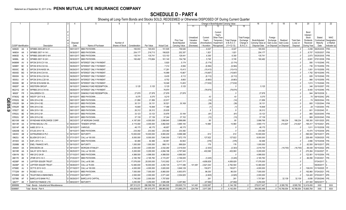|     |                             |                 | 2                                            | 4                       | 5                               | 6               | 7                       | -8                     | 9                      | 10                          |                                     |                                    |                                                            | Change in Book/Adjusted Carrying Value |                                               | 16                                 | 17                                 | 18                     | 19                             | 20                                                        | 21                                | 22                                      |
|-----|-----------------------------|-----------------|----------------------------------------------|-------------------------|---------------------------------|-----------------|-------------------------|------------------------|------------------------|-----------------------------|-------------------------------------|------------------------------------|------------------------------------------------------------|----------------------------------------|-----------------------------------------------|------------------------------------|------------------------------------|------------------------|--------------------------------|-----------------------------------------------------------|-----------------------------------|-----------------------------------------|
|     |                             |                 |                                              |                         |                                 |                 |                         |                        |                        |                             | 11                                  |                                    | 13                                                         |                                        | 15                                            |                                    |                                    |                        |                                |                                                           |                                   |                                         |
|     |                             |                 |                                              | Disposal                |                                 | Number of       |                         |                        |                        | Prior Year<br>Book/Adjusted | Unrealized<br>Valuation<br>Increase | Current<br>Year's<br>Amortization) | Current<br>Year's<br>Other-Than<br>Temporary<br>Impairment | <b>Total Change</b><br>in B./A.C.V.    | <b>Total Foreign</b><br>Exchange<br>Change in | Book/Adjusted<br>Carrying Value at | Foreign<br>Exchange<br>Gain (Loss) | Realized<br>Gain (Loss | <b>Total Gain</b><br>(Loss) on | Bond<br>Interest<br>Stock<br><b>Dividends</b><br>Received | Stated<br>Contractual<br>Maturity | <b>NAIC</b><br>Designation<br>or Market |
|     | <b>CUSIP Identification</b> |                 | Description                                  | Date                    | Name of Purchaser               | Shares of Stock | Consideration           | Par Value              | <b>Actual Cost</b>     | Carrying Value              | (Decrease)                          | / Accretion                        | Recognized                                                 | $(11+12-13)$                           | <b>B./A.C.V.</b>                              | Disposal Date                      | on Disposal                        | on Disposal            | Disposal                       | During Year                                               | Date                              | Indicator (a)                           |
|     | 94982D                      | AA              | WFMBS 2005-AR14 A1.                          | 09/01/2017.             | <b>MBS PAYDOWN</b>              |                 | 165,553                 | 165,553                | 151,505                | 159,526                     |                                     | .6,027                             |                                                            | .6,027                                 |                                               | 165,553                            |                                    |                        |                                | .3,458                                                    | 08/25/2035                        | IFM.                                    |
|     | 949834                      | AA<br>-3        | WFMBS 2007-14 1A1.                           | 09/30/2017              | MBS PAYDOWN.                    |                 | .204, 177               | 216,713                | 198,825                | .202,357                    |                                     | .1,821                             |                                                            | .1,821                                 |                                               | .204,177                           |                                    |                        |                                | .8,707                                                    | 10/25/2037                        | IFM.                                    |
|     | 94983D                      | AL<br>-9        | WFMBS 2005-AR13 4A1                          | 09/01/2017              | <b>MBS PAYDOWN</b>              |                 | 135,741                 | 135,741                | 123,153                | 129,441                     |                                     | .6,300                             |                                                            | .6,300                                 |                                               | .135,741                           |                                    |                        |                                | .2,873                                                    | 05/25/2035.                       | <b>IFM</b>                              |
|     | 94986L                      | AK              | WFMBS 2007-16 2A1                            | 09/30/201               | MBS PAYDOWN.                    |                 | 160,482                 | 170,884                | 161,140                | 154,736                     |                                     | .5,745                             |                                                            | .5,745                                 |                                               | .160,482                           |                                    |                        |                                | .6,681                                                    | 07/01/2038                        | IFM.                                    |
|     | 94989W                      |                 | WFCM 2015-C31 XA.                            | 09/29/20                | <b>INTEREST ONLY PAYMENT</b>    |                 |                         |                        | .5,920                 | .5,174                      |                                     | (5, 174)                           |                                                            | (5, 174)                               |                                               |                                    |                                    |                        |                                | .580                                                      | 11/15/2048                        |                                         |
|     | 94989Y                      | <b>BC</b>       | WFCM 2016-C32 XA.                            | 09/29/20                | <b>INTEREST ONLY PAYMENT</b>    |                 |                         |                        | .7,314                 | 6,584                       |                                     | (6, 584)                           |                                                            | (6,584)                                |                                               |                                    |                                    |                        |                                | .736                                                      | 01/15/2059.                       |                                         |
|     | 95000C                      | BE              | WFCM 2016-NXS5 XA                            | 09/29/201               | <b>INTEREST ONLY PAYMENT</b>    |                 |                         |                        | 17,291                 | 15,413                      |                                     | (15, 413)                          |                                                            | (15, 413)                              |                                               |                                    |                                    |                        |                                | 1,851                                                     | 01/15/2059                        |                                         |
|     | 95000D                      | BG<br>5         | WFCM 2016-C34 XA.                            | 09/29/201               | <b>INTEREST ONLY PAYMENT</b>    |                 |                         |                        | 16,999                 | 15,667                      |                                     | (15,667)                           |                                                            | (15,667)                               |                                               |                                    |                                    |                        |                                | 1,762                                                     | 05/15/2049.                       |                                         |
|     | 95000H                      | BJ              | WFCM 2016-LC24 XA.                           | 09/29/201               | <b>INTEREST ONLY PAYMENT</b>    |                 |                         |                        | .8,435                 | .8,112                      |                                     | (8, 112)                           |                                                            | (8, 112)                               |                                               |                                    |                                    |                        |                                | .826                                                      | 10/15/2049.                       |                                         |
|     | 95000J                      | AY              | WFCM 2016-LC25 XA.                           | 09/29/201               | <b>INTEREST ONLY PAYMENT</b>    |                 |                         |                        | .8,752                 | .8,663                      |                                     | (8,663)                            |                                                            | (8,663)                                |                                               |                                    |                                    |                        |                                | .966                                                      | 12/15/2059.                       |                                         |
|     | 95000K                      | BE              | WFCM 2016-NXS6 XA                            | 09/29/2017              | <b>INTEREST ONLY PAYMENT</b>    |                 |                         |                        | 18,048                 | 13,453                      |                                     | (17,632)                           |                                                            | (17, 632)                              |                                               |                                    |                                    |                        |                                | .1,813                                                    | 11/15/2049.                       |                                         |
|     | 95829T                      | AA<br>-3        | <b>WESTERN GROUP.</b>                        | 09/15/2017              | SINKING FUND REDEMPTION         |                 | .5,125                  | .5,125                 | .5,125                 | .5,125                      |                                     |                                    |                                                            |                                        |                                               | .5,125                             |                                    |                        |                                | .346                                                      | 03/15/2057                        |                                         |
|     | 96221Q                      | AH              | WFRBS 2013-C18 XA                            | 09/29/201               | <b>INTEREST ONLY PAYMENT</b>    |                 |                         |                        | .78,974                |                             |                                     | (78, 974)                          |                                                            | (78, 974)                              |                                               |                                    |                                    |                        |                                | .9,483                                                    | 12/15/2046                        |                                         |
|     | 96928*                      | <b>FR</b><br>-3 | <b>WALGREEN CO.</b>                          | 09/15/2017              | SINKING FUND REDEMPTION.        |                 | .27,878                 | 27,878                 | 27,878                 | 27,878                      |                                     |                                    |                                                            |                                        |                                               | .27,878                            |                                    |                        |                                | .944                                                      | 09/15/2038                        |                                         |
|     | 97063Q                      | AB              | <b>WESTF 2017-A B</b>                        | 09/15/2017              | <b>MBS PAYDOWN</b>              |                 | .9,375                  | .9,375                 | .9,215                 |                             |                                     | 43                                 |                                                            | .43                                    |                                               | .9,375                             |                                    |                        |                                | .70                                                       | 08/15/2042.                       |                                         |
| Q   | 97652Q                      | <b>BK</b>       | WIN 2014-2 B2                                | 09/01/2017              | <b>MBS PAYDOWN</b>              |                 | .21,956                 | .21,956                | .22,917                |                             |                                     | (14)                               |                                                            | (14)                                   |                                               | .21,956                            |                                    |                        |                                | . 74                                                      | 09/20/2044                        |                                         |
| E05 | 97652R                      | BA              | WIN 2014-3 B2                                | 09/01/2017              | <b>MBS PAYDOWN</b>              |                 | 30,131                  | 30,131                 | 30,521                 | .30,169                     |                                     | (39)                               |                                                            | (39)                                   |                                               | .30,131                            |                                    |                        |                                | .800                                                      | 1/20/2044.                        |                                         |
| ەن  | 97652R                      | <b>BB</b><br>-2 | WIN 2014-3 B3.                               | 09/01/2017              | <b>MBS PAYDOWN.</b>             |                 | 16,848                  | 16,848                 | .17,486                |                             |                                     | . (1                               |                                                            | (1)                                    |                                               | .16,848                            |                                    |                        |                                | 28                                                        | 1/20/2044                         |                                         |
|     | 97652T                      | <b>BD</b>       | WIN 2015-1 B3.                               | 09/01/2017              | <b>MBS PAYDOWN</b>              |                 | 26,312                  | 26,312                 | .25,635                |                             |                                     |                                    |                                                            | 8                                      |                                               | .26,312                            |                                    |                        |                                | .601                                                      | 01/20/2045.                       |                                         |
|     | 97652U                      | BE<br>-9        | WIN 2015-2 B1                                | 09/01/2017              | <b>MBS PAYDOWN</b>              |                 | .33,123                 | .33,123                | .33,876                | 33,184                      |                                     | (61)                               |                                                            | (61)                                   |                                               | .33,123                            |                                    |                        |                                | .865                                                      | 02/20/2045.                       |                                         |
|     | 97652U                      | <b>BF</b>       | WIN 2015-2 B2.                               | 09/01/2017              | <b>MBS PAYDOWN</b>              |                 | .37,139                 | .37,139                | .37,244                | .37,152                     |                                     | (13)                               |                                                            | (13)                                   |                                               | .37,139                            |                                    |                        |                                | .969                                                      | 02/20/2045.                       |                                         |
|     | 98310W                      |                 | WYNDHAM WORLDWIDE CORE                       | 08/23/201               | <b>JP MORGAN CHASE</b>          |                 | .4,187,000              | .4,000,000             | .3,998,640             | .3,998,686                  |                                     | .80                                |                                                            | .80                                    |                                               | .3,998,766                         |                                    | .188,234               | 188,234                        | 185,300                                                   | 10/01/2025.                       |                                         |
|     | 98313R                      | AA<br>q         | WYNN MACAU LTD                               | 09/20/201               | TENDER OFFER.                   |                 | .4,115,000              | .4,000,000             | .3,862,500             | .3,885,183                  |                                     | 14,990                             |                                                            | .14,990                                |                                               | .3,900,173                         |                                    | .214,827               | 214,827                        | 195,417                                                   | 10/15/2021                        |                                         |
|     | G0014F                      | AB<br>-2        | AABS 2013-1 A.                               | 09/15/2017              | /ARIOUS.                        |                 | 48,175                  | .48,175                | .48,657                | .48,175                     |                                     |                                    |                                                            |                                        |                                               | .48,175                            |                                    |                        |                                | .1,611                                                    | 01/15/2038.                       |                                         |
|     | G0620B<br>046353            | AC<br>AB        | ATLSS 2014-1 B.<br>ASTRAZENECA PLC           | 09/15/201<br>09/15/2017 | <b>MBS PAYDOWN</b><br>MATURITY. |                 | .233,382<br>.10,000,000 | .233,382<br>10,000,000 | .233,382<br>.9,993,200 | .233,382<br>.9,999,388      |                                     | 612                                |                                                            | 612                                    |                                               | .233,382<br>10,000,000             |                                    |                        |                                | .10,474<br>590,000                                        | 12/15/2039.                       |                                         |
|     | 09625J                      | AE              | BLUEM 2013-3A C.                             | 07/31/2017              | CALL at 100.000.                |                 | .8,000,000              |                        |                        |                             |                                     |                                    |                                                            | 127,822                                |                                               | .8,000,000                         |                                    |                        |                                |                                                           | 09/15/2017                        |                                         |
|     | 29100X                      | AA<br>3         | EAFL 2013-1 A.                               | D 09/15/2017            | <b>MBS PAYDOWN</b>              |                 | .92,466                 | .8,000,000<br>.92,466  | .7,840,000<br>94,951   | .7,872,178<br>.92,842       |                                     | 127,822<br>(376)                   |                                                            | (376)                                  |                                               | .92,466                            |                                    |                        |                                | .226,406<br>.2,866                                        | 10/29/2025.<br>10/15/2038         |                                         |
|     | 29268B                      | AB              | <b>ENEL FINANCE INTI</b>                     | D 09/15/2017            | MATURITY.                       |                 | .1,000,000              | .1,000,000             | .998,110               | .999,824                    |                                     | 176                                |                                                            | 176                                    |                                               | .1,000,000                         |                                    |                        |                                | .62.500                                                   | 09/15/2017                        |                                         |
|     | 294829                      | AA              | <b>ERICSSON LM.</b>                          | D 09/14/2017            | <b>MORGAN STANLEY</b>           |                 | .2,000,000              | .2,000,000             | .2,032,260             | .2,019,004                  |                                     | (2,303)                            |                                                            | (2,303)                                |                                               | .2,016,700                         |                                    | (16,700)               | (16, 700)                      | .69,438                                                   | 05/15/2022                        |                                         |
|     | 36319R                      | AA              | GALXY 2015-19A D.                            | D 08/25/2017            | CALL at 100.000.                |                 | .5,200,000              | .5,200,000             | .4,694,196             | .4,797,940                  |                                     | .402,060                           |                                                            | 402,060                                |                                               | .5,200,000                         |                                    |                        |                                | .270,264                                                  | 01/24/2027                        |                                         |
|     | 43641N                      | <b>BU</b>       | HMI 2012-3A B1                               | D 07/15/2017            | <b>MBS PAYDOWN</b>              |                 | .4,999,500              | .4,999,500             | .4,999,500             | .4,999,500                  |                                     |                                    |                                                            |                                        |                                               | .4,999,500                         |                                    |                        |                                | 122,061                                                   | 10/15/2054                        |                                         |
|     | 46617D                      | AE              | JFINR 2013-1A C.                             | D 07/20/201             | <b>MBS PAYDOWN</b>              |                 | .2,165,760              | .2,165,760             | .2,172,257             | .2,169,005                  |                                     | (3,245)                            |                                                            | (3,245)                                |                                               | .2,165,760                         |                                    |                        |                                | .66,056                                                   | 01/20/2021                        |                                         |
|     | 48206P                      | AA              | JUPITER ISSUER TRUST                         | D 07/23/2017            | CALL at 85.380.                 |                 | .17,076,000             | .20,000,000            | .7,612,902             | 12,417,171                  |                                     | .4,658,829                         |                                                            | .4,658,829                             |                                               | 17,076,000                         |                                    |                        |                                |                                                           | 07/24/2017                        |                                         |
|     | 48206P                      | AC              | <b>IUPITER ISSUER TRUST</b>                  | D 09/28/2017            | CALL at 78.000.                 |                 | .12,480,000             | .16,000,000            | .2,250,725             | .9,717,496                  | 141,461                             | .2,621,043                         |                                                            | .2,762,504                             |                                               | 12,480,000                         |                                    |                        |                                |                                                           | 09/29/201                         |                                         |
|     | 67590E                      | AJ              | OCT15 2013-1A D.                             | D 07/19/2017            | CALL at 100.000.                |                 | 4,000,000               | .4,000,000             | .3,820,000             | .3,849,129                  |                                     | 150,871                            |                                                            | 150,871                                |                                               | .4,000,000                         |                                    |                        |                                | .138,616                                                  | 01/19/2025                        |                                         |
|     | 77732W                      | AH              | ROSED I-A D2                                 | D 08/15/2017            | <b>MBS PAYDOWN</b>              |                 | 7,000,000               | 7,000,000              | .6,860,000             | .6,903,970                  |                                     | .96,030                            |                                                            | .96,030                                |                                               | .7,000,000                         |                                    |                        |                                | .192,860                                                  | 07/24/2021                        |                                         |
|     | 87938W                      | AG              | <b>TELEFONICA EMISIONES</b>                  | D 07/03/201             | MATURITY.                       |                 | .2,000,000              | 2,000,000              | .2,071,440             | .2,004,825                  |                                     | (4,825)                            |                                                            | (4,825)                                |                                               | .2,000,000                         |                                    |                        |                                | .124,420                                                  | 07/03/2017                        |                                         |
|     | G07980                      | AF<br>5         | <b>BARCLAYS BANK PLC</b>                     | 09/29/2017              | <b>BARCLAYS CAPITA</b>          |                 | .1,740,000              | .2,000,000             | .1,707,600             |                             |                                     | .261                               |                                                            | .261                                   |                                               | .1,707,861                         |                                    | .32,139                | .32,139                        | .6.656                                                    | 07/29/2049.                       |                                         |
|     | Q8277*                      | AK              | 7 SANTOS FINANCE LTD.                        | D 08/02/2017. MATURITY. |                                 |                 | .3,250,000              | .3,250,000             | .3,585,498             | .3,297,982                  |                                     | .(47,982)                          |                                                            | (47,982)                               |                                               | .3,250,000                         |                                    |                        |                                | .201,500                                                  | 08/02/2017                        |                                         |
|     | 3899999                     |                 | Total - Bonds - Industrial and Miscellaneous |                         |                                 |                 | .287,513,231            | 286,599,769            | 261,994,505            | 259,905,715                 | .141.461                            | .5,002,697                         | $\cap$                                                     | .5.144.158                             | $\cap$                                        | .278,917,447                       | $\bigcap$                          | 8,595,782              | .8,595,782                     | 12,419,450                                                | <b>XXX</b>                        | <b>XXX</b>                              |
|     | 8399997                     |                 | Total - Bonds - Part 4.                      |                         |                                 |                 | 400,829,053             | .391,615,475           | 368,965,582            | .313,860,276                | .224,794                            | .3,917,260                         | $\Omega$                                                   | 4,142,054                              | $\Omega$                                      | .384,060,496                       | .0 <sub>1</sub>                    | 16,768,554             | 16,768,554                     | 15,665,764                                                | XXX                               | <b>XXX</b>                              |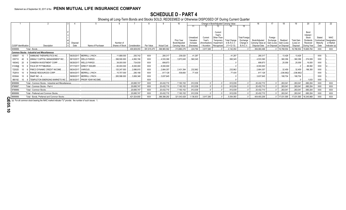# **SCHEDULE D - PART 4**

Showing all Long-Term Bonds and Stocks SOLD, REDEEMED or Otherwise DISPOSED OF During Current Quarter

|                             |                                                       |             |                                |                 |               |              |                    |                |            |               |             | Change in Book/Adjusted Carrying Value |                               |                                 |             |                            |                       | 20                      |            | -22          |
|-----------------------------|-------------------------------------------------------|-------------|--------------------------------|-----------------|---------------|--------------|--------------------|----------------|------------|---------------|-------------|----------------------------------------|-------------------------------|---------------------------------|-------------|----------------------------|-----------------------|-------------------------|------------|--------------|
|                             |                                                       |             |                                |                 |               |              |                    |                |            |               |             |                                        |                               |                                 |             |                            |                       |                         |            |              |
|                             |                                                       |             |                                |                 |               |              |                    |                |            |               |             |                                        |                               |                                 |             |                            |                       |                         |            |              |
|                             |                                                       |             |                                |                 |               |              |                    |                |            |               | Current     |                                        |                               |                                 |             |                            |                       | Bond                    |            |              |
|                             |                                                       |             |                                |                 |               |              |                    |                |            |               | Year's      |                                        |                               |                                 |             |                            |                       | Interest                |            |              |
|                             |                                                       |             |                                |                 |               |              |                    |                | Unrealized | Current       | Other-Than- |                                        | <b>Total Foreign</b>          |                                 | Foreign     |                            |                       | Stock                   | Stated     | <b>NAIC</b>  |
|                             |                                                       |             |                                |                 |               |              |                    | Prior Year     | Valuation  | Year's        | Temporan    | <b>Total Change</b>                    | Exchange                      | Book/Adiusted                   | Exchange    | Realized                   | <b>Total Gain</b>     | Dividends               | Contractua | Designation  |
| <b>CUSIP</b> Identification | Description                                           | Disposal    | Name of Purchaser              | Number of       | Consideration | Par Value    | <b>Actual Cost</b> | Book/Adjusted  | Increase   | (Amortization | Impairment  | in B./A.C.V.<br>$11+12-13$             | Change in<br><b>B./A.C.V.</b> | Carrying Value at   Gain (Loss) | on Disposal | Gain (Loss)<br>on Disposal | (Loss) on<br>Disposal | Received                | Maturity   | or Market    |
|                             |                                                       | Date        |                                | Shares of Stock |               |              |                    | Carrying Value | (Decrease) | / Accretion   | Recognized  |                                        |                               | Disposal Date                   |             |                            |                       | During Year             | Date       | Indicator (a |
| 8399999.                    | Total - Bonds.                                        |             |                                |                 | 400,829,053   | .391,615,475 | 368,965,582        | 313,860,276    | .224.794   | .3.917.260    |             | .4.142.054                             |                               | .384,060,496                    |             | 16,768,554                 | 16,768,554            | 15,665,764              | <b>XXX</b> | <b>XXX</b>   |
|                             | <b>Common Stocks - Industrial and Miscellaneous</b>   |             |                                |                 |               |              |                    |                |            |               |             |                                        |                               |                                 |             |                            |                       |                         |            |              |
| 00900T                      | <b>AIMMUNE THERAPEUTICS INC</b>                       | 09/25/2017. | MERRILL LYNCH.                 | 11,688.000      | .293,742      | <b>XXX</b>   | .280,317           | .239,020       | 41.297     |               |             | .41.297                                |                               | .280,317                        |             | .13.426                    | .13.426               |                         | <b>XXX</b> |              |
| 035710                      | ANNALY CAPITAL MANAGEMENT INC.                        |             | 08/10/2017. WELLS FARGO.       | .398.500.000    | .4,893,746    | <b>XXX</b>   | 4,533,390          | .3,973,045     | 560,345    |               |             | .560.345                               |                               | 4,533,390                       |             | 360.356                    | .360,356              | 374,939                 | <b>XXX</b> |              |
| 16934Q<br>- 20              | CHIMERA INVESTMENT CORP.                              | 08/28/2017. | <b>WELLS FARGO.</b>            | .38,000.000     | 724,930       | <b>XXX</b>   | .699,873           |                |            |               |             |                                        |                               | .699,873                        |             | 25.058                     | 25,058                | 19,000                  | <b>XXX</b> |              |
| 31338@<br>- 10              | 6 FHLN OF PITTSBURGH.                                 |             | 07/17/2017. DIRECT ISSUER.     | .80,000.000     | 0.8000, 000   | <b>XXX</b>   | 0.8000, 000        |                |            |               |             |                                        |                               | .8,000,000                      |             |                            |                       | 88,082                  | <b>XXX</b> |              |
| 72202D                      | PIMCO DYNAMIC CREDIT INCOME.                          |             | 08/24/2017. VARIOUS            | 120.247.000     | .2,696,815    | <b>XXX</b>   | 2,664,357          | .2,431,394     | .232,962   |               |             | .232.962                               |                               | .2.664.357                      |             | .32.459                    | .32.459               | .196,350                | <b>XXX</b> |              |
| 75281A                      | <b>RANGE RESOURCES CORP.</b>                          |             | 08/04/2017. MERRILL LYNCH.     | .15,707.000     | .280,166      | <b>XXX</b>   | .617,128           | .539,693       | .77,435    |               |             | .77.435                                |                               | .617,128                        |             | (336,962)                  | (336,962)             |                         | <b>XXX</b> |              |
| 83304A                      | SNAP INC - A                                          |             | 09/08/2017. MERRILL LYNCH.     | .265,588.000    | 3,806,348     | <b>XXX</b>   | 3,637,645          |                |            |               |             |                                        |                               | .3.637.645                      |             | 168,704                    | .168,704              |                         | <b>XXX</b> |              |
| 880192                      | <b>TEMPLETON EMERGING MARKETS INC</b>                 |             | 06/30/2017. PRIOR YEAR INCOME. |                 |               | <b>XXX</b>   |                    |                |            |               |             |                                        |                               |                                 |             |                            |                       | .1,833                  | <b>XXX</b> |              |
| 9099999.                    | Total - Common Stocks - Industrial and Miscellaneous. |             |                                |                 | 20,695,747    | <b>XXX</b>   | 20,432,710         | 7,183,152      | 912.039    |               |             | .912.039                               |                               | .20,432,710                     |             | 263,041                    | .263,041              | 680,204                 | <b>XXX</b> | <b>XXX</b>   |
| 9799997                     | Total - Common Stocks - Part 4                        |             |                                |                 | .20,695,747   | XXX          | 20,432,710         | .7,183,152     | .912,039   |               |             | .912,039                               |                               | .20,432,710                     |             | 263,041                    | .263,041              | 680,204                 | <b>XXX</b> | XXX          |
| 9799999.                    | Total - Common Stocks.                                |             |                                |                 | .20,695,747   | <b>XXX</b>   | 20,432,710         | .7,183,152     | .912.039   |               |             | .912.039                               |                               | 20,432,710                      |             | 263,041                    | .263,041              | 680,204                 | <b>XXX</b> | <b>XXX</b>   |
| 9899999.                    | Total - Preferred and Common Stocks.                  |             |                                |                 | .20,695,747   | XXX          | 20,432,710         | .7,183,152     | .912,039   |               |             | .912,039                               |                               | .20,432,710                     |             | 263,041                    | 263,041               | 680,204                 | <b>XXX</b> | XXX          |
| 9999999.                    | Total - Bonds, Preferred and Common Stocks            |             |                                |                 | .421,524,800  | <b>XXX</b>   | 389,398,292        | .321,043,428   | 1,136,833  | 3,917,260     |             | 5,054,093                              |                               | 404,493,206                     |             | 17,031,595                 |                       | 17,031,595   16,345,968 | <b>XXX</b> | <b>XXX</b>   |

(a) For all common stock bearing the NAIC market indicator "U" provide: the number of such issues: 1.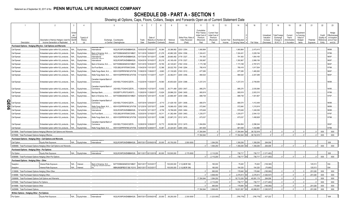# **SCHEDULE DB - PART A - SECTION 1**

|        |                                                             | $\mathfrak{p}$                                                                        | 3                        | $\overline{4}$  | 5                                                                                         | 6                     |                           | 8                            | 9                     | 10 <sup>1</sup>                 | 11                                                        | 12                                         | 13                            | 14                              | 16         | 17                      | 18                               | 19                          | 20                                   | 21                    | 22                  | 23                                     |
|--------|-------------------------------------------------------------|---------------------------------------------------------------------------------------|--------------------------|-----------------|-------------------------------------------------------------------------------------------|-----------------------|---------------------------|------------------------------|-----------------------|---------------------------------|-----------------------------------------------------------|--------------------------------------------|-------------------------------|---------------------------------|------------|-------------------------|----------------------------------|-----------------------------|--------------------------------------|-----------------------|---------------------|----------------------------------------|
|        |                                                             |                                                                                       | Sched<br>ule /<br>Exhibi | Type(s) of      |                                                                                           |                       | Date of                   |                              |                       | Strike Price, Rate o            | Cumulative<br>Prior Year(s)<br>Initial Cost of<br>Premium | Current Year<br>Initial Cost of<br>Premium |                               |                                 |            | Unrealized<br>Valuation | <b>Total Foreigr</b><br>Exchange | Current<br>Year's           | Adjustmen<br>to Carrying<br>Value of |                       | Credit<br>Quality o | Hedge<br>Effectiveness<br>at Inception |
|        | Description                                                 | Description of Item(s) Hedged, Used for<br>Income Generation or Replicated            | Identifi<br>er           | Risk(s)<br>(a)  | Exchange, Counterparty<br>or Central Clearinghouse                                        | Trade<br>Date         | Maturity or<br>Expiration | Number o<br><b>Contracts</b> | Notional<br>Amount    | <b>Index Received</b><br>(Paid) | (Received)<br>Paid                                        | (Received)<br>Paid                         | <b>Current Year</b><br>Income | Book/Adjusted<br>Carrying Value | Fair Value | Increase<br>(Decrease)  | Change in<br>B./A.C.V.           | Amortization<br>/ Accretion | Hedged<br>Items                      | Potential<br>Exposure | Reference<br>Entity | and at Year<br>end (b)                 |
|        |                                                             | Purchased Options - Hedging Effective - Call Options and Warrants                     |                          |                 |                                                                                           |                       |                           |                              |                       |                                 |                                                           |                                            |                               |                                 |            |                         |                                  |                             |                                      |                       |                     |                                        |
|        | Call Spread.                                                | Embedded option within IUL products                                                   | ٧A.                      | Equity/Index.   | W22LROWP2IHZNBB6K528<br>International                                                     | 10/05/2016            | 10/02/201                 | 16,384                       | 35,386,982            | 2203 / 2354                     | 1,060,864                                                 |                                            |                               | .1,060,864                      | .2,473,415 |                         |                                  |                             |                                      |                       |                     | 98/98                                  |
|        | Call Spread.                                                | Embedded option within IUL products                                                   | WΑ.                      | Equity/Index    | B4TYDEB6GKMZO031MB27<br>Bank of America, N.A.<br>JUIUITIAIT JAUTS                         | 10/11/2016            | 10/09/201                 | 21,276                       | 45,982,329            | 2204 / 2356.                    | 1,324,431                                                 |                                            |                               | .1,324,431                      | .3,229,194 |                         |                                  |                             |                                      |                       |                     | 97/99.                                 |
|        | Call Spread                                                 | Embedded option within IUL products                                                   |                          | Equity/Index    | International<br>Gordinan Sacris<br>W22LROWP2IHZNBB6K528                                  | 10/17/2016            | 10/13/2017                | 12,486                       | .26,660,482           | 2178 / 2327                     | 791,363                                                   |                                            |                               | .791,363                        | 1,854,165  |                         |                                  |                             |                                      |                       |                     | 96/97.                                 |
|        | Call Spread                                                 | Embedded option within IUL products.                                                  |                          | Equity/Index    | W22LROWP2IHZNBB6K528<br>nternational                                                      | 10/24/201             | 10/16/201                 | 20,218                       | .43,165,430           | 2178 / 2327                     | 1,350,967                                                 |                                            |                               | .1,350,967                      | .2,999,156 |                         |                                  |                             |                                      |                       |                     | 96/97.                                 |
|        | Call Spread                                                 | Embedded option within IUL products.                                                  |                          | Equity/Index    | B4TYDEB6GKMZO031MB27<br>Bank of America, N.A                                              | 10/31/201             | 10/30/201                 | 18,765                       | .40,145,841           | 2182 / 2332.                    | 1,173,188                                                 |                                            |                               | 1,173,188                       | .2,787,073 |                         |                                  |                             |                                      |                       |                     | 96/97.                                 |
|        | Call Spread.                                                | Embedded option within IUL products.                                                  |                          | Equity/Index    | IYDOJBGJWY9T8XKCSX06.<br>SunTrust Bank.                                                   | 1/04/201              | 11/01/201                 | 12,366                       | .26,022,763           | 2146 / 2294                     | 780,418                                                   |                                            |                               | .780,418                        | 1,817,504  |                         |                                  |                             |                                      |                       |                     | 97/98.                                 |
|        | Call Spread.                                                | Embedded option within IUL products                                                   |                          | Equity/Index    | <b>Nells Fargo Bank, N.A</b><br>KB1H1DSPRFMYMCUFXT09                                      | 1/08/201              | 1/06/201                  | 9,963                        | 21,130,925            | 2163 / 2312.                    | .677,285                                                  |                                            |                               | .677,285                        | 1,465,262  |                         |                                  |                             |                                      |                       |                     | 96/97.                                 |
|        | Call Spread.                                                | Embedded option within IUL products                                                   |                          | Equity/Index.   | KB1H1DSPRFMYMCUFXT09.<br>Wells Fargo Bank, N.A                                            | 1/15/2016             | 11/13/2017                | 14,97                        | .32,362,811           | 2205 / 2356.                    | .994,524                                                  |                                            |                               | .994,524                        | 2,207,299  |                         |                                  |                             |                                      |                       |                     | 96/97.                                 |
|        | Call Spread.                                                | Embedded option within IUL products                                                   | N/A                      | Equity/Index.   | Canadian Imperial Bank of<br>2IGI19DL77OX0HC3ZE78.<br>Commerce                            | 1/22/2016             | 11/20/201                 | 18,560                       | .40,653,824           | 2234 / 2388.                    | .1,237,210                                                |                                            |                               | 1,237,210                       | 2,749,083  |                         |                                  |                             |                                      |                       |                     | 96/98.                                 |
|        | Call Spread.                                                | Embedded option within IUL products.                                                  | I/A.                     | Equity/Index.   | Canadian Imperial Bank of<br>2IGI19DL77OX0HC3ZE78.<br>Commerce                            | 1/29/2016             | 11/27/201                 | 13,932                       | .30,771,469           | 2253 / 2407.                    | .895,270                                                  |                                            |                               | .895,270                        | .2,035,066 |                         |                                  |                             |                                      |                       |                     | 94/95.                                 |
|        | Call Spread.                                                | Embedded option within IUL products                                                   |                          | Equity/Index    | G5GSEF7VJP5I7OUK5573<br>Barclays Bank.                                                    | 1/29/201              | 11/28/201                 | 13,624                       | .29,996,233           | 2246 / 2400.                    | .900,819                                                  |                                            |                               | .900,819                        | .2,003,310 |                         |                                  |                             |                                      |                       |                     | 97/99.                                 |
|        | Call Spread.                                                | Embedded option within IUL products                                                   |                          | Equity/Index    | Bank of America, N.A<br>B4TYDEB6GKMZO031MB27                                              | 12/05/2016            | 12/01/2017                | 10,344                       | 22,666,497            | 2235 / 2388.                    | .689,738                                                  |                                            |                               | .689,738                        | .1,501,807 |                         |                                  |                             |                                      |                       |                     | 97/97.                                 |
|        | Call Spread.                                                | Embedded option within IUL products                                                   | J/A.                     | Equity/Index.   | Canadian Imperial Bank of<br>2IGI19DL77OX0HC3ZE78.<br>Commerce                            | 12/07/201             | 12/04/201                 | 9,710                        | .21,429,193           | 2251 / 2406.                    | .680,574                                                  |                                            |                               | .680,574                        | 1,412,449  |                         |                                  |                             |                                      |                       |                     | 96/98.                                 |
| π<br>0 | Call Spread.                                                | Embedded option within IUL products                                                   |                          | Equity/Index.   | Wells Fargo Bank, N.A<br>Gordman Sacris<br>KB1H1DSPRFMYMCUFXT09                           | 12/12/201             | 12/07/201                 | 8,484                        | .19,066,433           | 2292 / 2450.                    | .572,840                                                  |                                            |                               | .572,840                        | 1,215,918  |                         |                                  |                             |                                      |                       |                     | 98/99.                                 |
| ာ.     | Call Spread.                                                | Embedded option within IUL products                                                   |                          | Equity/Index.   | W22LROWP2IHZNBB6K528<br>nternational                                                      | 12/14/2016            | 12/11/201                 | 8,759                        | .19,796,829           | 2305 / 2464.                    | .570,649                                                  |                                            |                               | .570,649                        | .1,240,036 |                         |                                  |                             |                                      |                       |                     | 96/98.                                 |
|        | Call Spread.                                                | Embedded option within IUL products                                                   |                          | Equity/Index    | IYDOJBGJWY9T8XKCSX06.<br>SunTrust Bank.                                                   | 12/20/201             | 12/18/201                 | 18,31                        | .41,382,494           | 2305 / 2463.                    | .1,235,077                                                |                                            |                               | 1,235,077                       | .2,544,123 |                         |                                  |                             |                                      |                       |                     | 97/97.                                 |
|        | Call Spread.                                                | Embedded option within IUL products                                                   | N/A                      | Equity/Index    | KB1H1DSPRFMYMCUFXT09<br>Wells Fargo Bank, N.A                                             | 12/22/2016            | 12/21/201                 | 10,589                       | .23,997,215           | 2312 / 2470.                    | .673,037                                                  |                                            |                               | .673,037                        | .1,458,928 |                         |                                  |                             |                                      |                       |                     | 97/98.                                 |
|        | Call Spread.                                                | Embedded option within IUL products.                                                  | JΙA                      | Equity/Index    | Canadian Imperial Bank of<br>2IGI19DL77OX0HC3ZE78.<br>Commerce                            | 12/28/201             | 12/26/201                 | 16,772                       | .38,008,539           | 2312 / 2470.                    | 1,064,854                                                 |                                            |                               | .1,064,854                      | .2,296,244 |                         |                                  |                             |                                      |                       |                     | 95/97.                                 |
|        | Call Spread                                                 | Embedded option within IUL products                                                   |                          | Equity/Index    | KB1H1DSPRFMYMCUFXT09<br>Wells Fargo Bank, N.A.                                            | 12/29/201             | 2/28/201                  | 10.367                       | 23.324.921            | 2295 / 2452.                    | .681,838                                                  |                                            |                               | 681,838                         | 1,432,886  |                         |                                  |                             |                                      |                       |                     | 7/98                                   |
|        |                                                             | 019999. Total-Purchased Options-Hedging Effective-Call Options and Warrants           |                          |                 |                                                                                           |                       |                           |                              |                       |                                 | 17,354,944                                                |                                            |                               | 17,354,944                      | 38,722,918 |                         |                                  |                             |                                      |                       | XXX                 | XXX                                    |
|        | 079999. Total-Purchased Options-Hedging Effective           |                                                                                       |                          |                 |                                                                                           |                       |                           |                              |                       |                                 | 17.354.944                                                |                                            |                               | 17.354.944                      | 38,722,918 |                         |                                  |                             |                                      |                       | <b>XXX</b>          | <b>XXX</b>                             |
|        | Call Option                                                 | Purchased Options - Hedging Other - Call Options and Warrants<br>Eauity Risk Exposure | A/V                      | Equity/Index    | W22LROWP2IHZNBB6K528.<br>nternational                                                     | 08/07/2017            | 03/09/201                 | 25.000                       | 63.750.000            | 2.550.0000                      |                                                           | 1.094.250                                  |                               | 1.358.256                       | .1.358.256 | .264.006                |                                  |                             |                                      |                       |                     | 008                                    |
|        |                                                             | 0089999. Total-Purchased Options-Hedging Other-Call Options and Warrants.             |                          |                 |                                                                                           |                       |                           |                              |                       |                                 |                                                           | .1.094.250                                 |                               | 1.358.256                       | .1.358.256 | .264.006                |                                  |                             |                                      |                       | <b>XXX</b>          | <b>XXX</b>                             |
|        | Purchased Options - Hedging Other - Put Options             |                                                                                       |                          |                 |                                                                                           |                       |                           |                              |                       |                                 |                                                           |                                            |                               |                                 |            |                         |                                  |                             |                                      |                       |                     |                                        |
|        | Put Option                                                  | <b>Equity Risk Exposure</b>                                                           | $N/A$                    | Equity/Index    | W22LROWP2IHZNBB6K528.<br>Internationa                                                     | 08/11/2017 02/12/2018 |                           |                              | $.60,000$ 130,500,000 | 2,175.0000                      |                                                           | .2,110,200                                 |                               | .738,717                        | .738,717   | (1,371,483)             |                                  |                             |                                      |                       |                     | 008                                    |
|        | 0099999. Total-Purchased Options-Hedging Other-Put Options  |                                                                                       |                          |                 |                                                                                           |                       |                           |                              |                       |                                 |                                                           | .2.110.200                                 |                               | .738.717                        | .738.717   | (1.371.483)             |                                  |                             |                                      |                       | <b>XXX</b>          | <b>XXX</b>                             |
|        | Purchased Options - Hedging Other - Other                   |                                                                                       |                          |                 |                                                                                           |                       |                           |                              |                       |                                 |                                                           |                                            |                               |                                 |            |                         |                                  |                             |                                      |                       |                     |                                        |
|        | Swaption                                                    | nterest Rate Exposure                                                                 | <b>V/A</b>               | Interes:        | B4TYDEB6GKMZO031MB27<br>Bank of America, N.A<br>Critici บนม์ Giopai เพลเพีย<br>iugi oup : | 09/21/2017            | 10/23/201                 |                              | .100,000,000          | 2.1/(LIBOR 3M)                  |                                                           | .185,000                                   |                               | .75,620                         | .75,620    | (109,380)               |                                  |                             |                                      | 125,513               |                     | 004                                    |
|        | waption.                                                    | nterest Rate Exposure                                                                 | VA.                      | <b>Interest</b> | MBNUM2BPBDO7JBLYG310.                                                                     |                       | 09/21/2017 10/23/2017     |                              | 100,000,000           | 2.1/(LIBOR 3M)                  |                                                           | 180,000                                    |                               | 104,320                         | 104,320    | .(75,680                |                                  |                             |                                      | 125,513               |                     | 104                                    |
|        | 139999. Total-Purchased Options-Hedging Other-Other         |                                                                                       |                          |                 |                                                                                           |                       |                           |                              |                       |                                 |                                                           | 365.000                                    |                               | 179.940                         | 179,940    | (185.060)               |                                  |                             |                                      | .251,026              | <b>XXX</b>          | <b>XXX</b>                             |
|        | 149999. Total-Purchased Options-Hedging Other               |                                                                                       |                          |                 |                                                                                           |                       |                           |                              |                       |                                 |                                                           | 3,569,450                                  |                               | .2,276,913                      | .2,276,913 | (1, 292, 537)           |                                  |                             |                                      | .251,026              | XXX                 | XXX                                    |
|        | 369999. Total-Purchased Options-Call Options and Warrants   |                                                                                       |                          |                 |                                                                                           |                       |                           |                              |                       |                                 | .17.354.944                                               | 1.094.250                                  |                               | 18,713,200                      | 40,081,174 | .264.006                |                                  |                             |                                      |                       | <b>XXX</b>          | <b>XXX</b>                             |
|        | 379999. Total-Purchased Options-Put Options.                |                                                                                       |                          |                 |                                                                                           |                       |                           |                              |                       |                                 |                                                           | .2.110.200                                 |                               | .738.717                        | .738,717   | (1.371.483              |                                  |                             |                                      |                       | <b>XXX</b>          | <b>XXX</b>                             |
|        | 419999. Total-Purchased Options-Other                       |                                                                                       |                          |                 |                                                                                           |                       |                           |                              |                       |                                 |                                                           | 365,000                                    |                               | 179,940                         | 179,940    | (185,060                |                                  |                             |                                      | .251,026              | <b>XXX</b>          | <b>XXX</b>                             |
|        | 0429999. Total-Purchased Options                            |                                                                                       |                          |                 |                                                                                           |                       |                           |                              |                       |                                 | 17.354.944                                                | .3.569.450                                 |                               | 19,631,857                      | 40.999.831 | (1.292.537              |                                  |                             |                                      | 251.026               | <b>XXX</b>          | <b>XXX</b>                             |
|        | Written Options - Hedging Other - Put Options<br>Put Option |                                                                                       | N/A.                     |                 | W22LROWP2IHZNBB6K528                                                                      | 08/07/2017            | 03/09/2018                | 25,000                       | .58.250,000           | .2.330.0000                     |                                                           | (1.223.000)                                |                               | (795.778)                       | (795.778)  | 427.222                 |                                  |                             |                                      |                       |                     | 008                                    |
|        |                                                             | Equity Risk Exposure                                                                  |                          | Equity/Index    | nternational                                                                              |                       |                           |                              |                       |                                 |                                                           |                                            |                               |                                 |            |                         |                                  |                             |                                      |                       |                     |                                        |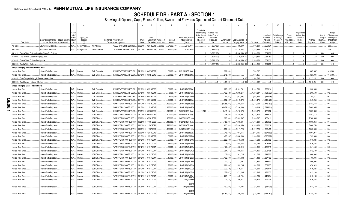# **SCHEDULE DB - PART A - SECTION 1**

|    |                                                          | $\overline{2}$                          | 3                  | $\Delta$              |                      | 5                                         | 6                    |                        | 8         | $\alpha$     | 10 <sup>1</sup>                               | 11                          | 12                    | 13            | 14               | 16           | 17                    | 18                    | 19                      | 20                 | 21         | 22                           | 23                          |
|----|----------------------------------------------------------|-----------------------------------------|--------------------|-----------------------|----------------------|-------------------------------------------|----------------------|------------------------|-----------|--------------|-----------------------------------------------|-----------------------------|-----------------------|---------------|------------------|--------------|-----------------------|-----------------------|-------------------------|--------------------|------------|------------------------------|-----------------------------|
|    |                                                          |                                         |                    |                       |                      |                                           |                      |                        |           |              |                                               |                             |                       |               |                  |              |                       |                       |                         |                    |            |                              |                             |
|    |                                                          |                                         | Scheo              |                       |                      |                                           |                      |                        |           |              |                                               | Cumulative<br>Prior Year(s) | <b>Current Year</b>   |               |                  |              |                       |                       |                         | Adjustment         |            |                              | Hedge                       |
|    |                                                          |                                         | ule /              |                       |                      |                                           |                      |                        |           |              |                                               | Initial Cost of             | Initial Cost of       |               |                  |              | Unrealized            | <b>Total Foreigr</b>  | Current                 | to Carrying        |            | Credit                       | Effectiveness               |
|    |                                                          | Description of Item(s) Hedged, Used for | Exhibi<br>ldentifi | Type(s) of<br>Risk(s) |                      | Exchange, Counterparty                    | Trade                | Date of<br>Maturity or | Number    | Notional     | Strike Price, Rate o<br><b>Index Received</b> | Premium<br>(Received)       | Premium<br>(Received) | Current Yea   | Book/Adjusted    |              | Valuation<br>Increase | Exchange<br>Change in | Year's<br>(Amortization | Value of<br>Hedged | Potential  | Quality o<br><b>Referenc</b> | at Inception<br>and at Year |
|    | Description                                              | Income Generation or Replicated         |                    | (a)                   |                      | or Central Clearinghouse                  | Date                 | Expiration             | Contracts | Amount       | (Paid)                                        | Paid                        | Paid                  | Income        | Carrying Value   | Fair Value   | (Decrease)            | B./A.C.V.             | ) / Accretion           | Items              | Exposure   | Entity                       | end (b)                     |
|    | Put Option                                               | Equity Risk Exposure                    | N/A                | Equity/Index          | iternational         | W22LROWP2IHZNBB6K528                      | 18/22/2011           | 02/12/201              | 30,000    | .67,200,000  | .2,240.0000                                   |                             | (1,025,100)           |               | (499, 209)       | (499,209)    | .525,891              |                       |                         |                    |            |                              | 008.                        |
|    | Put Option                                               | Equity Risk Exposure                    | N/A.               | Equity/Index          | Deutsche Bank.       | 7LTWFZYICNSX8D621K86.                     | 9/21/2017 06/20/201  |                        | 20.000    | 47.000.000   | .2,350.0000                                   |                             | (1.344.000)           |               | (1,235,863       | (1,235,863   | .108.137              |                       |                         |                    |            |                              | 008 <sub>1</sub>            |
|    | 0519999. Total-Written Options-Hedging Other-Put Options |                                         |                    |                       |                      |                                           |                      |                        |           |              |                                               |                             | (3.592.100)           |               | (2.530.850)      | (2.530.850)  | 1.061.250             |                       |                         |                    |            | <b>XXX</b>                   | <b>XXX</b>                  |
|    | 569999. Total-Written Options-Hedging Other.             |                                         |                    |                       |                      |                                           |                      |                        |           |              |                                               |                             | (3.592.100)           |               | $(2.530.850)$ XX | (2,530,850)  | 1.061.250             | $\bigcap$             | $\Omega$                |                    |            | <b>XXX</b>                   | <b>XXX</b>                  |
|    | 799999. Total-Written Options-Put Options                |                                         |                    |                       |                      |                                           |                      |                        |           |              |                                               |                             | (3,592,100)           |               | (2,530,850)      | (2,530,850)  | .1,061,250            | $\sqrt{ }$            |                         |                    |            | XXX                          | XXX                         |
|    | 0849999. Total-Written Options.                          |                                         |                    |                       |                      |                                           |                      |                        |           |              |                                               |                             | (3,592,100)           |               | $(2,530,850)$ XX | (2,530,850)  | 1.061.250             |                       |                         |                    |            | <b>XXX</b>                   | <b>XXX</b>                  |
|    | Swaps - Hedging Effective - Interest Rate                |                                         |                    |                       |                      |                                           |                      |                        |           |              |                                               |                             |                       |               |                  |              |                       |                       |                         |                    |            |                              |                             |
|    | nterest Rate Swap.                                       | Interest Rate Exposure                  | N/A                | Interes               | CME Group Ind        | KJNXBSWZVIKEX4NFOL81                      | 4/16/2015            | 04/20/202              |           | .50.000.000  | 1.971/(LIBOR 3M)                              |                             |                       | .306.318      |                  | (748,237)    |                       |                       |                         |                    | 687,337    |                              | 101/100.                    |
|    | nterest Rate Swap.                                       | Interest Rate Exposure                  | N/A.               | <b>Interest</b>       | CME Group Inc.       | KJNXBSWZVIKEX4NFOL81.                     |                      | 5/19/2015 05/21/2045   |           | 20.000.000   | LIBOR 3M/(2.761)                              |                             |                       | (245.185      |                  | (816.355)    |                       |                       |                         |                    | 525.904    |                              | 104/103.                    |
|    | 859999. Total-Swaps-Hedging Effective-Interest Rate.     |                                         |                    |                       |                      |                                           |                      |                        |           |              |                                               |                             |                       | .61.133       | $.0$ XX          | (1.564.592)  |                       |                       |                         |                    | 1.213.241  | <b>XXX</b>                   | <b>XXX</b>                  |
|    | 0909999. Total-Swaps-Hedging Effective.                  |                                         |                    |                       |                      |                                           |                      |                        |           |              |                                               |                             |                       | .61.133       | $.0 \times X$    | .(1.564.592) |                       |                       |                         |                    | 1.213.241  | <b>XXX</b>                   | <b>XXX</b>                  |
|    | Swaps - Hedging Other - Interest Rate                    |                                         |                    |                       |                      |                                           |                      |                        |           |              |                                               |                             |                       |               |                  |              |                       |                       |                         |                    |            |                              |                             |
|    | nterest Rate Swap.                                       | Interest Rate Exposure                  | N/A.               | nteres <sup>®</sup>   | CME Group Inc.       | KJNXBSWZVIKEX4NFOL81                      | 9/10/201             | 09/10/202              |           | .50,000,000  | LIBOR 3M/(2.934)                              |                             |                       | (670, 075)    | (2,181,791       | .(2,181,791) | 220,614               |                       |                         |                    | 556,099    |                              | 004.                        |
|    | nterest Rate Swap                                        | Interest Rate Exposure.                 | N/A                | <b>Interest</b>       | CME Group Inc.       | KJNXBSWZVIKEX4NFOL81                      | 15/15/2014           | 05/19/204              |           | .8,000,000   | LIBOR 3M/(3.346)                              |                             |                       | (132,825      | .(1,268,247      | .(1,268,247) | (58, 762)             |                       |                         |                    | 206,503    |                              | 002.                        |
|    | nterest Rate Swap                                        | Interest Rate Exposure                  | N/A                | <b>Interest</b>       | CME Group Inc.       | KJNXBSWZVIKEX4NFOL81                      | 15/15/2014           | 05/19/204              |           | .6,000,000   | LIBOR 3M/(3.3055)                             |                             |                       | . (97, 803)   | .(901,998)       | (901,998)    | (44,998)              |                       |                         |                    | 154,877    |                              | 02.                         |
| c  | nterest Rate Swap                                        | Interest Rate Exposure.                 | N/A                | Interest              | CME Group Inc.       | KJNXBSWZVIKEX4NFOL81                      | 09/11/2014           | 09/15/2044             |           | 25,000,000   | LIBOR 3M/(3.253)                              |                             |                       | .(392,569     | (3,519,476)      | (3,519,476)  | (3,519,476)           |                       |                         |                    | 649,255    |                              | 002.                        |
| е  | nterest Rate Swap                                        | nterest Rate Exposure                   | N/A.               | Interest              | <b>LCH Clearnet</b>  | WAM6YERMS7OXFZUOY219                      | 11/17/2015           | 11/19/204              |           | 120,000,000  | LIBOR 3M/(2.6365)                             |                             |                       | (1,356,194    | (2,758,068)      | (2,758,068)  | (1,476,757)           |                       |                         |                    | .3,183,743 |                              | 004.                        |
| ာ. | Interest Rate Swap                                       | Interest Rate Exposure                  | N/A                | Interest              | <b>LCH Clearnet</b>  | WAM6YERMS7OXFZUOY219                      | 11/17/2015           | 1/19/2045              |           | 130,000,000  | LIBOR 3M/(2.6475)                             |                             |                       | (1,479,895    | (3,290,309)      | (3,290,309)  | .(1,594,961)          |                       |                         |                    | 3,449,055  |                              | 004.                        |
|    | nterest Rate Swap.                                       | Interest Rate Exposure.                 | N/A                | Interest              | CME Group Inc        | KJNXBSWZVIKEX4NFOL81.                     | 2/05/201             | 02/09/203              |           | .210,000,000 | 2.037/(LIBOR 3M)                              | (2, 248)                    |                       | 1,419,230     | . (9,476,176)    | (9,476,176)  | 2,472,682             |                       |                         |                    | 3.839.306  |                              | 004.                        |
|    | nterest Rate Swap.                                       | Interest Rate Exposure.                 | N/A.               | Interest              | <b>LCH Clearnet.</b> | WAM6YERMS7OXFZUOY219                      | 06/27/2016           | 06/23/203              |           | 100,000,000  | 1.585/(LIBOR 3M)                              |                             |                       | .306,499      | .(9,784,604      | (9,784,604)  | 1,538,539             |                       |                         |                    | .1,853,172 |                              | 004.                        |
|    | nterest Rate Swap.                                       | Interest Rate Exposure.                 | N/A                | Interest              | LCH Clearnet.        | WAM6YERMS7OXFZUOY219                      | 06/29/2016           | 07/01/202              |           | 170,000,000  | 1.4835/(LIBOR 3M)                             |                             |                       | .395,148      | (13, 659, 597)   | (13,659,597) | 2,406,411             |                       |                         |                    | .2,788,065 |                              | 004.                        |
|    | nterest Rate Swap                                        | Interest Rate Exposure.                 | N/A.               | <b>Interest</b>       | <b>LCH Clearnet</b>  | WAM6YERMS7OXFZUOY219                      | 10/28/2016           | 11/01/2026             |           | 110,500,000  | 1.725/(LIBOR 3M)                              |                             |                       | .483,595      | (4,765,801       | (4,765,801)  | .1,215,072            |                       |                         |                    | 1,666,056  |                              | 004.                        |
|    | nterest Rate Swap.                                       | Interest Rate Exposure.                 | N/A                | Interest              | <b>LCH Clearnet</b>  | WAM6YERMS7OXFZUOY219                      | 11/03/2016           | 11/07/2026             |           | .228,000,000 | 1.675/(LIBOR 3M)                              |                             |                       | .923,999      | (10,820,158)     | (10,820,158) | 2,583,239             |                       |                         |                    | .3,440,759 |                              | 004.                        |
|    | nterest Rate Swap                                        | nterest Rate Exposure                   | ٧Ά.                | Interest              | <b>LCH Clearnet</b>  | WAM6YERMS7OXFZUOY219                      | 1/03/201             | 1/07/202               |           | 150,000,000  | 1.4725/(LIBOR 3M)                             |                             |                       | .380,925      | (5,217,726)      | (5,217,726)  | 1,323,495             |                       |                         |                    | 1,853,403  |                              | 004.                        |
|    | nterest Rate Swap                                        | Interest Rate Exposure.                 | N/A                | Interest              | <b>LCH Clearnet</b>  | WAM6YERMS7OXFZUOY219                      | 12/09/2016           | 12/13/2046             |           | .69,000,000  | LIBOR 3M/(2.593)                              |                             |                       | (746,568      | (964, 115)       | (964,115     | (867,969)             |                       |                         |                    | 1,864,977  |                              | 004.                        |
|    | nterest Rate Swap.                                       | Interest Rate Exposure.                 | N/A                | Interest              | LCH Clearnet         | WAM6YERMS7OXFZUOY219                      | 12/15/2010           | 12/19/202              |           | .50,000,000  | LIBOR 3M/(2.5024)                             |                             |                       | (498,203      | (1,080,090)      | (1,080,090)  | (307,997)             |                       |                         |                    | 759,303    |                              | 004.                        |
|    | nterest Rate Swap.                                       | Interest Rate Exposure.                 | N/A.               | Interest              | LCH Clearnet.        | WAM6YERMS7OXFZUOY219                      | 01/12/2017           | 01/17/204              |           | .25,000,000  | LIBOR 3M/(2.4341)                             |                             |                       | (222,788      | 515,682          | .515,682     | 515,682               |                       |                         |                    | 676,824    |                              | 002.                        |
|    | nterest Rate Swap                                        | Interest Rate Exposure                  | N/A                | Interest              | <b>LCH Clearnet</b>  | WAM6YERMS7OXFZUOY219                      | 01/12/2017           | 01/17/204              |           | .25,000,000  | LIBOR 3M/(2.4355)                             |                             |                       | .(223,034     | 508,066          | .508,066     | 508,066               |                       |                         |                    | 676,824    |                              | 002.                        |
|    | nterest Rate Swap                                        | Interest Rate Exposure                  | N/A                | Interest              | <b>LCH Clearnet</b>  | WAM6YERMS7OXFZUOY219                      | 01/12/2017           | 01/17/204              |           | .20,000,000  | LIBOR 3M/(2.4285)                             |                             |                       | .(177,443     | 436,919          | 436,919      | .436,919              |                       |                         |                    | 541,459    |                              | 002.                        |
|    | nterest Rate Swap.                                       | Interest Rate Exposure.                 | N/A                | Interest              | <b>LCH Clearnet</b>  | WAM6YERMS7OXFZUOY219                      | 01/12/2017           | 01/17/2047             |           | .30,000,000  | LIBOR 3M/(2.4219)                             |                             |                       | (264,774      | 698,465          | .698,465     | .698,465              |                       |                         |                    | 812,189    |                              | 002.                        |
|    | nterest Rate Swap                                        | Interest Rate Exposure                  | N/A                | Interest              | <b>LCH Clearnet</b>  | WAM6YERMS7OXFZUOY219                      | 1/12/2017            | 01/17/204              |           | 15,000,000   | LIBOR 3M/(2.4242)                             |                             |                       | .(132,629     | 341,725          | 341,725      | 341,725               |                       |                         |                    | 406,094    |                              | 002                         |
|    | nterest Rate Swap                                        | Interest Rate Exposure                  | N/A                | Interest              | <b>LCH Clearnet</b>  | WAM6YERMS7OXFZUOY219                      | 01/12/2017           | 01/17/2047             |           | 15,000,000   | LIBOR 3M/(2.4255)                             |                             |                       | .(132,766     | 337,482          | .337,482     | 337,482               |                       |                         |                    | 406,094    |                              | 002.                        |
|    | nterest Rate Swap.                                       | Interest Rate Exposure.                 | N/A.               | Interest.             | <b>LCH Clearnet.</b> | WAM6YERMS7OXFZUOY219                      | 1/12/201             | 01/17/204              |           | 15,000,000   | LIBOR 3M/(2.4266)                             |                             |                       | .(132,882     | 333,891          | .333,891     | 333,891               |                       |                         |                    | 406,094    |                              | 002.                        |
|    | nterest Rate Swap                                        | Interest Rate Exposure                  | N/A                | Interest              | LCH Clearnet.        | WAM6YERMS7OXFZUOY219                      | 01/12/201            | 01/17/204              |           | .25,000,000  | LIBOR 3M/(2.4261)                             |                             |                       | (221, 383)    | 559,205          | .559,205     | .559,205              |                       |                         |                    | 676,824    |                              | 002.                        |
|    | nterest Rate Swap                                        | interest Rate Exposure.                 | N/A                | Interest              | <b>LCH Clearnet</b>  | WAM6YERMS7OXFZUOY219                      | 01/12/2017           | 01/17/204              |           | .25,000,000  | LIBOR 3M/(2.4229)                             |                             |                       | .(220,820     | 576,614          | 576,614      | 576,614               |                       |                         |                    | 676,824    |                              | 002.                        |
|    | nterest Rate Swap                                        | Interest Rate Exposure                  | N/A                | Interest              | <b>LCH Clearnet</b>  | WAM6YERMS7OXFZUOY219                      | 01/12/2017           | 01/17/204              |           | .30,000,000  | LIBOR 3M/(2.4564)                             |                             |                       | .(272,047     | 473,235          | .473,235     | 473,235               |                       |                         |                    | 812,189    |                              | 002.                        |
|    | nterest Rate Swap                                        | Interest Rate Exposure                  | N/A                | Interest              | <b>LCH Clearnet</b>  | WAM6YERMS7OXFZUOY219                      | 01/12/2017           | 01/17/204              |           | 30,000,000   | LIBOR 3M/(2.461)                              |                             |                       | (273, 017)    | 443,204          | 443,204      | .443,204              |                       |                         |                    | 812,189    |                              | 002.                        |
|    | nterest Rate Swap                                        | nterest Rate Exposure                   | N/A                | Interest              | LCH Clearnet         | WAM6YERMS7OXFZUOY219                      | 01/12/2017 01/17/204 |                        |           | .25,000,000  | 3M/(2.47386)                                  |                             |                       | (229, 774)    | 299,374          | .299,374     | 299,374               |                       |                         |                    | 676,824    |                              | DO2.                        |
|    |                                                          |                                         |                    |                       |                      |                                           |                      |                        |           |              |                                               |                             |                       |               |                  |              |                       |                       |                         |                    |            |                              |                             |
|    | nterest Rate Swap                                        | nterest Rate Exposure                   | N/A                | Interest              | <b>CH Clearnet</b>   | WAM6YERMS7OXFZUOY219 01/26/2017 01/17/204 |                      |                        |           | .20,000,000  | LIBOR<br>3M/(2.534448)                        |                             |                       | (192, 265)    | (24, 196)        | (24, 196)    | (24,196)              |                       |                         |                    | 541,459    |                              | 002.                        |
|    |                                                          |                                         |                    |                       |                      |                                           |                      |                        |           |              | LIBOR                                         |                             |                       |               |                  |              |                       |                       |                         |                    |            |                              |                             |
|    | Interest Rate Swap.                                      | Interest Rate Exposure                  | N/A.               | Interest              | <b>LCH Clearnet</b>  | WAM6YERMS7OXFZUOY219 01/26/2017 01/17/204 |                      |                        |           | 120,000,000  | 3M/(2.534447)                                 |                             |                       | (1, 153, 588) | (145, 152)       | (145, 152)   | (145, 152)            |                       |                         |                    | 3.248.755  |                              | 002.                        |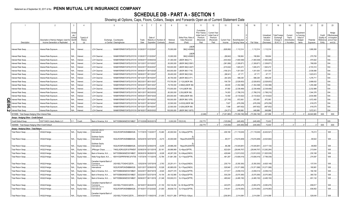# **SCHEDULE DB - PART A - SECTION 1**

|   |                                                               |                              |                                                                            |                                     |                              |                                                           |                                                    |               |                                      | 8                     | 9                   | 10 <sup>1</sup>                                | 11                                                                              | 12                                                              | 13                            | 14                              | 16             | 17                                                | 18                                                         | 19                                                  | 20                                                      | 21                    | 22                                         | 23                                                               |
|---|---------------------------------------------------------------|------------------------------|----------------------------------------------------------------------------|-------------------------------------|------------------------------|-----------------------------------------------------------|----------------------------------------------------|---------------|--------------------------------------|-----------------------|---------------------|------------------------------------------------|---------------------------------------------------------------------------------|-----------------------------------------------------------------|-------------------------------|---------------------------------|----------------|---------------------------------------------------|------------------------------------------------------------|-----------------------------------------------------|---------------------------------------------------------|-----------------------|--------------------------------------------|------------------------------------------------------------------|
|   | Description                                                   |                              | Description of Item(s) Hedged, Used for<br>Income Generation or Replicated | 3chei<br>ule i<br>Exhibi<br>Identif | Type(s) of<br>Risk(s)<br>(a) |                                                           | Exchange, Counterparty<br>or Central Clearinghouse | Trade<br>Date | Date of<br>Maturity or<br>Expiration | Number o<br>Contracts | Notional<br>Amount  | Strike Price, Rate<br>Index Received<br>(Paid) | Cumulative<br>Prior Year(s)<br>Initial Cost of<br>Premium<br>(Received)<br>Paid | Current Yea<br>Initial Cost of<br>Premium<br>(Received)<br>Paid | <b>Current Year</b><br>Income | Book/Adjusted<br>Carrying Value | Fair Value     | Unrealized<br>Valuation<br>Increase<br>(Decrease) | <b>Total Foreign</b><br>Exchange<br>Change in<br>B./A.C.V. | Current<br>Year's<br>(Amortizatioı<br>) / Accretion | Adjustmen<br>to Carrying<br>Value of<br>Hedged<br>Items | Potential<br>Exposure | Credit<br>Quality o<br>Reference<br>Entity | Hedge<br>ffectiveness<br>at Inception<br>and at Year-<br>end (b) |
|   | nterest Rate Swap                                             | nterest Rate Exposure.       |                                                                            | N/A                                 | Interest.                    | LCH Clearnet.                                             | WAM6YERMS7OXFZUOY219 01/26/2017                    |               | 01/22/204                            |                       | 70,000,000          | <b>LIBOF</b><br>3M/(2.455892                   |                                                                                 |                                                                 | (628, 892)                    | 1,112,314                       | .1,112,314     | 1,112,314                                         |                                                            |                                                     |                                                         | .1,895,550            |                                            | 002                                                              |
|   | nterest Rate Swap                                             | nterest Rate Exposure.       |                                                                            | N/A                                 | Interest                     | <b>LCH Clearnet</b>                                       | WAM6YERMS7OXFZUOY219 01/26/201                     |               | 01/22/204                            |                       | 10,000,000          | LIBOR<br>3M/(2.455891                          |                                                                                 |                                                                 | .(89,842                      | 158,904                         | 158,904        | .158,904                                          |                                                            |                                                     |                                                         | .270,793              |                                            | 002                                                              |
|   | nterest Rate Swap                                             | Interest Rate Exposure.      |                                                                            | N/A                                 | Interest                     | <b>LCH Clearnet</b>                                       | WAM6YERMS7OXFZUOY219                               | 03/09/201     | 03/08/203                            |                       | .51,300,000         | LIBOR 3M/(2.71).                               |                                                                                 |                                                                 | .(433,942                     | (1,900,548)                     | (1,900,548)    | (1,900,548                                        |                                                            |                                                     |                                                         | .974,922              |                                            | 004                                                              |
|   | nterest Rate Swap                                             | Interest Rate Exposure.      |                                                                            | N/A                                 | Interest                     | <b>LCH Clearnet</b>                                       | WAM6YERMS7OXFZUOY219                               | 03/13/201     | 03/15/202                            |                       | .50,000,000         | LIBOR 3M/(2.5591                               |                                                                                 |                                                                 | (361,890)                     | .(1,309,871                     | (1,309,87)     | (1,309,871                                        |                                                            |                                                     |                                                         | 768,939               |                                            | 004                                                              |
|   | nterest Rate Swap                                             | nterest Rate Exposure.       |                                                                            | N/A                                 | nterest                      | <b>LCH Clearnet</b>                                       | WAM6YERMS7OXFZUOY219                               | 05/22/201     | 05/24/204                            |                       | 100,000,000         | LIBOR 3M/(2.4447)                              |                                                                                 |                                                                 | (415, 642)                    | .1,845,472                      | .1,845,472     | 1,845,472                                         |                                                            |                                                     |                                                         | .2,723,314            |                                            | 002                                                              |
|   | nterest Rate Swap                                             | nterest Rate Exposure.       |                                                                            | N/A.                                | nterest.                     | LCH Clearnet.                                             | WAM6YERMS7OXFZUOY219                               | 08/08/201     | 08/10/202                            |                       | .300,000,000        | LIBOR 3M/(1.718)                               |                                                                                 |                                                                 | (159,321                      | 1,001,005                       | 1,001,005      | 1,001,005                                         |                                                            |                                                     |                                                         | .2,538,066            |                                            | 004                                                              |
|   | nterest Rate Swap                                             | Interest Rate Exposure.      |                                                                            | N/A.                                | Interest                     | <b>LCH Clearnet.</b>                                      | WAM6YERMS7OXFZUOY219                               | 08/08/201     | 08/12/204                            |                       | 59,400,000          | LIBOR 3M/(2.524)                               |                                                                                 |                                                                 | . (98, 04)                    | .67,171                         | .67,171        | 67,171                                            |                                                            |                                                     |                                                         | 1,623,613             |                                            | 004                                                              |
|   | nterest Rate Swap                                             | Interest Rate Exposure.      |                                                                            | N/A.                                | Interest                     | LCH Clearnet.                                             | WAM6YERMS7OXFZUOY219                               | 08/14/201     | 08/16/204                            |                       | 46,700,000          | LIBOR 3M/(2.471)                               |                                                                                 |                                                                 | . (64.325)                    | .598,238                        | .598,238       | 598,238                                           |                                                            |                                                     |                                                         | 1,276,71              |                                            | 004                                                              |
|   | nterest Rate Swap                                             | Interest Rate Exposure.      |                                                                            | N/A                                 | Interest                     | LCH Clearnet.                                             | WAM6YERMS7OXFZUOY219                               | 08/23/201     | 08/31/202                            |                       | 170,700,000         | 2.112/(LIBOR 3M)                               |                                                                                 |                                                                 | .106,729                      | (2,528,653)                     | (2,528,653)    | (2,528,653)                                       |                                                            |                                                     |                                                         | .2,688,632            |                                            | 004                                                              |
|   | Interest Rate Swap                                            | Interest Rate Exposure.      |                                                                            | N/A                                 | Interest                     | <b>LCH Clearnet</b>                                       | WAM6YERMS7OXFZUOY219                               | 08/30/201     | 09/01/202                            |                       | .79,700,000         | 2.0892/(LIBOR 3M)                              |                                                                                 |                                                                 | .49,635                       | (1,354,398)                     | (1, 354, 398)  | (1,354,398).                                      |                                                            |                                                     |                                                         | 1,255,498             |                                            | 004                                                              |
|   | nterest Rate Swap                                             | Interest Rate Exposure.      |                                                                            | N/A                                 | Interest                     | <b>LCH Clearnet</b>                                       | WAM6YERMS7OXFZUOY219                               | 08/31/201     | 08/23/202                            |                       | 170,000,000         | 1.91/(LIBOR 3M)                                |                                                                                 |                                                                 | .97,850                       | (2,338,468)                     | (2,338,468     | (2,338,468)                                       |                                                            |                                                     |                                                         | .2,232,989            |                                            | 004                                                              |
|   | nterest Rate Swap                                             | Interest Rate Exposure.      |                                                                            | N/A                                 | <b>Interest</b>              | <b>LCH Clearnet</b>                                       | WAM6YERMS7OXFZUOY219                               | 08/31/201     | 08/23/203                            |                       | 000,000,000         | 2.25/(LIBOR 3M).                               |                                                                                 |                                                                 | .74,003                       | .(1,788,210                     | (1,788,210     | (1,788,210                                        |                                                            |                                                     |                                                         | 1.544.376             |                                            | 004                                                              |
|   | nterest Rate Swap                                             | nterest Rate Exposure.       |                                                                            | V/A.                                | Interest                     | <b>LCH Clearnet</b>                                       | WAM6YERMS7OXFZUOY219                               | 09/05/201     | 09/07/202                            |                       | .200,000,000        | 1.885/(LIBOR 3M)                               |                                                                                 |                                                                 | .72,550                       | (3, 133, 622)                   | (3, 133, 622)  | (3, 133, 622)                                     |                                                            |                                                     |                                                         | .2.634.856            |                                            | 004.                                                             |
| O | Interest Rate Swap                                            | nterest Rate Exposure.       |                                                                            | N/A                                 | Interest                     | <b>LCH Clearnet</b>                                       | WAM6YERMS7OXFZUOY219 09/14/201                     |               | 09/19/202                            |                       | 150,000,000         | LIBOR 3M/(1.876)                               |                                                                                 |                                                                 | (27, 745)                     | .872,063                        | .872,063       | 872,063                                           |                                                            |                                                     |                                                         | 1,672,450             |                                            | 004                                                              |
|   | nterest Rate Swap                                             | Interest Rate Exposure.      |                                                                            | V/A.                                | Interest.                    | LCH Clearnet.                                             | WAM6YERMS7OXFZUOY219                               | 09/15/201     | 09/19/204                            |                       | .22,500,000         | 2.4333/(LIBOR 3M)                              |                                                                                 |                                                                 | .7,627                        | (476,259                        | (476, 259)     | (476, 259)                                        |                                                            |                                                     |                                                         | .616,075              |                                            | 004                                                              |
| Е | Interest Rate Swap                                            | Interest Rate Exposure.      |                                                                            | N/A                                 |                              | LCH Clearnet.                                             | WAM6YERMS7OXFZUOY219                               | 09/15/201     |                                      |                       | .22,500,000         | 2.429/(LIBOR 3M)                               |                                                                                 |                                                                 | .7,598                        | (497, 652)                      | (497,652       | .(497,652                                         |                                                            |                                                     |                                                         | .616,075              |                                            | 004.                                                             |
| თ | Interest Rate Swap                                            | Interest Rate Exposure       |                                                                            | N/A.                                | Interest<br>Interes          | <b>LCH Clearnet</b>                                       | WAM6YERMS7OXFZUOY219                               | 09/18/201     | 09/19/204                            |                       | 150,000,000         | LIBOR 3M/(1.9075)                              |                                                                                 |                                                                 | (24.27)                       | .649.966                        | 649.966        | 649.966                                           |                                                            |                                                     |                                                         | 1.672.911             |                                            | 004.                                                             |
|   | 919999. Total-Swaps-Hedging Other-Interest Rate               |                              |                                                                            |                                     |                              |                                                           |                                                    |               |                                      |                       |                     |                                                | (2.248)                                                                         |                                                                 | (7.201.865                    | (73.356.190) XX                 | (73,356,190)   | 221.096                                           |                                                            |                                                     |                                                         | 64.640.985            | <b>XXX</b>                                 | <b>XXX</b>                                                       |
|   |                                                               |                              |                                                                            |                                     |                              |                                                           |                                                    |               |                                      |                       |                     |                                                |                                                                                 |                                                                 |                               |                                 |                |                                                   |                                                            |                                                     |                                                         |                       |                                            |                                                                  |
|   | Swaps - Hedging Other - Credit Default<br>Credit Default Swap | 530715AD3 Liberty Media LLC. |                                                                            | D <sub>1</sub>                      | Credit                       | Bank of America, N.A                                      | B4TYDEB6GKMZO031MB27.                              | 07/10/2009    |                                      |                       | 5.000.000 CE/(5.00) |                                                | 232.770                                                                         |                                                                 | (125.694                      | (445.465)                       | (445.465       | 72.403                                            |                                                            |                                                     |                                                         |                       |                                            |                                                                  |
|   |                                                               |                              |                                                                            |                                     |                              |                                                           |                                                    |               |                                      |                       |                     |                                                | 232.770                                                                         |                                                                 | (125.694                      | (445.465)                       | (445.465       | 72.403                                            |                                                            |                                                     |                                                         |                       | <b>XXX</b>                                 | <b>XXX</b>                                                       |
|   | 0929999. Total-Swaps-Hedging Other-Credit Default             |                              |                                                                            |                                     |                              |                                                           |                                                    |               |                                      |                       |                     |                                                |                                                                                 |                                                                 |                               |                                 |                |                                                   |                                                            |                                                     |                                                         |                       |                                            |                                                                  |
|   | Swaps - Hedging Other - Total Return<br>Total Return Swap.    | VAGLB Hedge                  |                                                                            | N/A.                                |                              | nternational                                              | W22LROWP2IHZNBB6K528.                              | 1/17/2015     | 1/22/201                             | 10,460                | 40.000.504          | 3L+24bps/(SPTR)                                |                                                                                 |                                                                 | 409,168                       | (11,118,045).                   | (11, 118, 045) | (6,402,521)                                       |                                                            |                                                     |                                                         | .76,213               |                                            | 008                                                              |
|   |                                                               |                              |                                                                            |                                     | Equity Index.                | Goldman Sachs                                             |                                                    |               |                                      |                       |                     |                                                |                                                                                 |                                                                 |                               |                                 |                |                                                   |                                                            |                                                     |                                                         |                       |                                            |                                                                  |
|   | Fotal Return Swap.                                            | VAGLB Hedge                  |                                                                            | N/A                                 | Equity Index.                | nternational                                              | W22LROWP2IHZNBB6K528.                              | 02/02/2016    | 02/07/2018                           | 6,215                 | .30,000,949         | 74bps/(RU20INTR                                |                                                                                 |                                                                 | .85,517                       | (15,616,469)                    | (15,616,469)   | (4,523,944)                                       |                                                            |                                                     |                                                         | .89.522               |                                            | 008.                                                             |
|   | Fotal Return Swap.                                            | VAGLB Hedge                  |                                                                            | N/A.                                | Equity Index.                | Goldman Sachs<br>nternational                             | W22LROWP2IHZNBB6K528.                              | 02/03/201     | 02/08/201                            | 6,205                 | .29,998,259         | 74bps/(RU20INTR                                |                                                                                 |                                                                 | .86,296                       | .(15,545,681)                   | (15,545,681    | (4,517,134)                                       |                                                            |                                                     |                                                         | .89,858               |                                            | 008                                                              |
|   | Fotal Return Swap.                                            | VAGLB Hedge                  |                                                                            | N/A.                                | Equity Index                 | JPMorgan Chase.                                           | 7H6GLXDRUGQFU57RNE97                               | 2/08/201      | 02/13/201                            | 20,161                | .69,999,969         | 3L+6bps/(SPTR).                                |                                                                                 |                                                                 | .622,624                      | .(28,646,767                    | (28,646,767    | (12,262,264                                       |                                                            |                                                     |                                                         | .213,644              |                                            | 008.                                                             |
|   | <b>Total Return Swap.</b>                                     | VAGLB Hedge                  |                                                                            | N/A.                                | Equity Index                 | Bank of America, N.A.                                     | B4TYDEB6GKMZO031MB27                               | 08/26/201     | 08/28/201                            | 9,028                 | 48,267,209          | 3L+24bps/(XNDX)                                |                                                                                 |                                                                 | .429,846                      | (12,813,032                     | (12,813,032    | (11, 825, 535)                                    |                                                            |                                                     |                                                         | .230,168              |                                            | $008$                                                            |
|   | Total Return Swap.                                            | VAGLB Hedge                  |                                                                            | N/A                                 | Equity Index                 | Wells Fargo Bank, N.A                                     | KB1H1DSPRFMYMCUFXT09.                              | 11/07/201     | 11/13/2018                           | 12,784                | 51,881,358          | 3L+11bps/(SPTR)                                |                                                                                 |                                                                 | .481,297                      | (10,606,416)                    | (10,606,416)   | (7,789,339)                                       |                                                            |                                                     |                                                         | .274,597              |                                            | 008 <sub>1</sub>                                                 |
|   | <b>Total Return Swap.</b>                                     | /AGLB Hedge.                 |                                                                            | N/A                                 | Equity Index                 | Canadian Imperial Bank of<br>Commerce<br>Gordinari Sacris | 2IGI19DL77OX0HC3ZE78.                              | 12/02/201     | 12/07/201                            | 3,763                 | .25,251,411         | 3L+21bps/(XNDX)                                |                                                                                 |                                                                 | .235,71                       | .(5,350,300                     | (5,350,300)    | (4,825,148)                                       |                                                            |                                                     |                                                         | .137,516              |                                            | 008.                                                             |
|   | <b>Total Return Swap.</b>                                     | /AGLB Hedge                  |                                                                            | N/A.                                | Equity Index                 | International                                             | W22LROWP2IHZNBB6K528.                              | 02/01/201     | 02/06/201                            | 10,528                | .60,885,635         | 3L+17bps/(XNDX)                                |                                                                                 |                                                                 | .529,940                      | (10, 371, 588)                  | (10,371,588)   | (10,371,588                                       |                                                            |                                                     |                                                         | 180,981               |                                            | 008.                                                             |
|   | Fotal Return Swap.                                            | /AGLB Hedge                  |                                                                            | N/A                                 | Equity Index                 | Bank of America, N.A.                                     | B4TYDEB6GKMZO031MB27.                              | 02/22/201     | 08/27/201                            | .8,540                | .38,677,370         | 3L+22bps/(SPTR)                                |                                                                                 |                                                                 | 317,617                       | (3,059,314)                     | .(3,059,314    | (3,059,314)                                       |                                                            |                                                     |                                                         | 184,160               |                                            | $008$                                                            |
|   | Fotal Return Swap.                                            | /AGLB Hedge                  |                                                                            | N/A.                                | Equity Index                 | Bank of America, N.A.                                     | B4TYDEB6GKMZO031MB27                               | )2/22/201     | 02/27/201                            | .14,154               | .64,102,985         | 3L+23bps/(SPTR)                                |                                                                                 |                                                                 | .530,239                      | (5,070,365)                     | .(5,070,365    | .(5,070,365                                       |                                                            |                                                     |                                                         | .380,720              |                                            | 008 <sub>1</sub>                                                 |
|   | Total Return Swap.                                            | VAGLB Hedge                  |                                                                            | N/A                                 | Equity Index.                | Bank of America, N.A                                      | B4TYDEB6GKMZO031MB27.                              | 06/06/201     | 06/11/201                            | 21,349                | 100,000,013         | 3L+31bps/(SPTR)                                |                                                                                 |                                                                 | 485,642                       | (4,485,150)                     | (4,485,150)    | (4,485,150)                                       |                                                            |                                                     |                                                         | .651,132              |                                            | 008                                                              |
|   | Fotal Return Swap.                                            | /AGLB Hedge                  |                                                                            | N/A                                 | Equity Index                 | Canadian Imperial Bank of<br>Commerce<br>Gordman Gauns    | 2IGI19DL77OX0HC3ZE78.                              | 06/19/201     | 06/24/201                            | 21,150                | 100,134,252         | 3L+30.5bps/(SPTR)                              |                                                                                 |                                                                 | .443,675                      | (3,083,475)                     | . (3,083,475)  | (3,083,475)                                       |                                                            |                                                     |                                                         | .658,817              |                                            | 008.                                                             |
|   | Fotal Return Swap.                                            | AGLB Hedge                   |                                                                            | N/A                                 | Equity Index                 | nternational                                              | W22LROWP2IHZNBB6K528.                              | 17/18/201     | )7/22/2020                           | 21,000                | .99,839,733         | 3L+31bps/(SPTR)                                |                                                                                 |                                                                 | 318,441                       | (3,016,083)                     | (3,016,083)    | (3,016,083)                                       |                                                            |                                                     |                                                         | .836,952              |                                            | 008.                                                             |
|   |                                                               |                              |                                                                            |                                     |                              | Canadian Imperial Bank of                                 |                                                    |               |                                      |                       |                     |                                                |                                                                                 |                                                                 |                               |                                 |                |                                                   |                                                            |                                                     |                                                         |                       |                                            |                                                                  |
|   | Total Return Swap.                                            | VAGLB Hedge.                 |                                                                            | N/A                                 | Equity Index                 | Commerce                                                  | 2IGI19DL77OX0HC3ZE78.                              | 08/04/2017    | 11/08/2018                           | 21.000                | 100.571.268         | SPTR/(3L+32bps)                                |                                                                                 |                                                                 | (236,991)                     | 2.014.099                       | .2,014,099     | 2.014.099                                         |                                                            |                                                     |                                                         | .529.040              |                                            | 008                                                              |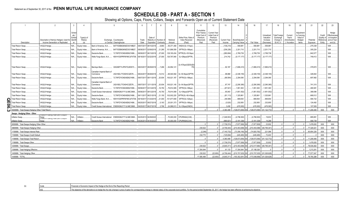# **SCHEDULE DB - PART A - SECTION 1**

|        |                                                  | $\overline{2}$                                                             |                                            |                               | 5                                                                                                        | 6                    |                                     |                                    | q                  | 10 <sup>1</sup>                                   | 11                                                                              | 12                                                                      | 13                    | 14                              | 16                        | 17                                                | 18                                                                | 19                                                  | 20                                                       | 21                    | 22                                        | 23                                                                |
|--------|--------------------------------------------------|----------------------------------------------------------------------------|--------------------------------------------|-------------------------------|----------------------------------------------------------------------------------------------------------|----------------------|-------------------------------------|------------------------------------|--------------------|---------------------------------------------------|---------------------------------------------------------------------------------|-------------------------------------------------------------------------|-----------------------|---------------------------------|---------------------------|---------------------------------------------------|-------------------------------------------------------------------|-----------------------------------------------------|----------------------------------------------------------|-----------------------|-------------------------------------------|-------------------------------------------------------------------|
|        | Description                                      | Description of Item(s) Hedged, Used for<br>Income Generation or Replicated | Sched<br>ule /<br>Exhibit<br>Identif<br>er | Type(s) of<br>Risk(s)<br>(a)  | Exchange, Counterparty<br>or Central Clearinghouse                                                       | Trade<br>Date        | Date of<br>Expiration               | Maturity or Number of<br>Contracts | Notional<br>Amount | Strike Price, Rate o<br>Index Received<br>(Paid)  | Cumulative<br>Prior Year(s)<br>Initial Cost of<br>Premium<br>(Received)<br>Paid | <b>Current Year</b><br>Initial Cost of<br>Premium<br>(Received)<br>Paid | Current Yea<br>Income | Book/Adjusted<br>Carrying Value | Fair Value                | Unrealized<br>Valuation<br>Increase<br>(Decrease) | <b>Total Foreign</b><br>Exchange<br>Change in<br><b>B./A.C.V.</b> | Current<br>Year's<br>(Amortization<br>) / Accretion | Adjustment<br>to Carrying<br>Value of<br>Hedged<br>Items | Potential<br>Exposure | Credit<br>Quality o<br>Referenc<br>Entity | Hedge<br>Effectiveness<br>at Inception<br>and at Year-<br>end (b) |
|        | <b>Total Return Swap.</b>                        | VAGLB Hedge.                                                               | N/A                                        | Equity Index                  | B4TYDEB6GKMZO031MB27<br>Bank of America, N.A.,                                                           | 08/07/2017           | 08/10/2018                          | 8,860                              | .59,371,480        | XNDX/(3L+31bps)                                   |                                                                                 |                                                                         | (136, 210)            | 559,981                         | .559,981                  | 559,981                                           |                                                                   |                                                     |                                                          | .275,338              |                                           | 008.                                                              |
|        | <b>Total Return Swap.</b>                        | VAGLB Hedge.                                                               | N/A.                                       | Equity Index                  | B4TYDEB6GKMZO031MB27<br>Bank of America, N.A.                                                            | 08/08/2017           | 02/08/201                           | 21,290                             | 101,896,559        | SPTR/(3L+36bps)                                   |                                                                                 |                                                                         | (236, 226)            | .2,201,710                      | 2,201,710                 | 2,201,710                                         |                                                                   |                                                     |                                                          | 305,224               |                                           | 008.                                                              |
|        | <b>Total Return Swap.</b>                        | VAGLB Hedge.                                                               | N/A                                        | Equity Index                  | 7LTWFZYICNSX8D621K86.<br>Deutsche Bank.                                                                  | 08/09/2017           | 06/13/201                           | 27,000                             | .129,193,434       | SPTR/(3L+35.5bps)                                 |                                                                                 |                                                                         | .(280,684             | 2,769,739                       | .2,769,739                | 2,769,739                                         |                                                                   |                                                     |                                                          | .842,577              |                                           | 008.                                                              |
|        | <b>Total Return Swap.</b>                        | VAGLB Hedge.                                                               | N/A.                                       | Equity Index                  | KB1H1DSPRFMYMCUFXT09<br>Wells Fargo Bank, N.A                                                            | 08/18/2017 02/22/201 |                                     | 27,000                             | .126,797,940       | 3L+29bps/(SPTR)                                   |                                                                                 |                                                                         | 214,742               | (5, 177, 177)                   | (5, 177, 177)             | (5, 177, 177)                                     |                                                                   |                                                     |                                                          | 749,412               |                                           | 008.                                                              |
|        | Total Return Swap.                               | /AGLB Hedge.                                                               | N/A                                        | Equity Index.                 | G5GSEF7VJP5I7OUK5573<br>Barclays Bank                                                                    |                      | 08/23/2017 08/29/2019               | 7,266                              | 54,954,121         | 3L+57bps/(GDDUEA                                  |                                                                                 |                                                                         | .92.187               | (1,666,410                      | (1,666,410)               | (1,666,410)                                       |                                                                   |                                                     |                                                          | 379,972               |                                           | 008                                                               |
|        | <b>Total Return Swap.</b>                        | VAGLB Hedge.                                                               | N/A.                                       | Equity Index.                 | Canadian Imperial Bank of<br>2IGI19DL77OX0HC3ZE78.<br>Commerce                                           |                      | 08/24/2017 08/28/2018               | 14,512                             |                    | 68,540,582 3L+30.5bps/(SPTR)                      |                                                                                 |                                                                         | 98,868                | (2,348,155)                     | (2,348,155)               | (2,348,155)                                       |                                                                   |                                                     |                                                          | 326,844               |                                           | 008.                                                              |
|        | Fotal Return Swap.                               | VAGLB Hedge.                                                               | N/A                                        | Equity Index                  | 7LTWFZYICNSX8D621K86.<br>Deutsche Bank.                                                                  |                      | 09/07/2017 09/11/2019               | 20,934                             | 100,021,187        | SPTR/(3L+38bps)                                   |                                                                                 |                                                                         | .(89.594              | .2,294,090                      | .2,294,090                | 2,294,090                                         |                                                                   |                                                     |                                                          | 697,992               |                                           | 008.                                                              |
|        | Total Return Swap.<br>Total Return Swap.         | VAGLB Hedge.<br>VAGLB Hedge.                                               | N/A<br>N/A.                                | Equity Index.<br>Equity Index | Canadian Imperial Bank of<br>2IGI19DL77OX0HC3ZE78.<br>Commerce<br>7LTWFZYICNSX8D621K86<br>Deutsche Bank. | 19/08/2017           | 09/07/2017 12/11/2019<br>03/12/2019 | 20,934<br>16,750                   | .79,914,585        | .100,021,145 3L+34.5bps/(SPTR)<br>SPTR/(3L+38bps) |                                                                                 |                                                                         | .87.747<br>(67, 541)  | (2,290,385)<br>1,951,363        | (2,290,385)<br>.1,951,363 | (2,290,385)<br>1,951,363                          |                                                                   |                                                     |                                                          | 741,315<br>480,581    |                                           | 008.<br>008.                                                      |
|        | Total Return Swap.                               | VAGLB Hedge.                                                               | N/A.                                       | Equity Index                  | E58DKGMJYYYJLN8C3868.<br>Credit Suisse International.                                                    | 19/08/2017           | 09/12/2018                          | 16,750                             | 79,914,568         | 3L+34bps/(SPTR)                                   |                                                                                 |                                                                         | 65,943                | (1,951,552)                     | (1,951,552)               | (1,951,552)                                       |                                                                   |                                                     |                                                          | 389,596               |                                           | 008.                                                              |
|        | <b>Total Return Swap.</b>                        | VAGLB Hedge.                                                               | N/A.                                       | Equity Index                  | 7LTWFZYICNSX8D621K86<br>Deutsche Bank.                                                                   |                      | 06/11/2017 06/21/2019               | 21,150                             | 102,002,220        | SPTR/(3L+36.43bps)                                |                                                                                 |                                                                         | (81, 113)             | 1,325,861                       | 1,325,861                 | 1,325,861                                         |                                                                   |                                                     |                                                          | 669,512               |                                           | 008.                                                              |
| г      | Total Return Swap                                | VAGLB Hedge.                                                               | N/A.                                       | Equity Index.                 | KB1H1DSPRFMYMCUFXT09<br>Wells Fargo Bank, N.A                                                            | 09/18/2017           | 01/23/201                           | 21,000                             | .101,977,659       | SPTR/(3L+32bps)                                   |                                                                                 |                                                                         | (46,598)              | .669,654                        | 669,654                   | 669,654                                           |                                                                   |                                                     |                                                          | .584,722              |                                           | 008.                                                              |
|        | Total Return Swap.                               | VAGLB Hedge.                                                               | N/A.                                       | Equity Index.                 | 7LTWFZYICNSX8D621K86.<br>Deutsche Bank.                                                                  | 9/25/2017            | 09/27/2018                          | 5,163                              | .25,001,373        | SPTR/(3L+36bps)                                   |                                                                                 |                                                                         | (3,520)               | 232,855                         | .232,855                  | 232,855                                           |                                                                   |                                                     |                                                          | 124,492               |                                           | 008.                                                              |
| 8<br>၈ | Total Return Swap.                               | VAGLB Hedge.                                                               |                                            | Equity Index                  | Credit Suisse International. E58DKGMJYYYJLN8C3868.                                                       |                      | 06/27/2016 06/27                    | 3.766                              | .24,999,913        | 3L+33bps/(XNDX)                                   |                                                                                 |                                                                         | .3.458                | (476.583                        | (476.583)                 | (476,583)                                         |                                                                   |                                                     |                                                          | 107.509               |                                           | 008.                                                              |
|        | 0949999. Total-Swaps-Hedging Other-Total Return. |                                                                            |                                            |                               |                                                                                                          |                      |                                     |                                    |                    |                                                   |                                                                                 |                                                                         | 4,360,489             | 128,673,595)                    | (128, 673, 595)           | (81.122.772                                       |                                                                   |                                                     |                                                          | 11,208,406            | XXX                                       | <b>XXX</b>                                                        |
|        | Swaps - Hedging Other - Other                    |                                                                            |                                            |                               |                                                                                                          |                      |                                     |                                    |                    |                                                   |                                                                                 |                                                                         |                       |                                 |                           |                                                   |                                                                   |                                                     |                                                          |                       |                                           |                                                                   |
|        | Inflation Swap.                                  | Swap<br>imiation-rioating Rate Zero Goupon                                 | VA.                                        | Inflation.                    | Credit Suisse International E58DKGMJYYYJLN8C3868                                                         | 4/25/2013            | 04/29/2023                          |                                    | .75.000.000        | CPURNSA/(2.66).                                   |                                                                                 |                                                                         | (1,048,553)           | (4,796,500)                     | (4,796,500)               | 19,633                                            |                                                                   |                                                     |                                                          | .885,891              |                                           | 009.                                                              |
|        | nflation Swap.                                   | Swan                                                                       |                                            | Inflation.                    | 7LTWFZYICNSX8D621K86<br><b>Deutsche Bank</b>                                                             |                      | 4/26/2013 04/30/202                 |                                    | .50.000.000        | CPURNSA/(2.64).                                   |                                                                                 |                                                                         | (690,821              | (3, 181, 338)                   | (3, 181, 338)             | 14.299                                            |                                                                   |                                                     |                                                          | 590,739               |                                           | 009.                                                              |
|        | 959999. Total-Swaps-Hedging Other-Other.         |                                                                            |                                            |                               |                                                                                                          |                      |                                     |                                    |                    |                                                   |                                                                                 |                                                                         | (1.739.374            | (7.977.838)                     | (7.977.838                | 33.932                                            |                                                                   |                                                     |                                                          | 1.476.630             | <b>XXX</b>                                | <b>XXX</b>                                                        |
|        | 969999. Total-Swaps-Hedging Other                |                                                                            |                                            |                               |                                                                                                          |                      |                                     |                                    |                    |                                                   | .230,522                                                                        |                                                                         | (4,706,444)           | (210,453,088                    | (210.453.088              | (80.795.341)                                      |                                                                   |                                                     |                                                          | .77.326.021           | <b>XXX</b>                                | XXX                                                               |
|        | 1159999. Total-Swaps-Interest Rate               |                                                                            |                                            |                               |                                                                                                          |                      |                                     |                                    |                    |                                                   | (2, 248)                                                                        |                                                                         | (7.140.732            | (73.356.190)                    | (74.920.782)              | 221.096                                           |                                                                   |                                                     |                                                          | .65.854.226           | <b>XXX</b>                                | <b>XXX</b>                                                        |
|        | 1169999. Total-Swaps-Credit Default              |                                                                            |                                            |                               |                                                                                                          |                      |                                     |                                    |                    |                                                   | .232,770                                                                        |                                                                         | .(125,694             | (445.465)                       | .(445,465)                | .72.403                                           |                                                                   |                                                     |                                                          |                       | <b>XXX</b>                                | XXX                                                               |
|        | 1189999. Total-Swaps-Total Return                |                                                                            |                                            |                               |                                                                                                          |                      |                                     |                                    |                    |                                                   |                                                                                 |                                                                         | 4.360.489             | (128.673.595)                   | (128.673.595)             | (81.122.772)                                      |                                                                   |                                                     |                                                          | 11.208.406            | <b>XXX</b>                                | <b>XXX</b>                                                        |
|        | 1199999. Total-Swaps-Other                       |                                                                            |                                            |                               |                                                                                                          |                      |                                     |                                    |                    |                                                   |                                                                                 |                                                                         | (1,739,374            | (7,977,838)                     | (7,977,838)               | 33,932                                            |                                                                   |                                                     |                                                          | .1,476,630            | <b>XXX</b>                                | XXX                                                               |
|        | 1209999. Total-Swaps                             |                                                                            |                                            |                               |                                                                                                          |                      |                                     |                                    |                    |                                                   | .230,522                                                                        |                                                                         | (4,645,31)            | (210,453,088)                   | (212,017,680)             | (80,795,341)                                      |                                                                   |                                                     |                                                          | .78,539,262           | <b>XXX</b>                                | XXX                                                               |
|        | 399999. Total-Hedging Effective                  |                                                                            |                                            |                               |                                                                                                          |                      |                                     |                                    |                    |                                                   | .17,354,944                                                                     |                                                                         | 61.133                | 17,354,944                      | 37,158,326                |                                                   |                                                                   |                                                     |                                                          | 1,213,241             | XXX                                       | XXX                                                               |
|        | 409999. Total-Hedging Other                      |                                                                            |                                            |                               |                                                                                                          |                      |                                     |                                    |                    |                                                   | .230,522                                                                        | (22.650)                                                                | (4,706,444            | (210,707,025                    | (210,707,025)             | (81,026,628)                                      |                                                                   |                                                     |                                                          | 77.577.047            | <b>XXX</b>                                | XXX                                                               |
|        | 449999. TOTAL                                    |                                                                            |                                            |                               |                                                                                                          |                      |                                     |                                    |                    |                                                   | .17,585,466                                                                     | (22,650)                                                                | (4,645,311            | (193,352,081                    | (173,548,699)             | (81,026,628                                       |                                                                   |                                                     |                                                          | .78,790,288           | <b>XXX</b>                                | XXX                                                               |

| Code<br><u>vuu</u> | uc Imnact of the Hedge at the End of the Renorting Period<br>FIN                                                                                                                         |
|--------------------|------------------------------------------------------------------------------------------------------------------------------------------------------------------------------------------|
| . UU.              | arate bond portfolio. For the neriod ended September 30 2<br>$---$<br>The objectiv<br>a roo risk (change in price of option for corresponding change in interaction<br>`ণ its obiectiv∈. |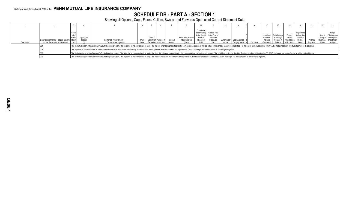# **SCHEDULE DB - PART A - SECTION 1**

|             |                                                                                     |                  |                       |                                                                                                                                                                                                                                |               |                                                                 |                    |                                                          |                                             |                                                                          |        |                                                                        |  | 17                                                              | 18                           |                                                                 |                                                          |                      | 22                  |                                                                                     |
|-------------|-------------------------------------------------------------------------------------|------------------|-----------------------|--------------------------------------------------------------------------------------------------------------------------------------------------------------------------------------------------------------------------------|---------------|-----------------------------------------------------------------|--------------------|----------------------------------------------------------|---------------------------------------------|--------------------------------------------------------------------------|--------|------------------------------------------------------------------------|--|-----------------------------------------------------------------|------------------------------|-----------------------------------------------------------------|----------------------------------------------------------|----------------------|---------------------|-------------------------------------------------------------------------------------|
| Description | Description of Item(s) Hedged, Used for Identifi<br>Income Generation or Replicated | Sched<br>Exhibit | Type(s) of<br>Risk(s) | Exchange, Counterparty<br>or Central Clearinghouse                                                                                                                                                                             | Trade<br>Date | Date of<br>Maturity or Number of<br><b>Expiration</b> Contracts | Notional<br>Amount | Strike Price, Rate of<br><b>Index Received</b><br>(Paid) | Cumulative<br>Premium<br>(Received)<br>Paid | Prior Year(s) Current Year<br>Initial Cost of Initial Cost of<br>Premium | Income | (Received) Current Year Book/Adjusted d<br>Carrying Value e Fair Value |  | Unrealized Total Foreign<br>Valuation<br>Increase<br>(Decrease) | Exchange<br><b>B./A.C.V.</b> | Current<br>Year's<br>Change in (Amortization)<br>1) / Accretion | Adiustment<br>to Carrying<br>Value of<br>Hedged<br>Items | Potentia<br>Exposure | Reference<br>Entity | Hedge<br>Credit Effectiveness<br>Quality of at Inception<br>and at Year-<br>end (b) |
|             |                                                                                     |                  |                       | The derivative is part of the Company's Equity Hedging program. The objective of the derivative is to hedge the rho risk (change in price of option for corresponding change in interest rates) of the variable annuity rider  |               |                                                                 |                    |                                                          |                                             |                                                                          |        |                                                                        |  |                                                                 |                              |                                                                 |                                                          |                      |                     |                                                                                     |
|             |                                                                                     |                  |                       | The objective of the derivative is to protect the Company from a decline in credit quality associated with a bond position. For the period ended September 30, 2017, the hedge has been effective at achieving its objective.  |               |                                                                 |                    |                                                          |                                             |                                                                          |        |                                                                        |  |                                                                 |                              |                                                                 |                                                          |                      |                     |                                                                                     |
|             |                                                                                     |                  |                       | The derivative is part of the Company's Equity Hedging program. The objective of the derivative is to hedge the delta risk (change in price of option for corresponding change in equity index) of the variable annuity rider  |               |                                                                 |                    |                                                          |                                             |                                                                          |        |                                                                        |  |                                                                 |                              |                                                                 |                                                          |                      |                     |                                                                                     |
|             |                                                                                     |                  |                       | The derivative is part of the Company's Equity Hedging program. The objective of the derivative is to hedge the inflation risk of the variable annuity rider liabilities. For the period ended September 30, 2017, the hedge h |               |                                                                 |                    |                                                          |                                             |                                                                          |        |                                                                        |  |                                                                 |                              |                                                                 |                                                          |                      |                     |                                                                                     |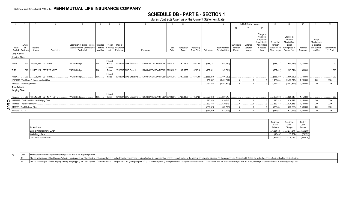# **SCHEDULE DB - PART B - SECTION 1**

Futures Contracts Open as of the Current Statement Date

|   |                                              |                               | 12<br>Description of Item(s) Hedged, Schedule<br>Type(s)<br>Date of<br>/ Exhibit<br>Used for Income Generation or<br>of Risk(s) Maturity or<br>Trade<br>Notional<br>Transaction<br>Reporting<br>Expiration<br>Date Price<br>Replicated<br>Identifier<br>Price<br>Description<br>(a)<br>Exchange<br>Date<br>Amount<br>Interest<br>49,537,500 UL T-Bond<br>VAGLB Hedge.<br>165.1250<br>N/A<br>12/31/2017 CME Group Inc.  KJNXBSWZVIKEX4NFOL81 09/14/2017<br>167.4209<br>Rates<br>Interest<br>1,000 215,703,125 CBT 2 YR NOTE.<br>VAGLB Hedge.<br>$N/A$ .<br>12/31/2017 CME Group Inc.<br>107.8516<br>Rates<br>. KJNXBSWZVIKEX4NFOL81 09/19/2017    107.9555<br>Interest<br>200 33.025.000 UL T-Bond<br>165.1250<br>VAGLB Hedge.<br>N/A<br>Rates<br>12/31/2017 CME Group Inc.  KJNXBSWZVIKEX4NFOL81 09/14/2017    167.9063  <br>12829999. Total-Long Futures-Hedging Other.<br>1329999. Total-Long Futures. |                                     |              |  |                   |  |                           |  |                                 |          |          |               |                                 |                                   | <b>Highly Effective Hedges</b>  |                                                                                                     | 18                                                        | 19                                                                                      | 20                    |                                                                   | 22                        |
|---|----------------------------------------------|-------------------------------|----------------------------------------------------------------------------------------------------------------------------------------------------------------------------------------------------------------------------------------------------------------------------------------------------------------------------------------------------------------------------------------------------------------------------------------------------------------------------------------------------------------------------------------------------------------------------------------------------------------------------------------------------------------------------------------------------------------------------------------------------------------------------------------------------------------------------------------------------------------------------------------------------------|-------------------------------------|--------------|--|-------------------|--|---------------------------|--|---------------------------------|----------|----------|---------------|---------------------------------|-----------------------------------|---------------------------------|-----------------------------------------------------------------------------------------------------|-----------------------------------------------------------|-----------------------------------------------------------------------------------------|-----------------------|-------------------------------------------------------------------|---------------------------|
|   |                                              |                               |                                                                                                                                                                                                                                                                                                                                                                                                                                                                                                                                                                                                                                                                                                                                                                                                                                                                                                          |                                     |              |  |                   |  |                           |  |                                 |          |          |               |                                 | 15                                | 16                              | 17                                                                                                  |                                                           |                                                                                         |                       |                                                                   |                           |
|   | Ticker<br>Symbol                             | Number<br>Contracts           |                                                                                                                                                                                                                                                                                                                                                                                                                                                                                                                                                                                                                                                                                                                                                                                                                                                                                                          |                                     |              |  |                   |  |                           |  |                                 |          |          | Fair Value    | Book/Adjusted<br>Carrying Value | Cumulative<br>Variation<br>Margin | Deferred<br>Variation<br>Margin | Change in<br>Variation<br>Margin Gain<br>(Loss) Used to<br><b>Adjust Basis</b><br>of Hedged<br>Item | Cumulative<br>Variation<br>Margin for All<br>Other Hedges | Change in<br>Variation<br>Margin Gain<br>(Loss)<br>Recognized in<br><b>Current Year</b> | Potential<br>Exposure | Hedge<br>Effectiveness<br>at Inception<br>and at Year-<br>end (b) | Value of One<br>(1) Point |
|   | <b>Long Futures</b>                          |                               |                                                                                                                                                                                                                                                                                                                                                                                                                                                                                                                                                                                                                                                                                                                                                                                                                                                                                                          |                                     |              |  |                   |  |                           |  |                                 |          |          |               |                                 |                                   |                                 |                                                                                                     |                                                           |                                                                                         |                       |                                                                   |                           |
|   | <b>Hedging Other</b>                         |                               |                                                                                                                                                                                                                                                                                                                                                                                                                                                                                                                                                                                                                                                                                                                                                                                                                                                                                                          |                                     |              |  |                   |  |                           |  |                                 |          |          |               |                                 |                                   |                                 |                                                                                                     |                                                           |                                                                                         |                       |                                                                   |                           |
|   | WNZ7.                                        | 300                           |                                                                                                                                                                                                                                                                                                                                                                                                                                                                                                                                                                                                                                                                                                                                                                                                                                                                                                          |                                     |              |  |                   |  |                           |  |                                 |          |          | (688, 781)    | (688, 781)                      |                                   |                                 |                                                                                                     | (688, 781)                                                | (688, 781)                                                                              | 1,110,000             |                                                                   | .1,000                    |
|   | TUZ7.                                        |                               |                                                                                                                                                                                                                                                                                                                                                                                                                                                                                                                                                                                                                                                                                                                                                                                                                                                                                                          |                                     |              |  |                   |  |                           |  |                                 |          |          | (207, 811)    | (207, 811)                      |                                   |                                 |                                                                                                     | (207, 812)                                                | (207, 811)                                                                              | .380,000              |                                                                   | 0.2,000                   |
|   | WNZ7.                                        |                               |                                                                                                                                                                                                                                                                                                                                                                                                                                                                                                                                                                                                                                                                                                                                                                                                                                                                                                          |                                     |              |  |                   |  |                           |  |                                 |          |          | (556, 250)    | .(556.250                       |                                   |                                 |                                                                                                     | (556.250)                                                 | (556, 250)                                                                              | 740.000               |                                                                   | 1,000                     |
|   |                                              |                               |                                                                                                                                                                                                                                                                                                                                                                                                                                                                                                                                                                                                                                                                                                                                                                                                                                                                                                          |                                     |              |  |                   |  |                           |  |                                 |          |          | . (1,452,842) | (1, 452, 842)                   |                                   |                                 |                                                                                                     | (1,452,844)                                               | (1,452,842)                                                                             | .2,230,000            | XXX                                                               | <b>XXX</b>                |
|   |                                              |                               |                                                                                                                                                                                                                                                                                                                                                                                                                                                                                                                                                                                                                                                                                                                                                                                                                                                                                                          |                                     |              |  |                   |  |                           |  |                                 |          |          | .1.452.842    | (1,452,842)                     |                                   |                                 |                                                                                                     | (1.452.844)                                               | (1,452,842)                                                                             | 2.230.000             | <b>XXX</b>                                                        | XXX                       |
|   | <b>Short Futures</b><br><b>Hedaina Other</b> |                               |                                                                                                                                                                                                                                                                                                                                                                                                                                                                                                                                                                                                                                                                                                                                                                                                                                                                                                          |                                     |              |  |                   |  |                           |  |                                 |          |          |               |                                 |                                   |                                 |                                                                                                     |                                                           |                                                                                         |                       |                                                                   |                           |
|   | <b>TYZ7</b>                                  |                               |                                                                                                                                                                                                                                                                                                                                                                                                                                                                                                                                                                                                                                                                                                                                                                                                                                                                                                          | 1,000   125,312,500 CBT 10 YR NOTE. | VAGLB Hedge. |  | Interest<br>Rates |  | 12/31/2017 CME Group Inc. |  | KJNXBSWZVIKEX4NFOL81 08/28/2017 | 126.1328 | 125.3125 | .820,313      | 820,313                         |                                   |                                 |                                                                                                     | .820.313                                                  | .820,313                                                                                | .1,150,000            |                                                                   | 1,000                     |
|   |                                              |                               | 13429999. Total-Short Futures-Hedging Other.                                                                                                                                                                                                                                                                                                                                                                                                                                                                                                                                                                                                                                                                                                                                                                                                                                                             |                                     |              |  |                   |  |                           |  |                                 |          |          | .820,313      | 820,313                         |                                   |                                 |                                                                                                     | .820,313                                                  | .820,313                                                                                | .1,150,000            | XXX                                                               | <b>XXX</b>                |
|   |                                              | 1389999. Total-Short Futures. |                                                                                                                                                                                                                                                                                                                                                                                                                                                                                                                                                                                                                                                                                                                                                                                                                                                                                                          |                                     |              |  |                   |  |                           |  |                                 |          |          | .820,313      | 820,313                         |                                   |                                 |                                                                                                     | .820,313                                                  | 820,313                                                                                 | .1,150,000            | <b>XXX</b>                                                        | <b>XXX</b>                |
| っ |                                              | 1409999. Total-Hedging Other. |                                                                                                                                                                                                                                                                                                                                                                                                                                                                                                                                                                                                                                                                                                                                                                                                                                                                                                          |                                     |              |  |                   |  |                           |  |                                 |          |          | (632, 529)    | (632, 529)                      |                                   |                                 |                                                                                                     | (632, 531)                                                | (632, 529)                                                                              | .3,380,000            | <b>XXX</b>                                                        | XXX                       |
|   | 1449999. TOTAL.                              |                               |                                                                                                                                                                                                                                                                                                                                                                                                                                                                                                                                                                                                                                                                                                                                                                                                                                                                                                          |                                     |              |  |                   |  |                           |  |                                 |          |          | .(632,529)    | (632, 529)                      |                                   |                                 |                                                                                                     | (632,531)                                                 | (632, 529)                                                                              | 3,380,000             | XXX                                                               | XXX                       |
|   |                                              |                               |                                                                                                                                                                                                                                                                                                                                                                                                                                                                                                                                                                                                                                                                                                                                                                                                                                                                                                          |                                     |              |  |                   |  |                           |  |                                 |          |          |               |                                 |                                   |                                 |                                                                                                     |                                                           |                                                                                         |                       |                                                                   |                           |

|                               | Beain               | Cumulative     | Endino          |
|-------------------------------|---------------------|----------------|-----------------|
| <b>Broker Name</b>            | Cash<br>Balance     | 3ash<br>Change | Cash<br>Balance |
| Bank of America Merrill Lynch | $\dots(1,834,121)$  | $.277.871$ .   | (556, 250)      |
| Wells Fargo Bank              |                     | (57 782)       | (76, 279)       |
| Total Net Cash Deposits       | $1$ (1,852,618) $ $ | 1,220,089      | (632, 529)      |

(b) Code Financial or Economic Impact of the Hedge at the End of the Reporting Period

15 The derivative is part of the Company's Equity Hedging program. The objective of the derivative is to hedge the delta risk (change in price of option for corresponding change in equity index) of the variable annuity rid

16 The derivative is part of the Company's Equity Hedging program. The objective of the derivative is to hedge the rho risk (change in price of option for corresponding change in interest rates) of the variable annuity rid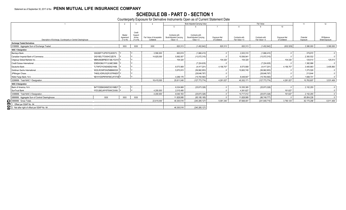# SCHEDULE DB - PART D - SECTION 1<br>Counterparty Exposure for Derivative Instruments Open as of Current Statement Date

|                                                                 |                       |                   |                          |                        | Book Adjusted Carrying Value |               | Fair Value     |                 |               | 11          | 12             |
|-----------------------------------------------------------------|-----------------------|-------------------|--------------------------|------------------------|------------------------------|---------------|----------------|-----------------|---------------|-------------|----------------|
|                                                                 |                       |                   |                          |                        |                              |               |                |                 | 10            |             |                |
|                                                                 |                       |                   |                          |                        |                              |               |                |                 |               |             |                |
|                                                                 | Master                | Credit<br>Support |                          | Contracts with         | Contracts with               |               |                |                 |               |             |                |
|                                                                 | Agreement<br>(Y or N) | Annex             | Fair Value of Acceptable | Book/Adjusted Carrying | Book/Adjusted Carrying       | Exposure Net  | Contracts with | Contracts with  | Exposure Net  | Potential   | Off-Balance    |
| Description of Exchange, Counterparty or Central Clearinghouse  |                       | (Y or N)          | Collateral               | Value $> 0$            | Value $< 0$                  | of Collateral | Fair Value > 0 | Fair Value < 0  | of Collateral | Exposure    | Sheet Exposure |
| <b>Exchange Traded Derivatives</b>                              |                       |                   |                          |                        |                              |               |                |                 |               |             |                |
| 0199999. Aggregate Sum of Exchange Traded                       | <b>XXX</b>            | <b>XXX</b>        | <b>XXX</b>               | .820,313               | (1,452,842)                  | .820,313      | .820,313       | (1,452,842)     | (632, 529)    | .3,380,000  | .3,380,000     |
| <b>NAIC 1 Designation</b>                                       |                       |                   |                          |                        |                              |               |                |                 |               |             |                |
| Barclays Bank<br>G5GSEF7VJP5I7OUK5573                           |                       |                   | .3,590,000               | .900,819               | (1,666,410)                  |               | .2,003,310     | (1,666,410)     |               | 379.972     |                |
| Canadian Imperial Bank of Commerce.<br>2IGI19DL77OX0HC3ZE78     |                       |                   | .14,825,000              | .5,892,007             | (13,072,315)                 |               | 10,506,941     | (13,072,315)    |               | .2,393,532  |                |
| MBNUM2BPBDO7JBLYG310<br>Citigroup Global Markets Inc.           |                       |                   |                          | .104.320               |                              | 104.320       | .104,320       |                 | .104.320      | .125.513    | .125,513       |
| Credit Suisse International.<br>E58DKGMJYYYJLN8C3868.           |                       |                   |                          |                        | (7, 224, 635)                |               |                | (7, 224, 635)   |               | 1,382,996   |                |
| Deutsche Bank.<br>7LTWFZYICNSX8D621K86.                         |                       |                   |                          | 8,573,908              | (4,417,201)                  | .4,156,707    | 8,573,908      | (4,417,201)     | .4,156,707    | .3,405,893  | .3,405,893     |
| Goldman Sachs International.<br>W22LROWP2IHZNBB6K528            |                       |                   |                          | .5,870,815             | (56,962,853)                 |               | 10,663,745     | (56,962,853)    |               | .1,273,526  |                |
| JPMorgan Chase<br>7H6GLXDRUGQFU57RNE97                          |                       |                   |                          |                        | .(28,646,767                 |               |                | (28,646,767)    |               | 213,644     |                |
| Wells Fargo Bank, N.A<br>KB1H1DSPRFMYMCUFXT09                   |                       |                   |                          | .4,269,176             | (15, 783, 593)               |               | 8,449,947      | (15,783,593)    |               | .1,608,731  |                |
| 0299999. Total NAIC 1 Designation.                              |                       |                   | 18,415,000               | .25,611,045            | (127, 773, 774)              | .4,261,027    | .40,302,171    | (127, 773, 774) | 4.261.027     | .10,783,807 | .3,531,406     |
| <b>NAIC 2 Designation</b>                                       |                       |                   |                          |                        |                              |               |                |                 |               |             |                |
| B4TYDEB6GKMZO031MB27 Y.<br>Bank of America, N.A.                |                       |                   |                          | .6,024,668             | (25,873,326)                 |               | 10,355,385     | (25,873,326)    |               | .2,152,255  |                |
| SunTrust Bank<br>IYDOJBGJWY9T8XKCSX06.                          |                       |                   | .4,200,000               | .2,015,495             |                              |               | .4,361,627     |                 | .161.627      |             |                |
| 0399999. Total NAIC 2 Designation.                              |                       |                   | .4,200,000               | 8,040,163              | (25,873,326)                 |               | 14,717,012     | (25,873,326)    | .161,627      | .2,152,255  |                |
| <b>XXX</b><br>0899999. Aggregate Sum of Central Clearinghouse.  | <b>XXX</b>            | <b>XXX</b>        |                          | .11,828,995            | (85, 185, 185)               |               | 11,828,995     | (86,749,777)    |               | .65,854,226 |                |
| 0999999. Gross Totals<br><b>ITI</b> 1. Offset per SSAP No. 64.  |                       |                   | .22,615,000              | .46,300,516            | (240.285.127)                | 5,081,340     | .67,668,491    | (241, 849, 719) | .3,790,125    | .82,170,288 | .6,911,406     |
|                                                                 |                       |                   |                          |                        |                              |               |                |                 |               |             |                |
| $\overline{8}$<br>2. Net after right of offset per SSAP No. 64. |                       |                   |                          | .46,300,516            | (240, 285, 127)              |               |                |                 |               |             |                |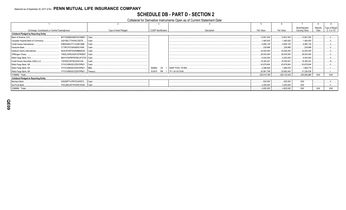# **SCHEDULE DB - PART D - SECTION 2**

# Collateral for Derivative Instruments Open as of Current Statement Date

| Exchange, Counterparty or Central Clearinghouse                   | Type of Asset Pledged | <b>CUSIP</b> Identification | Description        | Fair Value   | Par Value    | Book/Adjusted<br>Carrying Value | Maturity<br>Date | Type of Margin<br>$(I, V \text{ or } IV)$ |
|-------------------------------------------------------------------|-----------------------|-----------------------------|--------------------|--------------|--------------|---------------------------------|------------------|-------------------------------------------|
| <b>Collateral Pledged by Reporting Entity</b>                     |                       |                             |                    |              |              |                                 |                  |                                           |
| B4TYDEB6GKMZO031MB27. Cash.<br>Bank of America, N.A               |                       |                             |                    | .12,801,504  | .12,801,504  | 12,801,504                      |                  |                                           |
| Canadian Imperial Bank of Commerce<br>2IGI19DL77OX0HC3ZE78        | Cash.                 |                             |                    | 1,465,000    | .1,465,000   | .1,465,000                      |                  |                                           |
| Credit Suisse International.<br>E58DKGMJYYYJLN8C3868              | Cash.                 |                             |                    | .9,950,125   | .9,950,125   | .9,950,125                      |                  |                                           |
| Deutsche Bank<br>7LTWFZYICNSX8D621K86                             | Cash.                 |                             |                    | .229,999     | .229,999     | .229.999                        |                  |                                           |
| W22LROWP2IHZNBB6K528 Cash<br>Goldman Sachs International          |                       |                             |                    | .43,400,000  | .43,400,000  | .43,400,000                     |                  |                                           |
| JPMorgan Chase<br>7H6GLXDRUGQFU57RNE97. Cash.                     |                       |                             |                    | .28,030,000  | 28,030,000   | .28.030.000                     |                  |                                           |
| Wells Fargo Bank, N.A<br>KB1H1DSPRFMYMCUFXT09. Cash.              |                       |                             |                    | 6,530,000    | .6.530.000   | 6.530.000                       |                  |                                           |
| Credit Suisse Securities (USA) LLC.<br>1V8Y6QCX6YMJ2OELII46 Cash. |                       |                             |                    | .16,393,541  | .16,393,541  | 16,393,541                      |                  |                                           |
| Wells Fargo Bank, NA<br>VYVVCKR63DVZZN70PB21.                     | . Cash.               |                             |                    | .63,679,904  | 63,679,904   | .63,679,904                     |                  |                                           |
| Wells Fargo Bank, NA<br>VYVVCKR63DVZZN70PB21.                     | MBS.                  | ZX<br>36296U                | GNSF POOL 701958.  | .2,068,928   | .1,960,976   | .1,869,775                      |                  |                                           |
| Wells Fargo Bank, NA<br>VYVVCKR63DVZZN70PB21.                     | Treasurv              | 912810<br><b>RR</b>         | TII 1.00 02/15/46. | .20,961,798  | .20,662,400  | .21,236,038                     |                  |                                           |
| 0199999. Totals.                                                  |                       |                             |                    | .205,510,799 | .205,103,449 | .205,585,886                    | <b>XXX</b>       | XXX                                       |
| <b>Collateral Pledged to Reporting Entity</b>                     |                       |                             |                    |              |              |                                 |                  |                                           |
| Barclays Bank.<br>G5GSEF7VJP5I7OUK5573                            | Cash.                 |                             |                    | 620,000      | 0.620,000    | <b>XXX</b>                      |                  |                                           |
| SunTrust Bank<br>IYDOJBGJWY9T8XKCSX06 Cash.                       |                       |                             |                    | 4,200,000    | .4.200.000   | <b>XXX</b>                      |                  |                                           |
| 0299999. Totals.                                                  |                       |                             |                    | .4,820,000   | .4,820,000   | <b>XXX</b>                      | XXX              | XXX                                       |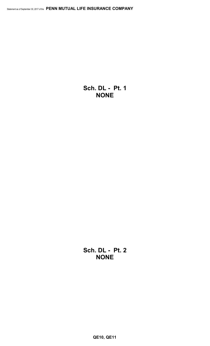**Sch. DL - Pt. 1 NONE**

**Sch. DL - Pt. 2 NONE**

**QE10, QE11**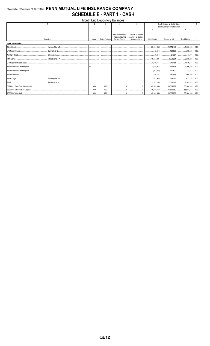# Statement as of September 30, 2017 of the PENN MUTUAL LIFE INSURANCE COMPANY **SCHEDULE E - PART 1 - CASH**

|                          |            |            |                  | <b>Month End Depository Balances</b> |                       |                                                             |                         |                    |            |
|--------------------------|------------|------------|------------------|--------------------------------------|-----------------------|-------------------------------------------------------------|-------------------------|--------------------|------------|
|                          |            |            |                  |                                      | 5                     | Book Balance at End of Each<br>Month During Current Quarter |                         |                    | g          |
|                          |            |            |                  |                                      |                       |                                                             |                         |                    |            |
|                          |            |            |                  |                                      |                       | $\mathsf{6}$                                                |                         | 8                  |            |
|                          |            |            |                  | Amount of Interest                   | Amount of Interest    |                                                             |                         |                    |            |
|                          |            |            |                  | <b>Received During</b>               | Accrued at Current    |                                                             |                         |                    |            |
|                          | Depository | Code       | Rate of Interest | <b>Current Quarter</b>               | <b>Statement Date</b> | <b>First Month</b>                                          | Second Month            | <b>Third Month</b> |            |
| <b>Open Depositories</b> |            |            |                  |                                      |                       |                                                             |                         |                    |            |
|                          |            |            |                  |                                      |                       | 23.089.935                                                  |                         |                    | <b>XXX</b> |
|                          |            |            |                  |                                      |                       |                                                             | 129,968 230,120         |                    | XXX        |
|                          |            |            |                  |                                      |                       |                                                             |                         |                    | XXX        |
|                          |            |            |                  |                                      |                       |                                                             |                         |                    | <b>XXX</b> |
|                          |            |            |                  |                                      |                       | 1,046,154 1,046,154 1,046,154                               |                         |                    | XXX        |
|                          |            |            |                  |                                      |                       | 1,015,975 746,875 1,296,250                                 |                         |                    | <b>XXX</b> |
|                          |            |            |                  |                                      |                       |                                                             |                         |                    | <b>XXX</b> |
|                          |            |            |                  |                                      |                       | 370,184                                                     |                         |                    | XXX        |
|                          |            |            |                  |                                      |                       |                                                             |                         |                    | <b>XXX</b> |
|                          |            |            |                  |                                      |                       | 2,992,265                                                   |                         |                    | <b>XXX</b> |
|                          |            | <b>XXX</b> | XXX              |                                      |                       | 45,840,453                                                  | 33,869,082 55,984,633   |                    | <b>XXX</b> |
|                          |            | XXX        | XXX              |                                      |                       | 45.840.453                                                  | 33,869,082 55,984,633   |                    | <b>XXX</b> |
|                          |            | XXX        | XXX              |                                      | 0                     |                                                             | 33,869,082   55,984,633 |                    | <b>XXX</b> |